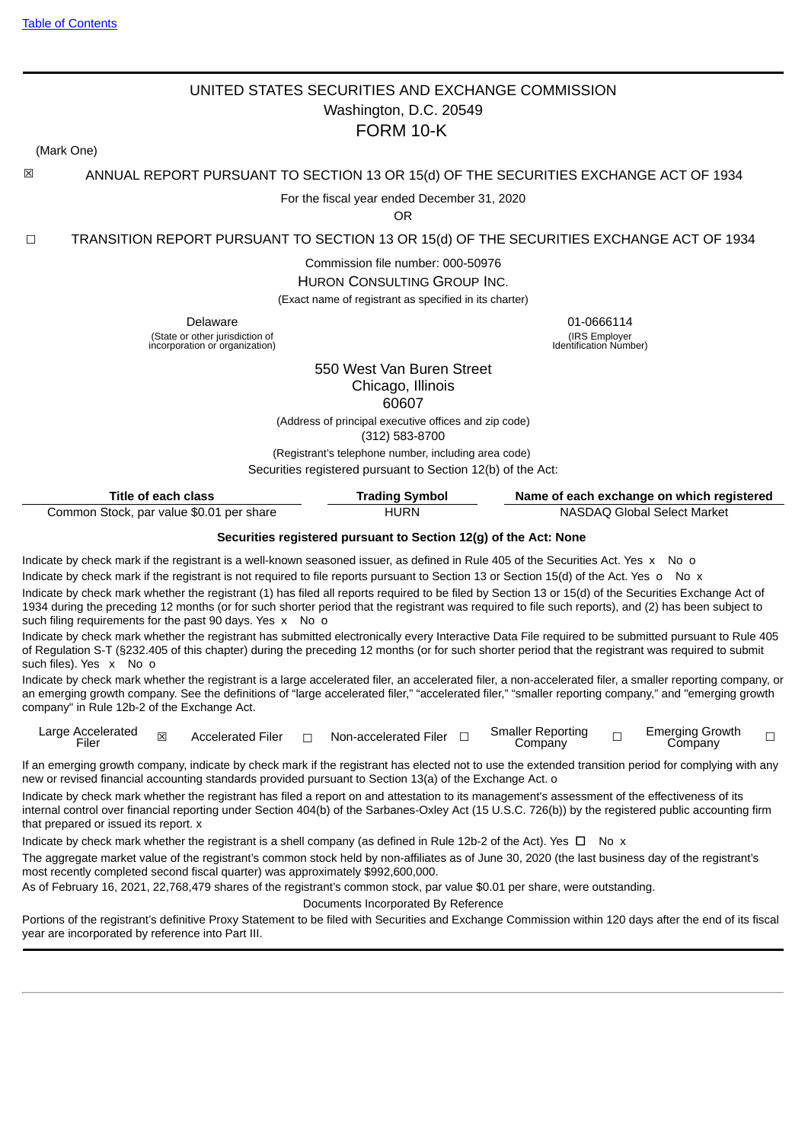# UNITED STATES SECURITIES AND EXCHANGE COMMISSION Washington, D.C. 20549 FORM 10-K

(Mark One)

☒ ANNUAL REPORT PURSUANT TO SECTION 13 OR 15(d) OF THE SECURITIES EXCHANGE ACT OF 1934

For the fiscal year ended December 31, 2020

OR

☐ TRANSITION REPORT PURSUANT TO SECTION 13 OR 15(d) OF THE SECURITIES EXCHANGE ACT OF 1934

Commission file number: 000-50976

HURON CONSULTING GROUP INC.

(Exact name of registrant as specified in its charter)

(State or other jurisdiction of incorporation or organization)

Delaware 01-0666114 (IRS Employer Identification Number)

550 West Van Buren Street

Chicago, Illinois

60607

(Address of principal executive offices and zip code)

(312) 583-8700

(Registrant's telephone number, including area code)

Securities registered pursuant to Section 12(b) of the Act:

| Title of each class                      | <b>Trading Symbol</b> | Name of each exchange on which registered |
|------------------------------------------|-----------------------|-------------------------------------------|
| Common Stock, par value \$0.01 per share | HURN                  | NASDAQ Global Select Market               |

### **Securities registered pursuant to Section 12(g) of the Act: None**

Indicate by check mark if the registrant is a well-known seasoned issuer, as defined in Rule 405 of the Securities Act. Yes x No o Indicate by check mark if the registrant is not required to file reports pursuant to Section 13 or Section 15(d) of the Act. Yes o No x Indicate by check mark whether the registrant (1) has filed all reports required to be filed by Section 13 or 15(d) of the Securities Exchange Act of 1934 during the preceding 12 months (or for such shorter period that the registrant was required to file such reports), and (2) has been subject to such filing requirements for the past 90 days. Yes x No o

Indicate by check mark whether the registrant has submitted electronically every Interactive Data File required to be submitted pursuant to Rule 405 of Regulation S-T (§232.405 of this chapter) during the preceding 12 months (or for such shorter period that the registrant was required to submit such files). Yes x No o

Indicate by check mark whether the registrant is a large accelerated filer, an accelerated filer, a non-accelerated filer, a smaller reporting company, or an emerging growth company. See the definitions of "large accelerated filer," "accelerated filer," "smaller reporting company," and "emerging growth company" in Rule 12b-2 of the Exchange Act.

| Large Accelerated<br>∃ileı | Filer<br>Accelerated | Filer<br>Non-accelerated | Smaller Reporting<br>Company | Emerging Growth<br>∠ompanv |  |
|----------------------------|----------------------|--------------------------|------------------------------|----------------------------|--|
|                            |                      |                          |                              |                            |  |

If an emerging growth company, indicate by check mark if the registrant has elected not to use the extended transition period for complying with any new or revised financial accounting standards provided pursuant to Section 13(a) of the Exchange Act. o

Indicate by check mark whether the registrant has filed a report on and attestation to its management's assessment of the effectiveness of its internal control over financial reporting under Section 404(b) of the Sarbanes-Oxley Act (15 U.S.C. 726(b)) by the registered public accounting firm that prepared or issued its report. x

Indicate by check mark whether the registrant is a shell company (as defined in Rule 12b-2 of the Act). Yes  $\Box$  No x

The aggregate market value of the registrant's common stock held by non-affiliates as of June 30, 2020 (the last business day of the registrant's most recently completed second fiscal quarter) was approximately \$992,600,000.

As of February 16, 2021, 22,768,479 shares of the registrant's common stock, par value \$0.01 per share, were outstanding.

Documents Incorporated By Reference

<span id="page-0-0"></span>Portions of the registrant's definitive Proxy Statement to be filed with Securities and Exchange Commission within 120 days after the end of its fiscal year are incorporated by reference into Part III.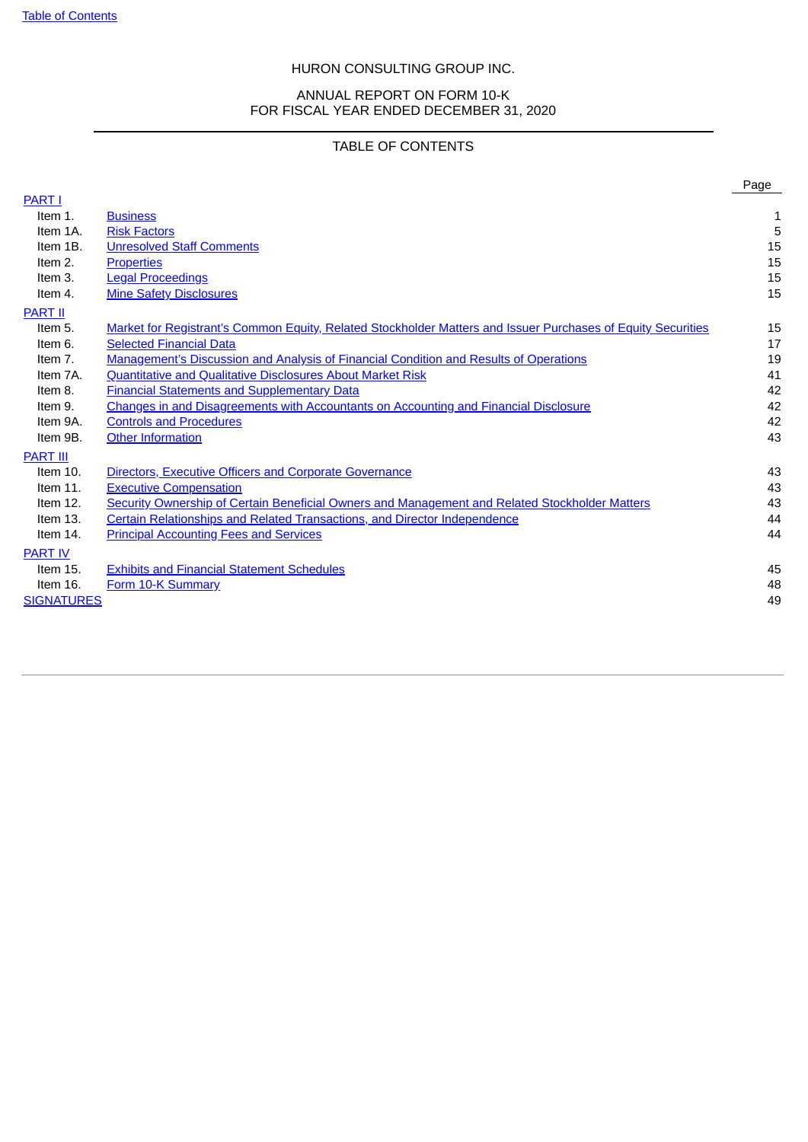# HURON CONSULTING GROUP INC.

# ANNUAL REPORT ON FORM 10-K FOR FISCAL YEAR ENDED DECEMBER 31, 2020

# TABLE OF CONTENTS

|                   |                                                                                                              | Page |
|-------------------|--------------------------------------------------------------------------------------------------------------|------|
| <b>PART I</b>     |                                                                                                              |      |
| Item $1$ .        | <b>Business</b>                                                                                              | 1    |
| Item 1A.          | <b>Risk Factors</b>                                                                                          | 5    |
| Item 1B.          | <b>Unresolved Staff Comments</b>                                                                             | 15   |
| Item 2.           | <b>Properties</b>                                                                                            | 15   |
| Item 3.           | <b>Legal Proceedings</b>                                                                                     | 15   |
| Item 4.           | <b>Mine Safety Disclosures</b>                                                                               | 15   |
| <b>PART II</b>    |                                                                                                              |      |
| Item 5.           | Market for Registrant's Common Equity, Related Stockholder Matters and Issuer Purchases of Equity Securities | 15   |
| Item 6.           | <b>Selected Financial Data</b>                                                                               | 17   |
| Item 7.           | <b>Management's Discussion and Analysis of Financial Condition and Results of Operations</b>                 | 19   |
| Item 7A.          | <b>Quantitative and Qualitative Disclosures About Market Risk</b>                                            | 41   |
| Item 8.           | <b>Financial Statements and Supplementary Data</b>                                                           | 42   |
| Item 9.           | <b>Changes in and Disagreements with Accountants on Accounting and Financial Disclosure</b>                  | 42   |
| Item 9A.          | <b>Controls and Procedures</b>                                                                               | 42   |
| Item 9B.          | <b>Other Information</b>                                                                                     | 43   |
| <b>PART III</b>   |                                                                                                              |      |
| Item $10$ .       | Directors, Executive Officers and Corporate Governance                                                       | 43   |
| Item $11.$        | <b>Executive Compensation</b>                                                                                | 43   |
| Item $12.$        | Security Ownership of Certain Beneficial Owners and Management and Related Stockholder Matters               | 43   |
| Item $13.$        | Certain Relationships and Related Transactions, and Director Independence                                    | 44   |
| Item $14.$        | <b>Principal Accounting Fees and Services</b>                                                                | 44   |
| <b>PART IV</b>    |                                                                                                              |      |
| Item $15.$        | <b>Exhibits and Financial Statement Schedules</b>                                                            | 45   |
| Item 16.          | Form 10-K Summary                                                                                            | 48   |
| <b>SIGNATURES</b> |                                                                                                              | 49   |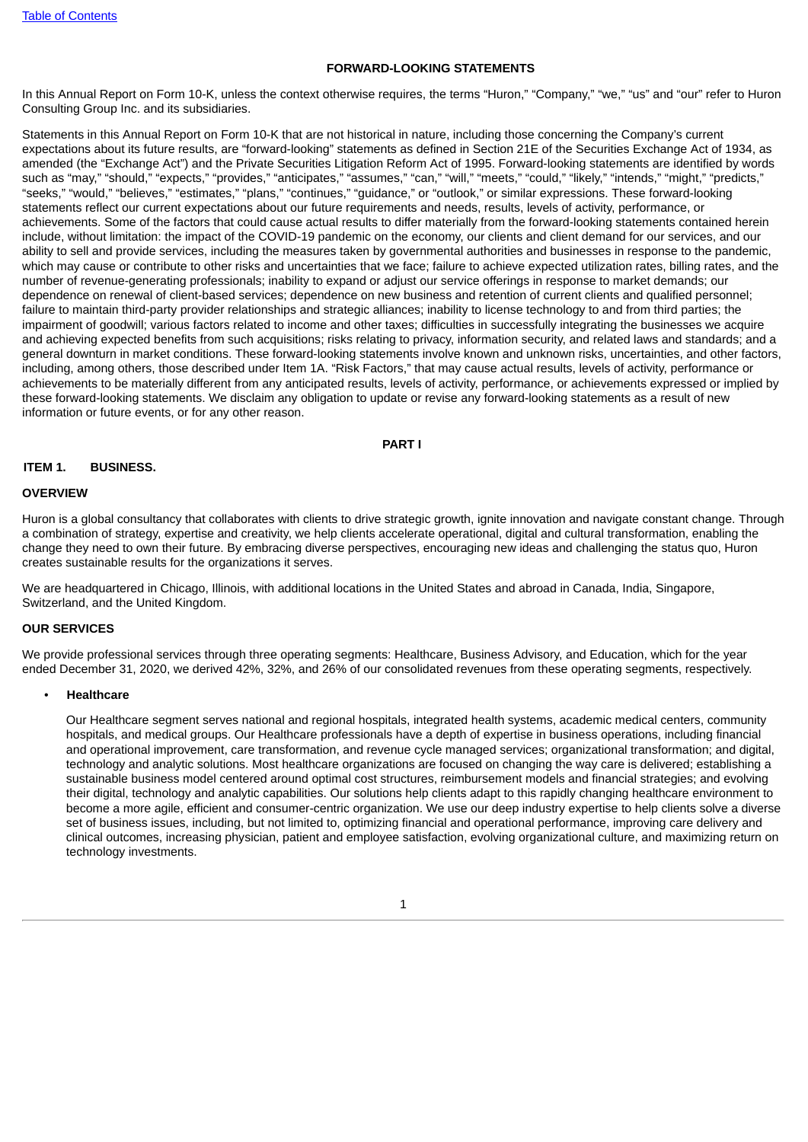### **FORWARD-LOOKING STATEMENTS**

In this Annual Report on Form 10-K, unless the context otherwise requires, the terms "Huron," "Company," "we," "us" and "our" refer to Huron Consulting Group Inc. and its subsidiaries.

Statements in this Annual Report on Form 10-K that are not historical in nature, including those concerning the Company's current expectations about its future results, are "forward-looking" statements as defined in Section 21E of the Securities Exchange Act of 1934, as amended (the "Exchange Act") and the Private Securities Litigation Reform Act of 1995. Forward-looking statements are identified by words such as "may," "should," "expects," "provides," "anticipates," "assumes," "can," "will," "meets," "could," "likely," "intends," "might," "predicts," "seeks," "would," "believes," "estimates," "plans," "continues," "guidance," or "outlook," or similar expressions. These forward-looking statements reflect our current expectations about our future requirements and needs, results, levels of activity, performance, or achievements. Some of the factors that could cause actual results to differ materially from the forward-looking statements contained herein include, without limitation: the impact of the COVID-19 pandemic on the economy, our clients and client demand for our services, and our ability to sell and provide services, including the measures taken by governmental authorities and businesses in response to the pandemic, which may cause or contribute to other risks and uncertainties that we face; failure to achieve expected utilization rates, billing rates, and the number of revenue-generating professionals; inability to expand or adjust our service offerings in response to market demands; our dependence on renewal of client-based services; dependence on new business and retention of current clients and qualified personnel; failure to maintain third-party provider relationships and strategic alliances; inability to license technology to and from third parties; the impairment of goodwill; various factors related to income and other taxes; difficulties in successfully integrating the businesses we acquire and achieving expected benefits from such acquisitions; risks relating to privacy, information security, and related laws and standards; and a general downturn in market conditions. These forward-looking statements involve known and unknown risks, uncertainties, and other factors, including, among others, those described under Item 1A. "Risk Factors," that may cause actual results, levels of activity, performance or achievements to be materially different from any anticipated results, levels of activity, performance, or achievements expressed or implied by these forward-looking statements. We disclaim any obligation to update or revise any forward-looking statements as a result of new information or future events, or for any other reason.

#### **PART I**

### <span id="page-2-1"></span><span id="page-2-0"></span>**ITEM 1. BUSINESS.**

#### **OVERVIEW**

Huron is a global consultancy that collaborates with clients to drive strategic growth, ignite innovation and navigate constant change. Through a combination of strategy, expertise and creativity, we help clients accelerate operational, digital and cultural transformation, enabling the change they need to own their future. By embracing diverse perspectives, encouraging new ideas and challenging the status quo, Huron creates sustainable results for the organizations it serves.

We are headquartered in Chicago, Illinois, with additional locations in the United States and abroad in Canada, India, Singapore, Switzerland, and the United Kingdom.

#### **OUR SERVICES**

We provide professional services through three operating segments: Healthcare, Business Advisory, and Education, which for the year ended December 31, 2020, we derived 42%, 32%, and 26% of our consolidated revenues from these operating segments, respectively.

### • **Healthcare**

Our Healthcare segment serves national and regional hospitals, integrated health systems, academic medical centers, community hospitals, and medical groups. Our Healthcare professionals have a depth of expertise in business operations, including financial and operational improvement, care transformation, and revenue cycle managed services; organizational transformation; and digital, technology and analytic solutions. Most healthcare organizations are focused on changing the way care is delivered; establishing a sustainable business model centered around optimal cost structures, reimbursement models and financial strategies; and evolving their digital, technology and analytic capabilities. Our solutions help clients adapt to this rapidly changing healthcare environment to become a more agile, efficient and consumer-centric organization. We use our deep industry expertise to help clients solve a diverse set of business issues, including, but not limited to, optimizing financial and operational performance, improving care delivery and clinical outcomes, increasing physician, patient and employee satisfaction, evolving organizational culture, and maximizing return on technology investments.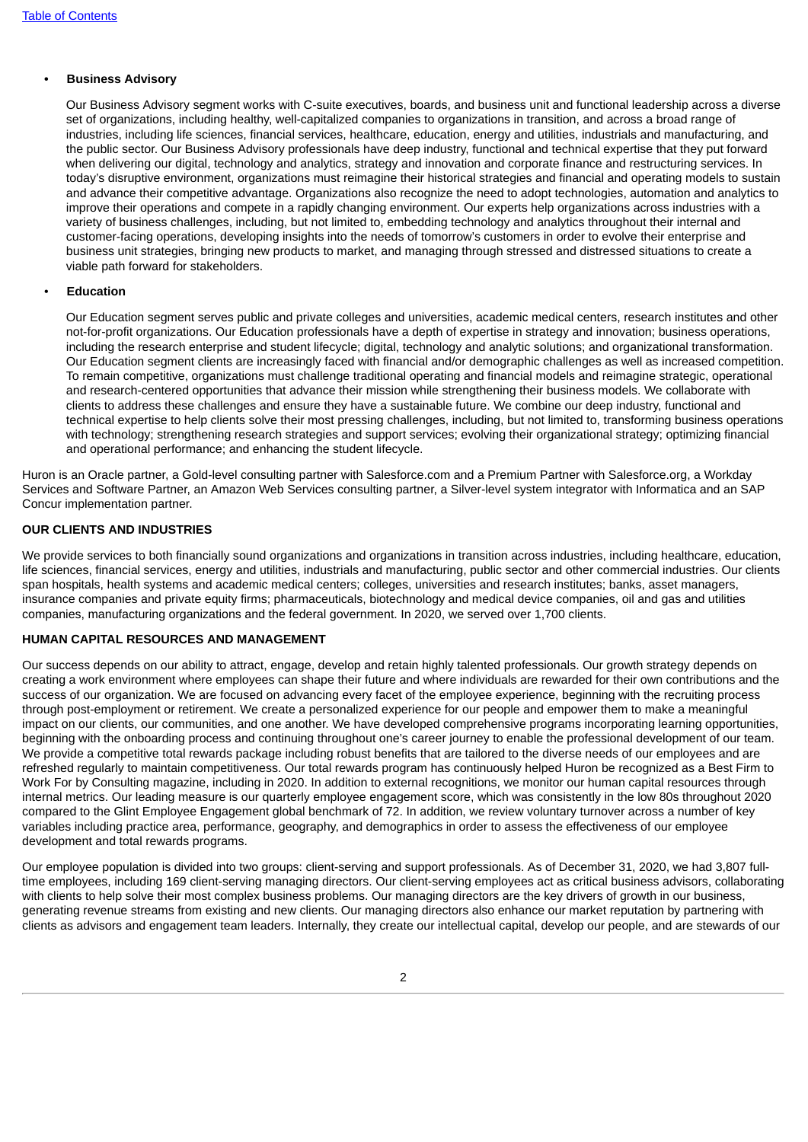# **• Business Advisory**

Our Business Advisory segment works with C-suite executives, boards, and business unit and functional leadership across a diverse set of organizations, including healthy, well-capitalized companies to organizations in transition, and across a broad range of industries, including life sciences, financial services, healthcare, education, energy and utilities, industrials and manufacturing, and the public sector. Our Business Advisory professionals have deep industry, functional and technical expertise that they put forward when delivering our digital, technology and analytics, strategy and innovation and corporate finance and restructuring services. In today's disruptive environment, organizations must reimagine their historical strategies and financial and operating models to sustain and advance their competitive advantage. Organizations also recognize the need to adopt technologies, automation and analytics to improve their operations and compete in a rapidly changing environment. Our experts help organizations across industries with a variety of business challenges, including, but not limited to, embedding technology and analytics throughout their internal and customer-facing operations, developing insights into the needs of tomorrow's customers in order to evolve their enterprise and business unit strategies, bringing new products to market, and managing through stressed and distressed situations to create a viable path forward for stakeholders.

# • **Education**

Our Education segment serves public and private colleges and universities, academic medical centers, research institutes and other not-for-profit organizations. Our Education professionals have a depth of expertise in strategy and innovation; business operations, including the research enterprise and student lifecycle; digital, technology and analytic solutions; and organizational transformation. Our Education segment clients are increasingly faced with financial and/or demographic challenges as well as increased competition. To remain competitive, organizations must challenge traditional operating and financial models and reimagine strategic, operational and research-centered opportunities that advance their mission while strengthening their business models. We collaborate with clients to address these challenges and ensure they have a sustainable future. We combine our deep industry, functional and technical expertise to help clients solve their most pressing challenges, including, but not limited to, transforming business operations with technology; strengthening research strategies and support services; evolving their organizational strategy; optimizing financial and operational performance; and enhancing the student lifecycle.

Huron is an Oracle partner, a Gold-level consulting partner with Salesforce.com and a Premium Partner with Salesforce.org, a Workday Services and Software Partner, an Amazon Web Services consulting partner, a Silver-level system integrator with Informatica and an SAP Concur implementation partner.

# **OUR CLIENTS AND INDUSTRIES**

We provide services to both financially sound organizations and organizations in transition across industries, including healthcare, education, life sciences, financial services, energy and utilities, industrials and manufacturing, public sector and other commercial industries. Our clients span hospitals, health systems and academic medical centers; colleges, universities and research institutes; banks, asset managers, insurance companies and private equity firms; pharmaceuticals, biotechnology and medical device companies, oil and gas and utilities companies, manufacturing organizations and the federal government. In 2020, we served over 1,700 clients.

# **HUMAN CAPITAL RESOURCES AND MANAGEMENT**

Our success depends on our ability to attract, engage, develop and retain highly talented professionals. Our growth strategy depends on creating a work environment where employees can shape their future and where individuals are rewarded for their own contributions and the success of our organization. We are focused on advancing every facet of the employee experience, beginning with the recruiting process through post-employment or retirement. We create a personalized experience for our people and empower them to make a meaningful impact on our clients, our communities, and one another. We have developed comprehensive programs incorporating learning opportunities, beginning with the onboarding process and continuing throughout one's career journey to enable the professional development of our team. We provide a competitive total rewards package including robust benefits that are tailored to the diverse needs of our employees and are refreshed regularly to maintain competitiveness. Our total rewards program has continuously helped Huron be recognized as a Best Firm to Work For by Consulting magazine, including in 2020. In addition to external recognitions, we monitor our human capital resources through internal metrics. Our leading measure is our quarterly employee engagement score, which was consistently in the low 80s throughout 2020 compared to the Glint Employee Engagement global benchmark of 72. In addition, we review voluntary turnover across a number of key variables including practice area, performance, geography, and demographics in order to assess the effectiveness of our employee development and total rewards programs.

Our employee population is divided into two groups: client-serving and support professionals. As of December 31, 2020, we had 3,807 fulltime employees, including 169 client-serving managing directors. Our client-serving employees act as critical business advisors, collaborating with clients to help solve their most complex business problems. Our managing directors are the key drivers of growth in our business, generating revenue streams from existing and new clients. Our managing directors also enhance our market reputation by partnering with clients as advisors and engagement team leaders. Internally, they create our intellectual capital, develop our people, and are stewards of our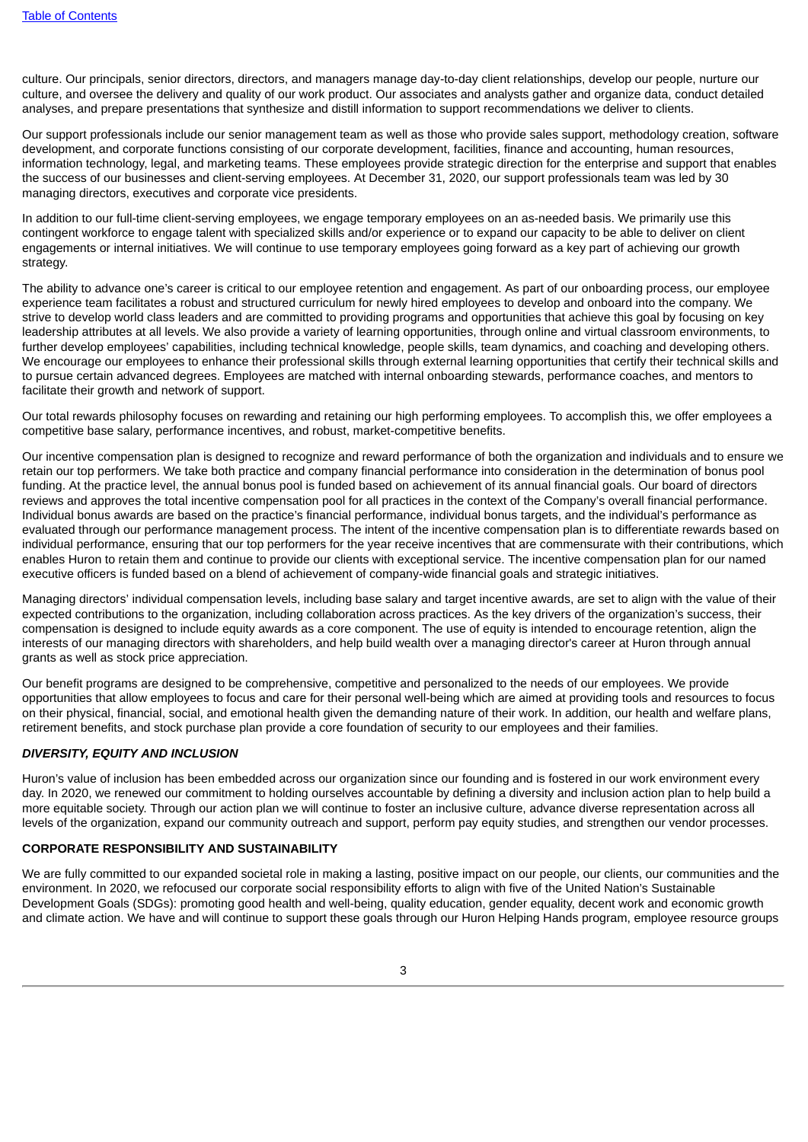culture. Our principals, senior directors, directors, and managers manage day-to-day client relationships, develop our people, nurture our culture, and oversee the delivery and quality of our work product. Our associates and analysts gather and organize data, conduct detailed analyses, and prepare presentations that synthesize and distill information to support recommendations we deliver to clients.

Our support professionals include our senior management team as well as those who provide sales support, methodology creation, software development, and corporate functions consisting of our corporate development, facilities, finance and accounting, human resources, information technology, legal, and marketing teams. These employees provide strategic direction for the enterprise and support that enables the success of our businesses and client-serving employees. At December 31, 2020, our support professionals team was led by 30 managing directors, executives and corporate vice presidents.

In addition to our full-time client-serving employees, we engage temporary employees on an as-needed basis. We primarily use this contingent workforce to engage talent with specialized skills and/or experience or to expand our capacity to be able to deliver on client engagements or internal initiatives. We will continue to use temporary employees going forward as a key part of achieving our growth strategy.

The ability to advance one's career is critical to our employee retention and engagement. As part of our onboarding process, our employee experience team facilitates a robust and structured curriculum for newly hired employees to develop and onboard into the company. We strive to develop world class leaders and are committed to providing programs and opportunities that achieve this goal by focusing on key leadership attributes at all levels. We also provide a variety of learning opportunities, through online and virtual classroom environments, to further develop employees' capabilities, including technical knowledge, people skills, team dynamics, and coaching and developing others. We encourage our employees to enhance their professional skills through external learning opportunities that certify their technical skills and to pursue certain advanced degrees. Employees are matched with internal onboarding stewards, performance coaches, and mentors to facilitate their growth and network of support.

Our total rewards philosophy focuses on rewarding and retaining our high performing employees. To accomplish this, we offer employees a competitive base salary, performance incentives, and robust, market-competitive benefits.

Our incentive compensation plan is designed to recognize and reward performance of both the organization and individuals and to ensure we retain our top performers. We take both practice and company financial performance into consideration in the determination of bonus pool funding. At the practice level, the annual bonus pool is funded based on achievement of its annual financial goals. Our board of directors reviews and approves the total incentive compensation pool for all practices in the context of the Company's overall financial performance. Individual bonus awards are based on the practice's financial performance, individual bonus targets, and the individual's performance as evaluated through our performance management process. The intent of the incentive compensation plan is to differentiate rewards based on individual performance, ensuring that our top performers for the year receive incentives that are commensurate with their contributions, which enables Huron to retain them and continue to provide our clients with exceptional service. The incentive compensation plan for our named executive officers is funded based on a blend of achievement of company-wide financial goals and strategic initiatives.

Managing directors' individual compensation levels, including base salary and target incentive awards, are set to align with the value of their expected contributions to the organization, including collaboration across practices. As the key drivers of the organization's success, their compensation is designed to include equity awards as a core component. The use of equity is intended to encourage retention, align the interests of our managing directors with shareholders, and help build wealth over a managing director's career at Huron through annual grants as well as stock price appreciation.

Our benefit programs are designed to be comprehensive, competitive and personalized to the needs of our employees. We provide opportunities that allow employees to focus and care for their personal well-being which are aimed at providing tools and resources to focus on their physical, financial, social, and emotional health given the demanding nature of their work. In addition, our health and welfare plans, retirement benefits, and stock purchase plan provide a core foundation of security to our employees and their families.

# *DIVERSITY, EQUITY AND INCLUSION*

Huron's value of inclusion has been embedded across our organization since our founding and is fostered in our work environment every day. In 2020, we renewed our commitment to holding ourselves accountable by defining a diversity and inclusion action plan to help build a more equitable society. Through our action plan we will continue to foster an inclusive culture, advance diverse representation across all levels of the organization, expand our community outreach and support, perform pay equity studies, and strengthen our vendor processes.

# **CORPORATE RESPONSIBILITY AND SUSTAINABILITY**

We are fully committed to our expanded societal role in making a lasting, positive impact on our people, our clients, our communities and the environment. In 2020, we refocused our corporate social responsibility efforts to align with five of the United Nation's Sustainable Development Goals (SDGs): promoting good health and well-being, quality education, gender equality, decent work and economic growth and climate action. We have and will continue to support these goals through our Huron Helping Hands program, employee resource groups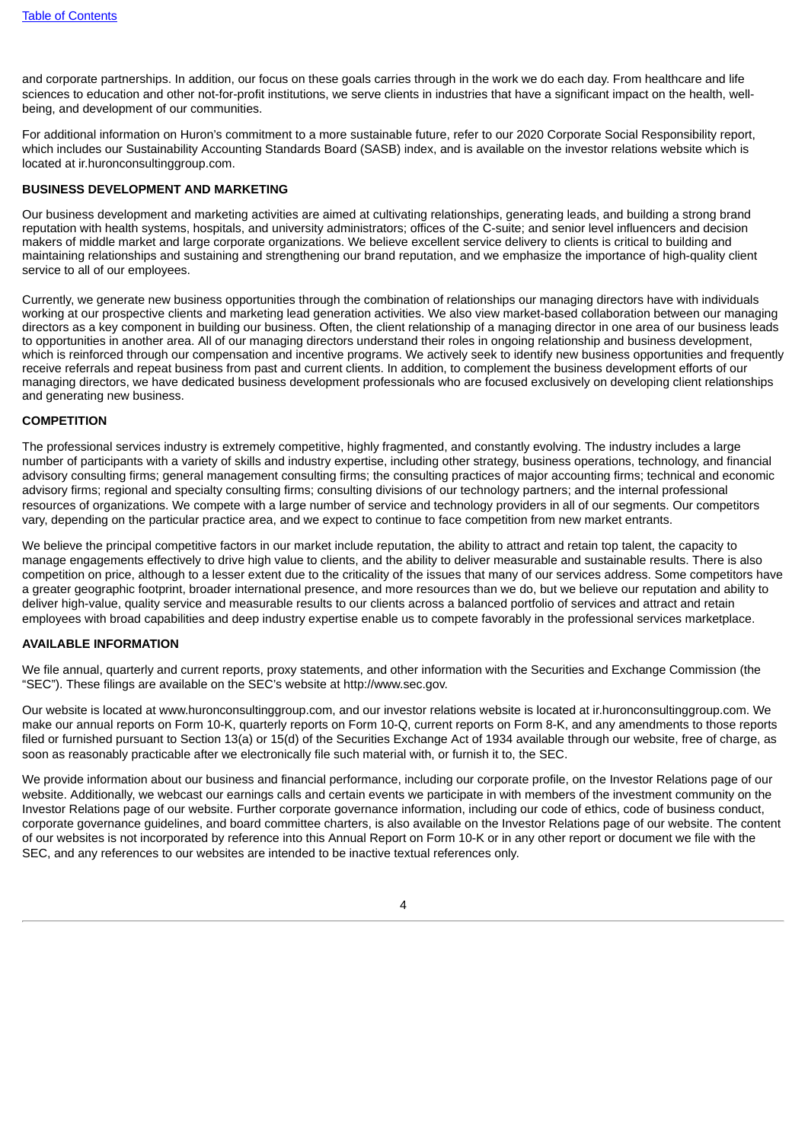and corporate partnerships. In addition, our focus on these goals carries through in the work we do each day. From healthcare and life sciences to education and other not-for-profit institutions, we serve clients in industries that have a significant impact on the health, wellbeing, and development of our communities.

For additional information on Huron's commitment to a more sustainable future, refer to our 2020 Corporate Social Responsibility report, which includes our Sustainability Accounting Standards Board (SASB) index, and is available on the investor relations website which is located at ir.huronconsultinggroup.com.

### **BUSINESS DEVELOPMENT AND MARKETING**

Our business development and marketing activities are aimed at cultivating relationships, generating leads, and building a strong brand reputation with health systems, hospitals, and university administrators; offices of the C-suite; and senior level influencers and decision makers of middle market and large corporate organizations. We believe excellent service delivery to clients is critical to building and maintaining relationships and sustaining and strengthening our brand reputation, and we emphasize the importance of high-quality client service to all of our employees.

Currently, we generate new business opportunities through the combination of relationships our managing directors have with individuals working at our prospective clients and marketing lead generation activities. We also view market-based collaboration between our managing directors as a key component in building our business. Often, the client relationship of a managing director in one area of our business leads to opportunities in another area. All of our managing directors understand their roles in ongoing relationship and business development, which is reinforced through our compensation and incentive programs. We actively seek to identify new business opportunities and frequently receive referrals and repeat business from past and current clients. In addition, to complement the business development efforts of our managing directors, we have dedicated business development professionals who are focused exclusively on developing client relationships and generating new business.

#### **COMPETITION**

The professional services industry is extremely competitive, highly fragmented, and constantly evolving. The industry includes a large number of participants with a variety of skills and industry expertise, including other strategy, business operations, technology, and financial advisory consulting firms; general management consulting firms; the consulting practices of major accounting firms; technical and economic advisory firms; regional and specialty consulting firms; consulting divisions of our technology partners; and the internal professional resources of organizations. We compete with a large number of service and technology providers in all of our segments. Our competitors vary, depending on the particular practice area, and we expect to continue to face competition from new market entrants.

We believe the principal competitive factors in our market include reputation, the ability to attract and retain top talent, the capacity to manage engagements effectively to drive high value to clients, and the ability to deliver measurable and sustainable results. There is also competition on price, although to a lesser extent due to the criticality of the issues that many of our services address. Some competitors have a greater geographic footprint, broader international presence, and more resources than we do, but we believe our reputation and ability to deliver high-value, quality service and measurable results to our clients across a balanced portfolio of services and attract and retain employees with broad capabilities and deep industry expertise enable us to compete favorably in the professional services marketplace.

# **AVAILABLE INFORMATION**

We file annual, quarterly and current reports, proxy statements, and other information with the Securities and Exchange Commission (the "SEC"). These filings are available on the SEC's website at http://www.sec.gov.

Our website is located at www.huronconsultinggroup.com, and our investor relations website is located at ir.huronconsultinggroup.com. We make our annual reports on Form 10-K, quarterly reports on Form 10-Q, current reports on Form 8-K, and any amendments to those reports filed or furnished pursuant to Section 13(a) or 15(d) of the Securities Exchange Act of 1934 available through our website, free of charge, as soon as reasonably practicable after we electronically file such material with, or furnish it to, the SEC.

<span id="page-5-0"></span>We provide information about our business and financial performance, including our corporate profile, on the Investor Relations page of our website. Additionally, we webcast our earnings calls and certain events we participate in with members of the investment community on the Investor Relations page of our website. Further corporate governance information, including our code of ethics, code of business conduct, corporate governance guidelines, and board committee charters, is also available on the Investor Relations page of our website. The content of our websites is not incorporated by reference into this Annual Report on Form 10-K or in any other report or document we file with the SEC, and any references to our websites are intended to be inactive textual references only.

4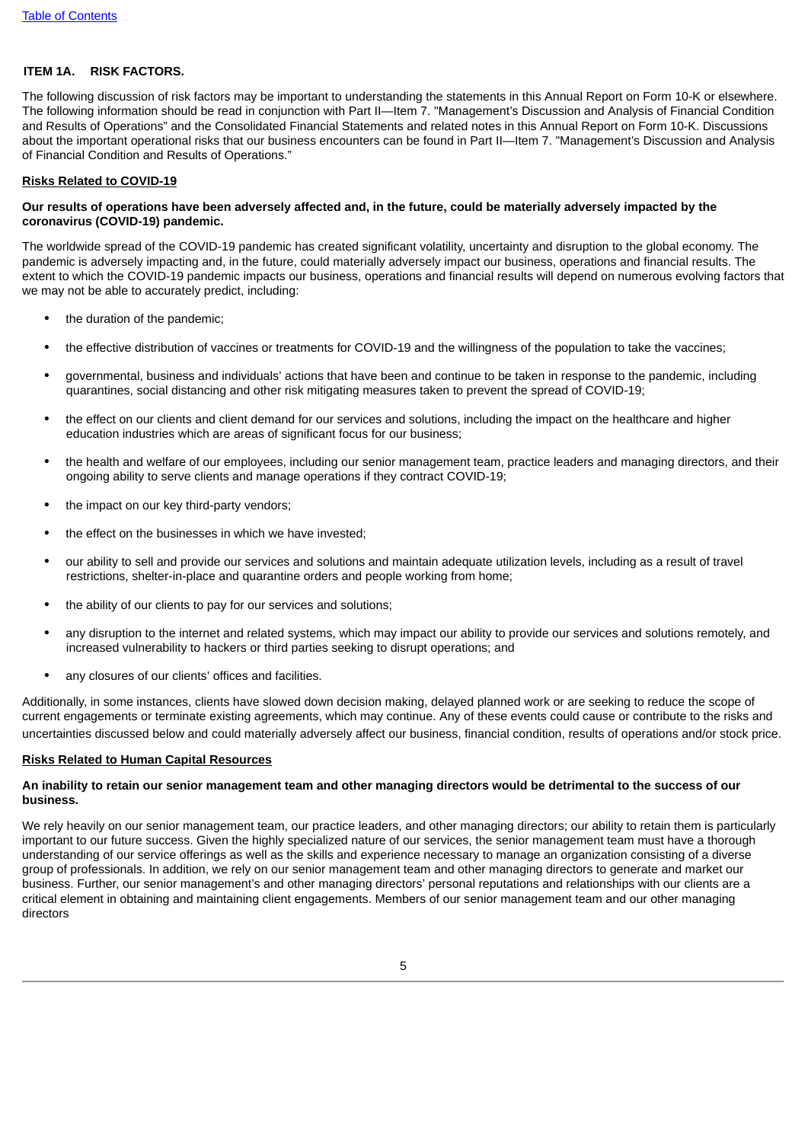# **ITEM 1A. RISK FACTORS.**

The following discussion of risk factors may be important to understanding the statements in this Annual Report on Form 10-K or elsewhere. The following information should be read in conjunction with Part II—Item 7. "Management's Discussion and Analysis of Financial Condition and Results of Operations" and the Consolidated Financial Statements and related notes in this Annual Report on Form 10-K. Discussions about the important operational risks that our business encounters can be found in Part II—Item 7. "Management's Discussion and Analysis of Financial Condition and Results of Operations."

# **Risks Related to COVID-19**

# Our results of operations have been adversely affected and, in the future, could be materially adversely impacted by the **coronavirus (COVID-19) pandemic.**

The worldwide spread of the COVID-19 pandemic has created significant volatility, uncertainty and disruption to the global economy. The pandemic is adversely impacting and, in the future, could materially adversely impact our business, operations and financial results. The extent to which the COVID-19 pandemic impacts our business, operations and financial results will depend on numerous evolving factors that we may not be able to accurately predict, including:

- the duration of the pandemic;
- the effective distribution of vaccines or treatments for COVID-19 and the willingness of the population to take the vaccines;
- governmental, business and individuals' actions that have been and continue to be taken in response to the pandemic, including quarantines, social distancing and other risk mitigating measures taken to prevent the spread of COVID-19;
- the effect on our clients and client demand for our services and solutions, including the impact on the healthcare and higher education industries which are areas of significant focus for our business;
- the health and welfare of our employees, including our senior management team, practice leaders and managing directors, and their ongoing ability to serve clients and manage operations if they contract COVID-19;
- the impact on our key third-party vendors;
- the effect on the businesses in which we have invested;
- our ability to sell and provide our services and solutions and maintain adequate utilization levels, including as a result of travel restrictions, shelter-in-place and quarantine orders and people working from home;
- the ability of our clients to pay for our services and solutions;
- any disruption to the internet and related systems, which may impact our ability to provide our services and solutions remotely, and increased vulnerability to hackers or third parties seeking to disrupt operations; and
- any closures of our clients' offices and facilities.

Additionally, in some instances, clients have slowed down decision making, delayed planned work or are seeking to reduce the scope of current engagements or terminate existing agreements, which may continue. Any of these events could cause or contribute to the risks and uncertainties discussed below and could materially adversely affect our business, financial condition, results of operations and/or stock price.

# **Risks Related to Human Capital Resources**

# An inability to retain our senior management team and other managing directors would be detrimental to the success of our **business.**

We rely heavily on our senior management team, our practice leaders, and other managing directors; our ability to retain them is particularly important to our future success. Given the highly specialized nature of our services, the senior management team must have a thorough understanding of our service offerings as well as the skills and experience necessary to manage an organization consisting of a diverse group of professionals. In addition, we rely on our senior management team and other managing directors to generate and market our business. Further, our senior management's and other managing directors' personal reputations and relationships with our clients are a critical element in obtaining and maintaining client engagements. Members of our senior management team and our other managing directors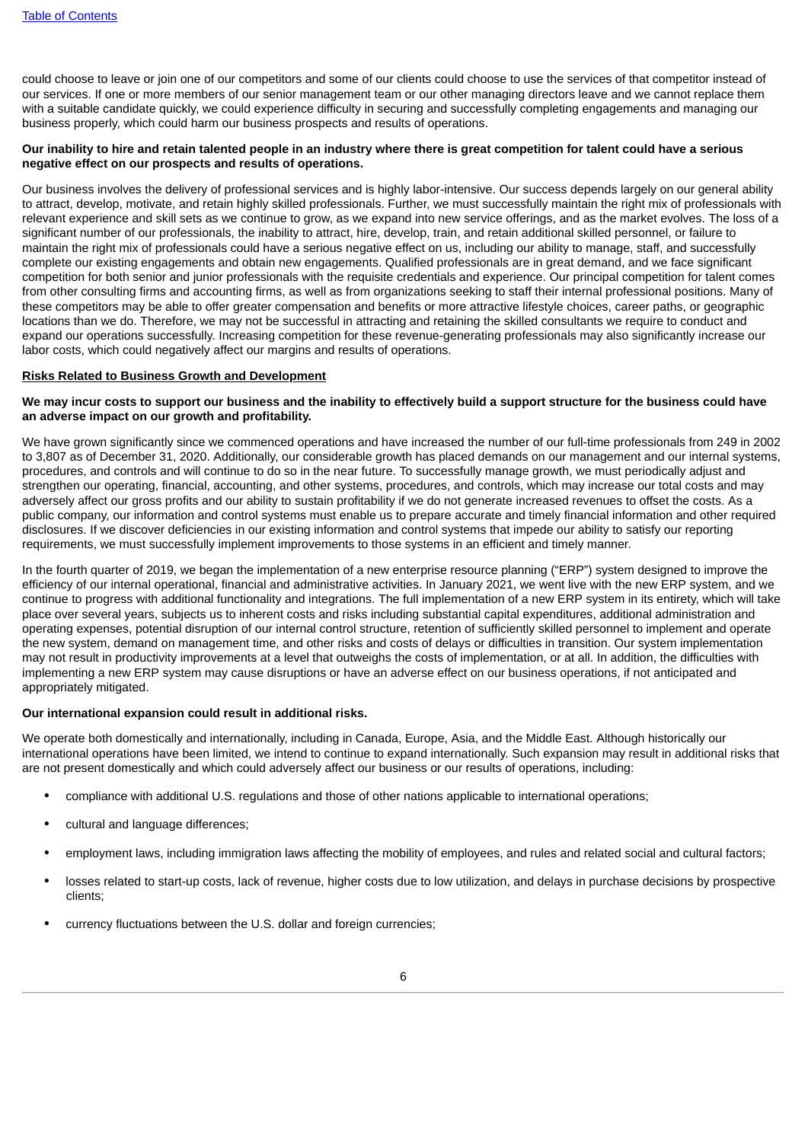could choose to leave or join one of our competitors and some of our clients could choose to use the services of that competitor instead of our services. If one or more members of our senior management team or our other managing directors leave and we cannot replace them with a suitable candidate quickly, we could experience difficulty in securing and successfully completing engagements and managing our business properly, which could harm our business prospects and results of operations.

### Our inability to hire and retain talented people in an industry where there is great competition for talent could have a serious **negative effect on our prospects and results of operations.**

Our business involves the delivery of professional services and is highly labor-intensive. Our success depends largely on our general ability to attract, develop, motivate, and retain highly skilled professionals. Further, we must successfully maintain the right mix of professionals with relevant experience and skill sets as we continue to grow, as we expand into new service offerings, and as the market evolves. The loss of a significant number of our professionals, the inability to attract, hire, develop, train, and retain additional skilled personnel, or failure to maintain the right mix of professionals could have a serious negative effect on us, including our ability to manage, staff, and successfully complete our existing engagements and obtain new engagements. Qualified professionals are in great demand, and we face significant competition for both senior and junior professionals with the requisite credentials and experience. Our principal competition for talent comes from other consulting firms and accounting firms, as well as from organizations seeking to staff their internal professional positions. Many of these competitors may be able to offer greater compensation and benefits or more attractive lifestyle choices, career paths, or geographic locations than we do. Therefore, we may not be successful in attracting and retaining the skilled consultants we require to conduct and expand our operations successfully. Increasing competition for these revenue-generating professionals may also significantly increase our labor costs, which could negatively affect our margins and results of operations.

# **Risks Related to Business Growth and Development**

### We may incur costs to support our business and the inability to effectively build a support structure for the business could have **an adverse impact on our growth and profitability.**

We have grown significantly since we commenced operations and have increased the number of our full-time professionals from 249 in 2002 to 3,807 as of December 31, 2020. Additionally, our considerable growth has placed demands on our management and our internal systems, procedures, and controls and will continue to do so in the near future. To successfully manage growth, we must periodically adjust and strengthen our operating, financial, accounting, and other systems, procedures, and controls, which may increase our total costs and may adversely affect our gross profits and our ability to sustain profitability if we do not generate increased revenues to offset the costs. As a public company, our information and control systems must enable us to prepare accurate and timely financial information and other required disclosures. If we discover deficiencies in our existing information and control systems that impede our ability to satisfy our reporting requirements, we must successfully implement improvements to those systems in an efficient and timely manner.

In the fourth quarter of 2019, we began the implementation of a new enterprise resource planning ("ERP") system designed to improve the efficiency of our internal operational, financial and administrative activities. In January 2021, we went live with the new ERP system, and we continue to progress with additional functionality and integrations. The full implementation of a new ERP system in its entirety, which will take place over several years, subjects us to inherent costs and risks including substantial capital expenditures, additional administration and operating expenses, potential disruption of our internal control structure, retention of sufficiently skilled personnel to implement and operate the new system, demand on management time, and other risks and costs of delays or difficulties in transition. Our system implementation may not result in productivity improvements at a level that outweighs the costs of implementation, or at all. In addition, the difficulties with implementing a new ERP system may cause disruptions or have an adverse effect on our business operations, if not anticipated and appropriately mitigated.

#### **Our international expansion could result in additional risks.**

We operate both domestically and internationally, including in Canada, Europe, Asia, and the Middle East. Although historically our international operations have been limited, we intend to continue to expand internationally. Such expansion may result in additional risks that are not present domestically and which could adversely affect our business or our results of operations, including:

- compliance with additional U.S. regulations and those of other nations applicable to international operations;
- cultural and language differences;
- employment laws, including immigration laws affecting the mobility of employees, and rules and related social and cultural factors;
- losses related to start-up costs, lack of revenue, higher costs due to low utilization, and delays in purchase decisions by prospective clients;
- currency fluctuations between the U.S. dollar and foreign currencies;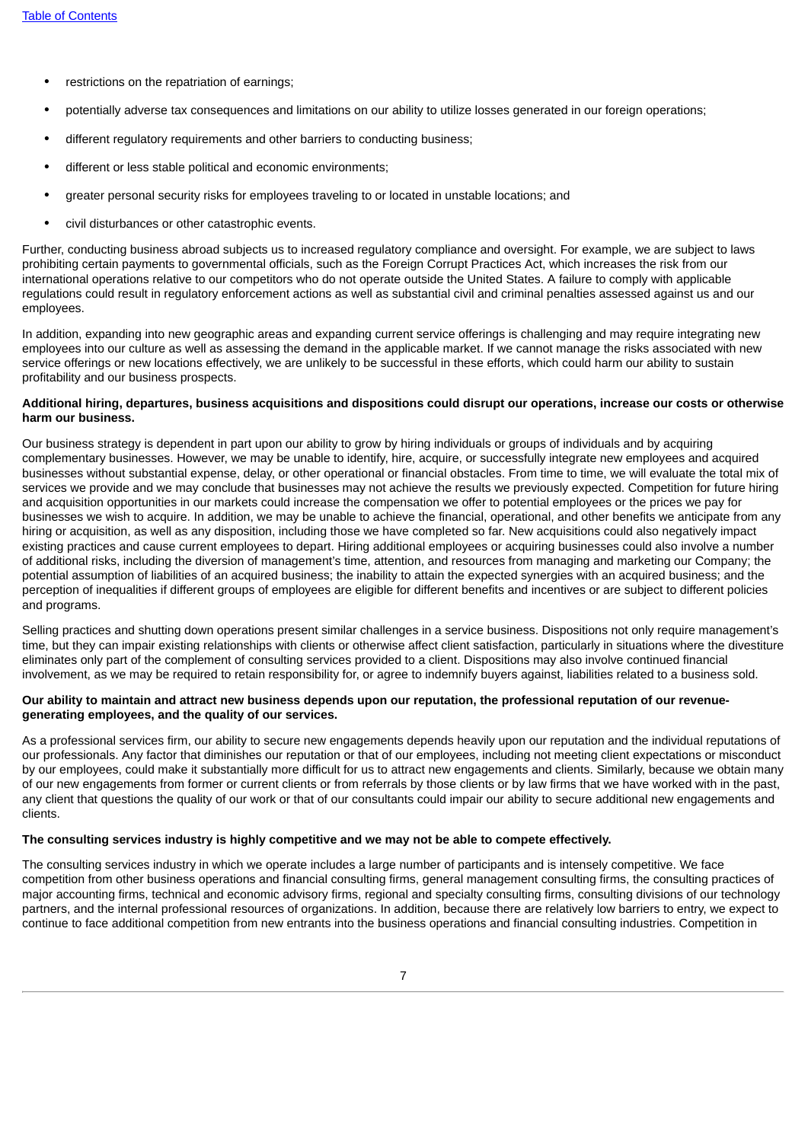- restrictions on the repatriation of earnings;
- potentially adverse tax consequences and limitations on our ability to utilize losses generated in our foreign operations;
- different regulatory requirements and other barriers to conducting business;
- different or less stable political and economic environments;
- greater personal security risks for employees traveling to or located in unstable locations; and
- civil disturbances or other catastrophic events.

Further, conducting business abroad subjects us to increased regulatory compliance and oversight. For example, we are subject to laws prohibiting certain payments to governmental officials, such as the Foreign Corrupt Practices Act, which increases the risk from our international operations relative to our competitors who do not operate outside the United States. A failure to comply with applicable regulations could result in regulatory enforcement actions as well as substantial civil and criminal penalties assessed against us and our employees.

In addition, expanding into new geographic areas and expanding current service offerings is challenging and may require integrating new employees into our culture as well as assessing the demand in the applicable market. If we cannot manage the risks associated with new service offerings or new locations effectively, we are unlikely to be successful in these efforts, which could harm our ability to sustain profitability and our business prospects.

# Additional hiring, departures, business acquisitions and dispositions could disrupt our operations, increase our costs or otherwise **harm our business.**

Our business strategy is dependent in part upon our ability to grow by hiring individuals or groups of individuals and by acquiring complementary businesses. However, we may be unable to identify, hire, acquire, or successfully integrate new employees and acquired businesses without substantial expense, delay, or other operational or financial obstacles. From time to time, we will evaluate the total mix of services we provide and we may conclude that businesses may not achieve the results we previously expected. Competition for future hiring and acquisition opportunities in our markets could increase the compensation we offer to potential employees or the prices we pay for businesses we wish to acquire. In addition, we may be unable to achieve the financial, operational, and other benefits we anticipate from any hiring or acquisition, as well as any disposition, including those we have completed so far. New acquisitions could also negatively impact existing practices and cause current employees to depart. Hiring additional employees or acquiring businesses could also involve a number of additional risks, including the diversion of management's time, attention, and resources from managing and marketing our Company; the potential assumption of liabilities of an acquired business; the inability to attain the expected synergies with an acquired business; and the perception of inequalities if different groups of employees are eligible for different benefits and incentives or are subject to different policies and programs.

Selling practices and shutting down operations present similar challenges in a service business. Dispositions not only require management's time, but they can impair existing relationships with clients or otherwise affect client satisfaction, particularly in situations where the divestiture eliminates only part of the complement of consulting services provided to a client. Dispositions may also involve continued financial involvement, as we may be required to retain responsibility for, or agree to indemnify buyers against, liabilities related to a business sold.

# Our ability to maintain and attract new business depends upon our reputation, the professional reputation of our revenue**generating employees, and the quality of our services.**

As a professional services firm, our ability to secure new engagements depends heavily upon our reputation and the individual reputations of our professionals. Any factor that diminishes our reputation or that of our employees, including not meeting client expectations or misconduct by our employees, could make it substantially more difficult for us to attract new engagements and clients. Similarly, because we obtain many of our new engagements from former or current clients or from referrals by those clients or by law firms that we have worked with in the past, any client that questions the quality of our work or that of our consultants could impair our ability to secure additional new engagements and clients.

# **The consulting services industry is highly competitive and we may not be able to compete effectively.**

The consulting services industry in which we operate includes a large number of participants and is intensely competitive. We face competition from other business operations and financial consulting firms, general management consulting firms, the consulting practices of major accounting firms, technical and economic advisory firms, regional and specialty consulting firms, consulting divisions of our technology partners, and the internal professional resources of organizations. In addition, because there are relatively low barriers to entry, we expect to continue to face additional competition from new entrants into the business operations and financial consulting industries. Competition in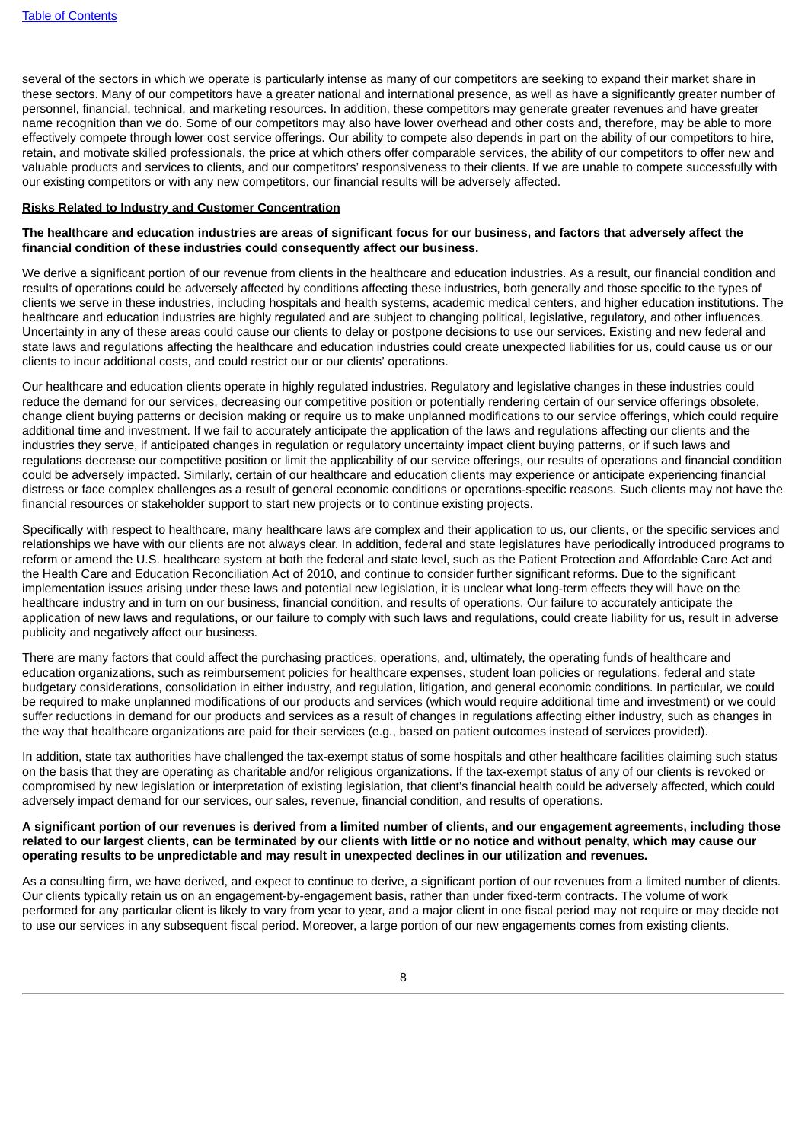several of the sectors in which we operate is particularly intense as many of our competitors are seeking to expand their market share in these sectors. Many of our competitors have a greater national and international presence, as well as have a significantly greater number of personnel, financial, technical, and marketing resources. In addition, these competitors may generate greater revenues and have greater name recognition than we do. Some of our competitors may also have lower overhead and other costs and, therefore, may be able to more effectively compete through lower cost service offerings. Our ability to compete also depends in part on the ability of our competitors to hire, retain, and motivate skilled professionals, the price at which others offer comparable services, the ability of our competitors to offer new and valuable products and services to clients, and our competitors' responsiveness to their clients. If we are unable to compete successfully with our existing competitors or with any new competitors, our financial results will be adversely affected.

### **Risks Related to Industry and Customer Concentration**

# The healthcare and education industries are areas of significant focus for our business, and factors that adversely affect the **financial condition of these industries could consequently affect our business.**

We derive a significant portion of our revenue from clients in the healthcare and education industries. As a result, our financial condition and results of operations could be adversely affected by conditions affecting these industries, both generally and those specific to the types of clients we serve in these industries, including hospitals and health systems, academic medical centers, and higher education institutions. The healthcare and education industries are highly regulated and are subject to changing political, legislative, regulatory, and other influences. Uncertainty in any of these areas could cause our clients to delay or postpone decisions to use our services. Existing and new federal and state laws and regulations affecting the healthcare and education industries could create unexpected liabilities for us, could cause us or our clients to incur additional costs, and could restrict our or our clients' operations.

Our healthcare and education clients operate in highly regulated industries. Regulatory and legislative changes in these industries could reduce the demand for our services, decreasing our competitive position or potentially rendering certain of our service offerings obsolete, change client buying patterns or decision making or require us to make unplanned modifications to our service offerings, which could require additional time and investment. If we fail to accurately anticipate the application of the laws and regulations affecting our clients and the industries they serve, if anticipated changes in regulation or regulatory uncertainty impact client buying patterns, or if such laws and regulations decrease our competitive position or limit the applicability of our service offerings, our results of operations and financial condition could be adversely impacted. Similarly, certain of our healthcare and education clients may experience or anticipate experiencing financial distress or face complex challenges as a result of general economic conditions or operations-specific reasons. Such clients may not have the financial resources or stakeholder support to start new projects or to continue existing projects.

Specifically with respect to healthcare, many healthcare laws are complex and their application to us, our clients, or the specific services and relationships we have with our clients are not always clear. In addition, federal and state legislatures have periodically introduced programs to reform or amend the U.S. healthcare system at both the federal and state level, such as the Patient Protection and Affordable Care Act and the Health Care and Education Reconciliation Act of 2010, and continue to consider further significant reforms. Due to the significant implementation issues arising under these laws and potential new legislation, it is unclear what long-term effects they will have on the healthcare industry and in turn on our business, financial condition, and results of operations. Our failure to accurately anticipate the application of new laws and regulations, or our failure to comply with such laws and regulations, could create liability for us, result in adverse publicity and negatively affect our business.

There are many factors that could affect the purchasing practices, operations, and, ultimately, the operating funds of healthcare and education organizations, such as reimbursement policies for healthcare expenses, student loan policies or regulations, federal and state budgetary considerations, consolidation in either industry, and regulation, litigation, and general economic conditions. In particular, we could be required to make unplanned modifications of our products and services (which would require additional time and investment) or we could suffer reductions in demand for our products and services as a result of changes in regulations affecting either industry, such as changes in the way that healthcare organizations are paid for their services (e.g., based on patient outcomes instead of services provided).

In addition, state tax authorities have challenged the tax-exempt status of some hospitals and other healthcare facilities claiming such status on the basis that they are operating as charitable and/or religious organizations. If the tax-exempt status of any of our clients is revoked or compromised by new legislation or interpretation of existing legislation, that client's financial health could be adversely affected, which could adversely impact demand for our services, our sales, revenue, financial condition, and results of operations.

## A significant portion of our revenues is derived from a limited number of clients, and our engagement agreements, including those related to our largest clients, can be terminated by our clients with little or no notice and without penalty, which may cause our **operating results to be unpredictable and may result in unexpected declines in our utilization and revenues.**

As a consulting firm, we have derived, and expect to continue to derive, a significant portion of our revenues from a limited number of clients. Our clients typically retain us on an engagement-by-engagement basis, rather than under fixed-term contracts. The volume of work performed for any particular client is likely to vary from year to year, and a major client in one fiscal period may not require or may decide not to use our services in any subsequent fiscal period. Moreover, a large portion of our new engagements comes from existing clients.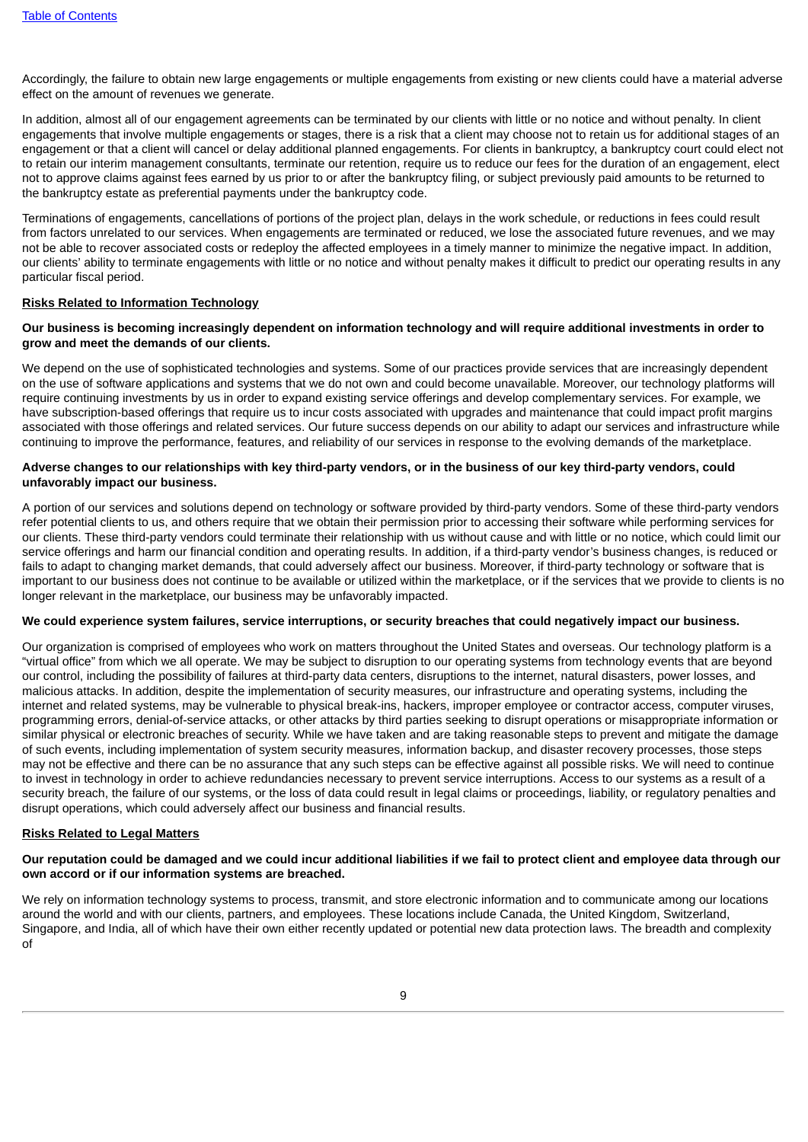Accordingly, the failure to obtain new large engagements or multiple engagements from existing or new clients could have a material adverse effect on the amount of revenues we generate.

In addition, almost all of our engagement agreements can be terminated by our clients with little or no notice and without penalty. In client engagements that involve multiple engagements or stages, there is a risk that a client may choose not to retain us for additional stages of an engagement or that a client will cancel or delay additional planned engagements. For clients in bankruptcy, a bankruptcy court could elect not to retain our interim management consultants, terminate our retention, require us to reduce our fees for the duration of an engagement, elect not to approve claims against fees earned by us prior to or after the bankruptcy filing, or subject previously paid amounts to be returned to the bankruptcy estate as preferential payments under the bankruptcy code.

Terminations of engagements, cancellations of portions of the project plan, delays in the work schedule, or reductions in fees could result from factors unrelated to our services. When engagements are terminated or reduced, we lose the associated future revenues, and we may not be able to recover associated costs or redeploy the affected employees in a timely manner to minimize the negative impact. In addition, our clients' ability to terminate engagements with little or no notice and without penalty makes it difficult to predict our operating results in any particular fiscal period.

# **Risks Related to Information Technology**

# Our business is becoming increasingly dependent on information technology and will require additional investments in order to **grow and meet the demands of our clients.**

We depend on the use of sophisticated technologies and systems. Some of our practices provide services that are increasingly dependent on the use of software applications and systems that we do not own and could become unavailable. Moreover, our technology platforms will require continuing investments by us in order to expand existing service offerings and develop complementary services. For example, we have subscription-based offerings that require us to incur costs associated with upgrades and maintenance that could impact profit margins associated with those offerings and related services. Our future success depends on our ability to adapt our services and infrastructure while continuing to improve the performance, features, and reliability of our services in response to the evolving demands of the marketplace.

# Adverse changes to our relationships with key third-party vendors, or in the business of our key third-party vendors, could **unfavorably impact our business.**

A portion of our services and solutions depend on technology or software provided by third-party vendors. Some of these third-party vendors refer potential clients to us, and others require that we obtain their permission prior to accessing their software while performing services for our clients. These third-party vendors could terminate their relationship with us without cause and with little or no notice, which could limit our service offerings and harm our financial condition and operating results. In addition, if a third-party vendor's business changes, is reduced or fails to adapt to changing market demands, that could adversely affect our business. Moreover, if third-party technology or software that is important to our business does not continue to be available or utilized within the marketplace, or if the services that we provide to clients is no longer relevant in the marketplace, our business may be unfavorably impacted.

# We could experience system failures, service interruptions, or security breaches that could negatively impact our business.

Our organization is comprised of employees who work on matters throughout the United States and overseas. Our technology platform is a "virtual office" from which we all operate. We may be subject to disruption to our operating systems from technology events that are beyond our control, including the possibility of failures at third-party data centers, disruptions to the internet, natural disasters, power losses, and malicious attacks. In addition, despite the implementation of security measures, our infrastructure and operating systems, including the internet and related systems, may be vulnerable to physical break-ins, hackers, improper employee or contractor access, computer viruses, programming errors, denial-of-service attacks, or other attacks by third parties seeking to disrupt operations or misappropriate information or similar physical or electronic breaches of security. While we have taken and are taking reasonable steps to prevent and mitigate the damage of such events, including implementation of system security measures, information backup, and disaster recovery processes, those steps may not be effective and there can be no assurance that any such steps can be effective against all possible risks. We will need to continue to invest in technology in order to achieve redundancies necessary to prevent service interruptions. Access to our systems as a result of a security breach, the failure of our systems, or the loss of data could result in legal claims or proceedings, liability, or regulatory penalties and disrupt operations, which could adversely affect our business and financial results.

# **Risks Related to Legal Matters**

# Our reputation could be damaged and we could incur additional liabilities if we fail to protect client and employee data through our **own accord or if our information systems are breached.**

We rely on information technology systems to process, transmit, and store electronic information and to communicate among our locations around the world and with our clients, partners, and employees. These locations include Canada, the United Kingdom, Switzerland, Singapore, and India, all of which have their own either recently updated or potential new data protection laws. The breadth and complexity of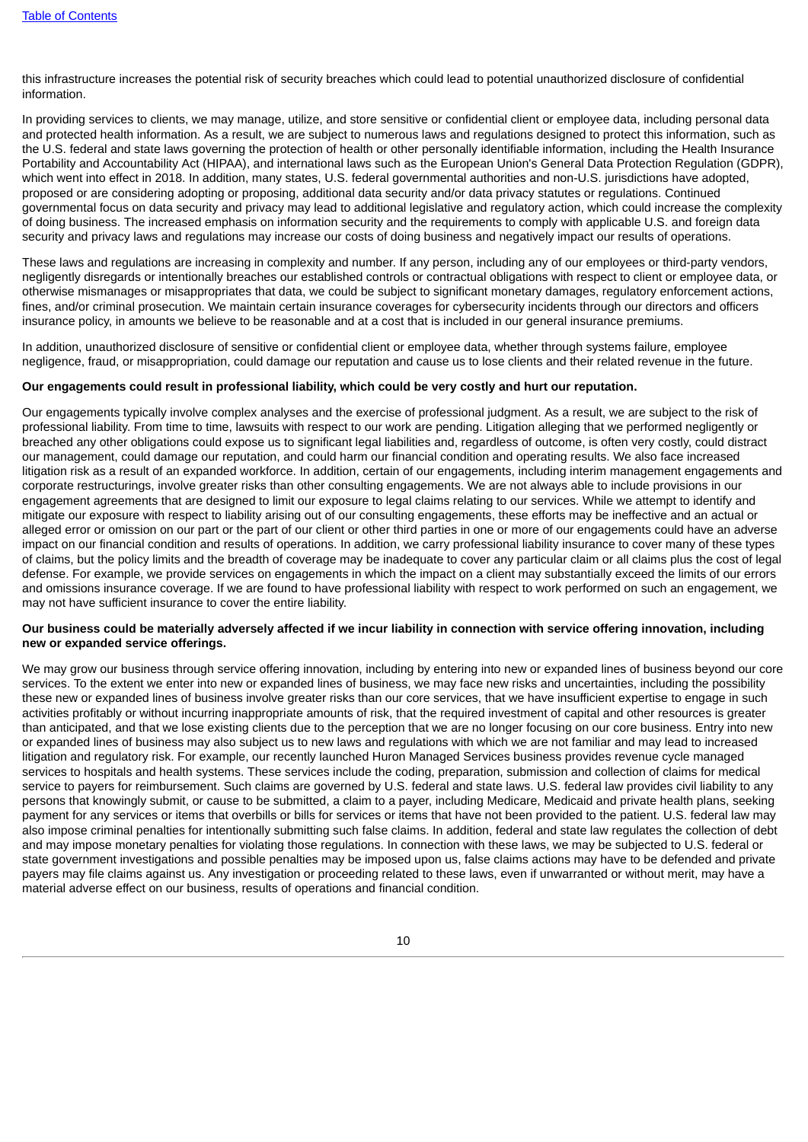this infrastructure increases the potential risk of security breaches which could lead to potential unauthorized disclosure of confidential information.

In providing services to clients, we may manage, utilize, and store sensitive or confidential client or employee data, including personal data and protected health information. As a result, we are subject to numerous laws and regulations designed to protect this information, such as the U.S. federal and state laws governing the protection of health or other personally identifiable information, including the Health Insurance Portability and Accountability Act (HIPAA), and international laws such as the European Union's General Data Protection Regulation (GDPR), which went into effect in 2018. In addition, many states, U.S. federal governmental authorities and non-U.S. jurisdictions have adopted, proposed or are considering adopting or proposing, additional data security and/or data privacy statutes or regulations. Continued governmental focus on data security and privacy may lead to additional legislative and regulatory action, which could increase the complexity of doing business. The increased emphasis on information security and the requirements to comply with applicable U.S. and foreign data security and privacy laws and regulations may increase our costs of doing business and negatively impact our results of operations.

These laws and regulations are increasing in complexity and number. If any person, including any of our employees or third-party vendors, negligently disregards or intentionally breaches our established controls or contractual obligations with respect to client or employee data, or otherwise mismanages or misappropriates that data, we could be subject to significant monetary damages, regulatory enforcement actions, fines, and/or criminal prosecution. We maintain certain insurance coverages for cybersecurity incidents through our directors and officers insurance policy, in amounts we believe to be reasonable and at a cost that is included in our general insurance premiums.

In addition, unauthorized disclosure of sensitive or confidential client or employee data, whether through systems failure, employee negligence, fraud, or misappropriation, could damage our reputation and cause us to lose clients and their related revenue in the future.

### **Our engagements could result in professional liability, which could be very costly and hurt our reputation.**

Our engagements typically involve complex analyses and the exercise of professional judgment. As a result, we are subject to the risk of professional liability. From time to time, lawsuits with respect to our work are pending. Litigation alleging that we performed negligently or breached any other obligations could expose us to significant legal liabilities and, regardless of outcome, is often very costly, could distract our management, could damage our reputation, and could harm our financial condition and operating results. We also face increased litigation risk as a result of an expanded workforce. In addition, certain of our engagements, including interim management engagements and corporate restructurings, involve greater risks than other consulting engagements. We are not always able to include provisions in our engagement agreements that are designed to limit our exposure to legal claims relating to our services. While we attempt to identify and mitigate our exposure with respect to liability arising out of our consulting engagements, these efforts may be ineffective and an actual or alleged error or omission on our part or the part of our client or other third parties in one or more of our engagements could have an adverse impact on our financial condition and results of operations. In addition, we carry professional liability insurance to cover many of these types of claims, but the policy limits and the breadth of coverage may be inadequate to cover any particular claim or all claims plus the cost of legal defense. For example, we provide services on engagements in which the impact on a client may substantially exceed the limits of our errors and omissions insurance coverage. If we are found to have professional liability with respect to work performed on such an engagement, we may not have sufficient insurance to cover the entire liability.

# Our business could be materially adversely affected if we incur liability in connection with service offering innovation, including **new or expanded service offerings.**

We may grow our business through service offering innovation, including by entering into new or expanded lines of business beyond our core services. To the extent we enter into new or expanded lines of business, we may face new risks and uncertainties, including the possibility these new or expanded lines of business involve greater risks than our core services, that we have insufficient expertise to engage in such activities profitably or without incurring inappropriate amounts of risk, that the required investment of capital and other resources is greater than anticipated, and that we lose existing clients due to the perception that we are no longer focusing on our core business. Entry into new or expanded lines of business may also subject us to new laws and regulations with which we are not familiar and may lead to increased litigation and regulatory risk. For example, our recently launched Huron Managed Services business provides revenue cycle managed services to hospitals and health systems. These services include the coding, preparation, submission and collection of claims for medical service to payers for reimbursement. Such claims are governed by U.S. federal and state laws. U.S. federal law provides civil liability to any persons that knowingly submit, or cause to be submitted, a claim to a payer, including Medicare, Medicaid and private health plans, seeking payment for any services or items that overbills or bills for services or items that have not been provided to the patient. U.S. federal law may also impose criminal penalties for intentionally submitting such false claims. In addition, federal and state law regulates the collection of debt and may impose monetary penalties for violating those regulations. In connection with these laws, we may be subjected to U.S. federal or state government investigations and possible penalties may be imposed upon us, false claims actions may have to be defended and private payers may file claims against us. Any investigation or proceeding related to these laws, even if unwarranted or without merit, may have a material adverse effect on our business, results of operations and financial condition.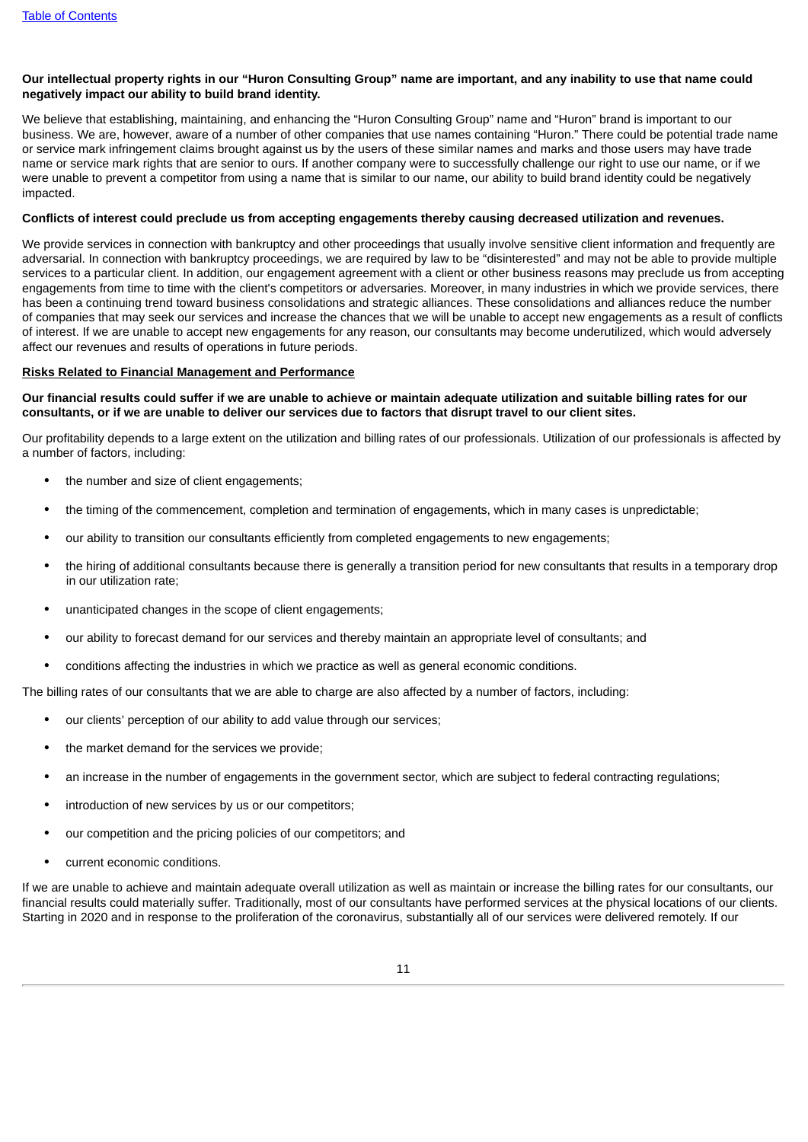# Our intellectual property rights in our "Huron Consulting Group" name are important, and any inability to use that name could **negatively impact our ability to build brand identity.**

We believe that establishing, maintaining, and enhancing the "Huron Consulting Group" name and "Huron" brand is important to our business. We are, however, aware of a number of other companies that use names containing "Huron." There could be potential trade name or service mark infringement claims brought against us by the users of these similar names and marks and those users may have trade name or service mark rights that are senior to ours. If another company were to successfully challenge our right to use our name, or if we were unable to prevent a competitor from using a name that is similar to our name, our ability to build brand identity could be negatively impacted.

# **Conflicts of interest could preclude us from accepting engagements thereby causing decreased utilization and revenues.**

We provide services in connection with bankruptcy and other proceedings that usually involve sensitive client information and frequently are adversarial. In connection with bankruptcy proceedings, we are required by law to be "disinterested" and may not be able to provide multiple services to a particular client. In addition, our engagement agreement with a client or other business reasons may preclude us from accepting engagements from time to time with the client's competitors or adversaries. Moreover, in many industries in which we provide services, there has been a continuing trend toward business consolidations and strategic alliances. These consolidations and alliances reduce the number of companies that may seek our services and increase the chances that we will be unable to accept new engagements as a result of conflicts of interest. If we are unable to accept new engagements for any reason, our consultants may become underutilized, which would adversely affect our revenues and results of operations in future periods.

# **Risks Related to Financial Management and Performance**

# Our financial results could suffer if we are unable to achieve or maintain adequate utilization and suitable billing rates for our consultants, or if we are unable to deliver our services due to factors that disrupt travel to our client sites.

Our profitability depends to a large extent on the utilization and billing rates of our professionals. Utilization of our professionals is affected by a number of factors, including:

- the number and size of client engagements;
- the timing of the commencement, completion and termination of engagements, which in many cases is unpredictable;
- our ability to transition our consultants efficiently from completed engagements to new engagements;
- the hiring of additional consultants because there is generally a transition period for new consultants that results in a temporary drop in our utilization rate;
- unanticipated changes in the scope of client engagements;
- our ability to forecast demand for our services and thereby maintain an appropriate level of consultants; and
- conditions affecting the industries in which we practice as well as general economic conditions.

The billing rates of our consultants that we are able to charge are also affected by a number of factors, including:

- our clients' perception of our ability to add value through our services;
- the market demand for the services we provide;
- an increase in the number of engagements in the government sector, which are subject to federal contracting regulations;
- introduction of new services by us or our competitors;
- our competition and the pricing policies of our competitors; and
- current economic conditions.

If we are unable to achieve and maintain adequate overall utilization as well as maintain or increase the billing rates for our consultants, our financial results could materially suffer. Traditionally, most of our consultants have performed services at the physical locations of our clients. Starting in 2020 and in response to the proliferation of the coronavirus, substantially all of our services were delivered remotely. If our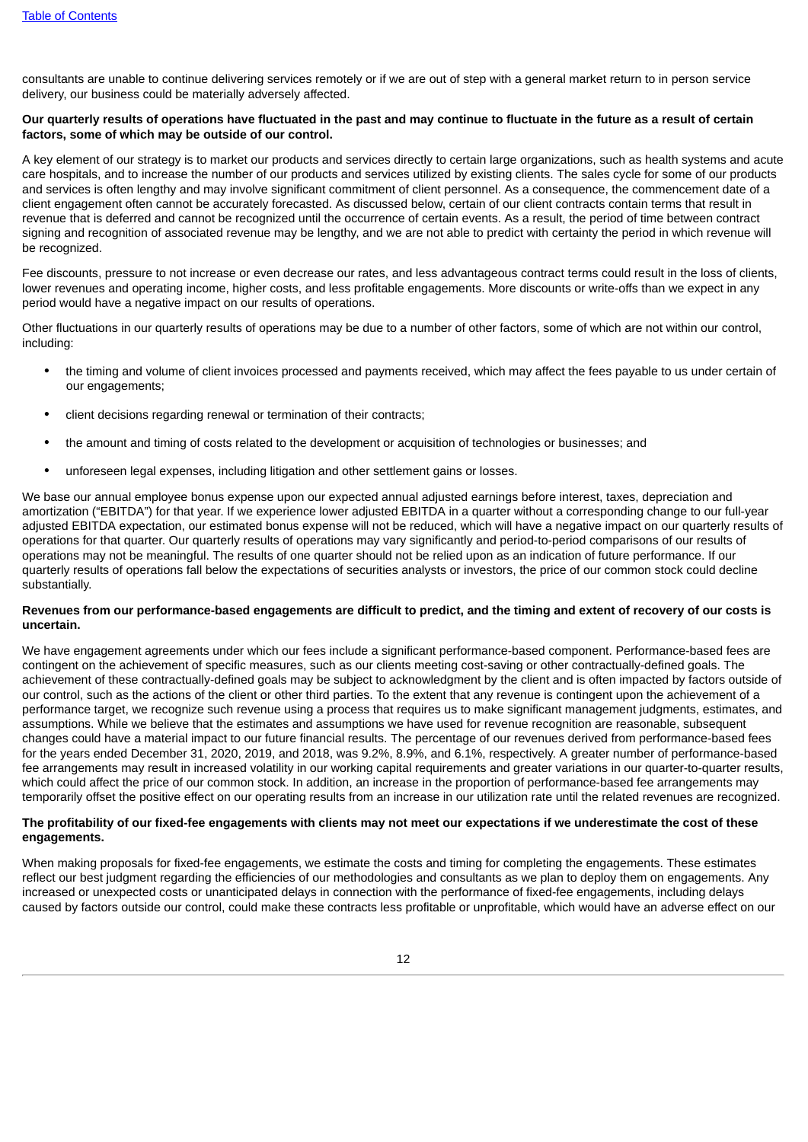consultants are unable to continue delivering services remotely or if we are out of step with a general market return to in person service delivery, our business could be materially adversely affected.

# Our quarterly results of operations have fluctuated in the past and may continue to fluctuate in the future as a result of certain **factors, some of which may be outside of our control.**

A key element of our strategy is to market our products and services directly to certain large organizations, such as health systems and acute care hospitals, and to increase the number of our products and services utilized by existing clients. The sales cycle for some of our products and services is often lengthy and may involve significant commitment of client personnel. As a consequence, the commencement date of a client engagement often cannot be accurately forecasted. As discussed below, certain of our client contracts contain terms that result in revenue that is deferred and cannot be recognized until the occurrence of certain events. As a result, the period of time between contract signing and recognition of associated revenue may be lengthy, and we are not able to predict with certainty the period in which revenue will be recognized.

Fee discounts, pressure to not increase or even decrease our rates, and less advantageous contract terms could result in the loss of clients, lower revenues and operating income, higher costs, and less profitable engagements. More discounts or write-offs than we expect in any period would have a negative impact on our results of operations.

Other fluctuations in our quarterly results of operations may be due to a number of other factors, some of which are not within our control, including:

- the timing and volume of client invoices processed and payments received, which may affect the fees payable to us under certain of our engagements;
- client decisions regarding renewal or termination of their contracts;
- the amount and timing of costs related to the development or acquisition of technologies or businesses; and
- unforeseen legal expenses, including litigation and other settlement gains or losses.

We base our annual employee bonus expense upon our expected annual adjusted earnings before interest, taxes, depreciation and amortization ("EBITDA") for that year. If we experience lower adjusted EBITDA in a quarter without a corresponding change to our full-year adjusted EBITDA expectation, our estimated bonus expense will not be reduced, which will have a negative impact on our quarterly results of operations for that quarter. Our quarterly results of operations may vary significantly and period-to-period comparisons of our results of operations may not be meaningful. The results of one quarter should not be relied upon as an indication of future performance. If our quarterly results of operations fall below the expectations of securities analysts or investors, the price of our common stock could decline substantially.

# Revenues from our performance-based engagements are difficult to predict, and the timing and extent of recovery of our costs is **uncertain.**

We have engagement agreements under which our fees include a significant performance-based component. Performance-based fees are contingent on the achievement of specific measures, such as our clients meeting cost-saving or other contractually-defined goals. The achievement of these contractually-defined goals may be subject to acknowledgment by the client and is often impacted by factors outside of our control, such as the actions of the client or other third parties. To the extent that any revenue is contingent upon the achievement of a performance target, we recognize such revenue using a process that requires us to make significant management judgments, estimates, and assumptions. While we believe that the estimates and assumptions we have used for revenue recognition are reasonable, subsequent changes could have a material impact to our future financial results. The percentage of our revenues derived from performance-based fees for the years ended December 31, 2020, 2019, and 2018, was 9.2%, 8.9%, and 6.1%, respectively. A greater number of performance-based fee arrangements may result in increased volatility in our working capital requirements and greater variations in our quarter-to-quarter results, which could affect the price of our common stock. In addition, an increase in the proportion of performance-based fee arrangements may temporarily offset the positive effect on our operating results from an increase in our utilization rate until the related revenues are recognized.

# The profitability of our fixed-fee engagements with clients may not meet our expectations if we underestimate the cost of these **engagements.**

When making proposals for fixed-fee engagements, we estimate the costs and timing for completing the engagements. These estimates reflect our best judgment regarding the efficiencies of our methodologies and consultants as we plan to deploy them on engagements. Any increased or unexpected costs or unanticipated delays in connection with the performance of fixed-fee engagements, including delays caused by factors outside our control, could make these contracts less profitable or unprofitable, which would have an adverse effect on our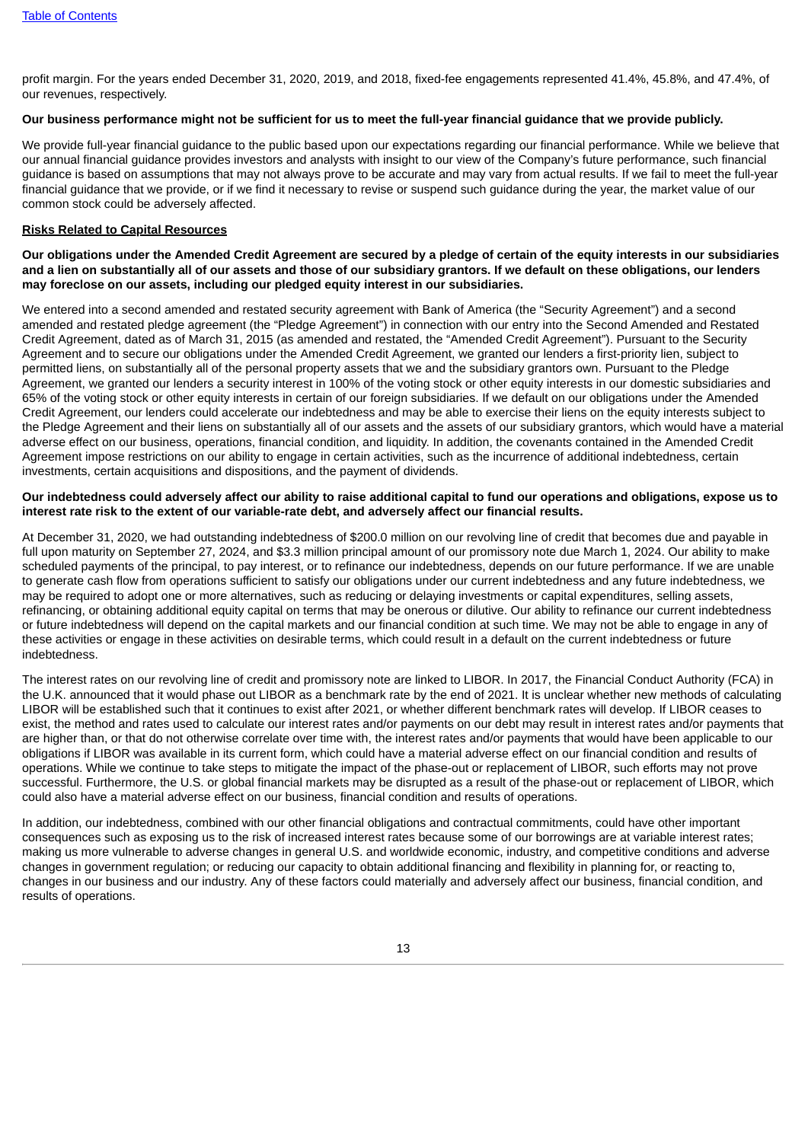profit margin. For the years ended December 31, 2020, 2019, and 2018, fixed-fee engagements represented 41.4%, 45.8%, and 47.4%, of our revenues, respectively.

# Our business performance might not be sufficient for us to meet the full-year financial quidance that we provide publicly.

We provide full-year financial guidance to the public based upon our expectations regarding our financial performance. While we believe that our annual financial guidance provides investors and analysts with insight to our view of the Company's future performance, such financial guidance is based on assumptions that may not always prove to be accurate and may vary from actual results. If we fail to meet the full-year financial guidance that we provide, or if we find it necessary to revise or suspend such guidance during the year, the market value of our common stock could be adversely affected.

# **Risks Related to Capital Resources**

# Our obligations under the Amended Credit Agreement are secured by a pledge of certain of the equity interests in our subsidiaries and a lien on substantially all of our assets and those of our subsidiary grantors. If we default on these obligations, our lenders **may foreclose on our assets, including our pledged equity interest in our subsidiaries.**

We entered into a second amended and restated security agreement with Bank of America (the "Security Agreement") and a second amended and restated pledge agreement (the "Pledge Agreement") in connection with our entry into the Second Amended and Restated Credit Agreement, dated as of March 31, 2015 (as amended and restated, the "Amended Credit Agreement"). Pursuant to the Security Agreement and to secure our obligations under the Amended Credit Agreement, we granted our lenders a first-priority lien, subject to permitted liens, on substantially all of the personal property assets that we and the subsidiary grantors own. Pursuant to the Pledge Agreement, we granted our lenders a security interest in 100% of the voting stock or other equity interests in our domestic subsidiaries and 65% of the voting stock or other equity interests in certain of our foreign subsidiaries. If we default on our obligations under the Amended Credit Agreement, our lenders could accelerate our indebtedness and may be able to exercise their liens on the equity interests subject to the Pledge Agreement and their liens on substantially all of our assets and the assets of our subsidiary grantors, which would have a material adverse effect on our business, operations, financial condition, and liquidity. In addition, the covenants contained in the Amended Credit Agreement impose restrictions on our ability to engage in certain activities, such as the incurrence of additional indebtedness, certain investments, certain acquisitions and dispositions, and the payment of dividends.

# Our indebtedness could adversely affect our ability to raise additional capital to fund our operations and obligations, expose us to **interest rate risk to the extent of our variable-rate debt, and adversely affect our financial results.**

At December 31, 2020, we had outstanding indebtedness of \$200.0 million on our revolving line of credit that becomes due and payable in full upon maturity on September 27, 2024, and \$3.3 million principal amount of our promissory note due March 1, 2024. Our ability to make scheduled payments of the principal, to pay interest, or to refinance our indebtedness, depends on our future performance. If we are unable to generate cash flow from operations sufficient to satisfy our obligations under our current indebtedness and any future indebtedness, we may be required to adopt one or more alternatives, such as reducing or delaying investments or capital expenditures, selling assets, refinancing, or obtaining additional equity capital on terms that may be onerous or dilutive. Our ability to refinance our current indebtedness or future indebtedness will depend on the capital markets and our financial condition at such time. We may not be able to engage in any of these activities or engage in these activities on desirable terms, which could result in a default on the current indebtedness or future indebtedness.

The interest rates on our revolving line of credit and promissory note are linked to LIBOR. In 2017, the Financial Conduct Authority (FCA) in the U.K. announced that it would phase out LIBOR as a benchmark rate by the end of 2021. It is unclear whether new methods of calculating LIBOR will be established such that it continues to exist after 2021, or whether different benchmark rates will develop. If LIBOR ceases to exist, the method and rates used to calculate our interest rates and/or payments on our debt may result in interest rates and/or payments that are higher than, or that do not otherwise correlate over time with, the interest rates and/or payments that would have been applicable to our obligations if LIBOR was available in its current form, which could have a material adverse effect on our financial condition and results of operations. While we continue to take steps to mitigate the impact of the phase-out or replacement of LIBOR, such efforts may not prove successful. Furthermore, the U.S. or global financial markets may be disrupted as a result of the phase-out or replacement of LIBOR, which could also have a material adverse effect on our business, financial condition and results of operations.

In addition, our indebtedness, combined with our other financial obligations and contractual commitments, could have other important consequences such as exposing us to the risk of increased interest rates because some of our borrowings are at variable interest rates; making us more vulnerable to adverse changes in general U.S. and worldwide economic, industry, and competitive conditions and adverse changes in government regulation; or reducing our capacity to obtain additional financing and flexibility in planning for, or reacting to, changes in our business and our industry. Any of these factors could materially and adversely affect our business, financial condition, and results of operations.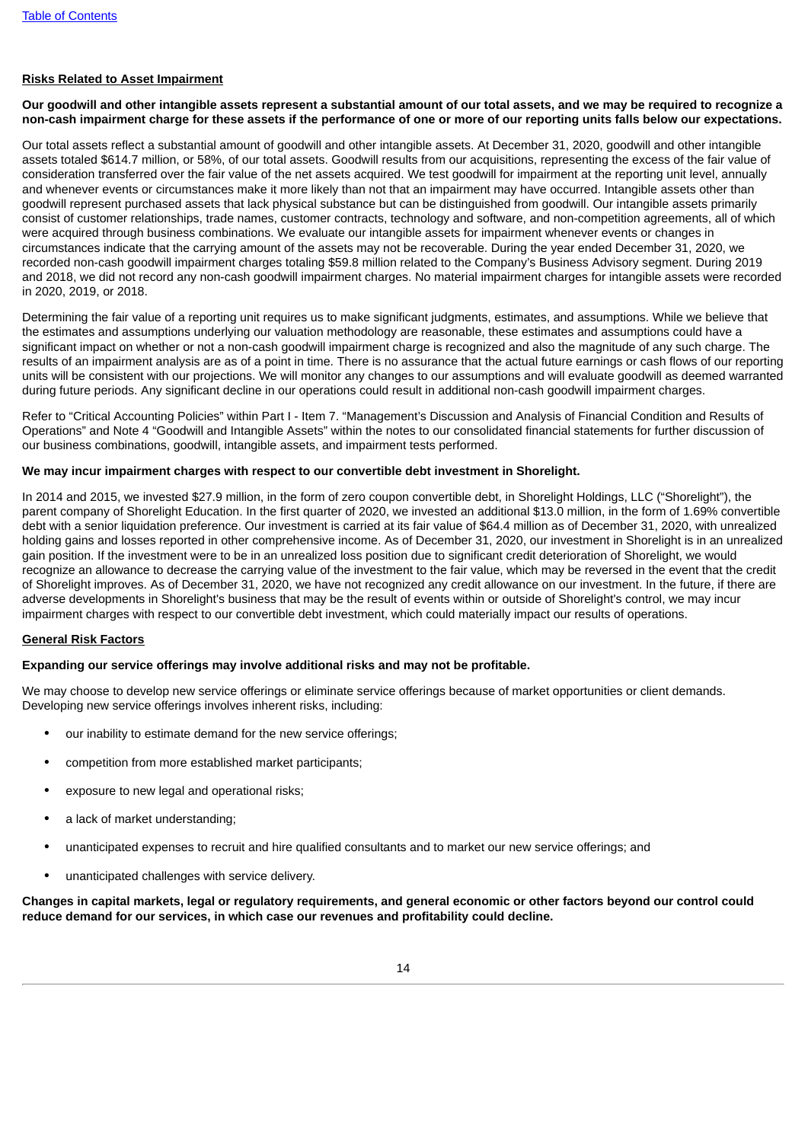# **Risks Related to Asset Impairment**

### Our goodwill and other intangible assets represent a substantial amount of our total assets, and we may be required to recognize a non-cash impairment charge for these assets if the performance of one or more of our reporting units falls below our expectations.

Our total assets reflect a substantial amount of goodwill and other intangible assets. At December 31, 2020, goodwill and other intangible assets totaled \$614.7 million, or 58%, of our total assets. Goodwill results from our acquisitions, representing the excess of the fair value of consideration transferred over the fair value of the net assets acquired. We test goodwill for impairment at the reporting unit level, annually and whenever events or circumstances make it more likely than not that an impairment may have occurred. Intangible assets other than goodwill represent purchased assets that lack physical substance but can be distinguished from goodwill. Our intangible assets primarily consist of customer relationships, trade names, customer contracts, technology and software, and non-competition agreements, all of which were acquired through business combinations. We evaluate our intangible assets for impairment whenever events or changes in circumstances indicate that the carrying amount of the assets may not be recoverable. During the year ended December 31, 2020, we recorded non-cash goodwill impairment charges totaling \$59.8 million related to the Company's Business Advisory segment. During 2019 and 2018, we did not record any non-cash goodwill impairment charges. No material impairment charges for intangible assets were recorded in 2020, 2019, or 2018.

Determining the fair value of a reporting unit requires us to make significant judgments, estimates, and assumptions. While we believe that the estimates and assumptions underlying our valuation methodology are reasonable, these estimates and assumptions could have a significant impact on whether or not a non-cash goodwill impairment charge is recognized and also the magnitude of any such charge. The results of an impairment analysis are as of a point in time. There is no assurance that the actual future earnings or cash flows of our reporting units will be consistent with our projections. We will monitor any changes to our assumptions and will evaluate goodwill as deemed warranted during future periods. Any significant decline in our operations could result in additional non-cash goodwill impairment charges.

Refer to "Critical Accounting Policies" within Part I - Item 7. "Management's Discussion and Analysis of Financial Condition and Results of Operations" and Note 4 "Goodwill and Intangible Assets" within the notes to our consolidated financial statements for further discussion of our business combinations, goodwill, intangible assets, and impairment tests performed.

### **We may incur impairment charges with respect to our convertible debt investment in Shorelight.**

In 2014 and 2015, we invested \$27.9 million, in the form of zero coupon convertible debt, in Shorelight Holdings, LLC ("Shorelight"), the parent company of Shorelight Education. In the first quarter of 2020, we invested an additional \$13.0 million, in the form of 1.69% convertible debt with a senior liquidation preference. Our investment is carried at its fair value of \$64.4 million as of December 31, 2020, with unrealized holding gains and losses reported in other comprehensive income. As of December 31, 2020, our investment in Shorelight is in an unrealized gain position. If the investment were to be in an unrealized loss position due to significant credit deterioration of Shorelight, we would recognize an allowance to decrease the carrying value of the investment to the fair value, which may be reversed in the event that the credit of Shorelight improves. As of December 31, 2020, we have not recognized any credit allowance on our investment. In the future, if there are adverse developments in Shorelight's business that may be the result of events within or outside of Shorelight's control, we may incur impairment charges with respect to our convertible debt investment, which could materially impact our results of operations.

# **General Risk Factors**

#### **Expanding our service offerings may involve additional risks and may not be profitable.**

We may choose to develop new service offerings or eliminate service offerings because of market opportunities or client demands. Developing new service offerings involves inherent risks, including:

- our inability to estimate demand for the new service offerings;
- competition from more established market participants;
- exposure to new legal and operational risks;
- a lack of market understanding;
- unanticipated expenses to recruit and hire qualified consultants and to market our new service offerings; and
- unanticipated challenges with service delivery.

Changes in capital markets, legal or regulatory reguirements, and general economic or other factors beyond our control could **reduce demand for our services, in which case our revenues and profitability could decline.**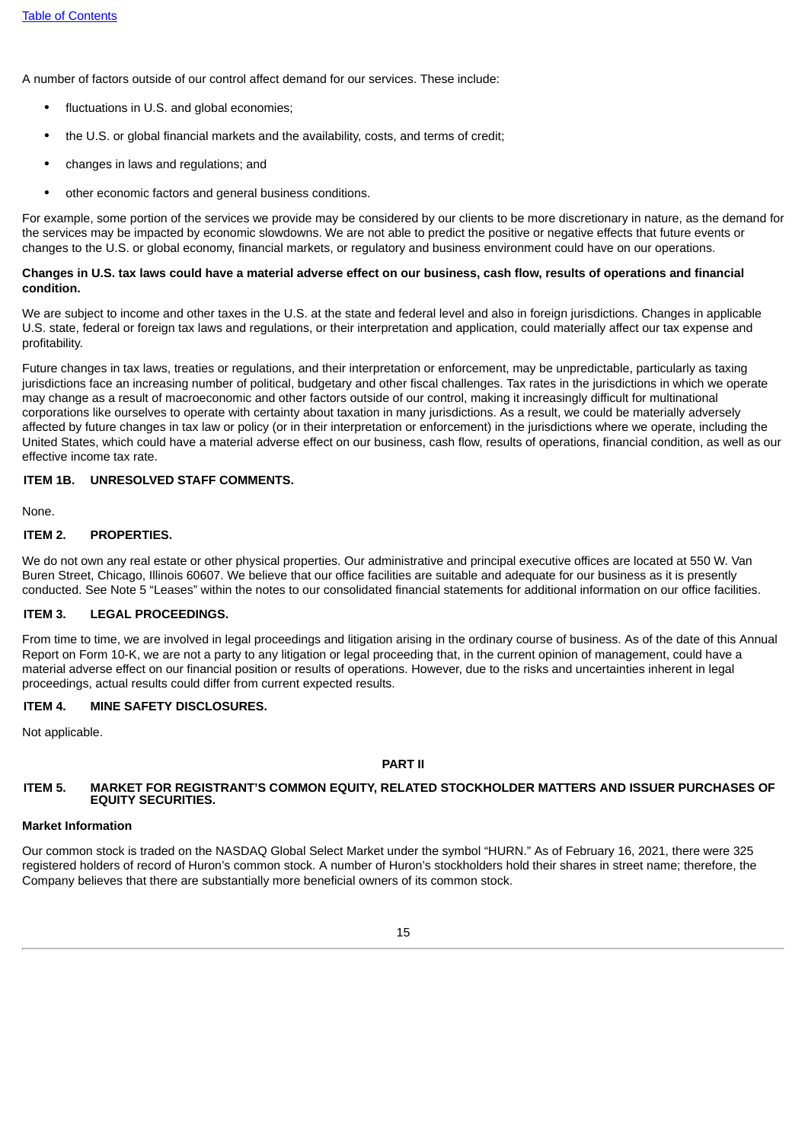A number of factors outside of our control affect demand for our services. These include:

- fluctuations in U.S. and global economies;
- the U.S. or global financial markets and the availability, costs, and terms of credit;
- changes in laws and regulations; and
- other economic factors and general business conditions.

For example, some portion of the services we provide may be considered by our clients to be more discretionary in nature, as the demand for the services may be impacted by economic slowdowns. We are not able to predict the positive or negative effects that future events or changes to the U.S. or global economy, financial markets, or regulatory and business environment could have on our operations.

# Changes in U.S. tax laws could have a material adverse effect on our business, cash flow, results of operations and financial **condition.**

We are subject to income and other taxes in the U.S. at the state and federal level and also in foreign jurisdictions. Changes in applicable U.S. state, federal or foreign tax laws and regulations, or their interpretation and application, could materially affect our tax expense and profitability.

Future changes in tax laws, treaties or regulations, and their interpretation or enforcement, may be unpredictable, particularly as taxing jurisdictions face an increasing number of political, budgetary and other fiscal challenges. Tax rates in the jurisdictions in which we operate may change as a result of macroeconomic and other factors outside of our control, making it increasingly difficult for multinational corporations like ourselves to operate with certainty about taxation in many jurisdictions. As a result, we could be materially adversely affected by future changes in tax law or policy (or in their interpretation or enforcement) in the jurisdictions where we operate, including the United States, which could have a material adverse effect on our business, cash flow, results of operations, financial condition, as well as our effective income tax rate.

# <span id="page-16-0"></span>**ITEM 1B. UNRESOLVED STAFF COMMENTS.**

None.

# <span id="page-16-1"></span>**ITEM 2. PROPERTIES.**

We do not own any real estate or other physical properties. Our administrative and principal executive offices are located at 550 W. Van Buren Street, Chicago, Illinois 60607. We believe that our office facilities are suitable and adequate for our business as it is presently conducted. See Note 5 "Leases" within the notes to our consolidated financial statements for additional information on our office facilities.

# <span id="page-16-2"></span>**ITEM 3. LEGAL PROCEEDINGS.**

From time to time, we are involved in legal proceedings and litigation arising in the ordinary course of business. As of the date of this Annual Report on Form 10-K, we are not a party to any litigation or legal proceeding that, in the current opinion of management, could have a material adverse effect on our financial position or results of operations. However, due to the risks and uncertainties inherent in legal proceedings, actual results could differ from current expected results.

# <span id="page-16-3"></span>**ITEM 4. MINE SAFETY DISCLOSURES.**

<span id="page-16-4"></span>Not applicable.

# **PART II**

# <span id="page-16-5"></span>**ITEM 5. MARKET FOR REGISTRANT'S COMMON EQUITY, RELATED STOCKHOLDER MATTERS AND ISSUER PURCHASES OF EQUITY SECURITIES.**

# **Market Information**

Our common stock is traded on the NASDAQ Global Select Market under the symbol "HURN." As of February 16, 2021, there were 325 registered holders of record of Huron's common stock. A number of Huron's stockholders hold their shares in street name; therefore, the Company believes that there are substantially more beneficial owners of its common stock.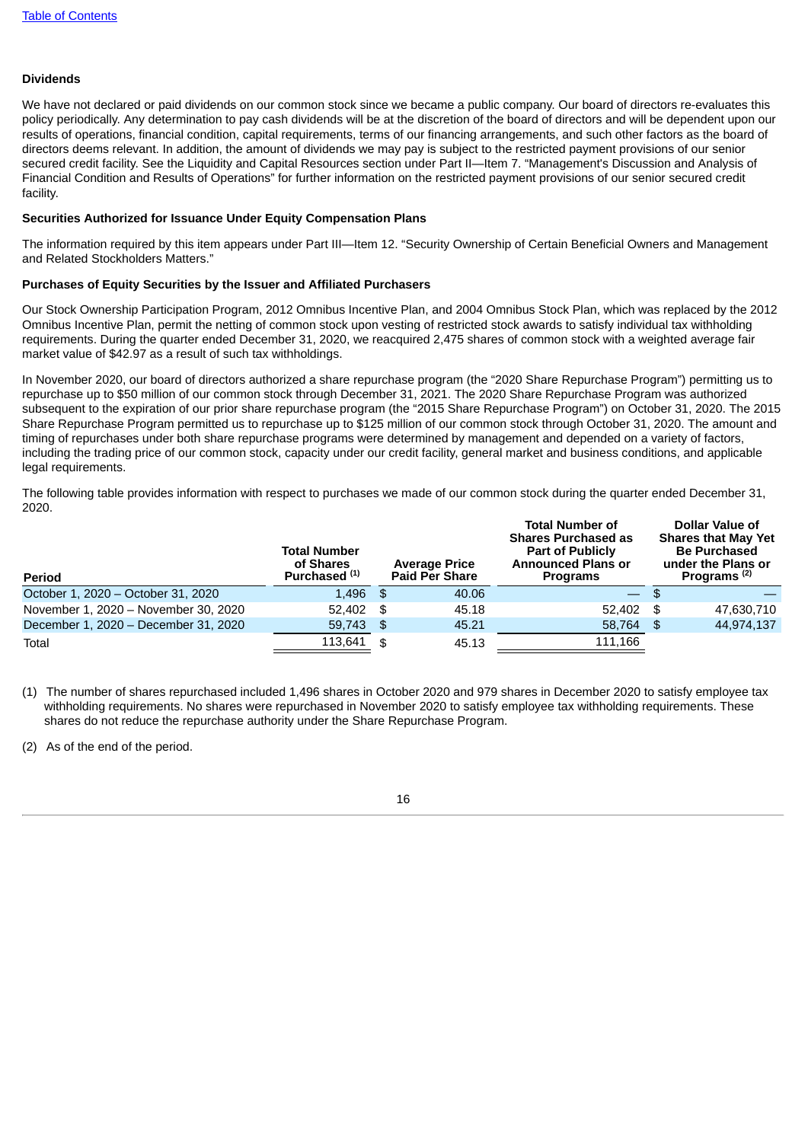### **Dividends**

We have not declared or paid dividends on our common stock since we became a public company. Our board of directors re-evaluates this policy periodically. Any determination to pay cash dividends will be at the discretion of the board of directors and will be dependent upon our results of operations, financial condition, capital requirements, terms of our financing arrangements, and such other factors as the board of directors deems relevant. In addition, the amount of dividends we may pay is subject to the restricted payment provisions of our senior secured credit facility. See the Liquidity and Capital Resources section under Part II—Item 7. "Management's Discussion and Analysis of Financial Condition and Results of Operations" for further information on the restricted payment provisions of our senior secured credit facility.

# **Securities Authorized for Issuance Under Equity Compensation Plans**

The information required by this item appears under Part III—Item 12. "Security Ownership of Certain Beneficial Owners and Management and Related Stockholders Matters."

### **Purchases of Equity Securities by the Issuer and Affiliated Purchasers**

Our Stock Ownership Participation Program, 2012 Omnibus Incentive Plan, and 2004 Omnibus Stock Plan, which was replaced by the 2012 Omnibus Incentive Plan, permit the netting of common stock upon vesting of restricted stock awards to satisfy individual tax withholding requirements. During the quarter ended December 31, 2020, we reacquired 2,475 shares of common stock with a weighted average fair market value of \$42.97 as a result of such tax withholdings.

In November 2020, our board of directors authorized a share repurchase program (the "2020 Share Repurchase Program") permitting us to repurchase up to \$50 million of our common stock through December 31, 2021. The 2020 Share Repurchase Program was authorized subsequent to the expiration of our prior share repurchase program (the "2015 Share Repurchase Program") on October 31, 2020. The 2015 Share Repurchase Program permitted us to repurchase up to \$125 million of our common stock through October 31, 2020. The amount and timing of repurchases under both share repurchase programs were determined by management and depended on a variety of factors, including the trading price of our common stock, capacity under our credit facility, general market and business conditions, and applicable legal requirements.

The following table provides information with respect to purchases we made of our common stock during the quarter ended December 31, 2020.

| <b>Period</b>                        | <b>Total Number</b><br><b>Average Price</b><br>of Shares<br>Purchased <sup>(1)</sup><br><b>Paid Per Share</b> |      |       | <b>Total Number of</b><br><b>Shares Purchased as</b><br><b>Part of Publicly</b><br><b>Announced Plans or</b><br><b>Programs</b> |      | <b>Dollar Value of</b><br><b>Shares that May Yet</b><br><b>Be Purchased</b><br>under the Plans or<br>Programs <sup>(2)</sup> |  |  |
|--------------------------------------|---------------------------------------------------------------------------------------------------------------|------|-------|---------------------------------------------------------------------------------------------------------------------------------|------|------------------------------------------------------------------------------------------------------------------------------|--|--|
| October 1, 2020 – October 31, 2020   | 1,496                                                                                                         | - \$ | 40.06 | $\equiv$                                                                                                                        | \$   |                                                                                                                              |  |  |
| November 1, 2020 - November 30, 2020 | 52.402                                                                                                        | - \$ | 45.18 | 52,402                                                                                                                          | - \$ | 47,630,710                                                                                                                   |  |  |
| December 1, 2020 - December 31, 2020 | 59,743                                                                                                        | - \$ | 45.21 | 58,764                                                                                                                          | - \$ | 44,974,137                                                                                                                   |  |  |
| Total                                | 113,641                                                                                                       | \$.  | 45.13 | 111,166                                                                                                                         |      |                                                                                                                              |  |  |

(1) The number of shares repurchased included 1,496 shares in October 2020 and 979 shares in December 2020 to satisfy employee tax withholding requirements. No shares were repurchased in November 2020 to satisfy employee tax withholding requirements. These shares do not reduce the repurchase authority under the Share Repurchase Program.

<span id="page-17-0"></span>(2) As of the end of the period.

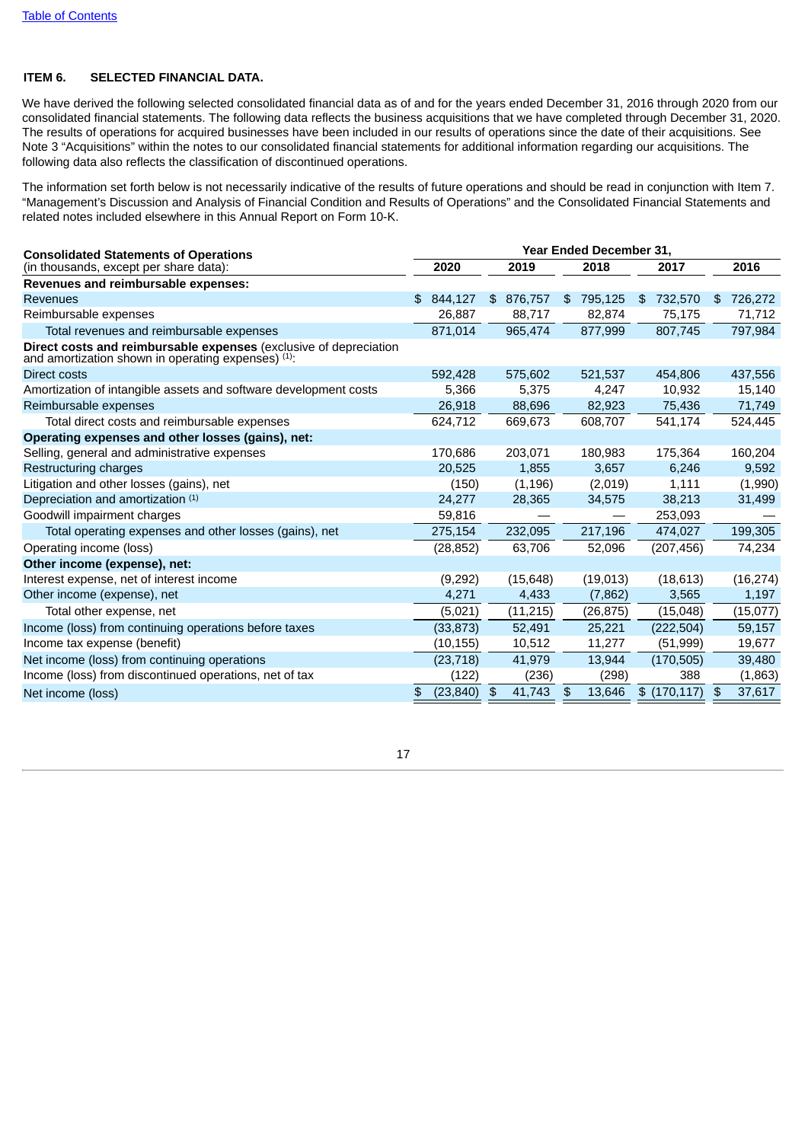# **ITEM 6. SELECTED FINANCIAL DATA.**

We have derived the following selected consolidated financial data as of and for the years ended December 31, 2016 through 2020 from our consolidated financial statements. The following data reflects the business acquisitions that we have completed through December 31, 2020. The results of operations for acquired businesses have been included in our results of operations since the date of their acquisitions. See Note 3 "Acquisitions" within the notes to our consolidated financial statements for additional information regarding our acquisitions. The following data also reflects the classification of discontinued operations.

The information set forth below is not necessarily indicative of the results of future operations and should be read in conjunction with Item 7. "Management's Discussion and Analysis of Financial Condition and Results of Operations" and the Consolidated Financial Statements and related notes included elsewhere in this Annual Report on Form 10-K.

| <b>Consolidated Statements of Operations</b>                                                                            | <b>Year Ended December 31.</b> |           |                |           |    |           |    |              |    |           |
|-------------------------------------------------------------------------------------------------------------------------|--------------------------------|-----------|----------------|-----------|----|-----------|----|--------------|----|-----------|
| (in thousands, except per share data):                                                                                  |                                | 2020      |                | 2019      |    | 2018      |    | 2017         |    | 2016      |
| Revenues and reimbursable expenses:                                                                                     |                                |           |                |           |    |           |    |              |    |           |
| <b>Revenues</b>                                                                                                         |                                | \$844.127 | $\mathfrak{L}$ | 876.757   | \$ | 795,125   | \$ | 732,570      | \$ | 726,272   |
| Reimbursable expenses                                                                                                   |                                | 26,887    |                | 88,717    |    | 82,874    |    | 75,175       |    | 71,712    |
| Total revenues and reimbursable expenses                                                                                |                                | 871.014   |                | 965,474   |    | 877.999   |    | 807.745      |    | 797,984   |
| Direct costs and reimbursable expenses (exclusive of depreciation<br>and amortization shown in operating expenses) (1): |                                |           |                |           |    |           |    |              |    |           |
| Direct costs                                                                                                            |                                | 592,428   |                | 575,602   |    | 521,537   |    | 454,806      |    | 437,556   |
| Amortization of intangible assets and software development costs                                                        |                                | 5,366     |                | 5,375     |    | 4,247     |    | 10,932       |    | 15,140    |
| Reimbursable expenses                                                                                                   |                                | 26,918    |                | 88,696    |    | 82,923    |    | 75,436       |    | 71,749    |
| Total direct costs and reimbursable expenses                                                                            |                                | 624,712   |                | 669,673   |    | 608,707   |    | 541,174      |    | 524,445   |
| Operating expenses and other losses (gains), net:                                                                       |                                |           |                |           |    |           |    |              |    |           |
| Selling, general and administrative expenses                                                                            |                                | 170,686   |                | 203,071   |    | 180,983   |    | 175,364      |    | 160,204   |
| Restructuring charges                                                                                                   |                                | 20,525    |                | 1,855     |    | 3,657     |    | 6,246        |    | 9,592     |
| Litigation and other losses (gains), net                                                                                |                                | (150)     |                | (1, 196)  |    | (2,019)   |    | 1,111        |    | (1,990)   |
| Depreciation and amortization (1)                                                                                       |                                | 24,277    |                | 28,365    |    | 34,575    |    | 38,213       |    | 31,499    |
| Goodwill impairment charges                                                                                             |                                | 59,816    |                |           |    |           |    | 253,093      |    |           |
| Total operating expenses and other losses (gains), net                                                                  |                                | 275,154   |                | 232,095   |    | 217,196   |    | 474,027      |    | 199,305   |
| Operating income (loss)                                                                                                 |                                | (28, 852) |                | 63,706    |    | 52,096    |    | (207, 456)   |    | 74,234    |
| Other income (expense), net:                                                                                            |                                |           |                |           |    |           |    |              |    |           |
| Interest expense, net of interest income                                                                                |                                | (9,292)   |                | (15, 648) |    | (19,013)  |    | (18,613)     |    | (16, 274) |
| Other income (expense), net                                                                                             |                                | 4,271     |                | 4,433     |    | (7, 862)  |    | 3,565        |    | 1,197     |
| Total other expense, net                                                                                                |                                | (5,021)   |                | (11, 215) |    | (26, 875) |    | (15,048)     |    | (15,077)  |
| Income (loss) from continuing operations before taxes                                                                   |                                | (33, 873) |                | 52,491    |    | 25,221    |    | (222, 504)   |    | 59,157    |
| Income tax expense (benefit)                                                                                            |                                | (10,155)  |                | 10,512    |    | 11,277    |    | (51,999)     |    | 19,677    |
| Net income (loss) from continuing operations                                                                            |                                | (23, 718) |                | 41,979    |    | 13,944    |    | (170, 505)   |    | 39,480    |
| Income (loss) from discontinued operations, net of tax                                                                  |                                | (122)     |                | (236)     |    | (298)     |    | 388          |    | (1,863)   |
| Net income (loss)                                                                                                       | \$                             | (23, 840) | \$             | 41,743    | \$ | 13,646    |    | \$(170, 117) | \$ | 37,617    |

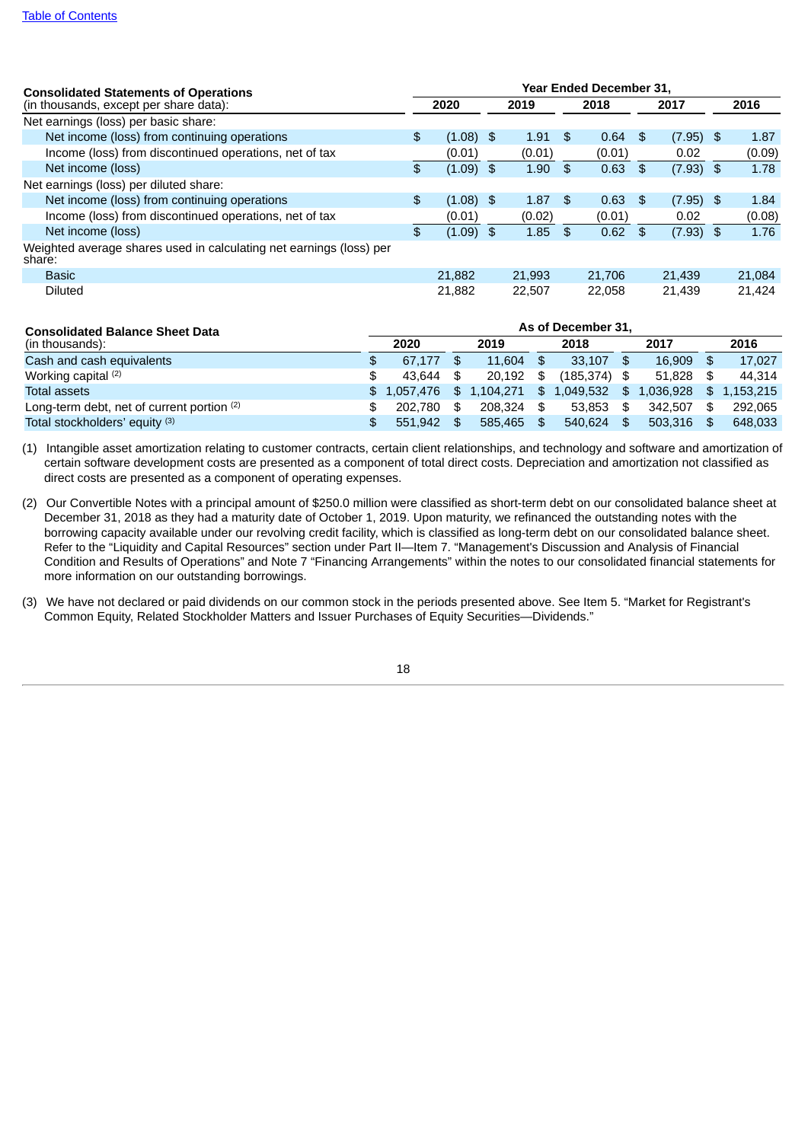| <b>Consolidated Statements of Operations</b>                                  | <b>Year Ended December 31.</b> |             |      |        |      |        |      |             |        |
|-------------------------------------------------------------------------------|--------------------------------|-------------|------|--------|------|--------|------|-------------|--------|
| (in thousands, except per share data):                                        |                                | 2020        | 2019 |        | 2018 |        | 2017 |             | 2016   |
| Net earnings (loss) per basic share:                                          |                                |             |      |        |      |        |      |             |        |
| Net income (loss) from continuing operations                                  | \$                             | $(1.08)$ \$ |      | 1.91   | - \$ | 0.64   | - \$ | $(7.95)$ \$ | 1.87   |
| Income (loss) from discontinued operations, net of tax                        |                                | (0.01)      |      | (0.01) |      | (0.01) |      | 0.02        | (0.09) |
| Net income (loss)                                                             | \$                             | (1.09)      | \$   | 1.90   | \$   | 0.63   | \$   | $(7.93)$ \$ | 1.78   |
| Net earnings (loss) per diluted share:                                        |                                |             |      |        |      |        |      |             |        |
| Net income (loss) from continuing operations                                  | \$                             | $(1.08)$ \$ |      | 1.87   | -\$  | 0.63   | \$   | $(7.95)$ \$ | 1.84   |
| Income (loss) from discontinued operations, net of tax                        |                                | (0.01)      |      | (0.02) |      | (0.01) |      | 0.02        | (0.08) |
| Net income (loss)                                                             | \$                             | (1.09)      | -\$  | 1.85   | \$   | 0.62   | \$   | $(7.93)$ \$ | 1.76   |
| Weighted average shares used in calculating net earnings (loss) per<br>share: |                                |             |      |        |      |        |      |             |        |
| <b>Basic</b>                                                                  |                                | 21.882      |      | 21,993 |      | 21,706 |      | 21.439      | 21.084 |
| Diluted                                                                       |                                | 21.882      |      | 22,507 |      | 22.058 |      | 21.439      | 21.424 |

| <b>Consolidated Balance Sheet Data</b>     |    | As of December 31.                     |          |         |                |                |    |                           |              |         |  |  |  |  |  |
|--------------------------------------------|----|----------------------------------------|----------|---------|----------------|----------------|----|---------------------------|--------------|---------|--|--|--|--|--|
| (in thousands):                            |    | 2020                                   |          | 2019    |                | 2018           |    | 2017                      |              | 2016    |  |  |  |  |  |
| Cash and cash equivalents                  |    | 67.177                                 | - \$     | 11.604  | $\mathfrak{L}$ | 33.107         |    | 16.909                    | <b>S</b>     | 17.027  |  |  |  |  |  |
| Working capital (2)                        | \$ | 43.644                                 | <b>S</b> | 20.192  | \$             | $(185.374)$ \$ |    | 51.828                    | - \$         | 44.314  |  |  |  |  |  |
| <b>Total assets</b>                        |    | $$1,057,476$ $$1,104,271$ $$1,049,532$ |          |         |                |                |    | \$ 1.036.928 \$ 1.153.215 |              |         |  |  |  |  |  |
| Long-term debt, net of current portion (2) | \$ | 202.780                                | - \$     | 208.324 | - \$           | 53.853         | \$ | 342.507                   | \$           | 292.065 |  |  |  |  |  |
| Total stockholders' equity (3)             | \$ | 551.942                                | -SS      | 585,465 | \$.            | 540.624        |    | 503.316                   | $\mathbf{f}$ | 648.033 |  |  |  |  |  |

- (1) Intangible asset amortization relating to customer contracts, certain client relationships, and technology and software and amortization of certain software development costs are presented as a component of total direct costs. Depreciation and amortization not classified as direct costs are presented as a component of operating expenses.
- (2) Our Convertible Notes with a principal amount of \$250.0 million were classified as short-term debt on our consolidated balance sheet at December 31, 2018 as they had a maturity date of October 1, 2019. Upon maturity, we refinanced the outstanding notes with the borrowing capacity available under our revolving credit facility, which is classified as long-term debt on our consolidated balance sheet. Refer to the "Liquidity and Capital Resources" section under Part II—Item 7. "Management's Discussion and Analysis of Financial Condition and Results of Operations" and Note 7 "Financing Arrangements" within the notes to our consolidated financial statements for more information on our outstanding borrowings.
- <span id="page-19-0"></span>(3) We have not declared or paid dividends on our common stock in the periods presented above. See Item 5. "Market for Registrant's Common Equity, Related Stockholder Matters and Issuer Purchases of Equity Securities—Dividends."

18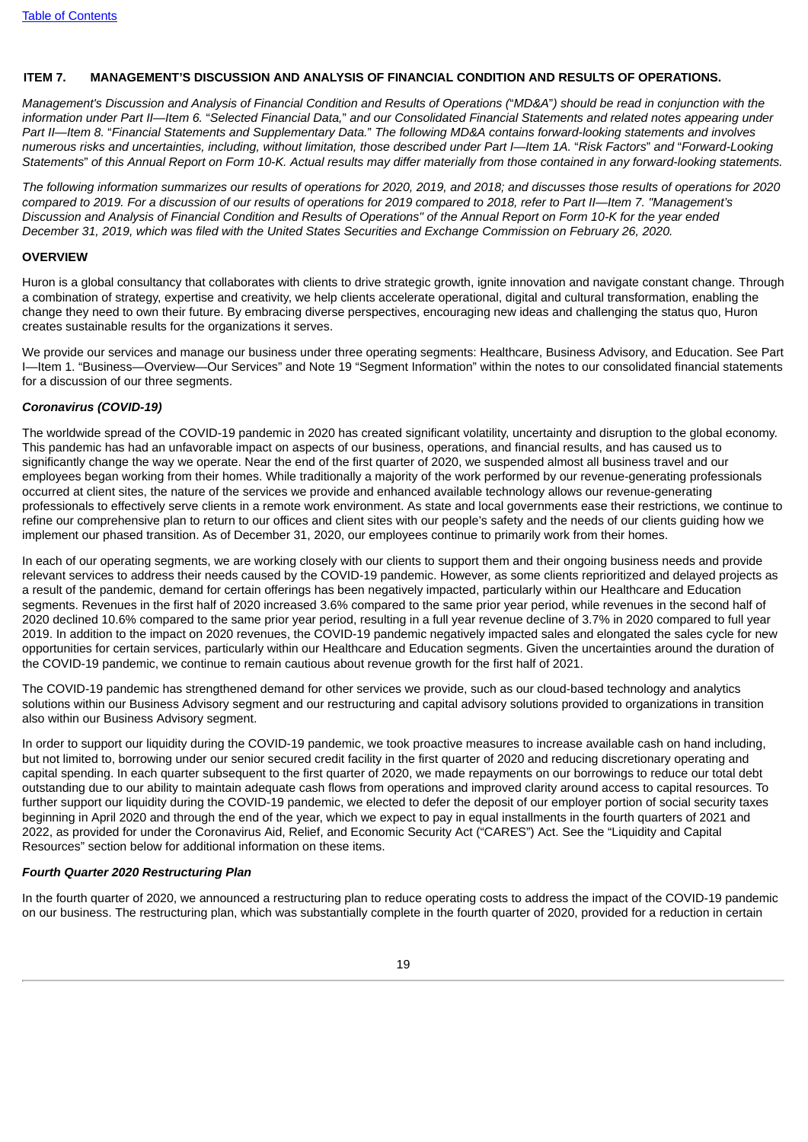# **ITEM 7. MANAGEMENT'S DISCUSSION AND ANALYSIS OF FINANCIAL CONDITION AND RESULTS OF OPERATIONS.**

Management's Discussion and Analysis of Financial Condition and Results of Operations ("MD&A") should be read in conjunction with the information under Part II—Item 6. "Selected Financial Data," and our Consolidated Financial Statements and related notes appearing under Part II—Item 8. "Financial Statements and Supplementary Data." The following MD&A contains forward-looking statements and involves numerous risks and uncertainties, including, without limitation, those described under Part I-Item 1A. "Risk Factors" and "Forward-Looking Statements" of this Annual Report on Form 10-K. Actual results may differ materially from those contained in any forward-looking statements.

The following information summarizes our results of operations for 2020, 2019, and 2018; and discusses those results of operations for 2020 compared to 2019. For a discussion of our results of operations for 2019 compared to 2018, refer to Part II-ltem 7. "Management's Discussion and Analysis of Financial Condition and Results of Operations" of the Annual Report on Form 10-K for the year ended December 31, 2019, which was filed with the United States Securities and Exchange Commission on February 26, 2020.

# **OVERVIEW**

Huron is a global consultancy that collaborates with clients to drive strategic growth, ignite innovation and navigate constant change. Through a combination of strategy, expertise and creativity, we help clients accelerate operational, digital and cultural transformation, enabling the change they need to own their future. By embracing diverse perspectives, encouraging new ideas and challenging the status quo, Huron creates sustainable results for the organizations it serves.

We provide our services and manage our business under three operating segments: Healthcare, Business Advisory, and Education. See Part I—Item 1. "Business—Overview—Our Services" and Note 19 "Segment Information" within the notes to our consolidated financial statements for a discussion of our three segments.

# *Coronavirus (COVID-19)*

The worldwide spread of the COVID-19 pandemic in 2020 has created significant volatility, uncertainty and disruption to the global economy. This pandemic has had an unfavorable impact on aspects of our business, operations, and financial results, and has caused us to significantly change the way we operate. Near the end of the first quarter of 2020, we suspended almost all business travel and our employees began working from their homes. While traditionally a majority of the work performed by our revenue-generating professionals occurred at client sites, the nature of the services we provide and enhanced available technology allows our revenue-generating professionals to effectively serve clients in a remote work environment. As state and local governments ease their restrictions, we continue to refine our comprehensive plan to return to our offices and client sites with our people's safety and the needs of our clients guiding how we implement our phased transition. As of December 31, 2020, our employees continue to primarily work from their homes.

In each of our operating segments, we are working closely with our clients to support them and their ongoing business needs and provide relevant services to address their needs caused by the COVID-19 pandemic. However, as some clients reprioritized and delayed projects as a result of the pandemic, demand for certain offerings has been negatively impacted, particularly within our Healthcare and Education segments. Revenues in the first half of 2020 increased 3.6% compared to the same prior year period, while revenues in the second half of 2020 declined 10.6% compared to the same prior year period, resulting in a full year revenue decline of 3.7% in 2020 compared to full year 2019. In addition to the impact on 2020 revenues, the COVID-19 pandemic negatively impacted sales and elongated the sales cycle for new opportunities for certain services, particularly within our Healthcare and Education segments. Given the uncertainties around the duration of the COVID-19 pandemic, we continue to remain cautious about revenue growth for the first half of 2021.

The COVID-19 pandemic has strengthened demand for other services we provide, such as our cloud-based technology and analytics solutions within our Business Advisory segment and our restructuring and capital advisory solutions provided to organizations in transition also within our Business Advisory segment.

In order to support our liquidity during the COVID-19 pandemic, we took proactive measures to increase available cash on hand including, but not limited to, borrowing under our senior secured credit facility in the first quarter of 2020 and reducing discretionary operating and capital spending. In each quarter subsequent to the first quarter of 2020, we made repayments on our borrowings to reduce our total debt outstanding due to our ability to maintain adequate cash flows from operations and improved clarity around access to capital resources. To further support our liquidity during the COVID-19 pandemic, we elected to defer the deposit of our employer portion of social security taxes beginning in April 2020 and through the end of the year, which we expect to pay in equal installments in the fourth quarters of 2021 and 2022, as provided for under the Coronavirus Aid, Relief, and Economic Security Act ("CARES") Act. See the "Liquidity and Capital Resources" section below for additional information on these items.

# *Fourth Quarter 2020 Restructuring Plan*

In the fourth quarter of 2020, we announced a restructuring plan to reduce operating costs to address the impact of the COVID-19 pandemic on our business. The restructuring plan, which was substantially complete in the fourth quarter of 2020, provided for a reduction in certain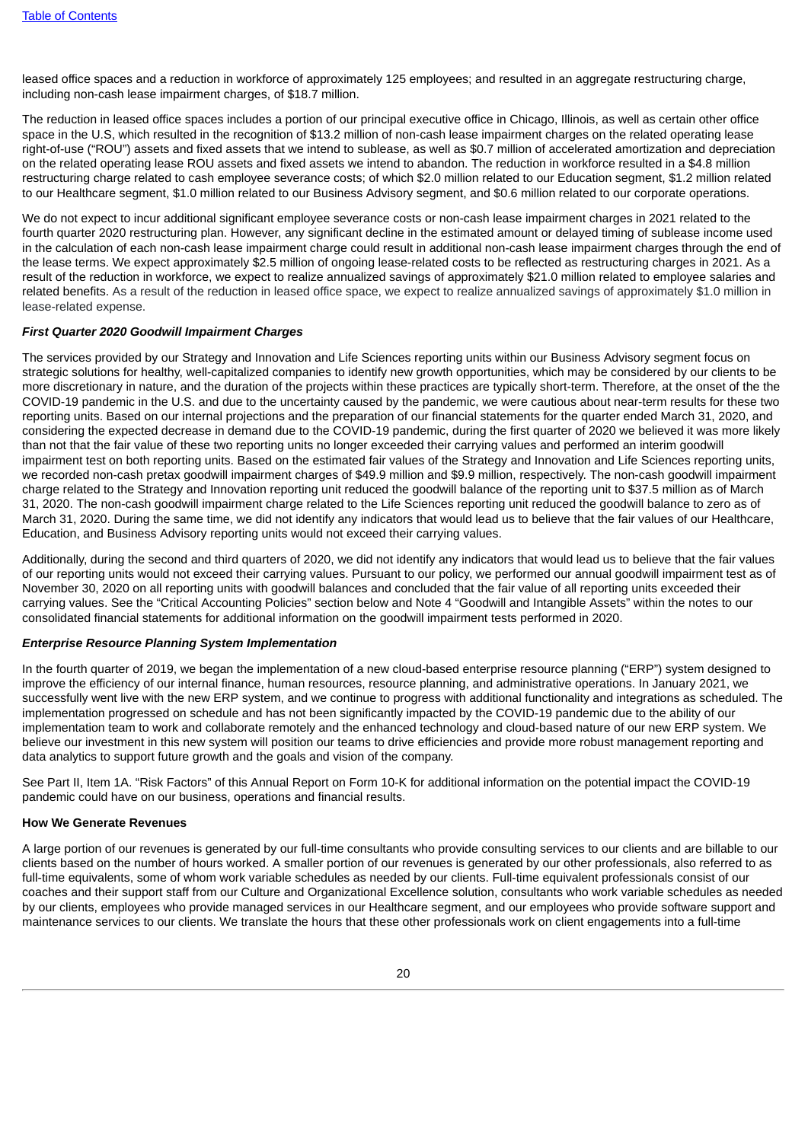leased office spaces and a reduction in workforce of approximately 125 employees; and resulted in an aggregate restructuring charge, including non-cash lease impairment charges, of \$18.7 million.

The reduction in leased office spaces includes a portion of our principal executive office in Chicago, Illinois, as well as certain other office space in the U.S. which resulted in the recognition of \$13.2 million of non-cash lease impairment charges on the related operating lease right-of-use ("ROU") assets and fixed assets that we intend to sublease, as well as \$0.7 million of accelerated amortization and depreciation on the related operating lease ROU assets and fixed assets we intend to abandon. The reduction in workforce resulted in a \$4.8 million restructuring charge related to cash employee severance costs; of which \$2.0 million related to our Education segment, \$1.2 million related to our Healthcare segment, \$1.0 million related to our Business Advisory segment, and \$0.6 million related to our corporate operations.

We do not expect to incur additional significant employee severance costs or non-cash lease impairment charges in 2021 related to the fourth quarter 2020 restructuring plan. However, any significant decline in the estimated amount or delayed timing of sublease income used in the calculation of each non-cash lease impairment charge could result in additional non-cash lease impairment charges through the end of the lease terms. We expect approximately \$2.5 million of ongoing lease-related costs to be reflected as restructuring charges in 2021. As a result of the reduction in workforce, we expect to realize annualized savings of approximately \$21.0 million related to employee salaries and related benefits. As a result of the reduction in leased office space, we expect to realize annualized savings of approximately \$1.0 million in lease-related expense.

# *First Quarter 2020 Goodwill Impairment Charges*

The services provided by our Strategy and Innovation and Life Sciences reporting units within our Business Advisory segment focus on strategic solutions for healthy, well-capitalized companies to identify new growth opportunities, which may be considered by our clients to be more discretionary in nature, and the duration of the projects within these practices are typically short-term. Therefore, at the onset of the the COVID-19 pandemic in the U.S. and due to the uncertainty caused by the pandemic, we were cautious about near-term results for these two reporting units. Based on our internal projections and the preparation of our financial statements for the quarter ended March 31, 2020, and considering the expected decrease in demand due to the COVID-19 pandemic, during the first quarter of 2020 we believed it was more likely than not that the fair value of these two reporting units no longer exceeded their carrying values and performed an interim goodwill impairment test on both reporting units. Based on the estimated fair values of the Strategy and Innovation and Life Sciences reporting units, we recorded non-cash pretax goodwill impairment charges of \$49.9 million and \$9.9 million, respectively. The non-cash goodwill impairment charge related to the Strategy and Innovation reporting unit reduced the goodwill balance of the reporting unit to \$37.5 million as of March 31, 2020. The non-cash goodwill impairment charge related to the Life Sciences reporting unit reduced the goodwill balance to zero as of March 31, 2020. During the same time, we did not identify any indicators that would lead us to believe that the fair values of our Healthcare, Education, and Business Advisory reporting units would not exceed their carrying values.

Additionally, during the second and third quarters of 2020, we did not identify any indicators that would lead us to believe that the fair values of our reporting units would not exceed their carrying values. Pursuant to our policy, we performed our annual goodwill impairment test as of November 30, 2020 on all reporting units with goodwill balances and concluded that the fair value of all reporting units exceeded their carrying values. See the "Critical Accounting Policies" section below and Note 4 "Goodwill and Intangible Assets" within the notes to our consolidated financial statements for additional information on the goodwill impairment tests performed in 2020.

### *Enterprise Resource Planning System Implementation*

In the fourth quarter of 2019, we began the implementation of a new cloud-based enterprise resource planning ("ERP") system designed to improve the efficiency of our internal finance, human resources, resource planning, and administrative operations. In January 2021, we successfully went live with the new ERP system, and we continue to progress with additional functionality and integrations as scheduled. The implementation progressed on schedule and has not been significantly impacted by the COVID-19 pandemic due to the ability of our implementation team to work and collaborate remotely and the enhanced technology and cloud-based nature of our new ERP system. We believe our investment in this new system will position our teams to drive efficiencies and provide more robust management reporting and data analytics to support future growth and the goals and vision of the company.

See Part II, Item 1A. "Risk Factors" of this Annual Report on Form 10-K for additional information on the potential impact the COVID-19 pandemic could have on our business, operations and financial results.

# **How We Generate Revenues**

A large portion of our revenues is generated by our full-time consultants who provide consulting services to our clients and are billable to our clients based on the number of hours worked. A smaller portion of our revenues is generated by our other professionals, also referred to as full-time equivalents, some of whom work variable schedules as needed by our clients. Full-time equivalent professionals consist of our coaches and their support staff from our Culture and Organizational Excellence solution, consultants who work variable schedules as needed by our clients, employees who provide managed services in our Healthcare segment, and our employees who provide software support and maintenance services to our clients. We translate the hours that these other professionals work on client engagements into a full-time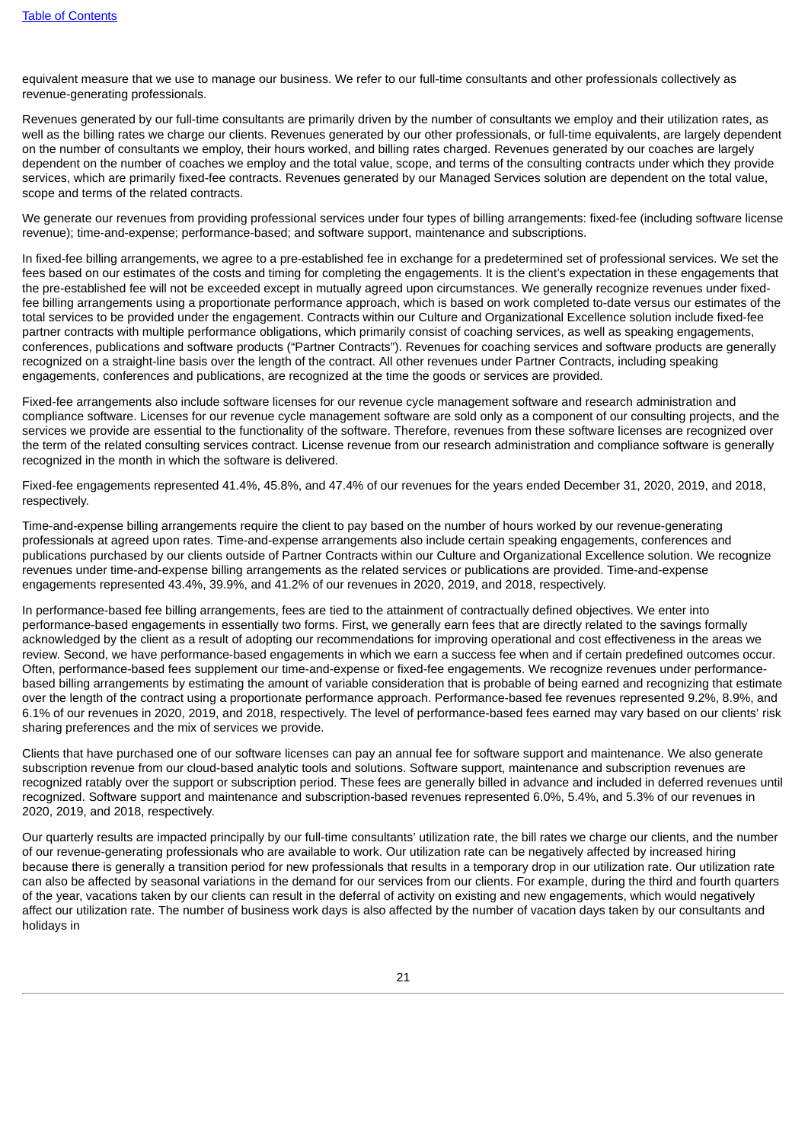equivalent measure that we use to manage our business. We refer to our full-time consultants and other professionals collectively as revenue-generating professionals.

Revenues generated by our full-time consultants are primarily driven by the number of consultants we employ and their utilization rates, as well as the billing rates we charge our clients. Revenues generated by our other professionals, or full-time equivalents, are largely dependent on the number of consultants we employ, their hours worked, and billing rates charged. Revenues generated by our coaches are largely dependent on the number of coaches we employ and the total value, scope, and terms of the consulting contracts under which they provide services, which are primarily fixed-fee contracts. Revenues generated by our Managed Services solution are dependent on the total value, scope and terms of the related contracts.

We generate our revenues from providing professional services under four types of billing arrangements: fixed-fee (including software license revenue); time-and-expense; performance-based; and software support, maintenance and subscriptions.

In fixed-fee billing arrangements, we agree to a pre-established fee in exchange for a predetermined set of professional services. We set the fees based on our estimates of the costs and timing for completing the engagements. It is the client's expectation in these engagements that the pre-established fee will not be exceeded except in mutually agreed upon circumstances. We generally recognize revenues under fixedfee billing arrangements using a proportionate performance approach, which is based on work completed to-date versus our estimates of the total services to be provided under the engagement. Contracts within our Culture and Organizational Excellence solution include fixed-fee partner contracts with multiple performance obligations, which primarily consist of coaching services, as well as speaking engagements, conferences, publications and software products ("Partner Contracts"). Revenues for coaching services and software products are generally recognized on a straight-line basis over the length of the contract. All other revenues under Partner Contracts, including speaking engagements, conferences and publications, are recognized at the time the goods or services are provided.

Fixed-fee arrangements also include software licenses for our revenue cycle management software and research administration and compliance software. Licenses for our revenue cycle management software are sold only as a component of our consulting projects, and the services we provide are essential to the functionality of the software. Therefore, revenues from these software licenses are recognized over the term of the related consulting services contract. License revenue from our research administration and compliance software is generally recognized in the month in which the software is delivered.

Fixed-fee engagements represented 41.4%, 45.8%, and 47.4% of our revenues for the years ended December 31, 2020, 2019, and 2018, respectively.

Time-and-expense billing arrangements require the client to pay based on the number of hours worked by our revenue-generating professionals at agreed upon rates. Time-and-expense arrangements also include certain speaking engagements, conferences and publications purchased by our clients outside of Partner Contracts within our Culture and Organizational Excellence solution. We recognize revenues under time-and-expense billing arrangements as the related services or publications are provided. Time-and-expense engagements represented 43.4%, 39.9%, and 41.2% of our revenues in 2020, 2019, and 2018, respectively.

In performance-based fee billing arrangements, fees are tied to the attainment of contractually defined objectives. We enter into performance-based engagements in essentially two forms. First, we generally earn fees that are directly related to the savings formally acknowledged by the client as a result of adopting our recommendations for improving operational and cost effectiveness in the areas we review. Second, we have performance-based engagements in which we earn a success fee when and if certain predefined outcomes occur. Often, performance-based fees supplement our time-and-expense or fixed-fee engagements. We recognize revenues under performancebased billing arrangements by estimating the amount of variable consideration that is probable of being earned and recognizing that estimate over the length of the contract using a proportionate performance approach. Performance-based fee revenues represented 9.2%, 8.9%, and 6.1% of our revenues in 2020, 2019, and 2018, respectively. The level of performance-based fees earned may vary based on our clients' risk sharing preferences and the mix of services we provide.

Clients that have purchased one of our software licenses can pay an annual fee for software support and maintenance. We also generate subscription revenue from our cloud-based analytic tools and solutions. Software support, maintenance and subscription revenues are recognized ratably over the support or subscription period. These fees are generally billed in advance and included in deferred revenues until recognized. Software support and maintenance and subscription-based revenues represented 6.0%, 5.4%, and 5.3% of our revenues in 2020, 2019, and 2018, respectively.

Our quarterly results are impacted principally by our full-time consultants' utilization rate, the bill rates we charge our clients, and the number of our revenue-generating professionals who are available to work. Our utilization rate can be negatively affected by increased hiring because there is generally a transition period for new professionals that results in a temporary drop in our utilization rate. Our utilization rate can also be affected by seasonal variations in the demand for our services from our clients. For example, during the third and fourth quarters of the year, vacations taken by our clients can result in the deferral of activity on existing and new engagements, which would negatively affect our utilization rate. The number of business work days is also affected by the number of vacation days taken by our consultants and holidays in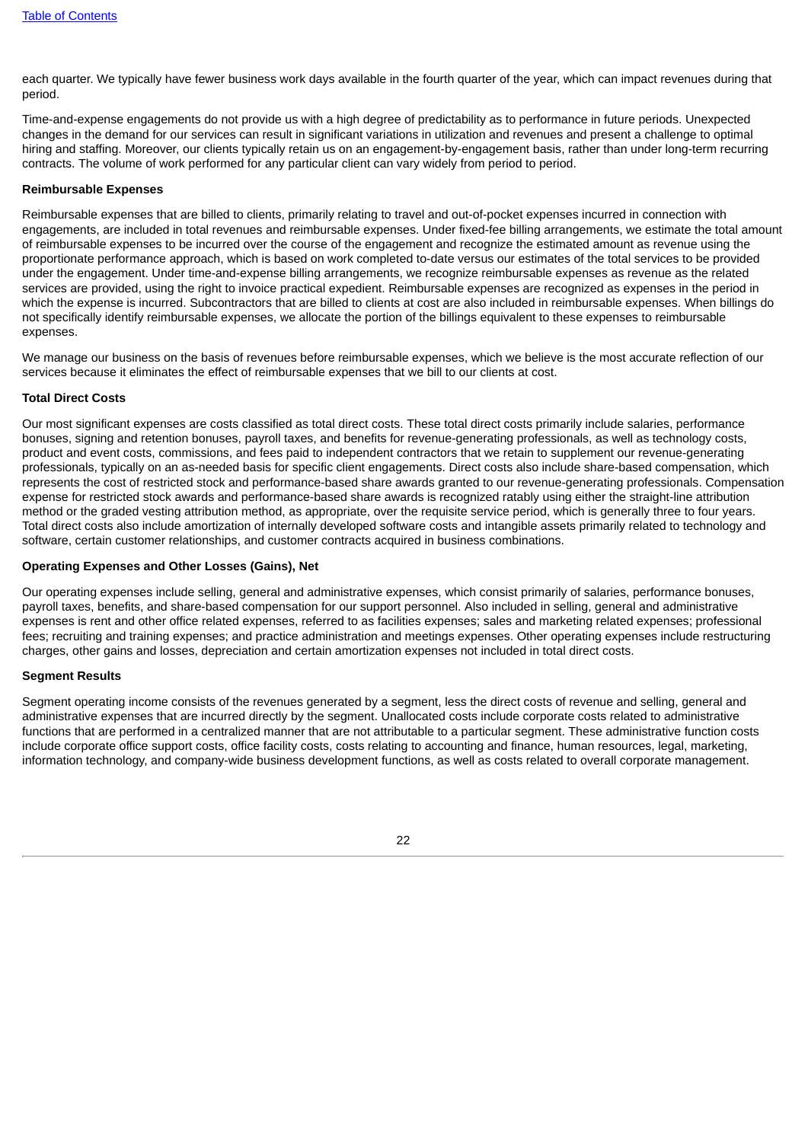each quarter. We typically have fewer business work days available in the fourth quarter of the year, which can impact revenues during that period.

Time-and-expense engagements do not provide us with a high degree of predictability as to performance in future periods. Unexpected changes in the demand for our services can result in significant variations in utilization and revenues and present a challenge to optimal hiring and staffing. Moreover, our clients typically retain us on an engagement-by-engagement basis, rather than under long-term recurring contracts. The volume of work performed for any particular client can vary widely from period to period.

### **Reimbursable Expenses**

Reimbursable expenses that are billed to clients, primarily relating to travel and out-of-pocket expenses incurred in connection with engagements, are included in total revenues and reimbursable expenses. Under fixed-fee billing arrangements, we estimate the total amount of reimbursable expenses to be incurred over the course of the engagement and recognize the estimated amount as revenue using the proportionate performance approach, which is based on work completed to-date versus our estimates of the total services to be provided under the engagement. Under time-and-expense billing arrangements, we recognize reimbursable expenses as revenue as the related services are provided, using the right to invoice practical expedient. Reimbursable expenses are recognized as expenses in the period in which the expense is incurred. Subcontractors that are billed to clients at cost are also included in reimbursable expenses. When billings do not specifically identify reimbursable expenses, we allocate the portion of the billings equivalent to these expenses to reimbursable expenses.

We manage our business on the basis of revenues before reimbursable expenses, which we believe is the most accurate reflection of our services because it eliminates the effect of reimbursable expenses that we bill to our clients at cost.

### **Total Direct Costs**

Our most significant expenses are costs classified as total direct costs. These total direct costs primarily include salaries, performance bonuses, signing and retention bonuses, payroll taxes, and benefits for revenue-generating professionals, as well as technology costs, product and event costs, commissions, and fees paid to independent contractors that we retain to supplement our revenue-generating professionals, typically on an as-needed basis for specific client engagements. Direct costs also include share-based compensation, which represents the cost of restricted stock and performance-based share awards granted to our revenue-generating professionals. Compensation expense for restricted stock awards and performance-based share awards is recognized ratably using either the straight-line attribution method or the graded vesting attribution method, as appropriate, over the requisite service period, which is generally three to four years. Total direct costs also include amortization of internally developed software costs and intangible assets primarily related to technology and software, certain customer relationships, and customer contracts acquired in business combinations.

### **Operating Expenses and Other Losses (Gains), Net**

Our operating expenses include selling, general and administrative expenses, which consist primarily of salaries, performance bonuses, payroll taxes, benefits, and share-based compensation for our support personnel. Also included in selling, general and administrative expenses is rent and other office related expenses, referred to as facilities expenses; sales and marketing related expenses; professional fees; recruiting and training expenses; and practice administration and meetings expenses. Other operating expenses include restructuring charges, other gains and losses, depreciation and certain amortization expenses not included in total direct costs.

### **Segment Results**

Segment operating income consists of the revenues generated by a segment, less the direct costs of revenue and selling, general and administrative expenses that are incurred directly by the segment. Unallocated costs include corporate costs related to administrative functions that are performed in a centralized manner that are not attributable to a particular segment. These administrative function costs include corporate office support costs, office facility costs, costs relating to accounting and finance, human resources, legal, marketing, information technology, and company-wide business development functions, as well as costs related to overall corporate management.

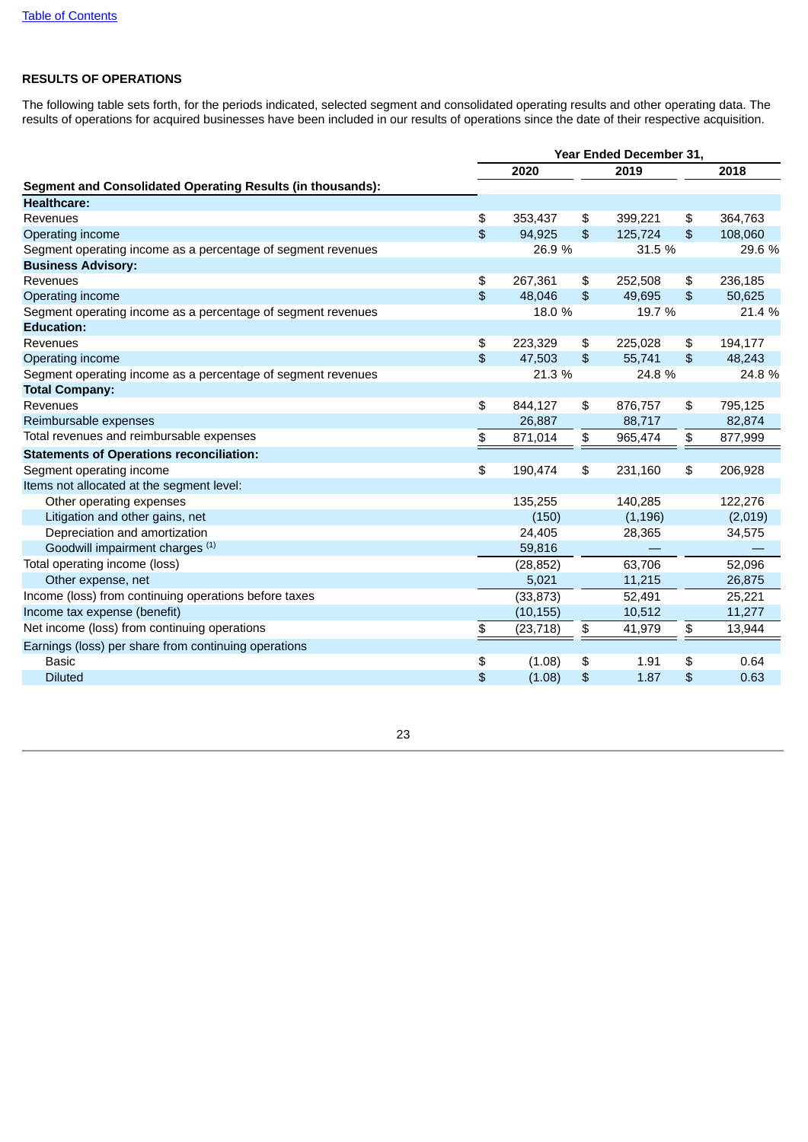# **RESULTS OF OPERATIONS**

The following table sets forth, for the periods indicated, selected segment and consolidated operating results and other operating data. The results of operations for acquired businesses have been included in our results of operations since the date of their respective acquisition.

|                                                              |                |           | Year Ended December 31, |          |                |         |  |  |  |  |
|--------------------------------------------------------------|----------------|-----------|-------------------------|----------|----------------|---------|--|--|--|--|
|                                                              |                | 2020      |                         | 2019     |                | 2018    |  |  |  |  |
| Segment and Consolidated Operating Results (in thousands):   |                |           |                         |          |                |         |  |  |  |  |
| <b>Healthcare:</b>                                           |                |           |                         |          |                |         |  |  |  |  |
| Revenues                                                     | \$             | 353,437   | \$                      | 399,221  | \$             | 364,763 |  |  |  |  |
| Operating income                                             | $\mathfrak{D}$ | 94,925    | $\mathfrak{L}$          | 125,724  | $\mathfrak{P}$ | 108,060 |  |  |  |  |
| Segment operating income as a percentage of segment revenues |                | 26.9 %    |                         | 31.5 %   |                | 29.6 %  |  |  |  |  |
| <b>Business Advisory:</b>                                    |                |           |                         |          |                |         |  |  |  |  |
| Revenues                                                     | \$             | 267,361   | \$                      | 252,508  | \$             | 236,185 |  |  |  |  |
| Operating income                                             | $\mathbf{f}$   | 48,046    | \$                      | 49,695   | \$             | 50,625  |  |  |  |  |
| Segment operating income as a percentage of segment revenues |                | 18.0 %    |                         | 19.7 %   |                | 21.4 %  |  |  |  |  |
| <b>Education:</b>                                            |                |           |                         |          |                |         |  |  |  |  |
| Revenues                                                     | \$             | 223,329   | \$                      | 225,028  | \$             | 194,177 |  |  |  |  |
| Operating income                                             | \$             | 47,503    | $\mathfrak{L}$          | 55.741   | \$             | 48.243  |  |  |  |  |
| Segment operating income as a percentage of segment revenues |                | 21.3 %    |                         | 24.8 %   |                | 24.8 %  |  |  |  |  |
| <b>Total Company:</b>                                        |                |           |                         |          |                |         |  |  |  |  |
| Revenues                                                     | \$             | 844,127   | \$                      | 876,757  | \$             | 795,125 |  |  |  |  |
| Reimbursable expenses                                        |                | 26,887    |                         | 88,717   |                | 82,874  |  |  |  |  |
| Total revenues and reimbursable expenses                     | \$             | 871,014   | \$                      | 965,474  | \$             | 877,999 |  |  |  |  |
| <b>Statements of Operations reconciliation:</b>              |                |           |                         |          |                |         |  |  |  |  |
| Segment operating income                                     | \$             | 190,474   | \$                      | 231,160  | \$             | 206,928 |  |  |  |  |
| Items not allocated at the segment level:                    |                |           |                         |          |                |         |  |  |  |  |
| Other operating expenses                                     |                | 135,255   |                         | 140,285  |                | 122,276 |  |  |  |  |
| Litigation and other gains, net                              |                | (150)     |                         | (1, 196) |                | (2,019) |  |  |  |  |
| Depreciation and amortization                                |                | 24,405    |                         | 28,365   |                | 34,575  |  |  |  |  |
| Goodwill impairment charges (1)                              |                | 59,816    |                         |          |                |         |  |  |  |  |
| Total operating income (loss)                                |                | (28, 852) |                         | 63,706   |                | 52,096  |  |  |  |  |
| Other expense, net                                           |                | 5,021     |                         | 11,215   |                | 26,875  |  |  |  |  |
| Income (loss) from continuing operations before taxes        |                | (33, 873) |                         | 52,491   |                | 25,221  |  |  |  |  |
| Income tax expense (benefit)                                 |                | (10, 155) |                         | 10,512   |                | 11,277  |  |  |  |  |
| Net income (loss) from continuing operations                 | \$             | (23, 718) | \$                      | 41,979   | \$             | 13,944  |  |  |  |  |
| Earnings (loss) per share from continuing operations         |                |           |                         |          |                |         |  |  |  |  |
| <b>Basic</b>                                                 | \$             | (1.08)    | \$                      | 1.91     | \$             | 0.64    |  |  |  |  |
| <b>Diluted</b>                                               | \$             | (1.08)    | $\frac{4}{5}$           | 1.87     | \$             | 0.63    |  |  |  |  |
|                                                              |                |           |                         |          |                |         |  |  |  |  |

23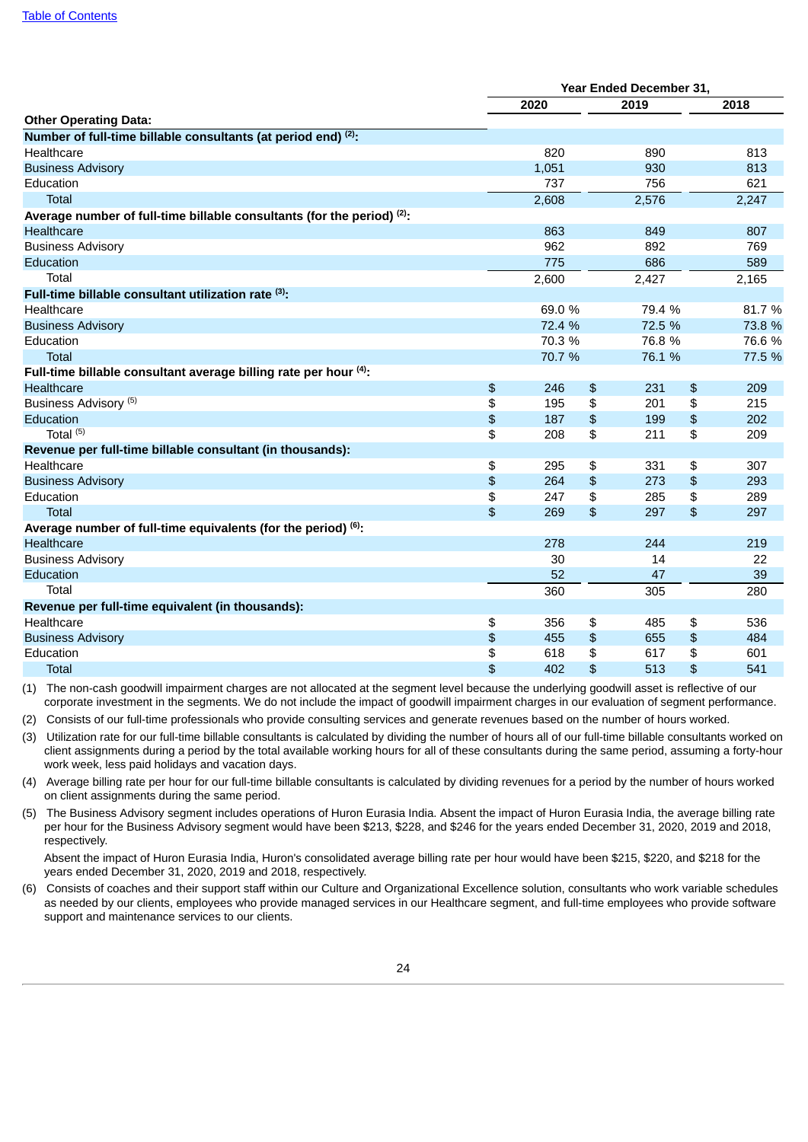|                                                                           | Year Ended December 31, |        |    |        |               |        |  |  |
|---------------------------------------------------------------------------|-------------------------|--------|----|--------|---------------|--------|--|--|
|                                                                           |                         | 2020   |    | 2019   |               | 2018   |  |  |
| <b>Other Operating Data:</b>                                              |                         |        |    |        |               |        |  |  |
| Number of full-time billable consultants (at period end) (2):             |                         |        |    |        |               |        |  |  |
| Healthcare                                                                |                         | 820    |    | 890    |               | 813    |  |  |
| <b>Business Advisory</b>                                                  |                         | 1,051  |    | 930    |               | 813    |  |  |
| Education                                                                 |                         | 737    |    | 756    |               | 621    |  |  |
| <b>Total</b>                                                              |                         | 2,608  |    | 2,576  |               | 2,247  |  |  |
| Average number of full-time billable consultants (for the period) $(2)$ : |                         |        |    |        |               |        |  |  |
| Healthcare                                                                |                         | 863    |    | 849    |               | 807    |  |  |
| <b>Business Advisory</b>                                                  |                         | 962    |    | 892    |               | 769    |  |  |
| Education                                                                 |                         | 775    |    | 686    |               | 589    |  |  |
| Total                                                                     |                         | 2,600  |    | 2,427  |               | 2,165  |  |  |
| Full-time billable consultant utilization rate <sup>(3)</sup> :           |                         |        |    |        |               |        |  |  |
| Healthcare                                                                |                         | 69.0 % |    | 79.4 % |               | 81.7%  |  |  |
| <b>Business Advisory</b>                                                  |                         | 72.4 % |    | 72.5 % |               | 73.8 % |  |  |
| Education                                                                 |                         | 70.3 % |    | 76.8 % |               | 76.6 % |  |  |
| <b>Total</b>                                                              |                         | 70.7 % |    | 76.1 % |               | 77.5 % |  |  |
| Full-time billable consultant average billing rate per hour (4):          |                         |        |    |        |               |        |  |  |
| Healthcare                                                                | \$                      | 246    | \$ | 231    | \$            | 209    |  |  |
| Business Advisory <sup>(5)</sup>                                          | \$                      | 195    | \$ | 201    | \$            | 215    |  |  |
| Education                                                                 | \$                      | 187    | \$ | 199    | \$            | 202    |  |  |
| Total $(5)$                                                               | \$                      | 208    | \$ | 211    | \$            | 209    |  |  |
| Revenue per full-time billable consultant (in thousands):                 |                         |        |    |        |               |        |  |  |
| Healthcare                                                                | \$                      | 295    | \$ | 331    | \$            | 307    |  |  |
| <b>Business Advisory</b>                                                  | \$                      | 264    | \$ | 273    | $\frac{4}{5}$ | 293    |  |  |
| Education                                                                 | \$                      | 247    | \$ | 285    | \$            | 289    |  |  |
| Total                                                                     | \$                      | 269    | \$ | 297    | \$            | 297    |  |  |
| Average number of full-time equivalents (for the period) $(6)$ :          |                         |        |    |        |               |        |  |  |
| Healthcare                                                                |                         | 278    |    | 244    |               | 219    |  |  |
| <b>Business Advisory</b>                                                  |                         | 30     |    | 14     |               | 22     |  |  |
| Education                                                                 |                         | 52     |    | 47     |               | 39     |  |  |
| Total                                                                     |                         | 360    |    | 305    |               | 280    |  |  |
| Revenue per full-time equivalent (in thousands):                          |                         |        |    |        |               |        |  |  |
| Healthcare                                                                | \$                      | 356    | \$ | 485    | \$            | 536    |  |  |
| <b>Business Advisory</b>                                                  | \$                      | 455    | \$ | 655    | \$            | 484    |  |  |
| Education                                                                 | \$                      | 618    | \$ | 617    | \$            | 601    |  |  |
| Total                                                                     | \$                      | 402    | \$ | 513    | \$            | 541    |  |  |

(1) The non-cash goodwill impairment charges are not allocated at the segment level because the underlying goodwill asset is reflective of our corporate investment in the segments. We do not include the impact of goodwill impairment charges in our evaluation of segment performance.

(2) Consists of our full-time professionals who provide consulting services and generate revenues based on the number of hours worked.

(3) Utilization rate for our full-time billable consultants is calculated by dividing the number of hours all of our full-time billable consultants worked on client assignments during a period by the total available working hours for all of these consultants during the same period, assuming a forty-hour work week, less paid holidays and vacation days.

(4) Average billing rate per hour for our full-time billable consultants is calculated by dividing revenues for a period by the number of hours worked on client assignments during the same period.

(5) The Business Advisory segment includes operations of Huron Eurasia India. Absent the impact of Huron Eurasia India, the average billing rate per hour for the Business Advisory segment would have been \$213, \$228, and \$246 for the years ended December 31, 2020, 2019 and 2018, respectively.

Absent the impact of Huron Eurasia India, Huron's consolidated average billing rate per hour would have been \$215, \$220, and \$218 for the years ended December 31, 2020, 2019 and 2018, respectively.

(6) Consists of coaches and their support staff within our Culture and Organizational Excellence solution, consultants who work variable schedules as needed by our clients, employees who provide managed services in our Healthcare segment, and full-time employees who provide software support and maintenance services to our clients.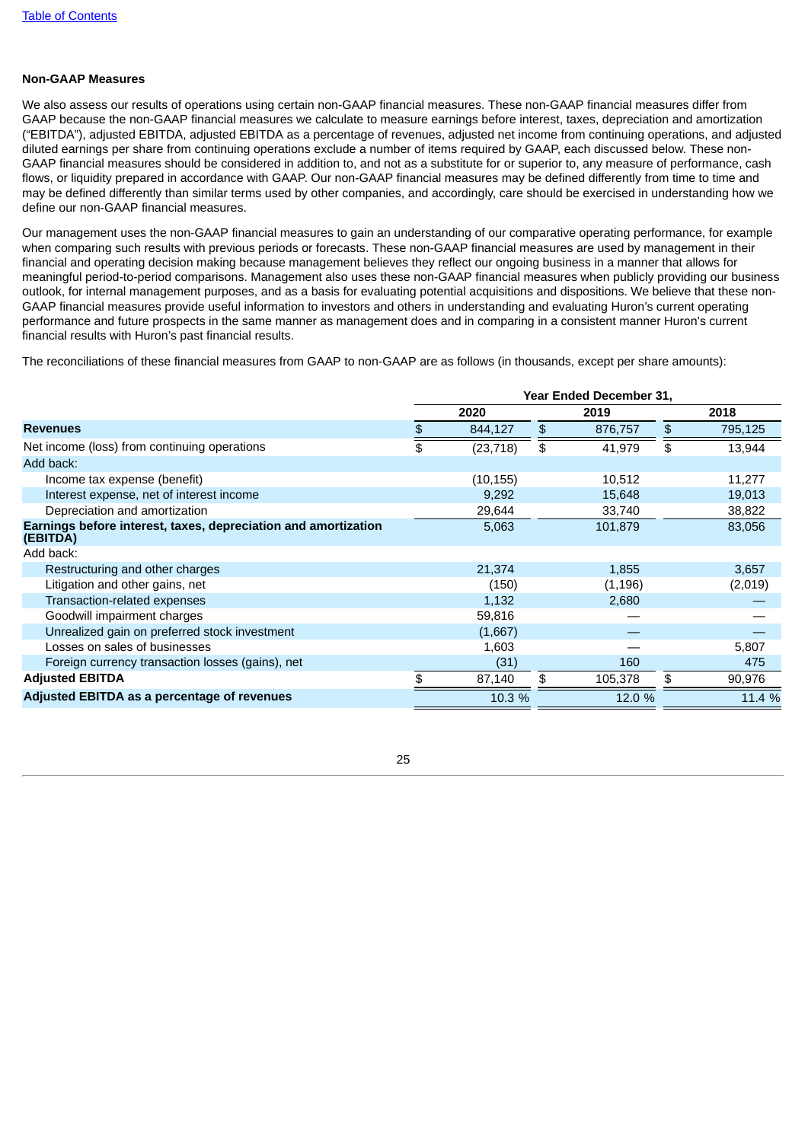### **Non-GAAP Measures**

We also assess our results of operations using certain non-GAAP financial measures. These non-GAAP financial measures differ from GAAP because the non-GAAP financial measures we calculate to measure earnings before interest, taxes, depreciation and amortization ("EBITDA"), adjusted EBITDA, adjusted EBITDA as a percentage of revenues, adjusted net income from continuing operations, and adjusted diluted earnings per share from continuing operations exclude a number of items required by GAAP, each discussed below. These non-GAAP financial measures should be considered in addition to, and not as a substitute for or superior to, any measure of performance, cash flows, or liquidity prepared in accordance with GAAP. Our non-GAAP financial measures may be defined differently from time to time and may be defined differently than similar terms used by other companies, and accordingly, care should be exercised in understanding how we define our non-GAAP financial measures.

Our management uses the non-GAAP financial measures to gain an understanding of our comparative operating performance, for example when comparing such results with previous periods or forecasts. These non-GAAP financial measures are used by management in their financial and operating decision making because management believes they reflect our ongoing business in a manner that allows for meaningful period-to-period comparisons. Management also uses these non-GAAP financial measures when publicly providing our business outlook, for internal management purposes, and as a basis for evaluating potential acquisitions and dispositions. We believe that these non-GAAP financial measures provide useful information to investors and others in understanding and evaluating Huron's current operating performance and future prospects in the same manner as management does and in comparing in a consistent manner Huron's current financial results with Huron's past financial results.

The reconciliations of these financial measures from GAAP to non-GAAP are as follows (in thousands, except per share amounts):

|                                                                            | <b>Year Ended December 31,</b> |           |    |          |     |         |  |  |  |  |
|----------------------------------------------------------------------------|--------------------------------|-----------|----|----------|-----|---------|--|--|--|--|
|                                                                            |                                | 2020      |    | 2019     |     | 2018    |  |  |  |  |
| <b>Revenues</b>                                                            |                                | 844,127   | \$ | 876,757  | \$  | 795,125 |  |  |  |  |
| Net income (loss) from continuing operations                               |                                | (23, 718) | \$ | 41,979   | \$. | 13,944  |  |  |  |  |
| Add back:                                                                  |                                |           |    |          |     |         |  |  |  |  |
| Income tax expense (benefit)                                               |                                | (10, 155) |    | 10,512   |     | 11,277  |  |  |  |  |
| Interest expense, net of interest income                                   |                                | 9,292     |    | 15,648   |     | 19,013  |  |  |  |  |
| Depreciation and amortization                                              |                                | 29,644    |    | 33,740   |     | 38,822  |  |  |  |  |
| Earnings before interest, taxes, depreciation and amortization<br>(EBITDA) |                                | 5,063     |    | 101,879  |     | 83,056  |  |  |  |  |
| Add back:                                                                  |                                |           |    |          |     |         |  |  |  |  |
| Restructuring and other charges                                            |                                | 21,374    |    | 1,855    |     | 3,657   |  |  |  |  |
| Litigation and other gains, net                                            |                                | (150)     |    | (1, 196) |     | (2,019) |  |  |  |  |
| Transaction-related expenses                                               |                                | 1,132     |    | 2,680    |     |         |  |  |  |  |
| Goodwill impairment charges                                                |                                | 59,816    |    |          |     |         |  |  |  |  |
| Unrealized gain on preferred stock investment                              |                                | (1,667)   |    |          |     |         |  |  |  |  |
| Losses on sales of businesses                                              |                                | 1,603     |    |          |     | 5,807   |  |  |  |  |
| Foreign currency transaction losses (gains), net                           |                                | (31)      |    | 160      |     | 475     |  |  |  |  |
| <b>Adjusted EBITDA</b>                                                     |                                | 87,140    | \$ | 105,378  |     | 90,976  |  |  |  |  |
| Adjusted EBITDA as a percentage of revenues                                |                                | 10.3 %    |    | 12.0 %   |     | 11.4 %  |  |  |  |  |

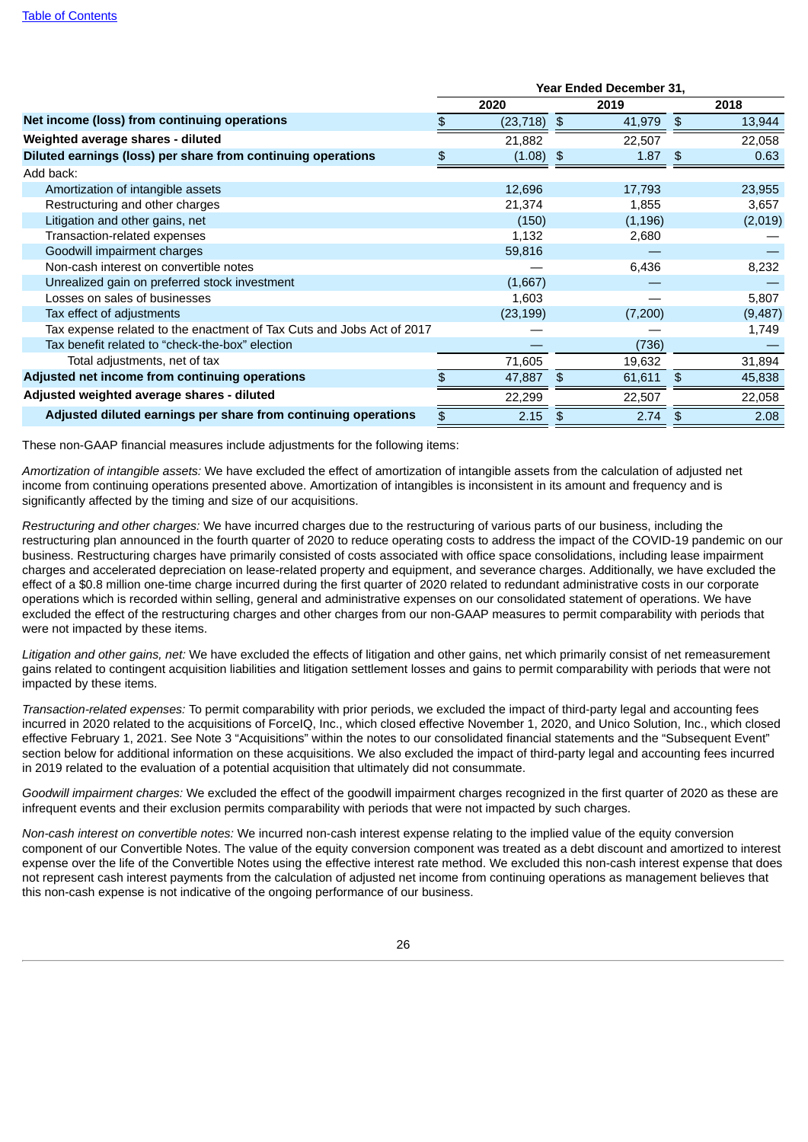|                                                                       | Year Ended December 31, |           |                |          |     |          |  |  |  |  |
|-----------------------------------------------------------------------|-------------------------|-----------|----------------|----------|-----|----------|--|--|--|--|
|                                                                       |                         | 2020      |                | 2019     |     | 2018     |  |  |  |  |
| Net income (loss) from continuing operations                          |                         | (23, 718) | $\mathfrak{L}$ | 41,979   | \$. | 13,944   |  |  |  |  |
| Weighted average shares - diluted                                     |                         | 21,882    |                | 22,507   |     | 22,058   |  |  |  |  |
| Diluted earnings (loss) per share from continuing operations          |                         | (1.08)    | -\$            | 1.87     | \$  | 0.63     |  |  |  |  |
| Add back:                                                             |                         |           |                |          |     |          |  |  |  |  |
| Amortization of intangible assets                                     |                         | 12,696    |                | 17,793   |     | 23,955   |  |  |  |  |
| Restructuring and other charges                                       |                         | 21,374    |                | 1,855    |     | 3,657    |  |  |  |  |
| Litigation and other gains, net                                       |                         | (150)     |                | (1, 196) |     | (2,019)  |  |  |  |  |
| Transaction-related expenses                                          |                         | 1,132     |                | 2,680    |     |          |  |  |  |  |
| Goodwill impairment charges                                           |                         | 59,816    |                |          |     |          |  |  |  |  |
| Non-cash interest on convertible notes                                |                         |           |                | 6,436    |     | 8,232    |  |  |  |  |
| Unrealized gain on preferred stock investment                         |                         | (1,667)   |                |          |     |          |  |  |  |  |
| Losses on sales of businesses                                         |                         | 1,603     |                |          |     | 5,807    |  |  |  |  |
| Tax effect of adjustments                                             |                         | (23, 199) |                | (7,200)  |     | (9, 487) |  |  |  |  |
| Tax expense related to the enactment of Tax Cuts and Jobs Act of 2017 |                         |           |                |          |     | 1,749    |  |  |  |  |
| Tax benefit related to "check-the-box" election                       |                         |           |                | (736)    |     |          |  |  |  |  |
| Total adjustments, net of tax                                         |                         | 71,605    |                | 19,632   |     | 31,894   |  |  |  |  |
| Adjusted net income from continuing operations                        |                         | 47,887    | \$             | 61,611   | \$  | 45,838   |  |  |  |  |
| Adjusted weighted average shares - diluted                            |                         | 22,299    |                | 22,507   |     | 22,058   |  |  |  |  |
| Adjusted diluted earnings per share from continuing operations        | \$                      | 2.15      | \$             | 2.74     | \$. | 2.08     |  |  |  |  |

These non-GAAP financial measures include adjustments for the following items:

*Amortization of intangible assets:* We have excluded the effect of amortization of intangible assets from the calculation of adjusted net income from continuing operations presented above. Amortization of intangibles is inconsistent in its amount and frequency and is significantly affected by the timing and size of our acquisitions.

*Restructuring and other charges:* We have incurred charges due to the restructuring of various parts of our business, including the restructuring plan announced in the fourth quarter of 2020 to reduce operating costs to address the impact of the COVID-19 pandemic on our business. Restructuring charges have primarily consisted of costs associated with office space consolidations, including lease impairment charges and accelerated depreciation on lease-related property and equipment, and severance charges. Additionally, we have excluded the effect of a \$0.8 million one-time charge incurred during the first quarter of 2020 related to redundant administrative costs in our corporate operations which is recorded within selling, general and administrative expenses on our consolidated statement of operations. We have excluded the effect of the restructuring charges and other charges from our non-GAAP measures to permit comparability with periods that were not impacted by these items.

*Litigation and other gains, net:* We have excluded the effects of litigation and other gains, net which primarily consist of net remeasurement gains related to contingent acquisition liabilities and litigation settlement losses and gains to permit comparability with periods that were not impacted by these items.

*Transaction-related expenses:* To permit comparability with prior periods, we excluded the impact of third-party legal and accounting fees incurred in 2020 related to the acquisitions of ForceIQ, Inc., which closed effective November 1, 2020, and Unico Solution, Inc., which closed effective February 1, 2021. See Note 3 "Acquisitions" within the notes to our consolidated financial statements and the "Subsequent Event" section below for additional information on these acquisitions. We also excluded the impact of third-party legal and accounting fees incurred in 2019 related to the evaluation of a potential acquisition that ultimately did not consummate.

*Goodwill impairment charges:* We excluded the effect of the goodwill impairment charges recognized in the first quarter of 2020 as these are infrequent events and their exclusion permits comparability with periods that were not impacted by such charges.

*Non-cash interest on convertible notes:* We incurred non-cash interest expense relating to the implied value of the equity conversion component of our Convertible Notes. The value of the equity conversion component was treated as a debt discount and amortized to interest expense over the life of the Convertible Notes using the effective interest rate method. We excluded this non-cash interest expense that does not represent cash interest payments from the calculation of adjusted net income from continuing operations as management believes that this non-cash expense is not indicative of the ongoing performance of our business.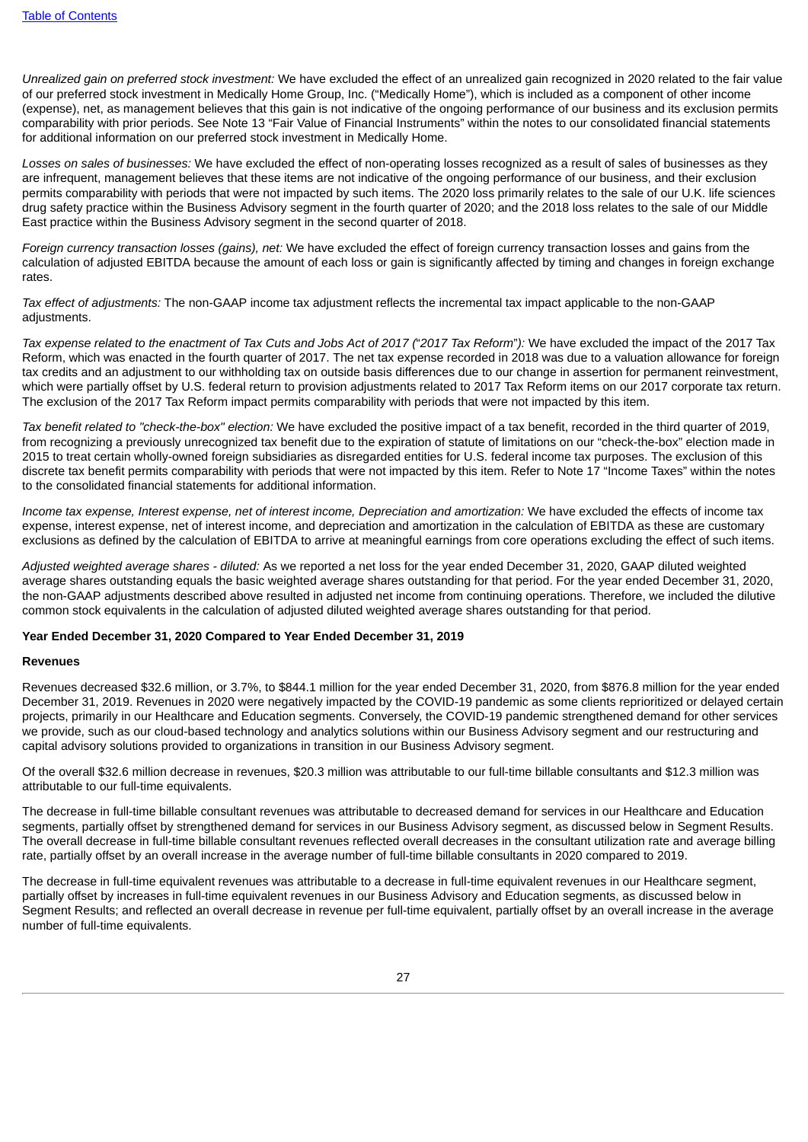*Unrealized gain on preferred stock investment:* We have excluded the effect of an unrealized gain recognized in 2020 related to the fair value of our preferred stock investment in Medically Home Group, Inc. ("Medically Home"), which is included as a component of other income (expense), net, as management believes that this gain is not indicative of the ongoing performance of our business and its exclusion permits comparability with prior periods. See Note 13 "Fair Value of Financial Instruments" within the notes to our consolidated financial statements for additional information on our preferred stock investment in Medically Home.

*Losses on sales of businesses:* We have excluded the effect of non-operating losses recognized as a result of sales of businesses as they are infrequent, management believes that these items are not indicative of the ongoing performance of our business, and their exclusion permits comparability with periods that were not impacted by such items. The 2020 loss primarily relates to the sale of our U.K. life sciences drug safety practice within the Business Advisory segment in the fourth quarter of 2020; and the 2018 loss relates to the sale of our Middle East practice within the Business Advisory segment in the second quarter of 2018.

*Foreign currency transaction losses (gains), net:* We have excluded the effect of foreign currency transaction losses and gains from the calculation of adjusted EBITDA because the amount of each loss or gain is significantly affected by timing and changes in foreign exchange rates.

*Tax effect of adjustments:* The non-GAAP income tax adjustment reflects the incremental tax impact applicable to the non-GAAP adiustments.

Tax expense related to the enactment of Tax Cuts and Jobs Act of 2017 ("2017 Tax Reform"): We have excluded the impact of the 2017 Tax Reform, which was enacted in the fourth quarter of 2017. The net tax expense recorded in 2018 was due to a valuation allowance for foreign tax credits and an adjustment to our withholding tax on outside basis differences due to our change in assertion for permanent reinvestment, which were partially offset by U.S. federal return to provision adjustments related to 2017 Tax Reform items on our 2017 corporate tax return. The exclusion of the 2017 Tax Reform impact permits comparability with periods that were not impacted by this item.

*Tax benefit related to "check-the-box" election:* We have excluded the positive impact of a tax benefit, recorded in the third quarter of 2019, from recognizing a previously unrecognized tax benefit due to the expiration of statute of limitations on our "check-the-box" election made in 2015 to treat certain wholly-owned foreign subsidiaries as disregarded entities for U.S. federal income tax purposes. The exclusion of this discrete tax benefit permits comparability with periods that were not impacted by this item. Refer to Note 17 "Income Taxes" within the notes to the consolidated financial statements for additional information.

*Income tax expense, Interest expense, net of interest income, Depreciation and amortization:* We have excluded the effects of income tax expense, interest expense, net of interest income, and depreciation and amortization in the calculation of EBITDA as these are customary exclusions as defined by the calculation of EBITDA to arrive at meaningful earnings from core operations excluding the effect of such items.

*Adjusted weighted average shares - diluted:* As we reported a net loss for the year ended December 31, 2020, GAAP diluted weighted average shares outstanding equals the basic weighted average shares outstanding for that period. For the year ended December 31, 2020, the non-GAAP adjustments described above resulted in adjusted net income from continuing operations. Therefore, we included the dilutive common stock equivalents in the calculation of adjusted diluted weighted average shares outstanding for that period.

# **Year Ended December 31, 2020 Compared to Year Ended December 31, 2019**

#### **Revenues**

Revenues decreased \$32.6 million, or 3.7%, to \$844.1 million for the year ended December 31, 2020, from \$876.8 million for the year ended December 31, 2019. Revenues in 2020 were negatively impacted by the COVID-19 pandemic as some clients reprioritized or delayed certain projects, primarily in our Healthcare and Education segments. Conversely, the COVID-19 pandemic strengthened demand for other services we provide, such as our cloud-based technology and analytics solutions within our Business Advisory segment and our restructuring and capital advisory solutions provided to organizations in transition in our Business Advisory segment.

Of the overall \$32.6 million decrease in revenues, \$20.3 million was attributable to our full-time billable consultants and \$12.3 million was attributable to our full-time equivalents.

The decrease in full-time billable consultant revenues was attributable to decreased demand for services in our Healthcare and Education segments, partially offset by strengthened demand for services in our Business Advisory segment, as discussed below in Segment Results. The overall decrease in full-time billable consultant revenues reflected overall decreases in the consultant utilization rate and average billing rate, partially offset by an overall increase in the average number of full-time billable consultants in 2020 compared to 2019.

The decrease in full-time equivalent revenues was attributable to a decrease in full-time equivalent revenues in our Healthcare segment, partially offset by increases in full-time equivalent revenues in our Business Advisory and Education segments, as discussed below in Segment Results; and reflected an overall decrease in revenue per full-time equivalent, partially offset by an overall increase in the average number of full-time equivalents.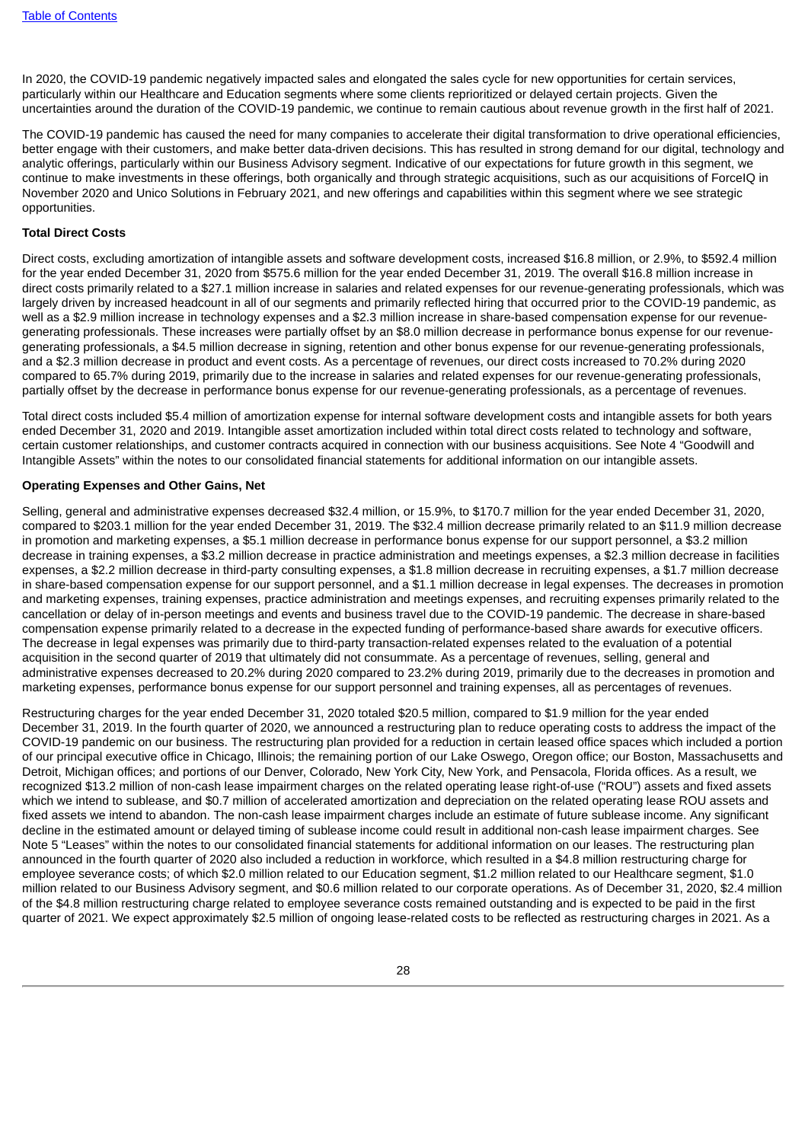In 2020, the COVID-19 pandemic negatively impacted sales and elongated the sales cycle for new opportunities for certain services, particularly within our Healthcare and Education segments where some clients reprioritized or delayed certain projects. Given the uncertainties around the duration of the COVID-19 pandemic, we continue to remain cautious about revenue growth in the first half of 2021.

The COVID-19 pandemic has caused the need for many companies to accelerate their digital transformation to drive operational efficiencies, better engage with their customers, and make better data-driven decisions. This has resulted in strong demand for our digital, technology and analytic offerings, particularly within our Business Advisory segment. Indicative of our expectations for future growth in this segment, we continue to make investments in these offerings, both organically and through strategic acquisitions, such as our acquisitions of ForceIQ in November 2020 and Unico Solutions in February 2021, and new offerings and capabilities within this segment where we see strategic opportunities.

### **Total Direct Costs**

Direct costs, excluding amortization of intangible assets and software development costs, increased \$16.8 million, or 2.9%, to \$592.4 million for the year ended December 31, 2020 from \$575.6 million for the year ended December 31, 2019. The overall \$16.8 million increase in direct costs primarily related to a \$27.1 million increase in salaries and related expenses for our revenue-generating professionals, which was largely driven by increased headcount in all of our segments and primarily reflected hiring that occurred prior to the COVID-19 pandemic, as well as a \$2.9 million increase in technology expenses and a \$2.3 million increase in share-based compensation expense for our revenuegenerating professionals. These increases were partially offset by an \$8.0 million decrease in performance bonus expense for our revenuegenerating professionals, a \$4.5 million decrease in signing, retention and other bonus expense for our revenue-generating professionals, and a \$2.3 million decrease in product and event costs. As a percentage of revenues, our direct costs increased to 70.2% during 2020 compared to 65.7% during 2019, primarily due to the increase in salaries and related expenses for our revenue-generating professionals, partially offset by the decrease in performance bonus expense for our revenue-generating professionals, as a percentage of revenues.

Total direct costs included \$5.4 million of amortization expense for internal software development costs and intangible assets for both years ended December 31, 2020 and 2019. Intangible asset amortization included within total direct costs related to technology and software, certain customer relationships, and customer contracts acquired in connection with our business acquisitions. See Note 4 "Goodwill and Intangible Assets" within the notes to our consolidated financial statements for additional information on our intangible assets.

### **Operating Expenses and Other Gains, Net**

Selling, general and administrative expenses decreased \$32.4 million, or 15.9%, to \$170.7 million for the year ended December 31, 2020, compared to \$203.1 million for the year ended December 31, 2019. The \$32.4 million decrease primarily related to an \$11.9 million decrease in promotion and marketing expenses, a \$5.1 million decrease in performance bonus expense for our support personnel, a \$3.2 million decrease in training expenses, a \$3.2 million decrease in practice administration and meetings expenses, a \$2.3 million decrease in facilities expenses, a \$2.2 million decrease in third-party consulting expenses, a \$1.8 million decrease in recruiting expenses, a \$1.7 million decrease in share-based compensation expense for our support personnel, and a \$1.1 million decrease in legal expenses. The decreases in promotion and marketing expenses, training expenses, practice administration and meetings expenses, and recruiting expenses primarily related to the cancellation or delay of in-person meetings and events and business travel due to the COVID-19 pandemic. The decrease in share-based compensation expense primarily related to a decrease in the expected funding of performance-based share awards for executive officers. The decrease in legal expenses was primarily due to third-party transaction-related expenses related to the evaluation of a potential acquisition in the second quarter of 2019 that ultimately did not consummate. As a percentage of revenues, selling, general and administrative expenses decreased to 20.2% during 2020 compared to 23.2% during 2019, primarily due to the decreases in promotion and marketing expenses, performance bonus expense for our support personnel and training expenses, all as percentages of revenues.

Restructuring charges for the year ended December 31, 2020 totaled \$20.5 million, compared to \$1.9 million for the year ended December 31, 2019. In the fourth quarter of 2020, we announced a restructuring plan to reduce operating costs to address the impact of the COVID-19 pandemic on our business. The restructuring plan provided for a reduction in certain leased office spaces which included a portion of our principal executive office in Chicago, Illinois; the remaining portion of our Lake Oswego, Oregon office; our Boston, Massachusetts and Detroit, Michigan offices; and portions of our Denver, Colorado, New York City, New York, and Pensacola, Florida offices. As a result, we recognized \$13.2 million of non-cash lease impairment charges on the related operating lease right-of-use ("ROU") assets and fixed assets which we intend to sublease, and \$0.7 million of accelerated amortization and depreciation on the related operating lease ROU assets and fixed assets we intend to abandon. The non-cash lease impairment charges include an estimate of future sublease income. Any significant decline in the estimated amount or delayed timing of sublease income could result in additional non-cash lease impairment charges. See Note 5 "Leases" within the notes to our consolidated financial statements for additional information on our leases. The restructuring plan announced in the fourth quarter of 2020 also included a reduction in workforce, which resulted in a \$4.8 million restructuring charge for employee severance costs; of which \$2.0 million related to our Education segment, \$1.2 million related to our Healthcare segment, \$1.0 million related to our Business Advisory segment, and \$0.6 million related to our corporate operations. As of December 31, 2020, \$2.4 million of the \$4.8 million restructuring charge related to employee severance costs remained outstanding and is expected to be paid in the first quarter of 2021. We expect approximately \$2.5 million of ongoing lease-related costs to be reflected as restructuring charges in 2021. As a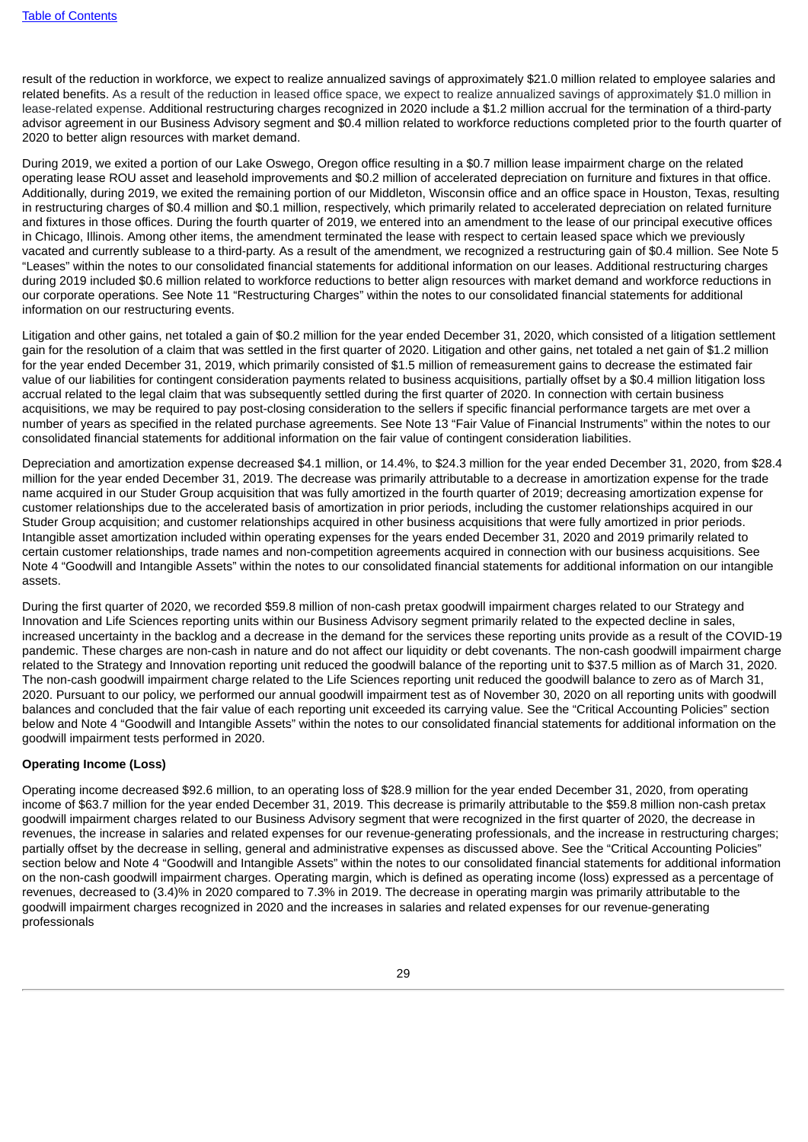result of the reduction in workforce, we expect to realize annualized savings of approximately \$21.0 million related to employee salaries and related benefits. As a result of the reduction in leased office space, we expect to realize annualized savings of approximately \$1.0 million in lease-related expense. Additional restructuring charges recognized in 2020 include a \$1.2 million accrual for the termination of a third-party advisor agreement in our Business Advisory segment and \$0.4 million related to workforce reductions completed prior to the fourth quarter of 2020 to better align resources with market demand.

During 2019, we exited a portion of our Lake Oswego, Oregon office resulting in a \$0.7 million lease impairment charge on the related operating lease ROU asset and leasehold improvements and \$0.2 million of accelerated depreciation on furniture and fixtures in that office. Additionally, during 2019, we exited the remaining portion of our Middleton, Wisconsin office and an office space in Houston, Texas, resulting in restructuring charges of \$0.4 million and \$0.1 million, respectively, which primarily related to accelerated depreciation on related furniture and fixtures in those offices. During the fourth quarter of 2019, we entered into an amendment to the lease of our principal executive offices in Chicago, Illinois. Among other items, the amendment terminated the lease with respect to certain leased space which we previously vacated and currently sublease to a third-party. As a result of the amendment, we recognized a restructuring gain of \$0.4 million. See Note 5 "Leases" within the notes to our consolidated financial statements for additional information on our leases. Additional restructuring charges during 2019 included \$0.6 million related to workforce reductions to better align resources with market demand and workforce reductions in our corporate operations. See Note 11 "Restructuring Charges" within the notes to our consolidated financial statements for additional information on our restructuring events.

Litigation and other gains, net totaled a gain of \$0.2 million for the year ended December 31, 2020, which consisted of a litigation settlement gain for the resolution of a claim that was settled in the first quarter of 2020. Litigation and other gains, net totaled a net gain of \$1.2 million for the year ended December 31, 2019, which primarily consisted of \$1.5 million of remeasurement gains to decrease the estimated fair value of our liabilities for contingent consideration payments related to business acquisitions, partially offset by a \$0.4 million litigation loss accrual related to the legal claim that was subsequently settled during the first quarter of 2020. In connection with certain business acquisitions, we may be required to pay post-closing consideration to the sellers if specific financial performance targets are met over a number of years as specified in the related purchase agreements. See Note 13 "Fair Value of Financial Instruments" within the notes to our consolidated financial statements for additional information on the fair value of contingent consideration liabilities.

Depreciation and amortization expense decreased \$4.1 million, or 14.4%, to \$24.3 million for the year ended December 31, 2020, from \$28.4 million for the year ended December 31, 2019. The decrease was primarily attributable to a decrease in amortization expense for the trade name acquired in our Studer Group acquisition that was fully amortized in the fourth quarter of 2019; decreasing amortization expense for customer relationships due to the accelerated basis of amortization in prior periods, including the customer relationships acquired in our Studer Group acquisition; and customer relationships acquired in other business acquisitions that were fully amortized in prior periods. Intangible asset amortization included within operating expenses for the years ended December 31, 2020 and 2019 primarily related to certain customer relationships, trade names and non-competition agreements acquired in connection with our business acquisitions. See Note 4 "Goodwill and Intangible Assets" within the notes to our consolidated financial statements for additional information on our intangible assets.

During the first quarter of 2020, we recorded \$59.8 million of non-cash pretax goodwill impairment charges related to our Strategy and Innovation and Life Sciences reporting units within our Business Advisory segment primarily related to the expected decline in sales, increased uncertainty in the backlog and a decrease in the demand for the services these reporting units provide as a result of the COVID-19 pandemic. These charges are non-cash in nature and do not affect our liquidity or debt covenants. The non-cash goodwill impairment charge related to the Strategy and Innovation reporting unit reduced the goodwill balance of the reporting unit to \$37.5 million as of March 31, 2020. The non-cash goodwill impairment charge related to the Life Sciences reporting unit reduced the goodwill balance to zero as of March 31, 2020. Pursuant to our policy, we performed our annual goodwill impairment test as of November 30, 2020 on all reporting units with goodwill balances and concluded that the fair value of each reporting unit exceeded its carrying value. See the "Critical Accounting Policies" section below and Note 4 "Goodwill and Intangible Assets" within the notes to our consolidated financial statements for additional information on the goodwill impairment tests performed in 2020.

# **Operating Income (Loss)**

Operating income decreased \$92.6 million, to an operating loss of \$28.9 million for the year ended December 31, 2020, from operating income of \$63.7 million for the year ended December 31, 2019. This decrease is primarily attributable to the \$59.8 million non-cash pretax goodwill impairment charges related to our Business Advisory segment that were recognized in the first quarter of 2020, the decrease in revenues, the increase in salaries and related expenses for our revenue-generating professionals, and the increase in restructuring charges; partially offset by the decrease in selling, general and administrative expenses as discussed above. See the "Critical Accounting Policies" section below and Note 4 "Goodwill and Intangible Assets" within the notes to our consolidated financial statements for additional information on the non-cash goodwill impairment charges. Operating margin, which is defined as operating income (loss) expressed as a percentage of revenues, decreased to (3.4)% in 2020 compared to 7.3% in 2019. The decrease in operating margin was primarily attributable to the goodwill impairment charges recognized in 2020 and the increases in salaries and related expenses for our revenue-generating professionals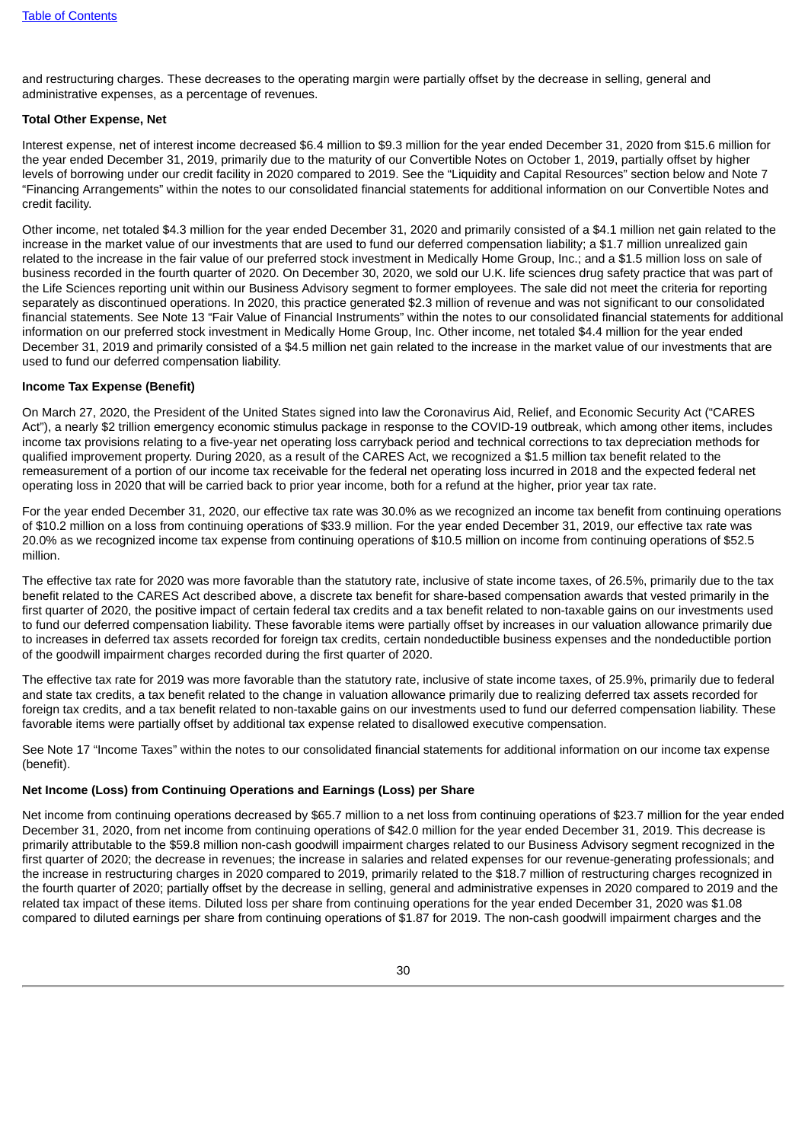and restructuring charges. These decreases to the operating margin were partially offset by the decrease in selling, general and administrative expenses, as a percentage of revenues.

# **Total Other Expense, Net**

Interest expense, net of interest income decreased \$6.4 million to \$9.3 million for the year ended December 31, 2020 from \$15.6 million for the year ended December 31, 2019, primarily due to the maturity of our Convertible Notes on October 1, 2019, partially offset by higher levels of borrowing under our credit facility in 2020 compared to 2019. See the "Liquidity and Capital Resources" section below and Note 7 "Financing Arrangements" within the notes to our consolidated financial statements for additional information on our Convertible Notes and credit facility.

Other income, net totaled \$4.3 million for the year ended December 31, 2020 and primarily consisted of a \$4.1 million net gain related to the increase in the market value of our investments that are used to fund our deferred compensation liability; a \$1.7 million unrealized gain related to the increase in the fair value of our preferred stock investment in Medically Home Group, Inc.; and a \$1.5 million loss on sale of business recorded in the fourth quarter of 2020. On December 30, 2020, we sold our U.K. life sciences drug safety practice that was part of the Life Sciences reporting unit within our Business Advisory segment to former employees. The sale did not meet the criteria for reporting separately as discontinued operations. In 2020, this practice generated \$2.3 million of revenue and was not significant to our consolidated financial statements. See Note 13 "Fair Value of Financial Instruments" within the notes to our consolidated financial statements for additional information on our preferred stock investment in Medically Home Group, Inc. Other income, net totaled \$4.4 million for the year ended December 31, 2019 and primarily consisted of a \$4.5 million net gain related to the increase in the market value of our investments that are used to fund our deferred compensation liability.

### **Income Tax Expense (Benefit)**

On March 27, 2020, the President of the United States signed into law the Coronavirus Aid, Relief, and Economic Security Act ("CARES Act"), a nearly \$2 trillion emergency economic stimulus package in response to the COVID-19 outbreak, which among other items, includes income tax provisions relating to a five-year net operating loss carryback period and technical corrections to tax depreciation methods for qualified improvement property. During 2020, as a result of the CARES Act, we recognized a \$1.5 million tax benefit related to the remeasurement of a portion of our income tax receivable for the federal net operating loss incurred in 2018 and the expected federal net operating loss in 2020 that will be carried back to prior year income, both for a refund at the higher, prior year tax rate.

For the year ended December 31, 2020, our effective tax rate was 30.0% as we recognized an income tax benefit from continuing operations of \$10.2 million on a loss from continuing operations of \$33.9 million. For the year ended December 31, 2019, our effective tax rate was 20.0% as we recognized income tax expense from continuing operations of \$10.5 million on income from continuing operations of \$52.5 million.

The effective tax rate for 2020 was more favorable than the statutory rate, inclusive of state income taxes, of 26.5%, primarily due to the tax benefit related to the CARES Act described above, a discrete tax benefit for share-based compensation awards that vested primarily in the first quarter of 2020, the positive impact of certain federal tax credits and a tax benefit related to non-taxable gains on our investments used to fund our deferred compensation liability. These favorable items were partially offset by increases in our valuation allowance primarily due to increases in deferred tax assets recorded for foreign tax credits, certain nondeductible business expenses and the nondeductible portion of the goodwill impairment charges recorded during the first quarter of 2020.

The effective tax rate for 2019 was more favorable than the statutory rate, inclusive of state income taxes, of 25.9%, primarily due to federal and state tax credits, a tax benefit related to the change in valuation allowance primarily due to realizing deferred tax assets recorded for foreign tax credits, and a tax benefit related to non-taxable gains on our investments used to fund our deferred compensation liability. These favorable items were partially offset by additional tax expense related to disallowed executive compensation.

See Note 17 "Income Taxes" within the notes to our consolidated financial statements for additional information on our income tax expense (benefit).

### **Net Income (Loss) from Continuing Operations and Earnings (Loss) per Share**

Net income from continuing operations decreased by \$65.7 million to a net loss from continuing operations of \$23.7 million for the year ended December 31, 2020, from net income from continuing operations of \$42.0 million for the year ended December 31, 2019. This decrease is primarily attributable to the \$59.8 million non-cash goodwill impairment charges related to our Business Advisory segment recognized in the first quarter of 2020; the decrease in revenues; the increase in salaries and related expenses for our revenue-generating professionals; and the increase in restructuring charges in 2020 compared to 2019, primarily related to the \$18.7 million of restructuring charges recognized in the fourth quarter of 2020; partially offset by the decrease in selling, general and administrative expenses in 2020 compared to 2019 and the related tax impact of these items. Diluted loss per share from continuing operations for the year ended December 31, 2020 was \$1.08 compared to diluted earnings per share from continuing operations of \$1.87 for 2019. The non-cash goodwill impairment charges and the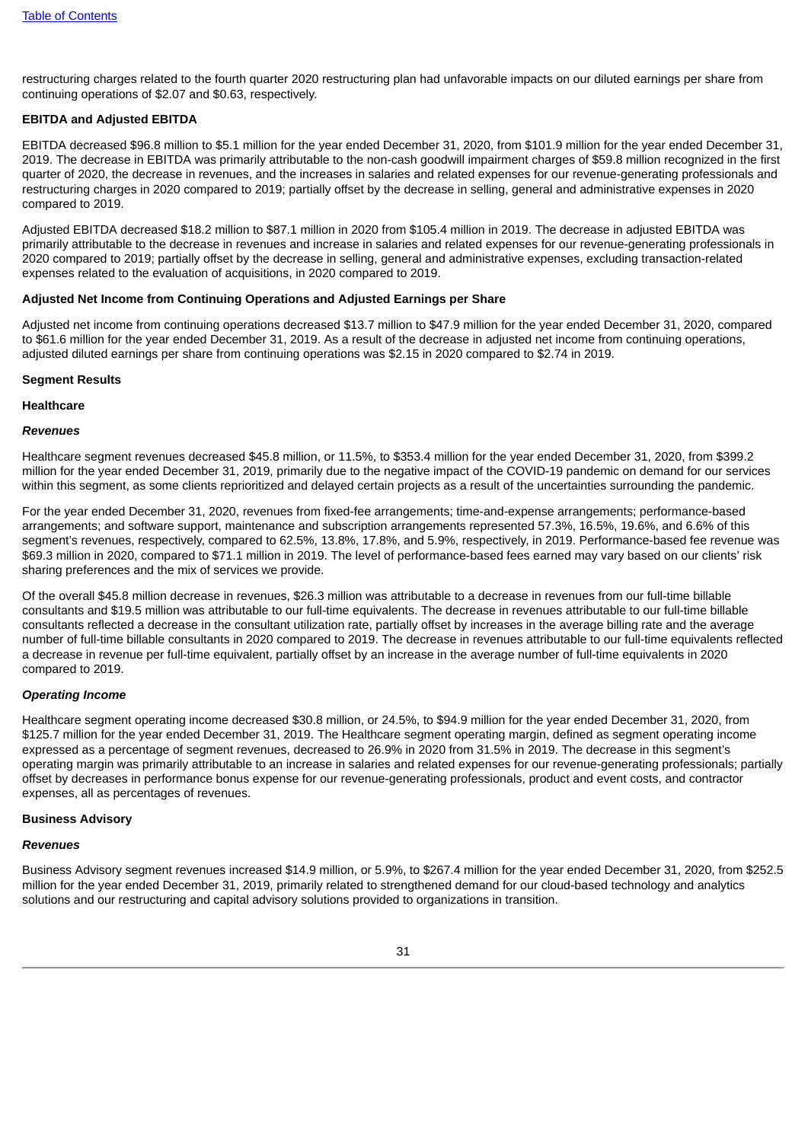restructuring charges related to the fourth quarter 2020 restructuring plan had unfavorable impacts on our diluted earnings per share from continuing operations of \$2.07 and \$0.63, respectively.

# **EBITDA and Adjusted EBITDA**

EBITDA decreased \$96.8 million to \$5.1 million for the year ended December 31, 2020, from \$101.9 million for the year ended December 31, 2019. The decrease in EBITDA was primarily attributable to the non-cash goodwill impairment charges of \$59.8 million recognized in the first quarter of 2020, the decrease in revenues, and the increases in salaries and related expenses for our revenue-generating professionals and restructuring charges in 2020 compared to 2019; partially offset by the decrease in selling, general and administrative expenses in 2020 compared to 2019.

Adjusted EBITDA decreased \$18.2 million to \$87.1 million in 2020 from \$105.4 million in 2019. The decrease in adjusted EBITDA was primarily attributable to the decrease in revenues and increase in salaries and related expenses for our revenue-generating professionals in 2020 compared to 2019; partially offset by the decrease in selling, general and administrative expenses, excluding transaction-related expenses related to the evaluation of acquisitions, in 2020 compared to 2019.

# **Adjusted Net Income from Continuing Operations and Adjusted Earnings per Share**

Adjusted net income from continuing operations decreased \$13.7 million to \$47.9 million for the year ended December 31, 2020, compared to \$61.6 million for the year ended December 31, 2019. As a result of the decrease in adjusted net income from continuing operations, adjusted diluted earnings per share from continuing operations was \$2.15 in 2020 compared to \$2.74 in 2019.

### **Segment Results**

### **Healthcare**

### *Revenues*

Healthcare segment revenues decreased \$45.8 million, or 11.5%, to \$353.4 million for the year ended December 31, 2020, from \$399.2 million for the year ended December 31, 2019, primarily due to the negative impact of the COVID-19 pandemic on demand for our services within this segment, as some clients reprioritized and delayed certain projects as a result of the uncertainties surrounding the pandemic.

For the year ended December 31, 2020, revenues from fixed-fee arrangements; time-and-expense arrangements; performance-based arrangements; and software support, maintenance and subscription arrangements represented 57.3%, 16.5%, 19.6%, and 6.6% of this segment's revenues, respectively, compared to 62.5%, 13.8%, 17.8%, and 5.9%, respectively, in 2019. Performance-based fee revenue was \$69.3 million in 2020, compared to \$71.1 million in 2019. The level of performance-based fees earned may vary based on our clients' risk sharing preferences and the mix of services we provide.

Of the overall \$45.8 million decrease in revenues, \$26.3 million was attributable to a decrease in revenues from our full-time billable consultants and \$19.5 million was attributable to our full-time equivalents. The decrease in revenues attributable to our full-time billable consultants reflected a decrease in the consultant utilization rate, partially offset by increases in the average billing rate and the average number of full-time billable consultants in 2020 compared to 2019. The decrease in revenues attributable to our full-time equivalents reflected a decrease in revenue per full-time equivalent, partially offset by an increase in the average number of full-time equivalents in 2020 compared to 2019.

# *Operating Income*

Healthcare segment operating income decreased \$30.8 million, or 24.5%, to \$94.9 million for the year ended December 31, 2020, from \$125.7 million for the year ended December 31, 2019. The Healthcare segment operating margin, defined as segment operating income expressed as a percentage of segment revenues, decreased to 26.9% in 2020 from 31.5% in 2019. The decrease in this segment's operating margin was primarily attributable to an increase in salaries and related expenses for our revenue-generating professionals; partially offset by decreases in performance bonus expense for our revenue-generating professionals, product and event costs, and contractor expenses, all as percentages of revenues.

#### **Business Advisory**

#### *Revenues*

Business Advisory segment revenues increased \$14.9 million, or 5.9%, to \$267.4 million for the year ended December 31, 2020, from \$252.5 million for the year ended December 31, 2019, primarily related to strengthened demand for our cloud-based technology and analytics solutions and our restructuring and capital advisory solutions provided to organizations in transition.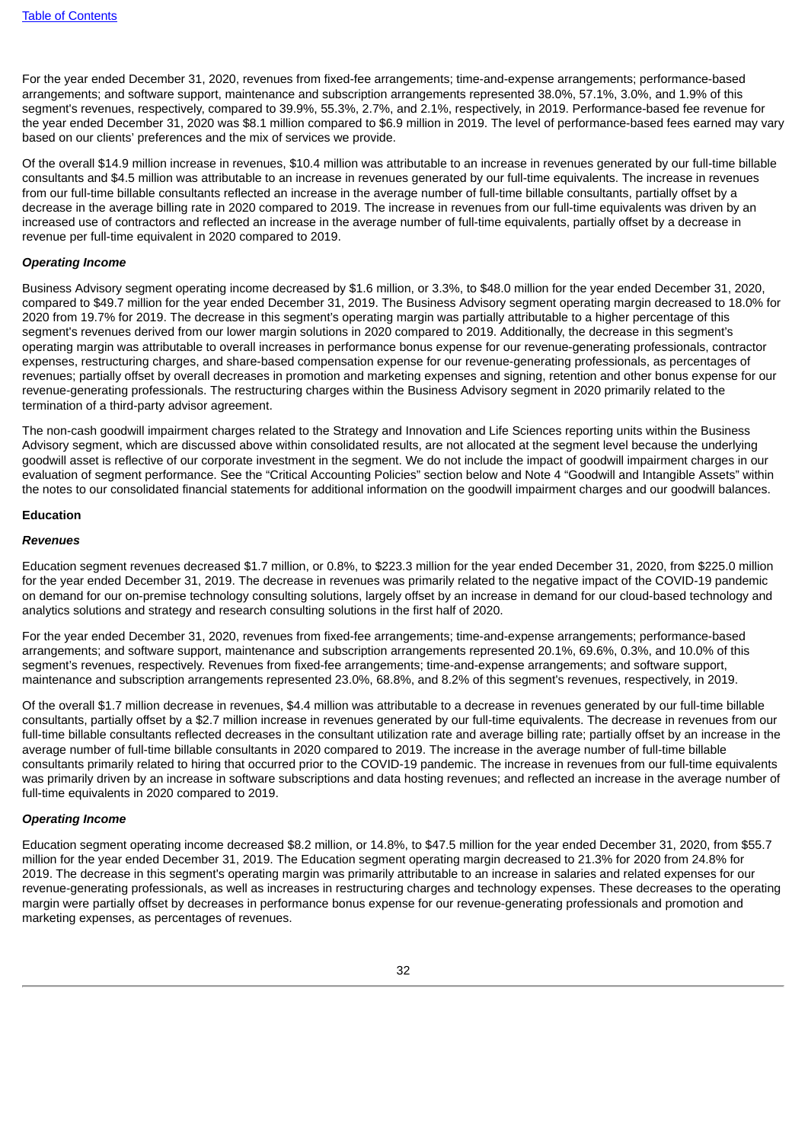For the year ended December 31, 2020, revenues from fixed-fee arrangements; time-and-expense arrangements; performance-based arrangements; and software support, maintenance and subscription arrangements represented 38.0%, 57.1%, 3.0%, and 1.9% of this segment's revenues, respectively, compared to 39.9%, 55.3%, 2.7%, and 2.1%, respectively, in 2019. Performance-based fee revenue for the year ended December 31, 2020 was \$8.1 million compared to \$6.9 million in 2019. The level of performance-based fees earned may vary based on our clients' preferences and the mix of services we provide.

Of the overall \$14.9 million increase in revenues, \$10.4 million was attributable to an increase in revenues generated by our full-time billable consultants and \$4.5 million was attributable to an increase in revenues generated by our full-time equivalents. The increase in revenues from our full-time billable consultants reflected an increase in the average number of full-time billable consultants, partially offset by a decrease in the average billing rate in 2020 compared to 2019. The increase in revenues from our full-time equivalents was driven by an increased use of contractors and reflected an increase in the average number of full-time equivalents, partially offset by a decrease in revenue per full-time equivalent in 2020 compared to 2019.

### *Operating Income*

Business Advisory segment operating income decreased by \$1.6 million, or 3.3%, to \$48.0 million for the year ended December 31, 2020, compared to \$49.7 million for the year ended December 31, 2019. The Business Advisory segment operating margin decreased to 18.0% for 2020 from 19.7% for 2019. The decrease in this segment's operating margin was partially attributable to a higher percentage of this segment's revenues derived from our lower margin solutions in 2020 compared to 2019. Additionally, the decrease in this segment's operating margin was attributable to overall increases in performance bonus expense for our revenue-generating professionals, contractor expenses, restructuring charges, and share-based compensation expense for our revenue-generating professionals, as percentages of revenues; partially offset by overall decreases in promotion and marketing expenses and signing, retention and other bonus expense for our revenue-generating professionals. The restructuring charges within the Business Advisory segment in 2020 primarily related to the termination of a third-party advisor agreement.

The non-cash goodwill impairment charges related to the Strategy and Innovation and Life Sciences reporting units within the Business Advisory segment, which are discussed above within consolidated results, are not allocated at the segment level because the underlying goodwill asset is reflective of our corporate investment in the segment. We do not include the impact of goodwill impairment charges in our evaluation of segment performance. See the "Critical Accounting Policies" section below and Note 4 "Goodwill and Intangible Assets" within the notes to our consolidated financial statements for additional information on the goodwill impairment charges and our goodwill balances.

### **Education**

#### *Revenues*

Education segment revenues decreased \$1.7 million, or 0.8%, to \$223.3 million for the year ended December 31, 2020, from \$225.0 million for the year ended December 31, 2019. The decrease in revenues was primarily related to the negative impact of the COVID-19 pandemic on demand for our on-premise technology consulting solutions, largely offset by an increase in demand for our cloud-based technology and analytics solutions and strategy and research consulting solutions in the first half of 2020.

For the year ended December 31, 2020, revenues from fixed-fee arrangements; time-and-expense arrangements; performance-based arrangements; and software support, maintenance and subscription arrangements represented 20.1%, 69.6%, 0.3%, and 10.0% of this segment's revenues, respectively. Revenues from fixed-fee arrangements; time-and-expense arrangements; and software support, maintenance and subscription arrangements represented 23.0%, 68.8%, and 8.2% of this segment's revenues, respectively, in 2019.

Of the overall \$1.7 million decrease in revenues, \$4.4 million was attributable to a decrease in revenues generated by our full-time billable consultants, partially offset by a \$2.7 million increase in revenues generated by our full-time equivalents. The decrease in revenues from our full-time billable consultants reflected decreases in the consultant utilization rate and average billing rate; partially offset by an increase in the average number of full-time billable consultants in 2020 compared to 2019. The increase in the average number of full-time billable consultants primarily related to hiring that occurred prior to the COVID-19 pandemic. The increase in revenues from our full-time equivalents was primarily driven by an increase in software subscriptions and data hosting revenues; and reflected an increase in the average number of full-time equivalents in 2020 compared to 2019.

### *Operating Income*

Education segment operating income decreased \$8.2 million, or 14.8%, to \$47.5 million for the year ended December 31, 2020, from \$55.7 million for the year ended December 31, 2019. The Education segment operating margin decreased to 21.3% for 2020 from 24.8% for 2019. The decrease in this segment's operating margin was primarily attributable to an increase in salaries and related expenses for our revenue-generating professionals, as well as increases in restructuring charges and technology expenses. These decreases to the operating margin were partially offset by decreases in performance bonus expense for our revenue-generating professionals and promotion and marketing expenses, as percentages of revenues.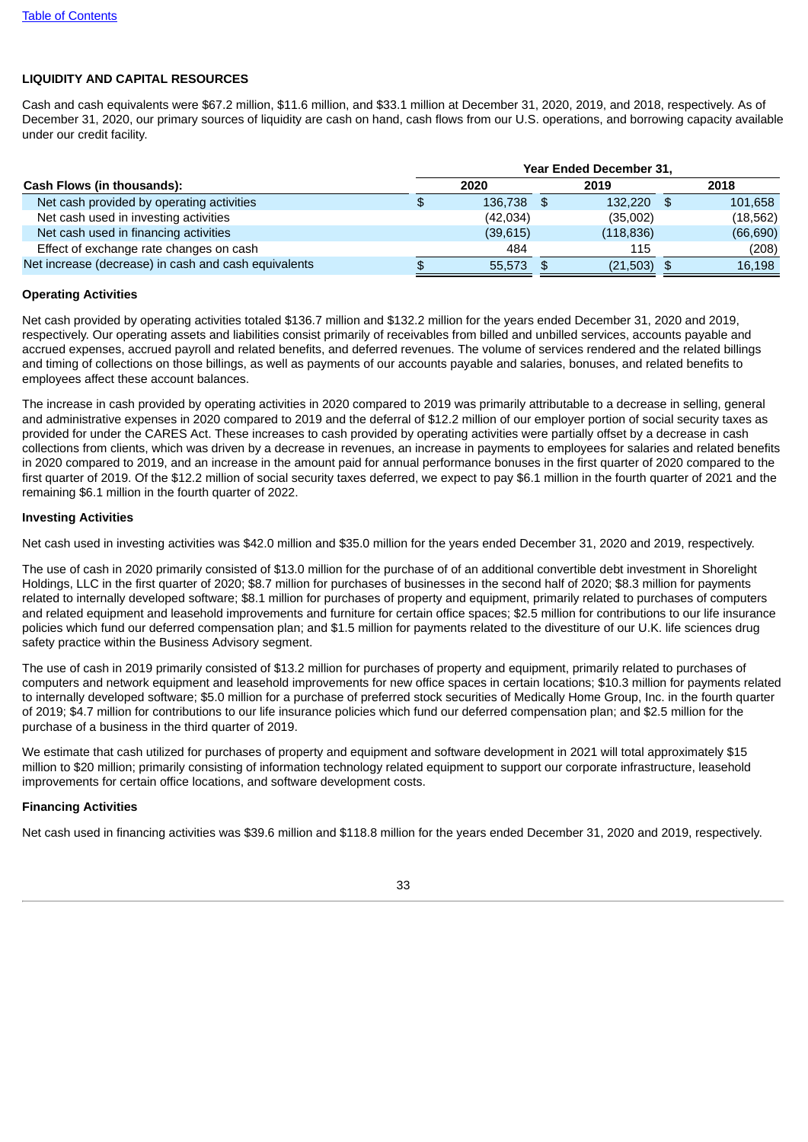# **LIQUIDITY AND CAPITAL RESOURCES**

Cash and cash equivalents were \$67.2 million, \$11.6 million, and \$33.1 million at December 31, 2020, 2019, and 2018, respectively. As of December 31, 2020, our primary sources of liquidity are cash on hand, cash flows from our U.S. operations, and borrowing capacity available under our credit facility.

|                                                      | Year Ended December 31, |           |      |               |  |           |  |  |  |  |  |
|------------------------------------------------------|-------------------------|-----------|------|---------------|--|-----------|--|--|--|--|--|
| Cash Flows (in thousands):                           |                         | 2020      |      | 2019          |  | 2018      |  |  |  |  |  |
| Net cash provided by operating activities            |                         | 136,738   | - \$ | 132,220 \$    |  | 101,658   |  |  |  |  |  |
| Net cash used in investing activities                |                         | (42, 034) |      | (35,002)      |  | (18, 562) |  |  |  |  |  |
| Net cash used in financing activities                |                         | (39,615)  |      | (118, 836)    |  | (66, 690) |  |  |  |  |  |
| Effect of exchange rate changes on cash              |                         | 484       |      | 115           |  | (208)     |  |  |  |  |  |
| Net increase (decrease) in cash and cash equivalents |                         | 55.573    |      | $(21,503)$ \$ |  | 16.198    |  |  |  |  |  |

# **Operating Activities**

Net cash provided by operating activities totaled \$136.7 million and \$132.2 million for the years ended December 31, 2020 and 2019, respectively. Our operating assets and liabilities consist primarily of receivables from billed and unbilled services, accounts payable and accrued expenses, accrued payroll and related benefits, and deferred revenues. The volume of services rendered and the related billings and timing of collections on those billings, as well as payments of our accounts payable and salaries, bonuses, and related benefits to employees affect these account balances.

The increase in cash provided by operating activities in 2020 compared to 2019 was primarily attributable to a decrease in selling, general and administrative expenses in 2020 compared to 2019 and the deferral of \$12.2 million of our employer portion of social security taxes as provided for under the CARES Act. These increases to cash provided by operating activities were partially offset by a decrease in cash collections from clients, which was driven by a decrease in revenues, an increase in payments to employees for salaries and related benefits in 2020 compared to 2019, and an increase in the amount paid for annual performance bonuses in the first quarter of 2020 compared to the first quarter of 2019. Of the \$12.2 million of social security taxes deferred, we expect to pay \$6.1 million in the fourth quarter of 2021 and the remaining \$6.1 million in the fourth quarter of 2022.

### **Investing Activities**

Net cash used in investing activities was \$42.0 million and \$35.0 million for the years ended December 31, 2020 and 2019, respectively.

The use of cash in 2020 primarily consisted of \$13.0 million for the purchase of of an additional convertible debt investment in Shorelight Holdings, LLC in the first quarter of 2020; \$8.7 million for purchases of businesses in the second half of 2020; \$8.3 million for payments related to internally developed software; \$8.1 million for purchases of property and equipment, primarily related to purchases of computers and related equipment and leasehold improvements and furniture for certain office spaces; \$2.5 million for contributions to our life insurance policies which fund our deferred compensation plan; and \$1.5 million for payments related to the divestiture of our U.K. life sciences drug safety practice within the Business Advisory segment.

The use of cash in 2019 primarily consisted of \$13.2 million for purchases of property and equipment, primarily related to purchases of computers and network equipment and leasehold improvements for new office spaces in certain locations; \$10.3 million for payments related to internally developed software; \$5.0 million for a purchase of preferred stock securities of Medically Home Group, Inc. in the fourth quarter of 2019; \$4.7 million for contributions to our life insurance policies which fund our deferred compensation plan; and \$2.5 million for the purchase of a business in the third quarter of 2019.

We estimate that cash utilized for purchases of property and equipment and software development in 2021 will total approximately \$15 million to \$20 million; primarily consisting of information technology related equipment to support our corporate infrastructure, leasehold improvements for certain office locations, and software development costs.

# **Financing Activities**

Net cash used in financing activities was \$39.6 million and \$118.8 million for the years ended December 31, 2020 and 2019, respectively.

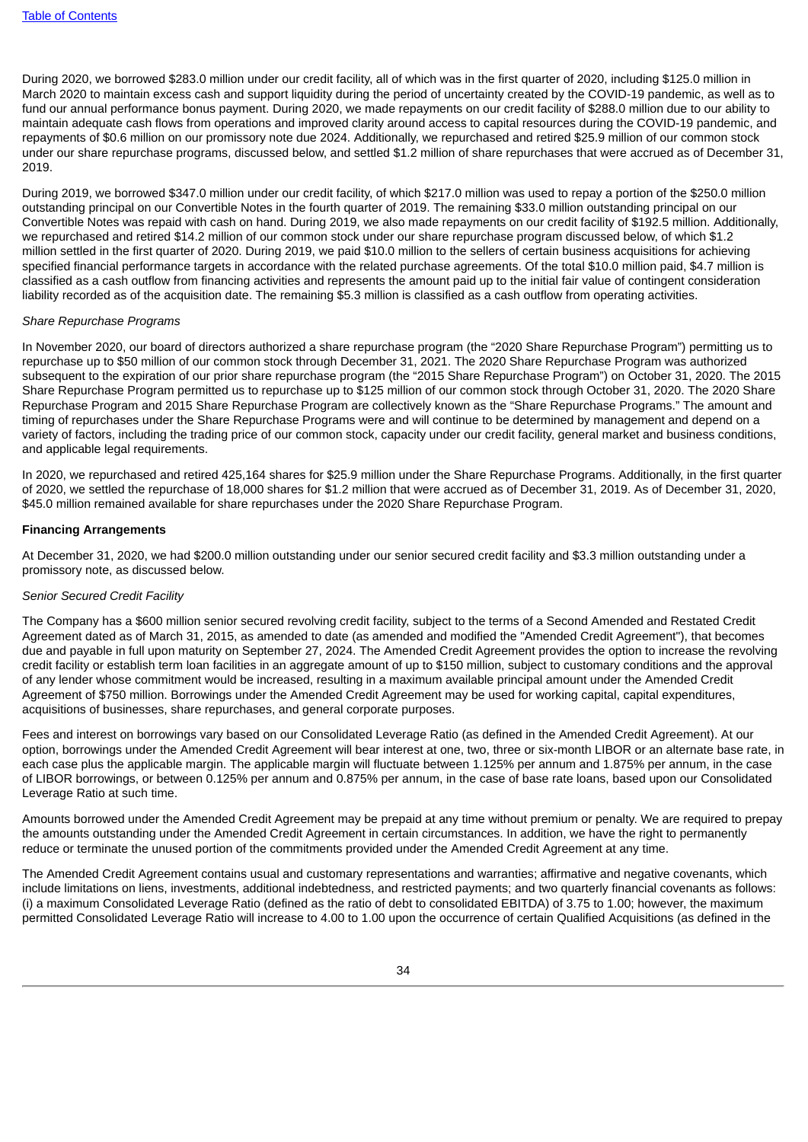During 2020, we borrowed \$283.0 million under our credit facility, all of which was in the first quarter of 2020, including \$125.0 million in March 2020 to maintain excess cash and support liquidity during the period of uncertainty created by the COVID-19 pandemic, as well as to fund our annual performance bonus payment. During 2020, we made repayments on our credit facility of \$288.0 million due to our ability to maintain adequate cash flows from operations and improved clarity around access to capital resources during the COVID-19 pandemic, and repayments of \$0.6 million on our promissory note due 2024. Additionally, we repurchased and retired \$25.9 million of our common stock under our share repurchase programs, discussed below, and settled \$1.2 million of share repurchases that were accrued as of December 31, 2019.

During 2019, we borrowed \$347.0 million under our credit facility, of which \$217.0 million was used to repay a portion of the \$250.0 million outstanding principal on our Convertible Notes in the fourth quarter of 2019. The remaining \$33.0 million outstanding principal on our Convertible Notes was repaid with cash on hand. During 2019, we also made repayments on our credit facility of \$192.5 million. Additionally, we repurchased and retired \$14.2 million of our common stock under our share repurchase program discussed below, of which \$1.2 million settled in the first quarter of 2020. During 2019, we paid \$10.0 million to the sellers of certain business acquisitions for achieving specified financial performance targets in accordance with the related purchase agreements. Of the total \$10.0 million paid, \$4.7 million is classified as a cash outflow from financing activities and represents the amount paid up to the initial fair value of contingent consideration liability recorded as of the acquisition date. The remaining \$5.3 million is classified as a cash outflow from operating activities.

# *Share Repurchase Programs*

In November 2020, our board of directors authorized a share repurchase program (the "2020 Share Repurchase Program") permitting us to repurchase up to \$50 million of our common stock through December 31, 2021. The 2020 Share Repurchase Program was authorized subsequent to the expiration of our prior share repurchase program (the "2015 Share Repurchase Program") on October 31, 2020. The 2015 Share Repurchase Program permitted us to repurchase up to \$125 million of our common stock through October 31, 2020. The 2020 Share Repurchase Program and 2015 Share Repurchase Program are collectively known as the "Share Repurchase Programs." The amount and timing of repurchases under the Share Repurchase Programs were and will continue to be determined by management and depend on a variety of factors, including the trading price of our common stock, capacity under our credit facility, general market and business conditions, and applicable legal requirements.

In 2020, we repurchased and retired 425,164 shares for \$25.9 million under the Share Repurchase Programs. Additionally, in the first quarter of 2020, we settled the repurchase of 18,000 shares for \$1.2 million that were accrued as of December 31, 2019. As of December 31, 2020, \$45.0 million remained available for share repurchases under the 2020 Share Repurchase Program.

#### **Financing Arrangements**

At December 31, 2020, we had \$200.0 million outstanding under our senior secured credit facility and \$3.3 million outstanding under a promissory note, as discussed below.

#### *Senior Secured Credit Facility*

The Company has a \$600 million senior secured revolving credit facility, subject to the terms of a Second Amended and Restated Credit Agreement dated as of March 31, 2015, as amended to date (as amended and modified the "Amended Credit Agreement"), that becomes due and payable in full upon maturity on September 27, 2024. The Amended Credit Agreement provides the option to increase the revolving credit facility or establish term loan facilities in an aggregate amount of up to \$150 million, subject to customary conditions and the approval of any lender whose commitment would be increased, resulting in a maximum available principal amount under the Amended Credit Agreement of \$750 million. Borrowings under the Amended Credit Agreement may be used for working capital, capital expenditures, acquisitions of businesses, share repurchases, and general corporate purposes.

Fees and interest on borrowings vary based on our Consolidated Leverage Ratio (as defined in the Amended Credit Agreement). At our option, borrowings under the Amended Credit Agreement will bear interest at one, two, three or six-month LIBOR or an alternate base rate, in each case plus the applicable margin. The applicable margin will fluctuate between 1.125% per annum and 1.875% per annum, in the case of LIBOR borrowings, or between 0.125% per annum and 0.875% per annum, in the case of base rate loans, based upon our Consolidated Leverage Ratio at such time.

Amounts borrowed under the Amended Credit Agreement may be prepaid at any time without premium or penalty. We are required to prepay the amounts outstanding under the Amended Credit Agreement in certain circumstances. In addition, we have the right to permanently reduce or terminate the unused portion of the commitments provided under the Amended Credit Agreement at any time.

The Amended Credit Agreement contains usual and customary representations and warranties; affirmative and negative covenants, which include limitations on liens, investments, additional indebtedness, and restricted payments; and two quarterly financial covenants as follows: (i) a maximum Consolidated Leverage Ratio (defined as the ratio of debt to consolidated EBITDA) of 3.75 to 1.00; however, the maximum permitted Consolidated Leverage Ratio will increase to 4.00 to 1.00 upon the occurrence of certain Qualified Acquisitions (as defined in the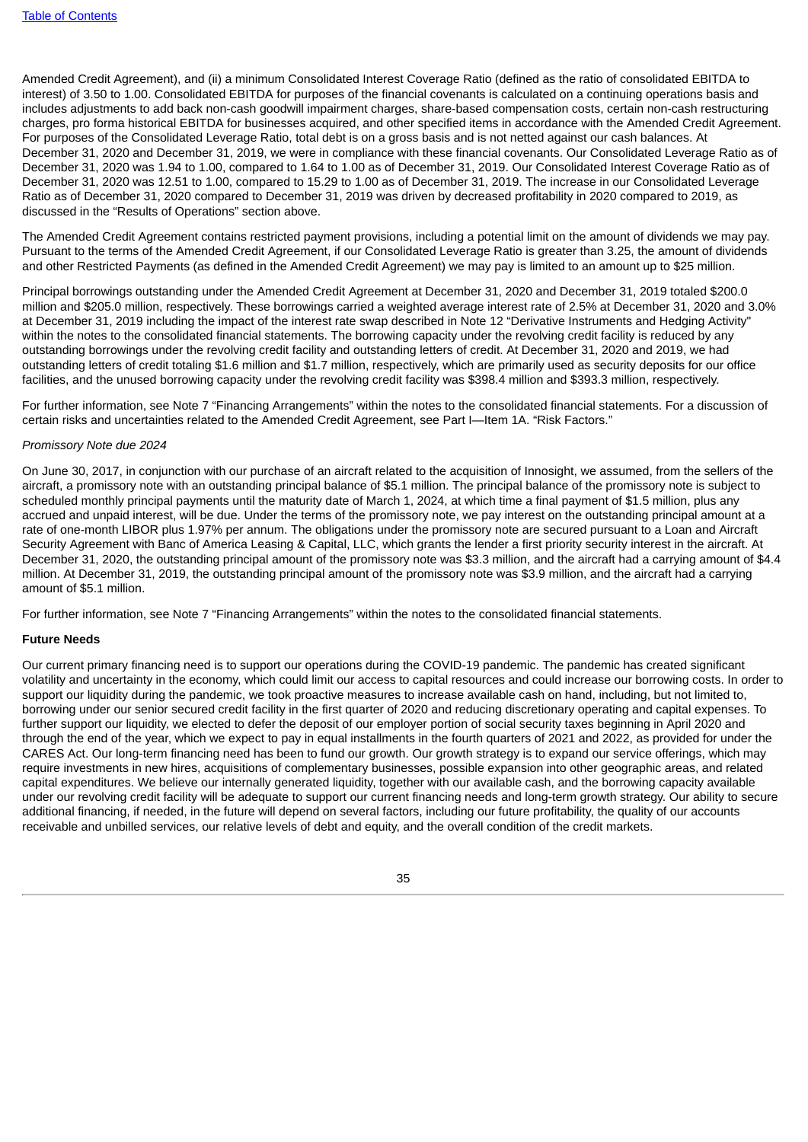Amended Credit Agreement), and (ii) a minimum Consolidated Interest Coverage Ratio (defined as the ratio of consolidated EBITDA to interest) of 3.50 to 1.00. Consolidated EBITDA for purposes of the financial covenants is calculated on a continuing operations basis and includes adjustments to add back non-cash goodwill impairment charges, share-based compensation costs, certain non-cash restructuring charges, pro forma historical EBITDA for businesses acquired, and other specified items in accordance with the Amended Credit Agreement. For purposes of the Consolidated Leverage Ratio, total debt is on a gross basis and is not netted against our cash balances. At December 31, 2020 and December 31, 2019, we were in compliance with these financial covenants. Our Consolidated Leverage Ratio as of December 31, 2020 was 1.94 to 1.00, compared to 1.64 to 1.00 as of December 31, 2019. Our Consolidated Interest Coverage Ratio as of December 31, 2020 was 12.51 to 1.00, compared to 15.29 to 1.00 as of December 31, 2019. The increase in our Consolidated Leverage Ratio as of December 31, 2020 compared to December 31, 2019 was driven by decreased profitability in 2020 compared to 2019, as discussed in the "Results of Operations" section above.

The Amended Credit Agreement contains restricted payment provisions, including a potential limit on the amount of dividends we may pay. Pursuant to the terms of the Amended Credit Agreement, if our Consolidated Leverage Ratio is greater than 3.25, the amount of dividends and other Restricted Payments (as defined in the Amended Credit Agreement) we may pay is limited to an amount up to \$25 million.

Principal borrowings outstanding under the Amended Credit Agreement at December 31, 2020 and December 31, 2019 totaled \$200.0 million and \$205.0 million, respectively. These borrowings carried a weighted average interest rate of 2.5% at December 31, 2020 and 3.0% at December 31, 2019 including the impact of the interest rate swap described in Note 12 "Derivative Instruments and Hedging Activity" within the notes to the consolidated financial statements. The borrowing capacity under the revolving credit facility is reduced by any outstanding borrowings under the revolving credit facility and outstanding letters of credit. At December 31, 2020 and 2019, we had outstanding letters of credit totaling \$1.6 million and \$1.7 million, respectively, which are primarily used as security deposits for our office facilities, and the unused borrowing capacity under the revolving credit facility was \$398.4 million and \$393.3 million, respectively.

For further information, see Note 7 "Financing Arrangements" within the notes to the consolidated financial statements. For a discussion of certain risks and uncertainties related to the Amended Credit Agreement, see Part I—Item 1A. "Risk Factors."

#### *Promissory Note due 2024*

On June 30, 2017, in conjunction with our purchase of an aircraft related to the acquisition of Innosight, we assumed, from the sellers of the aircraft, a promissory note with an outstanding principal balance of \$5.1 million. The principal balance of the promissory note is subject to scheduled monthly principal payments until the maturity date of March 1, 2024, at which time a final payment of \$1.5 million, plus any accrued and unpaid interest, will be due. Under the terms of the promissory note, we pay interest on the outstanding principal amount at a rate of one-month LIBOR plus 1.97% per annum. The obligations under the promissory note are secured pursuant to a Loan and Aircraft Security Agreement with Banc of America Leasing & Capital, LLC, which grants the lender a first priority security interest in the aircraft. At December 31, 2020, the outstanding principal amount of the promissory note was \$3.3 million, and the aircraft had a carrying amount of \$4.4 million. At December 31, 2019, the outstanding principal amount of the promissory note was \$3.9 million, and the aircraft had a carrying amount of \$5.1 million.

For further information, see Note 7 "Financing Arrangements" within the notes to the consolidated financial statements.

## **Future Needs**

Our current primary financing need is to support our operations during the COVID-19 pandemic. The pandemic has created significant volatility and uncertainty in the economy, which could limit our access to capital resources and could increase our borrowing costs. In order to support our liquidity during the pandemic, we took proactive measures to increase available cash on hand, including, but not limited to, borrowing under our senior secured credit facility in the first quarter of 2020 and reducing discretionary operating and capital expenses. To further support our liquidity, we elected to defer the deposit of our employer portion of social security taxes beginning in April 2020 and through the end of the year, which we expect to pay in equal installments in the fourth quarters of 2021 and 2022, as provided for under the CARES Act. Our long-term financing need has been to fund our growth. Our growth strategy is to expand our service offerings, which may require investments in new hires, acquisitions of complementary businesses, possible expansion into other geographic areas, and related capital expenditures. We believe our internally generated liquidity, together with our available cash, and the borrowing capacity available under our revolving credit facility will be adequate to support our current financing needs and long-term growth strategy. Our ability to secure additional financing, if needed, in the future will depend on several factors, including our future profitability, the quality of our accounts receivable and unbilled services, our relative levels of debt and equity, and the overall condition of the credit markets.

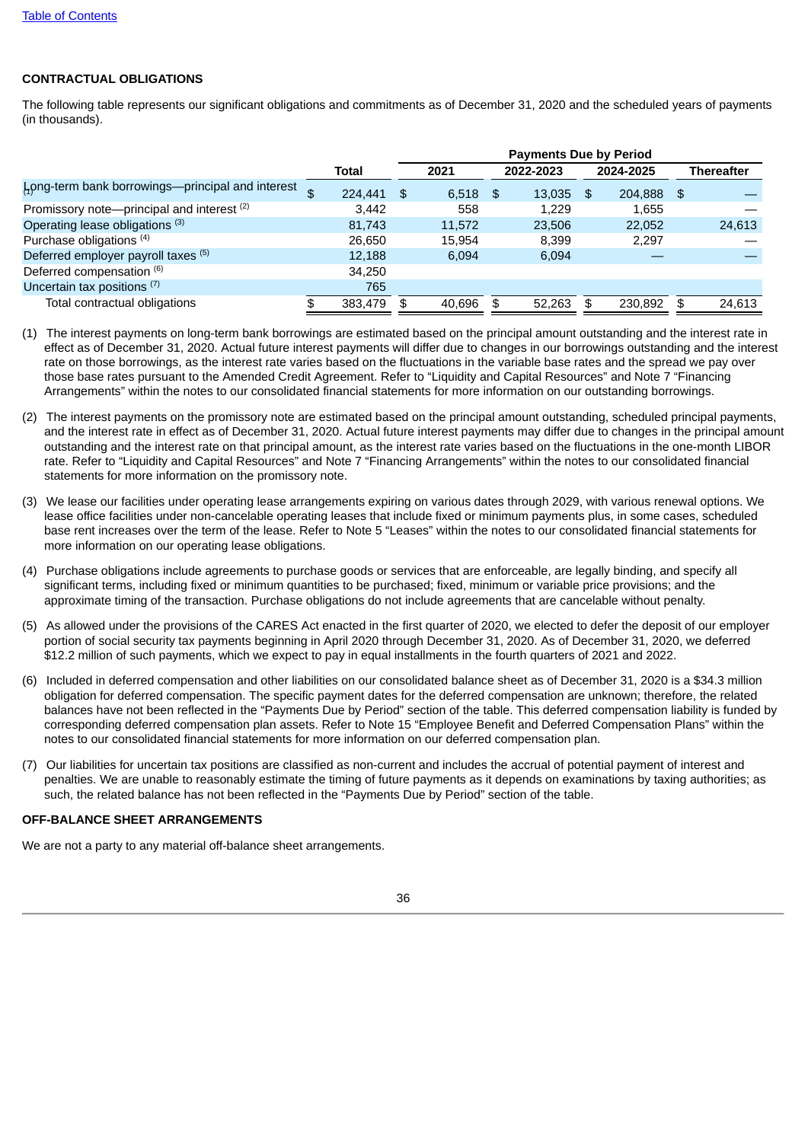## **CONTRACTUAL OBLIGATIONS**

The following table represents our significant obligations and commitments as of December 31, 2020 and the scheduled years of payments (in thousands).

|                                                       |                 |            | <b>Payments Due by Period</b> |        |      |           |    |           |                   |        |  |  |
|-------------------------------------------------------|-----------------|------------|-------------------------------|--------|------|-----------|----|-----------|-------------------|--------|--|--|
|                                                       | <b>Total</b>    |            | 2021                          |        |      | 2022-2023 |    | 2024-2025 | <b>Thereafter</b> |        |  |  |
| Apng-term bank borrowings-principal and interest      | $\ddot{\bm{z}}$ | 224,441 \$ |                               | 6.518  | - \$ | 13,035    | \$ | 204,888   | - \$              |        |  |  |
| Promissory note—principal and interest <sup>(2)</sup> |                 | 3.442      |                               | 558    |      | 1.229     |    | 1,655     |                   |        |  |  |
| Operating lease obligations (3)                       |                 | 81.743     |                               | 11,572 |      | 23,506    |    | 22.052    |                   | 24,613 |  |  |
| Purchase obligations <sup>(4)</sup>                   |                 | 26,650     |                               | 15.954 |      | 8.399     |    | 2.297     |                   |        |  |  |
| Deferred employer payroll taxes (5)                   |                 | 12,188     |                               | 6.094  |      | 6.094     |    |           |                   |        |  |  |
| Deferred compensation (6)                             |                 | 34.250     |                               |        |      |           |    |           |                   |        |  |  |
| Uncertain tax positions (7)                           |                 | 765        |                               |        |      |           |    |           |                   |        |  |  |
| Total contractual obligations                         |                 | 383,479    | \$                            | 40.696 | \$   | 52,263    |    | 230,892   | \$                | 24,613 |  |  |

- (1) The interest payments on long-term bank borrowings are estimated based on the principal amount outstanding and the interest rate in effect as of December 31, 2020. Actual future interest payments will differ due to changes in our borrowings outstanding and the interest rate on those borrowings, as the interest rate varies based on the fluctuations in the variable base rates and the spread we pay over those base rates pursuant to the Amended Credit Agreement. Refer to "Liquidity and Capital Resources" and Note 7 "Financing Arrangements" within the notes to our consolidated financial statements for more information on our outstanding borrowings.
- (2) The interest payments on the promissory note are estimated based on the principal amount outstanding, scheduled principal payments, and the interest rate in effect as of December 31, 2020. Actual future interest payments may differ due to changes in the principal amount outstanding and the interest rate on that principal amount, as the interest rate varies based on the fluctuations in the one-month LIBOR rate. Refer to "Liquidity and Capital Resources" and Note 7 "Financing Arrangements" within the notes to our consolidated financial statements for more information on the promissory note.
- (3) We lease our facilities under operating lease arrangements expiring on various dates through 2029, with various renewal options. We lease office facilities under non-cancelable operating leases that include fixed or minimum payments plus, in some cases, scheduled base rent increases over the term of the lease. Refer to Note 5 "Leases" within the notes to our consolidated financial statements for more information on our operating lease obligations.
- (4) Purchase obligations include agreements to purchase goods or services that are enforceable, are legally binding, and specify all significant terms, including fixed or minimum quantities to be purchased; fixed, minimum or variable price provisions; and the approximate timing of the transaction. Purchase obligations do not include agreements that are cancelable without penalty.
- (5) As allowed under the provisions of the CARES Act enacted in the first quarter of 2020, we elected to defer the deposit of our employer portion of social security tax payments beginning in April 2020 through December 31, 2020. As of December 31, 2020, we deferred \$12.2 million of such payments, which we expect to pay in equal installments in the fourth quarters of 2021 and 2022.
- (6) Included in deferred compensation and other liabilities on our consolidated balance sheet as of December 31, 2020 is a \$34.3 million obligation for deferred compensation. The specific payment dates for the deferred compensation are unknown; therefore, the related balances have not been reflected in the "Payments Due by Period" section of the table. This deferred compensation liability is funded by corresponding deferred compensation plan assets. Refer to Note 15 "Employee Benefit and Deferred Compensation Plans" within the notes to our consolidated financial statements for more information on our deferred compensation plan.
- (7) Our liabilities for uncertain tax positions are classified as non-current and includes the accrual of potential payment of interest and penalties. We are unable to reasonably estimate the timing of future payments as it depends on examinations by taxing authorities; as such, the related balance has not been reflected in the "Payments Due by Period" section of the table.

## **OFF-BALANCE SHEET ARRANGEMENTS**

We are not a party to any material off-balance sheet arrangements.

36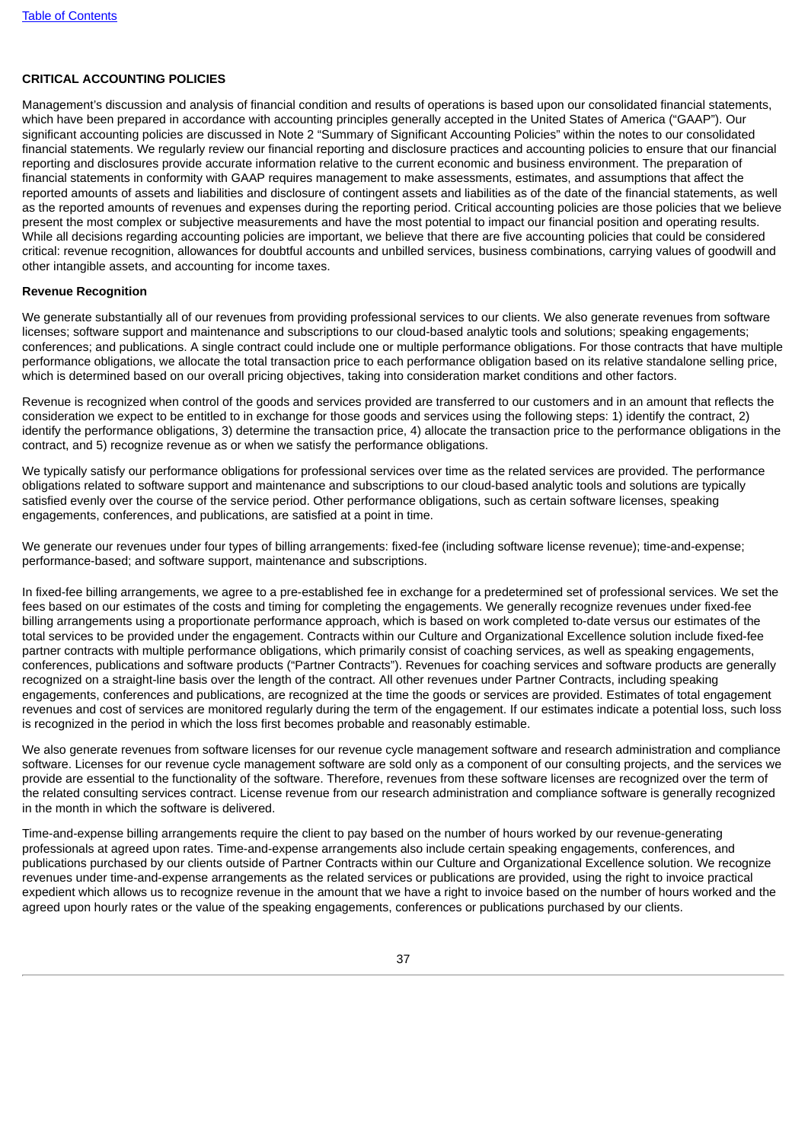## **CRITICAL ACCOUNTING POLICIES**

Management's discussion and analysis of financial condition and results of operations is based upon our consolidated financial statements, which have been prepared in accordance with accounting principles generally accepted in the United States of America ("GAAP"). Our significant accounting policies are discussed in Note 2 "Summary of Significant Accounting Policies" within the notes to our consolidated financial statements. We regularly review our financial reporting and disclosure practices and accounting policies to ensure that our financial reporting and disclosures provide accurate information relative to the current economic and business environment. The preparation of financial statements in conformity with GAAP requires management to make assessments, estimates, and assumptions that affect the reported amounts of assets and liabilities and disclosure of contingent assets and liabilities as of the date of the financial statements, as well as the reported amounts of revenues and expenses during the reporting period. Critical accounting policies are those policies that we believe present the most complex or subjective measurements and have the most potential to impact our financial position and operating results. While all decisions regarding accounting policies are important, we believe that there are five accounting policies that could be considered critical: revenue recognition, allowances for doubtful accounts and unbilled services, business combinations, carrying values of goodwill and other intangible assets, and accounting for income taxes.

## **Revenue Recognition**

We generate substantially all of our revenues from providing professional services to our clients. We also generate revenues from software licenses; software support and maintenance and subscriptions to our cloud-based analytic tools and solutions; speaking engagements; conferences; and publications. A single contract could include one or multiple performance obligations. For those contracts that have multiple performance obligations, we allocate the total transaction price to each performance obligation based on its relative standalone selling price, which is determined based on our overall pricing objectives, taking into consideration market conditions and other factors.

Revenue is recognized when control of the goods and services provided are transferred to our customers and in an amount that reflects the consideration we expect to be entitled to in exchange for those goods and services using the following steps: 1) identify the contract, 2) identify the performance obligations, 3) determine the transaction price, 4) allocate the transaction price to the performance obligations in the contract, and 5) recognize revenue as or when we satisfy the performance obligations.

We typically satisfy our performance obligations for professional services over time as the related services are provided. The performance obligations related to software support and maintenance and subscriptions to our cloud-based analytic tools and solutions are typically satisfied evenly over the course of the service period. Other performance obligations, such as certain software licenses, speaking engagements, conferences, and publications, are satisfied at a point in time.

We generate our revenues under four types of billing arrangements: fixed-fee (including software license revenue); time-and-expense; performance-based; and software support, maintenance and subscriptions.

In fixed-fee billing arrangements, we agree to a pre-established fee in exchange for a predetermined set of professional services. We set the fees based on our estimates of the costs and timing for completing the engagements. We generally recognize revenues under fixed-fee billing arrangements using a proportionate performance approach, which is based on work completed to-date versus our estimates of the total services to be provided under the engagement. Contracts within our Culture and Organizational Excellence solution include fixed-fee partner contracts with multiple performance obligations, which primarily consist of coaching services, as well as speaking engagements, conferences, publications and software products ("Partner Contracts"). Revenues for coaching services and software products are generally recognized on a straight-line basis over the length of the contract. All other revenues under Partner Contracts, including speaking engagements, conferences and publications, are recognized at the time the goods or services are provided. Estimates of total engagement revenues and cost of services are monitored regularly during the term of the engagement. If our estimates indicate a potential loss, such loss is recognized in the period in which the loss first becomes probable and reasonably estimable.

We also generate revenues from software licenses for our revenue cycle management software and research administration and compliance software. Licenses for our revenue cycle management software are sold only as a component of our consulting projects, and the services we provide are essential to the functionality of the software. Therefore, revenues from these software licenses are recognized over the term of the related consulting services contract. License revenue from our research administration and compliance software is generally recognized in the month in which the software is delivered.

Time-and-expense billing arrangements require the client to pay based on the number of hours worked by our revenue-generating professionals at agreed upon rates. Time-and-expense arrangements also include certain speaking engagements, conferences, and publications purchased by our clients outside of Partner Contracts within our Culture and Organizational Excellence solution. We recognize revenues under time-and-expense arrangements as the related services or publications are provided, using the right to invoice practical expedient which allows us to recognize revenue in the amount that we have a right to invoice based on the number of hours worked and the agreed upon hourly rates or the value of the speaking engagements, conferences or publications purchased by our clients.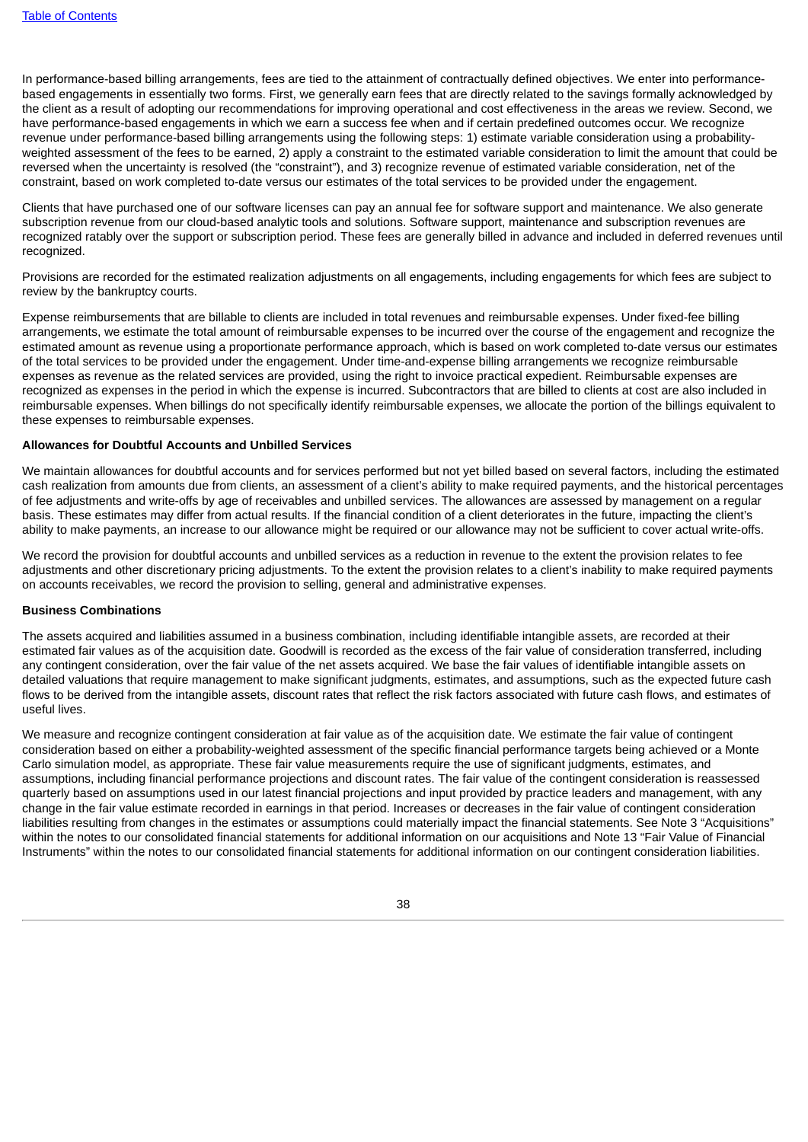In performance-based billing arrangements, fees are tied to the attainment of contractually defined objectives. We enter into performancebased engagements in essentially two forms. First, we generally earn fees that are directly related to the savings formally acknowledged by the client as a result of adopting our recommendations for improving operational and cost effectiveness in the areas we review. Second, we have performance-based engagements in which we earn a success fee when and if certain predefined outcomes occur. We recognize revenue under performance-based billing arrangements using the following steps: 1) estimate variable consideration using a probabilityweighted assessment of the fees to be earned, 2) apply a constraint to the estimated variable consideration to limit the amount that could be reversed when the uncertainty is resolved (the "constraint"), and 3) recognize revenue of estimated variable consideration, net of the constraint, based on work completed to-date versus our estimates of the total services to be provided under the engagement.

Clients that have purchased one of our software licenses can pay an annual fee for software support and maintenance. We also generate subscription revenue from our cloud-based analytic tools and solutions. Software support, maintenance and subscription revenues are recognized ratably over the support or subscription period. These fees are generally billed in advance and included in deferred revenues until recognized.

Provisions are recorded for the estimated realization adjustments on all engagements, including engagements for which fees are subject to review by the bankruptcy courts.

Expense reimbursements that are billable to clients are included in total revenues and reimbursable expenses. Under fixed-fee billing arrangements, we estimate the total amount of reimbursable expenses to be incurred over the course of the engagement and recognize the estimated amount as revenue using a proportionate performance approach, which is based on work completed to-date versus our estimates of the total services to be provided under the engagement. Under time-and-expense billing arrangements we recognize reimbursable expenses as revenue as the related services are provided, using the right to invoice practical expedient. Reimbursable expenses are recognized as expenses in the period in which the expense is incurred. Subcontractors that are billed to clients at cost are also included in reimbursable expenses. When billings do not specifically identify reimbursable expenses, we allocate the portion of the billings equivalent to these expenses to reimbursable expenses.

#### **Allowances for Doubtful Accounts and Unbilled Services**

We maintain allowances for doubtful accounts and for services performed but not yet billed based on several factors, including the estimated cash realization from amounts due from clients, an assessment of a client's ability to make required payments, and the historical percentages of fee adjustments and write-offs by age of receivables and unbilled services. The allowances are assessed by management on a regular basis. These estimates may differ from actual results. If the financial condition of a client deteriorates in the future, impacting the client's ability to make payments, an increase to our allowance might be required or our allowance may not be sufficient to cover actual write-offs.

We record the provision for doubtful accounts and unbilled services as a reduction in revenue to the extent the provision relates to fee adjustments and other discretionary pricing adjustments. To the extent the provision relates to a client's inability to make required payments on accounts receivables, we record the provision to selling, general and administrative expenses.

#### **Business Combinations**

The assets acquired and liabilities assumed in a business combination, including identifiable intangible assets, are recorded at their estimated fair values as of the acquisition date. Goodwill is recorded as the excess of the fair value of consideration transferred, including any contingent consideration, over the fair value of the net assets acquired. We base the fair values of identifiable intangible assets on detailed valuations that require management to make significant judgments, estimates, and assumptions, such as the expected future cash flows to be derived from the intangible assets, discount rates that reflect the risk factors associated with future cash flows, and estimates of useful lives.

We measure and recognize contingent consideration at fair value as of the acquisition date. We estimate the fair value of contingent consideration based on either a probability-weighted assessment of the specific financial performance targets being achieved or a Monte Carlo simulation model, as appropriate. These fair value measurements require the use of significant judgments, estimates, and assumptions, including financial performance projections and discount rates. The fair value of the contingent consideration is reassessed quarterly based on assumptions used in our latest financial projections and input provided by practice leaders and management, with any change in the fair value estimate recorded in earnings in that period. Increases or decreases in the fair value of contingent consideration liabilities resulting from changes in the estimates or assumptions could materially impact the financial statements. See Note 3 "Acquisitions" within the notes to our consolidated financial statements for additional information on our acquisitions and Note 13 "Fair Value of Financial Instruments" within the notes to our consolidated financial statements for additional information on our contingent consideration liabilities.

38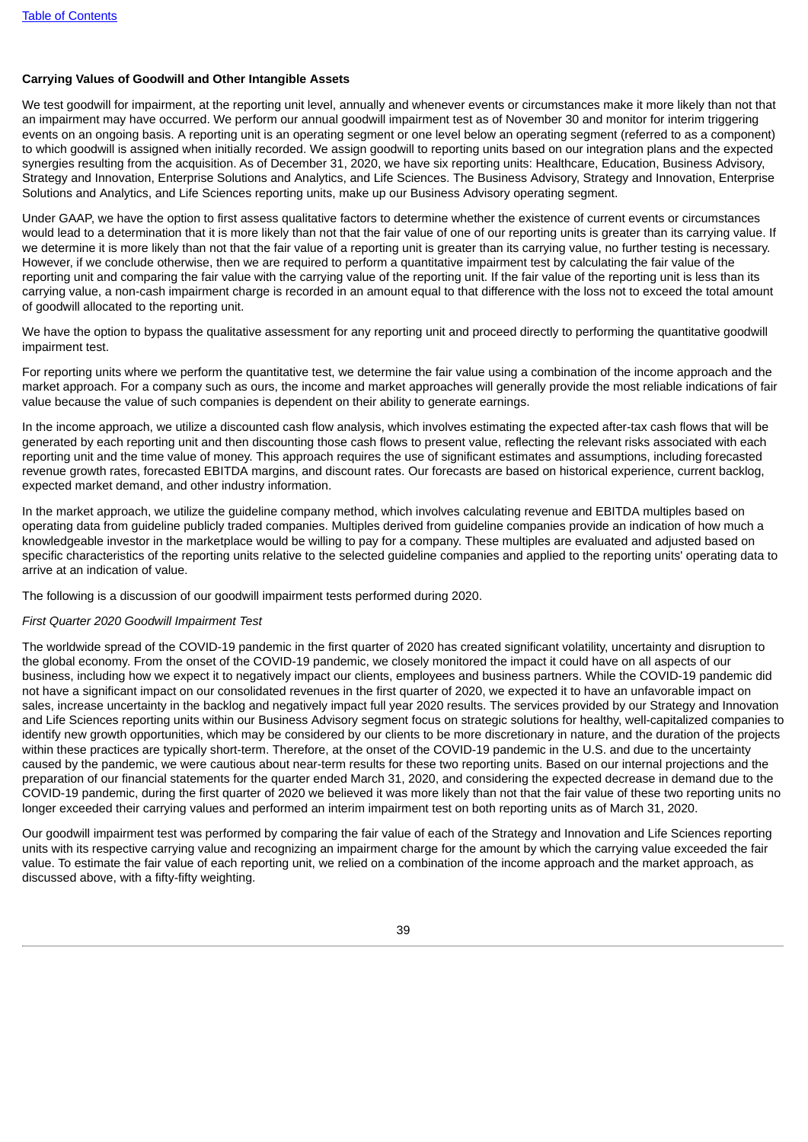# **Carrying Values of Goodwill and Other Intangible Assets**

We test goodwill for impairment, at the reporting unit level, annually and whenever events or circumstances make it more likely than not that an impairment may have occurred. We perform our annual goodwill impairment test as of November 30 and monitor for interim triggering events on an ongoing basis. A reporting unit is an operating segment or one level below an operating segment (referred to as a component) to which goodwill is assigned when initially recorded. We assign goodwill to reporting units based on our integration plans and the expected synergies resulting from the acquisition. As of December 31, 2020, we have six reporting units: Healthcare, Education, Business Advisory, Strategy and Innovation, Enterprise Solutions and Analytics, and Life Sciences. The Business Advisory, Strategy and Innovation, Enterprise Solutions and Analytics, and Life Sciences reporting units, make up our Business Advisory operating segment.

Under GAAP, we have the option to first assess qualitative factors to determine whether the existence of current events or circumstances would lead to a determination that it is more likely than not that the fair value of one of our reporting units is greater than its carrying value. If we determine it is more likely than not that the fair value of a reporting unit is greater than its carrying value, no further testing is necessary. However, if we conclude otherwise, then we are required to perform a quantitative impairment test by calculating the fair value of the reporting unit and comparing the fair value with the carrying value of the reporting unit. If the fair value of the reporting unit is less than its carrying value, a non-cash impairment charge is recorded in an amount equal to that difference with the loss not to exceed the total amount of goodwill allocated to the reporting unit.

We have the option to bypass the qualitative assessment for any reporting unit and proceed directly to performing the quantitative goodwill impairment test.

For reporting units where we perform the quantitative test, we determine the fair value using a combination of the income approach and the market approach. For a company such as ours, the income and market approaches will generally provide the most reliable indications of fair value because the value of such companies is dependent on their ability to generate earnings.

In the income approach, we utilize a discounted cash flow analysis, which involves estimating the expected after-tax cash flows that will be generated by each reporting unit and then discounting those cash flows to present value, reflecting the relevant risks associated with each reporting unit and the time value of money. This approach requires the use of significant estimates and assumptions, including forecasted revenue growth rates, forecasted EBITDA margins, and discount rates. Our forecasts are based on historical experience, current backlog, expected market demand, and other industry information.

In the market approach, we utilize the guideline company method, which involves calculating revenue and EBITDA multiples based on operating data from guideline publicly traded companies. Multiples derived from guideline companies provide an indication of how much a knowledgeable investor in the marketplace would be willing to pay for a company. These multiples are evaluated and adjusted based on specific characteristics of the reporting units relative to the selected guideline companies and applied to the reporting units' operating data to arrive at an indication of value.

The following is a discussion of our goodwill impairment tests performed during 2020.

## *First Quarter 2020 Goodwill Impairment Test*

The worldwide spread of the COVID-19 pandemic in the first quarter of 2020 has created significant volatility, uncertainty and disruption to the global economy. From the onset of the COVID-19 pandemic, we closely monitored the impact it could have on all aspects of our business, including how we expect it to negatively impact our clients, employees and business partners. While the COVID-19 pandemic did not have a significant impact on our consolidated revenues in the first quarter of 2020, we expected it to have an unfavorable impact on sales, increase uncertainty in the backlog and negatively impact full year 2020 results. The services provided by our Strategy and Innovation and Life Sciences reporting units within our Business Advisory segment focus on strategic solutions for healthy, well-capitalized companies to identify new growth opportunities, which may be considered by our clients to be more discretionary in nature, and the duration of the projects within these practices are typically short-term. Therefore, at the onset of the COVID-19 pandemic in the U.S. and due to the uncertainty caused by the pandemic, we were cautious about near-term results for these two reporting units. Based on our internal projections and the preparation of our financial statements for the quarter ended March 31, 2020, and considering the expected decrease in demand due to the COVID-19 pandemic, during the first quarter of 2020 we believed it was more likely than not that the fair value of these two reporting units no longer exceeded their carrying values and performed an interim impairment test on both reporting units as of March 31, 2020.

Our goodwill impairment test was performed by comparing the fair value of each of the Strategy and Innovation and Life Sciences reporting units with its respective carrying value and recognizing an impairment charge for the amount by which the carrying value exceeded the fair value. To estimate the fair value of each reporting unit, we relied on a combination of the income approach and the market approach, as discussed above, with a fifty-fifty weighting.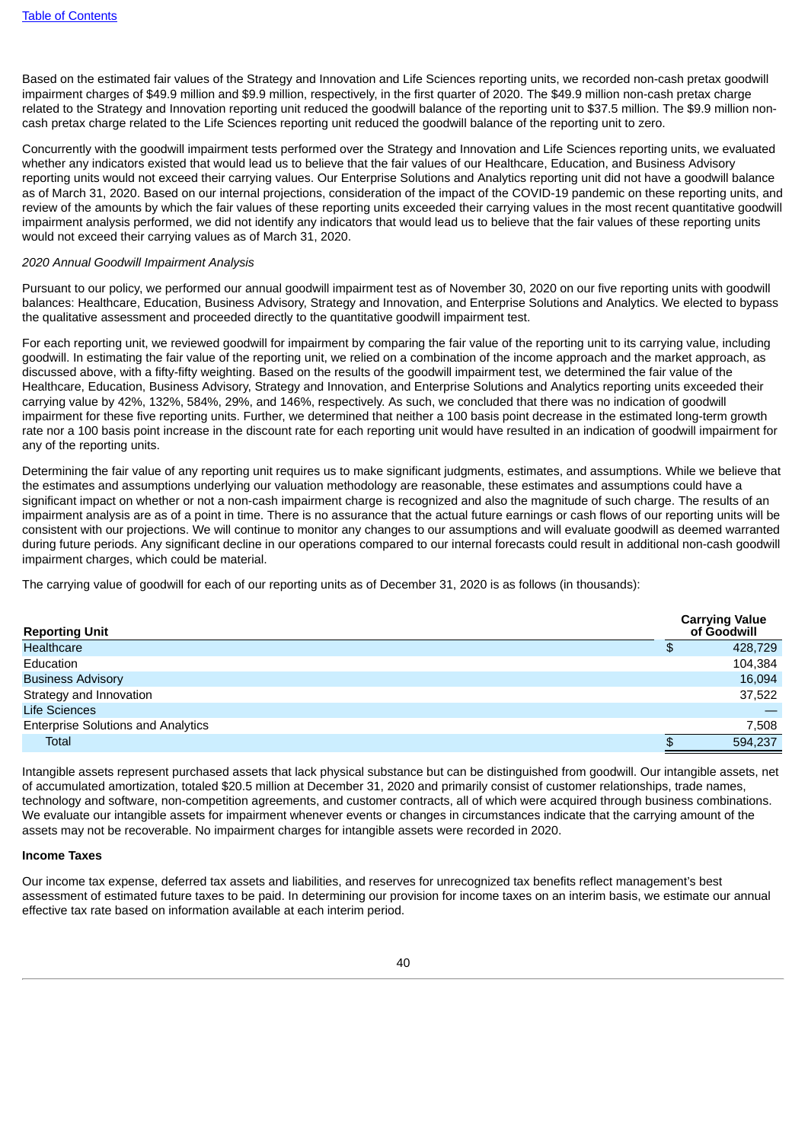Based on the estimated fair values of the Strategy and Innovation and Life Sciences reporting units, we recorded non-cash pretax goodwill impairment charges of \$49.9 million and \$9.9 million, respectively, in the first quarter of 2020. The \$49.9 million non-cash pretax charge related to the Strategy and Innovation reporting unit reduced the goodwill balance of the reporting unit to \$37.5 million. The \$9.9 million noncash pretax charge related to the Life Sciences reporting unit reduced the goodwill balance of the reporting unit to zero.

Concurrently with the goodwill impairment tests performed over the Strategy and Innovation and Life Sciences reporting units, we evaluated whether any indicators existed that would lead us to believe that the fair values of our Healthcare, Education, and Business Advisory reporting units would not exceed their carrying values. Our Enterprise Solutions and Analytics reporting unit did not have a goodwill balance as of March 31, 2020. Based on our internal projections, consideration of the impact of the COVID-19 pandemic on these reporting units, and review of the amounts by which the fair values of these reporting units exceeded their carrying values in the most recent quantitative goodwill impairment analysis performed, we did not identify any indicators that would lead us to believe that the fair values of these reporting units would not exceed their carrying values as of March 31, 2020.

#### *2020 Annual Goodwill Impairment Analysis*

Pursuant to our policy, we performed our annual goodwill impairment test as of November 30, 2020 on our five reporting units with goodwill balances: Healthcare, Education, Business Advisory, Strategy and Innovation, and Enterprise Solutions and Analytics. We elected to bypass the qualitative assessment and proceeded directly to the quantitative goodwill impairment test.

For each reporting unit, we reviewed goodwill for impairment by comparing the fair value of the reporting unit to its carrying value, including goodwill. In estimating the fair value of the reporting unit, we relied on a combination of the income approach and the market approach, as discussed above, with a fifty-fifty weighting. Based on the results of the goodwill impairment test, we determined the fair value of the Healthcare, Education, Business Advisory, Strategy and Innovation, and Enterprise Solutions and Analytics reporting units exceeded their carrying value by 42%, 132%, 584%, 29%, and 146%, respectively. As such, we concluded that there was no indication of goodwill impairment for these five reporting units. Further, we determined that neither a 100 basis point decrease in the estimated long-term growth rate nor a 100 basis point increase in the discount rate for each reporting unit would have resulted in an indication of goodwill impairment for any of the reporting units.

Determining the fair value of any reporting unit requires us to make significant judgments, estimates, and assumptions. While we believe that the estimates and assumptions underlying our valuation methodology are reasonable, these estimates and assumptions could have a significant impact on whether or not a non-cash impairment charge is recognized and also the magnitude of such charge. The results of an impairment analysis are as of a point in time. There is no assurance that the actual future earnings or cash flows of our reporting units will be consistent with our projections. We will continue to monitor any changes to our assumptions and will evaluate goodwill as deemed warranted during future periods. Any significant decline in our operations compared to our internal forecasts could result in additional non-cash goodwill impairment charges, which could be material.

The carrying value of goodwill for each of our reporting units as of December 31, 2020 is as follows (in thousands):

| <b>Reporting Unit</b>                     | <b>Carrying Value</b><br>of Goodwill |
|-------------------------------------------|--------------------------------------|
| Healthcare                                | \$<br>428,729                        |
| Education                                 | 104,384                              |
| <b>Business Advisory</b>                  | 16,094                               |
| Strategy and Innovation                   | 37,522                               |
| Life Sciences                             |                                      |
| <b>Enterprise Solutions and Analytics</b> | 7,508                                |
| Total                                     | 594.237                              |

Intangible assets represent purchased assets that lack physical substance but can be distinguished from goodwill. Our intangible assets, net of accumulated amortization, totaled \$20.5 million at December 31, 2020 and primarily consist of customer relationships, trade names, technology and software, non-competition agreements, and customer contracts, all of which were acquired through business combinations. We evaluate our intangible assets for impairment whenever events or changes in circumstances indicate that the carrying amount of the assets may not be recoverable. No impairment charges for intangible assets were recorded in 2020.

#### **Income Taxes**

Our income tax expense, deferred tax assets and liabilities, and reserves for unrecognized tax benefits reflect management's best assessment of estimated future taxes to be paid. In determining our provision for income taxes on an interim basis, we estimate our annual effective tax rate based on information available at each interim period.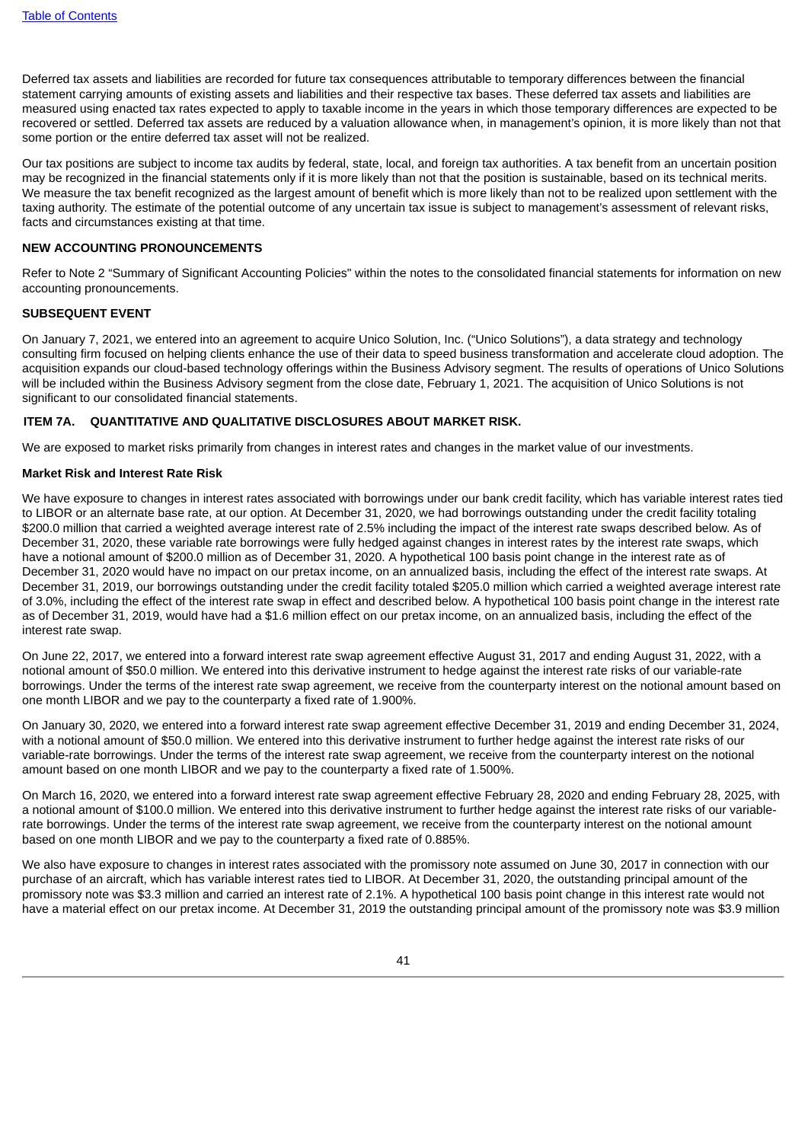Deferred tax assets and liabilities are recorded for future tax consequences attributable to temporary differences between the financial statement carrying amounts of existing assets and liabilities and their respective tax bases. These deferred tax assets and liabilities are measured using enacted tax rates expected to apply to taxable income in the years in which those temporary differences are expected to be recovered or settled. Deferred tax assets are reduced by a valuation allowance when, in management's opinion, it is more likely than not that some portion or the entire deferred tax asset will not be realized.

Our tax positions are subject to income tax audits by federal, state, local, and foreign tax authorities. A tax benefit from an uncertain position may be recognized in the financial statements only if it is more likely than not that the position is sustainable, based on its technical merits. We measure the tax benefit recognized as the largest amount of benefit which is more likely than not to be realized upon settlement with the taxing authority. The estimate of the potential outcome of any uncertain tax issue is subject to management's assessment of relevant risks, facts and circumstances existing at that time.

## **NEW ACCOUNTING PRONOUNCEMENTS**

Refer to Note 2 "Summary of Significant Accounting Policies" within the notes to the consolidated financial statements for information on new accounting pronouncements.

## **SUBSEQUENT EVENT**

On January 7, 2021, we entered into an agreement to acquire Unico Solution, Inc. ("Unico Solutions"), a data strategy and technology consulting firm focused on helping clients enhance the use of their data to speed business transformation and accelerate cloud adoption. The acquisition expands our cloud-based technology offerings within the Business Advisory segment. The results of operations of Unico Solutions will be included within the Business Advisory segment from the close date, February 1, 2021. The acquisition of Unico Solutions is not significant to our consolidated financial statements.

## **ITEM 7A. QUANTITATIVE AND QUALITATIVE DISCLOSURES ABOUT MARKET RISK.**

We are exposed to market risks primarily from changes in interest rates and changes in the market value of our investments.

#### **Market Risk and Interest Rate Risk**

We have exposure to changes in interest rates associated with borrowings under our bank credit facility, which has variable interest rates tied to LIBOR or an alternate base rate, at our option. At December 31, 2020, we had borrowings outstanding under the credit facility totaling \$200.0 million that carried a weighted average interest rate of 2.5% including the impact of the interest rate swaps described below. As of December 31, 2020, these variable rate borrowings were fully hedged against changes in interest rates by the interest rate swaps, which have a notional amount of \$200.0 million as of December 31, 2020. A hypothetical 100 basis point change in the interest rate as of December 31, 2020 would have no impact on our pretax income, on an annualized basis, including the effect of the interest rate swaps. At December 31, 2019, our borrowings outstanding under the credit facility totaled \$205.0 million which carried a weighted average interest rate of 3.0%, including the effect of the interest rate swap in effect and described below. A hypothetical 100 basis point change in the interest rate as of December 31, 2019, would have had a \$1.6 million effect on our pretax income, on an annualized basis, including the effect of the interest rate swap.

On June 22, 2017, we entered into a forward interest rate swap agreement effective August 31, 2017 and ending August 31, 2022, with a notional amount of \$50.0 million. We entered into this derivative instrument to hedge against the interest rate risks of our variable-rate borrowings. Under the terms of the interest rate swap agreement, we receive from the counterparty interest on the notional amount based on one month LIBOR and we pay to the counterparty a fixed rate of 1.900%.

On January 30, 2020, we entered into a forward interest rate swap agreement effective December 31, 2019 and ending December 31, 2024, with a notional amount of \$50.0 million. We entered into this derivative instrument to further hedge against the interest rate risks of our variable-rate borrowings. Under the terms of the interest rate swap agreement, we receive from the counterparty interest on the notional amount based on one month LIBOR and we pay to the counterparty a fixed rate of 1.500%.

On March 16, 2020, we entered into a forward interest rate swap agreement effective February 28, 2020 and ending February 28, 2025, with a notional amount of \$100.0 million. We entered into this derivative instrument to further hedge against the interest rate risks of our variablerate borrowings. Under the terms of the interest rate swap agreement, we receive from the counterparty interest on the notional amount based on one month LIBOR and we pay to the counterparty a fixed rate of 0.885%.

We also have exposure to changes in interest rates associated with the promissory note assumed on June 30, 2017 in connection with our purchase of an aircraft, which has variable interest rates tied to LIBOR. At December 31, 2020, the outstanding principal amount of the promissory note was \$3.3 million and carried an interest rate of 2.1%. A hypothetical 100 basis point change in this interest rate would not have a material effect on our pretax income. At December 31, 2019 the outstanding principal amount of the promissory note was \$3.9 million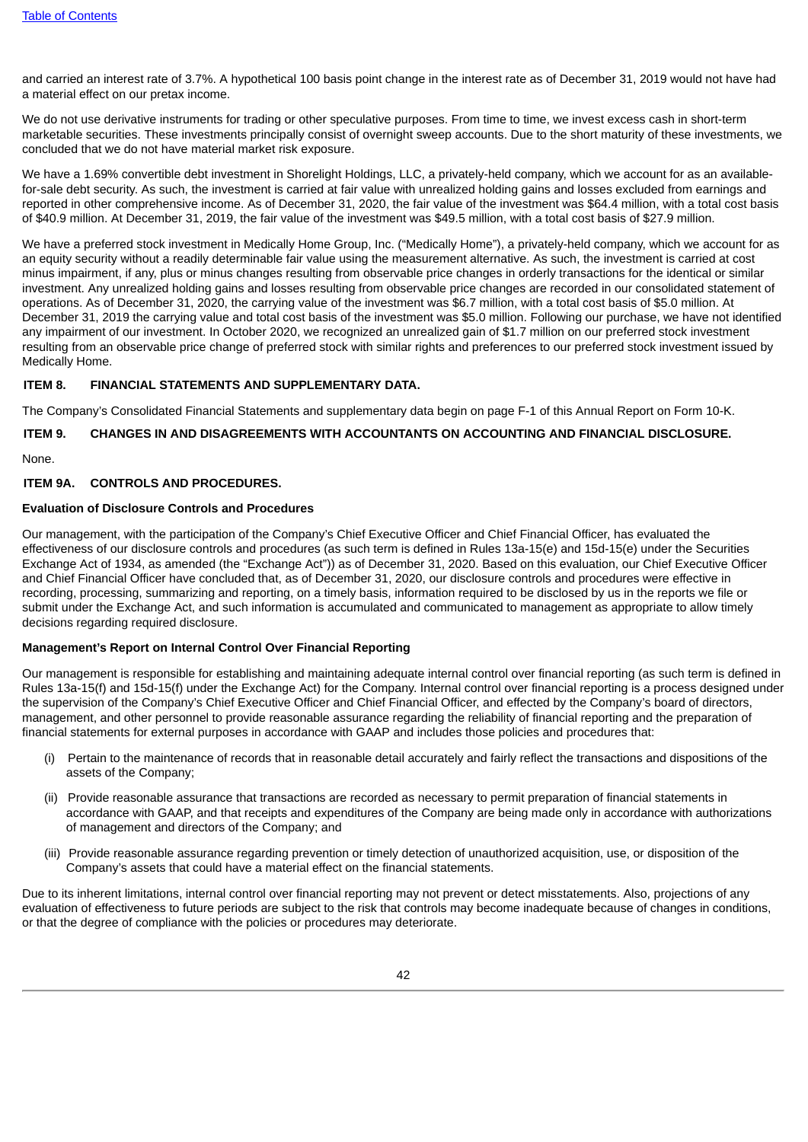and carried an interest rate of 3.7%. A hypothetical 100 basis point change in the interest rate as of December 31, 2019 would not have had a material effect on our pretax income.

We do not use derivative instruments for trading or other speculative purposes. From time to time, we invest excess cash in short-term marketable securities. These investments principally consist of overnight sweep accounts. Due to the short maturity of these investments, we concluded that we do not have material market risk exposure.

We have a 1.69% convertible debt investment in Shorelight Holdings, LLC, a privately-held company, which we account for as an availablefor-sale debt security. As such, the investment is carried at fair value with unrealized holding gains and losses excluded from earnings and reported in other comprehensive income. As of December 31, 2020, the fair value of the investment was \$64.4 million, with a total cost basis of \$40.9 million. At December 31, 2019, the fair value of the investment was \$49.5 million, with a total cost basis of \$27.9 million.

We have a preferred stock investment in Medically Home Group, Inc. ("Medically Home"), a privately-held company, which we account for as an equity security without a readily determinable fair value using the measurement alternative. As such, the investment is carried at cost minus impairment, if any, plus or minus changes resulting from observable price changes in orderly transactions for the identical or similar investment. Any unrealized holding gains and losses resulting from observable price changes are recorded in our consolidated statement of operations. As of December 31, 2020, the carrying value of the investment was \$6.7 million, with a total cost basis of \$5.0 million. At December 31, 2019 the carrying value and total cost basis of the investment was \$5.0 million. Following our purchase, we have not identified any impairment of our investment. In October 2020, we recognized an unrealized gain of \$1.7 million on our preferred stock investment resulting from an observable price change of preferred stock with similar rights and preferences to our preferred stock investment issued by Medically Home.

## **ITEM 8. FINANCIAL STATEMENTS AND SUPPLEMENTARY DATA.**

The Company's Consolidated Financial Statements and supplementary data begin on page F-1 of this Annual Report on Form 10-K.

#### **ITEM 9. CHANGES IN AND DISAGREEMENTS WITH ACCOUNTANTS ON ACCOUNTING AND FINANCIAL DISCLOSURE.**

None.

## **ITEM 9A. CONTROLS AND PROCEDURES.**

#### **Evaluation of Disclosure Controls and Procedures**

Our management, with the participation of the Company's Chief Executive Officer and Chief Financial Officer, has evaluated the effectiveness of our disclosure controls and procedures (as such term is defined in Rules 13a-15(e) and 15d-15(e) under the Securities Exchange Act of 1934, as amended (the "Exchange Act")) as of December 31, 2020. Based on this evaluation, our Chief Executive Officer and Chief Financial Officer have concluded that, as of December 31, 2020, our disclosure controls and procedures were effective in recording, processing, summarizing and reporting, on a timely basis, information required to be disclosed by us in the reports we file or submit under the Exchange Act, and such information is accumulated and communicated to management as appropriate to allow timely decisions regarding required disclosure.

## **Management's Report on Internal Control Over Financial Reporting**

Our management is responsible for establishing and maintaining adequate internal control over financial reporting (as such term is defined in Rules 13a-15(f) and 15d-15(f) under the Exchange Act) for the Company. Internal control over financial reporting is a process designed under the supervision of the Company's Chief Executive Officer and Chief Financial Officer, and effected by the Company's board of directors, management, and other personnel to provide reasonable assurance regarding the reliability of financial reporting and the preparation of financial statements for external purposes in accordance with GAAP and includes those policies and procedures that:

- (i) Pertain to the maintenance of records that in reasonable detail accurately and fairly reflect the transactions and dispositions of the assets of the Company;
- (ii) Provide reasonable assurance that transactions are recorded as necessary to permit preparation of financial statements in accordance with GAAP, and that receipts and expenditures of the Company are being made only in accordance with authorizations of management and directors of the Company; and
- (iii) Provide reasonable assurance regarding prevention or timely detection of unauthorized acquisition, use, or disposition of the Company's assets that could have a material effect on the financial statements.

Due to its inherent limitations, internal control over financial reporting may not prevent or detect misstatements. Also, projections of any evaluation of effectiveness to future periods are subject to the risk that controls may become inadequate because of changes in conditions, or that the degree of compliance with the policies or procedures may deteriorate.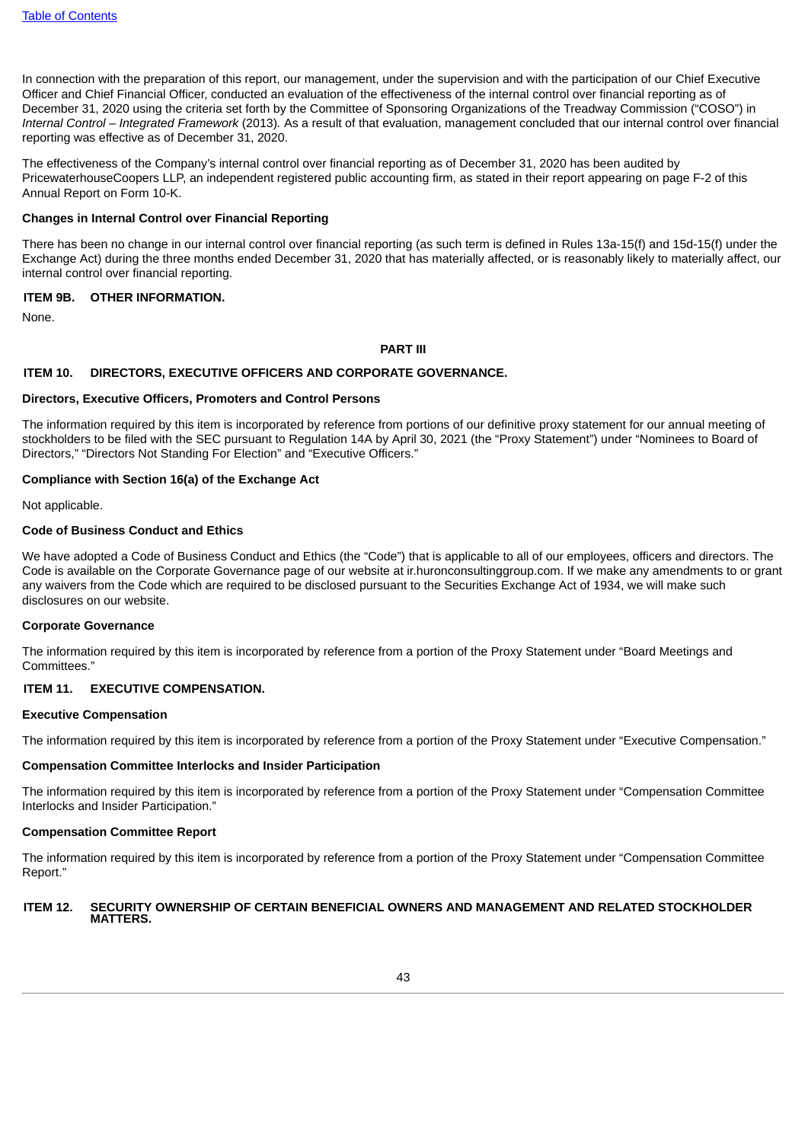In connection with the preparation of this report, our management, under the supervision and with the participation of our Chief Executive Officer and Chief Financial Officer, conducted an evaluation of the effectiveness of the internal control over financial reporting as of December 31, 2020 using the criteria set forth by the Committee of Sponsoring Organizations of the Treadway Commission ("COSO") in *Internal Control – Integrated Framework* (2013)*.* As a result of that evaluation, management concluded that our internal control over financial reporting was effective as of December 31, 2020.

The effectiveness of the Company's internal control over financial reporting as of December 31, 2020 has been audited by PricewaterhouseCoopers LLP, an independent registered public accounting firm, as stated in their report appearing on page F-2 of this Annual Report on Form 10-K.

## **Changes in Internal Control over Financial Reporting**

There has been no change in our internal control over financial reporting (as such term is defined in Rules 13a-15(f) and 15d-15(f) under the Exchange Act) during the three months ended December 31, 2020 that has materially affected, or is reasonably likely to materially affect, our internal control over financial reporting.

## **ITEM 9B. OTHER INFORMATION.**

None.

## **PART III**

## **ITEM 10. DIRECTORS, EXECUTIVE OFFICERS AND CORPORATE GOVERNANCE.**

#### **Directors, Executive Officers, Promoters and Control Persons**

The information required by this item is incorporated by reference from portions of our definitive proxy statement for our annual meeting of stockholders to be filed with the SEC pursuant to Regulation 14A by April 30, 2021 (the "Proxy Statement") under "Nominees to Board of Directors," "Directors Not Standing For Election" and "Executive Officers."

## **Compliance with Section 16(a) of the Exchange Act**

Not applicable.

## **Code of Business Conduct and Ethics**

We have adopted a Code of Business Conduct and Ethics (the "Code") that is applicable to all of our employees, officers and directors. The Code is available on the Corporate Governance page of our website at ir.huronconsultinggroup.com. If we make any amendments to or grant any waivers from the Code which are required to be disclosed pursuant to the Securities Exchange Act of 1934, we will make such disclosures on our website.

#### **Corporate Governance**

The information required by this item is incorporated by reference from a portion of the Proxy Statement under "Board Meetings and Committees."

## **ITEM 11. EXECUTIVE COMPENSATION.**

#### **Executive Compensation**

The information required by this item is incorporated by reference from a portion of the Proxy Statement under "Executive Compensation."

#### **Compensation Committee Interlocks and Insider Participation**

The information required by this item is incorporated by reference from a portion of the Proxy Statement under "Compensation Committee Interlocks and Insider Participation."

#### **Compensation Committee Report**

The information required by this item is incorporated by reference from a portion of the Proxy Statement under "Compensation Committee Report."

#### **ITEM 12. SECURITY OWNERSHIP OF CERTAIN BENEFICIAL OWNERS AND MANAGEMENT AND RELATED STOCKHOLDER MATTERS.**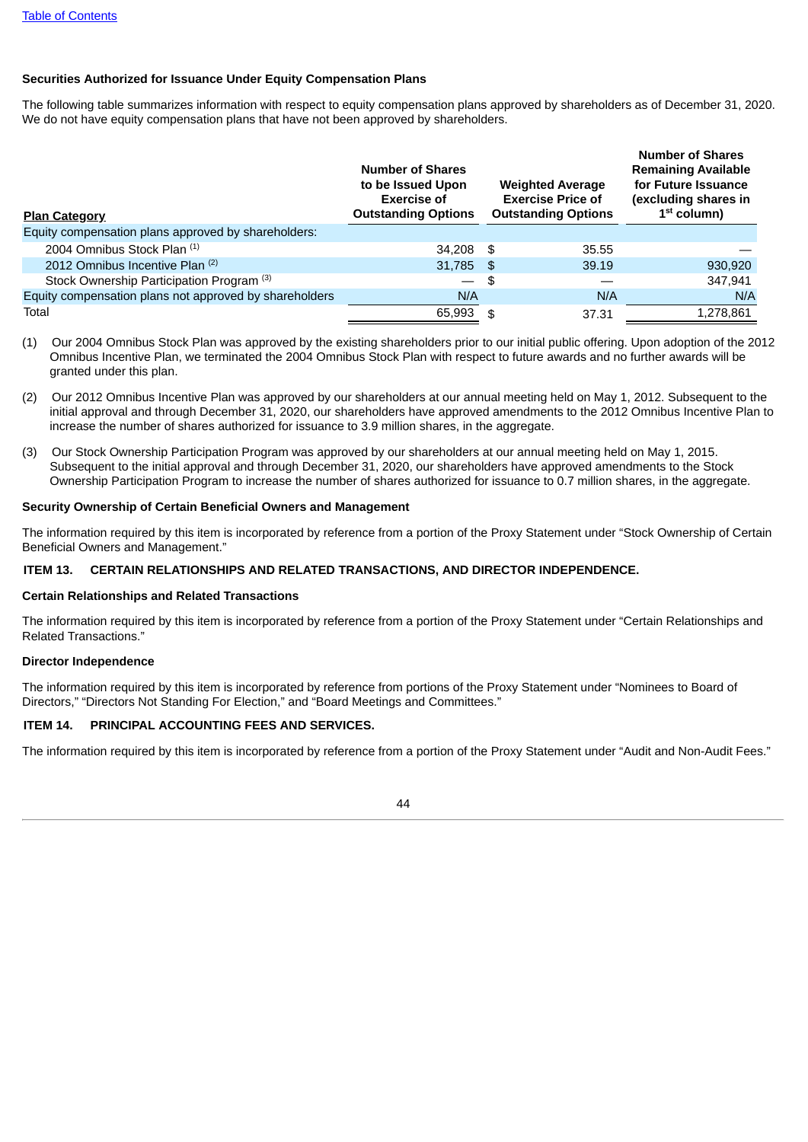## **Securities Authorized for Issuance Under Equity Compensation Plans**

The following table summarizes information with respect to equity compensation plans approved by shareholders as of December 31, 2020. We do not have equity compensation plans that have not been approved by shareholders.

| <b>Plan Category</b>                                   | <b>Number of Shares</b><br>to be Issued Upon<br><b>Exercise of</b><br><b>Outstanding Options</b> |      | <b>Weighted Average</b><br><b>Exercise Price of</b><br><b>Outstanding Options</b> | <b>Number of Shares</b><br><b>Remaining Available</b><br>for Future Issuance<br>(excluding shares in<br>$1st$ column) |  |  |
|--------------------------------------------------------|--------------------------------------------------------------------------------------------------|------|-----------------------------------------------------------------------------------|-----------------------------------------------------------------------------------------------------------------------|--|--|
| Equity compensation plans approved by shareholders:    |                                                                                                  |      |                                                                                   |                                                                                                                       |  |  |
| 2004 Omnibus Stock Plan (1)                            | 34.208                                                                                           | - \$ | 35.55                                                                             |                                                                                                                       |  |  |
| 2012 Omnibus Incentive Plan (2)                        | 31,785                                                                                           | - \$ | 39.19                                                                             | 930,920                                                                                                               |  |  |
| Stock Ownership Participation Program <sup>(3)</sup>   |                                                                                                  | -\$  |                                                                                   | 347,941                                                                                                               |  |  |
| Equity compensation plans not approved by shareholders | N/A                                                                                              |      | N/A                                                                               | N/A                                                                                                                   |  |  |
| Total                                                  | 65,993                                                                                           |      | 37.31                                                                             | 1,278,861                                                                                                             |  |  |

- (1) Our 2004 Omnibus Stock Plan was approved by the existing shareholders prior to our initial public offering. Upon adoption of the 2012 Omnibus Incentive Plan, we terminated the 2004 Omnibus Stock Plan with respect to future awards and no further awards will be granted under this plan.
- (2) Our 2012 Omnibus Incentive Plan was approved by our shareholders at our annual meeting held on May 1, 2012. Subsequent to the initial approval and through December 31, 2020, our shareholders have approved amendments to the 2012 Omnibus Incentive Plan to increase the number of shares authorized for issuance to 3.9 million shares, in the aggregate.
- (3) Our Stock Ownership Participation Program was approved by our shareholders at our annual meeting held on May 1, 2015. Subsequent to the initial approval and through December 31, 2020, our shareholders have approved amendments to the Stock Ownership Participation Program to increase the number of shares authorized for issuance to 0.7 million shares, in the aggregate.

## **Security Ownership of Certain Beneficial Owners and Management**

The information required by this item is incorporated by reference from a portion of the Proxy Statement under "Stock Ownership of Certain Beneficial Owners and Management."

## **ITEM 13. CERTAIN RELATIONSHIPS AND RELATED TRANSACTIONS, AND DIRECTOR INDEPENDENCE.**

#### **Certain Relationships and Related Transactions**

The information required by this item is incorporated by reference from a portion of the Proxy Statement under "Certain Relationships and Related Transactions."

## **Director Independence**

The information required by this item is incorporated by reference from portions of the Proxy Statement under "Nominees to Board of Directors," "Directors Not Standing For Election," and "Board Meetings and Committees."

# **ITEM 14. PRINCIPAL ACCOUNTING FEES AND SERVICES.**

The information required by this item is incorporated by reference from a portion of the Proxy Statement under "Audit and Non-Audit Fees."

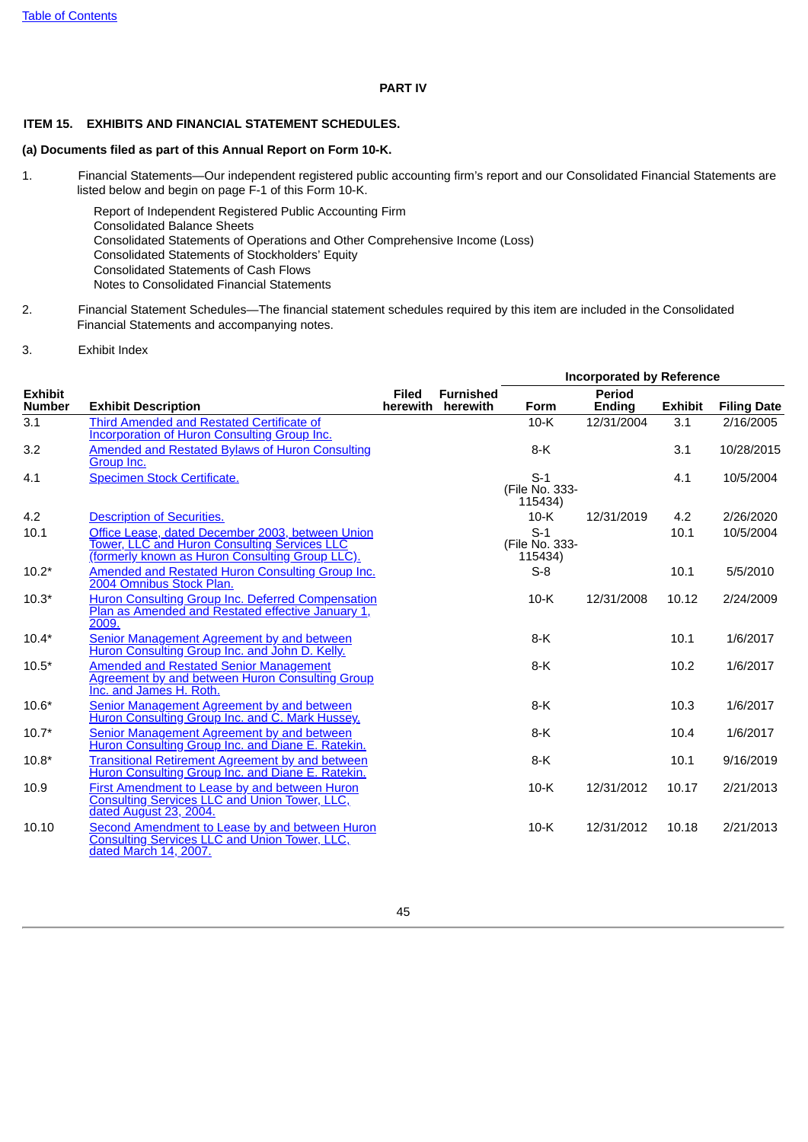## **PART IV**

## **ITEM 15. EXHIBITS AND FINANCIAL STATEMENT SCHEDULES.**

## **(a) Documents filed as part of this Annual Report on Form 10-K.**

1. Financial Statements—Our independent registered public accounting firm's report and our Consolidated Financial Statements are listed below and begin on page F-1 of this Form 10-K.

Report of Independent Registered Public Accounting Firm Consolidated Balance Sheets Consolidated Statements of Operations and Other Comprehensive Income (Loss) Consolidated Statements of Stockholders' Equity Consolidated Statements of Cash Flows Notes to Consolidated Financial Statements

- 2. Financial Statement Schedules—The financial statement schedules required by this item are included in the Consolidated Financial Statements and accompanying notes.
- 3. Exhibit Index

|                                 |                                                                                                                                                                   |       |                                       | <b>Incorporated by Reference</b>   |                         |                |                    |  |
|---------------------------------|-------------------------------------------------------------------------------------------------------------------------------------------------------------------|-------|---------------------------------------|------------------------------------|-------------------------|----------------|--------------------|--|
| <b>Exhibit</b><br><b>Number</b> | <b>Exhibit Description</b>                                                                                                                                        | Filed | <b>Furnished</b><br>herewith herewith | Form                               | <b>Period</b><br>Ending | <b>Exhibit</b> | <b>Filing Date</b> |  |
| 3.1                             | Third Amended and Restated Certificate of<br><b>Incorporation of Huron Consulting Group Inc.</b>                                                                  |       |                                       | $10-K$                             | 12/31/2004              | 3.1            | 2/16/2005          |  |
| 3.2                             | <b>Amended and Restated Bylaws of Huron Consulting</b><br><b>Group Inc.</b>                                                                                       |       |                                       | $8-K$                              |                         | 3.1            | 10/28/2015         |  |
| 4.1                             | Specimen Stock Certificate.                                                                                                                                       |       |                                       | $S-1$<br>(File No. 333-<br>115434) |                         | 4.1            | 10/5/2004          |  |
| 4.2                             | <b>Description of Securities.</b>                                                                                                                                 |       |                                       | $10-K$                             | 12/31/2019              | 4.2            | 2/26/2020          |  |
| 10.1                            | Office Lease, dated December 2003, between Union<br><b>Tower, LLC and Huron Consulting Services LLC</b><br><u>(formerly known as Huron Consulting Group LLC).</u> |       |                                       | $S-1$<br>(File No. 333-<br>115434) |                         | 10.1           | 10/5/2004          |  |
| $10.2*$                         | <b>Amended and Restated Huron Consulting Group Inc.</b><br>2004 Omnibus Stock Plan.                                                                               |       |                                       | $S-8$                              |                         | 10.1           | 5/5/2010           |  |
| $10.3*$                         | <b>Huron Consulting Group Inc. Deferred Compensation</b><br>Plan as Amended and Restated effective January 1,<br>2009.                                            |       |                                       | $10-K$                             | 12/31/2008              | 10.12          | 2/24/2009          |  |
| $10.4*$                         | Senior Management Agreement by and between<br>Huron Consulting Group Inc. and John D. Kelly.                                                                      |       |                                       | $8-K$                              |                         | 10.1           | 1/6/2017           |  |
| $10.5*$                         | <b>Amended and Restated Senior Management</b><br><b>Agreement by and between Huron Consulting Group</b><br>Inc. and James H. Roth.                                |       |                                       | $8-K$                              |                         | 10.2           | 1/6/2017           |  |
| $10.6*$                         | <b>Senior Management Agreement by and between</b><br>Huron Consulting Group Inc. and C. Mark Hussey.                                                              |       |                                       | $8-K$                              |                         | 10.3           | 1/6/2017           |  |
| $10.7*$                         | Senior Management Agreement by and between<br>Huron Consulting Group Inc. and Diane E. Ratekin.                                                                   |       |                                       | $8-K$                              |                         | 10.4           | 1/6/2017           |  |
| $10.8*$                         | <b>Transitional Retirement Agreement by and between</b><br>Huron Consulting Group Inc. and Diane E. Ratekin.                                                      |       |                                       | $8-K$                              |                         | 10.1           | 9/16/2019          |  |
| 10.9                            | First Amendment to Lease by and between Huron<br><b>Consulting Services LLC and Union Tower, LLC,</b><br>dated August 23, 2004.                                   |       |                                       | $10-K$                             | 12/31/2012              | 10.17          | 2/21/2013          |  |
| 10.10                           | Second Amendment to Lease by and between Huron<br>Consulting Services LLC and Union Tower, LLC,<br>dated March 14, 2007.                                          |       |                                       | $10-K$                             | 12/31/2012              | 10.18          | 2/21/2013          |  |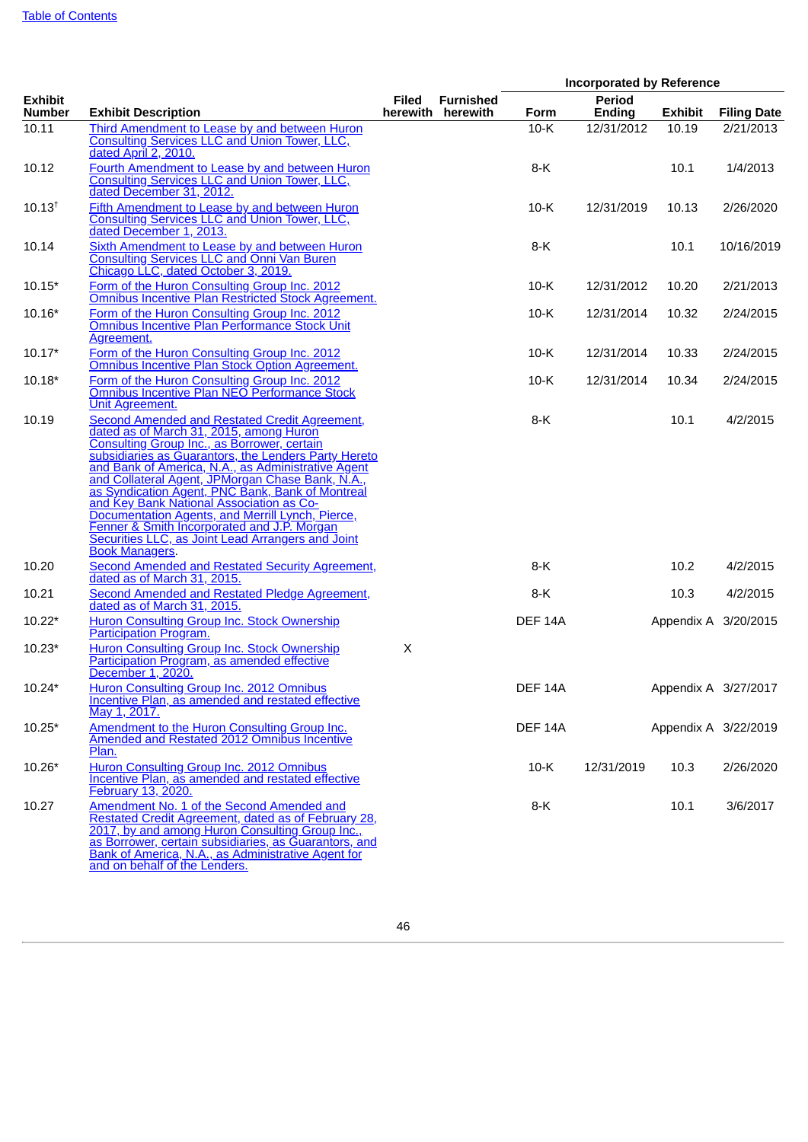|                                 |                                                                                                                                                                                                                                                                                                                                                                                                                                                                                                                                                                                            |             |                                       | <b>Incorporated by Reference</b> |                                |                      |                    |  |
|---------------------------------|--------------------------------------------------------------------------------------------------------------------------------------------------------------------------------------------------------------------------------------------------------------------------------------------------------------------------------------------------------------------------------------------------------------------------------------------------------------------------------------------------------------------------------------------------------------------------------------------|-------------|---------------------------------------|----------------------------------|--------------------------------|----------------------|--------------------|--|
| <b>Exhibit</b><br><b>Number</b> | <b>Exhibit Description</b>                                                                                                                                                                                                                                                                                                                                                                                                                                                                                                                                                                 | Filed       | <b>Furnished</b><br>herewith herewith | Form                             | <b>Period</b><br><b>Ending</b> | <b>Exhibit</b>       | <b>Filing Date</b> |  |
| 10.11                           | Third Amendment to Lease by and between Huron<br><b>Consulting Services LLC and Union Tower, LLC,</b><br>dated April 2, 2010.                                                                                                                                                                                                                                                                                                                                                                                                                                                              |             |                                       | $10-K$                           | 12/31/2012                     | 10.19                | 2/21/2013          |  |
| 10.12                           | Fourth Amendment to Lease by and between Huron<br><b>Consulting Services LLC and Union Tower, LLC,</b><br>dated December 31, 2012.                                                                                                                                                                                                                                                                                                                                                                                                                                                         |             |                                       | $8-K$                            |                                | 10.1                 | 1/4/2013           |  |
| $10.13^{+}$                     | <b>Fifth Amendment to Lease by and between Huron</b><br>Consulting Services LLC and Union Tower, LLC,<br>dated December 1, 2013.                                                                                                                                                                                                                                                                                                                                                                                                                                                           |             |                                       | $10-K$                           | 12/31/2019                     | 10.13                | 2/26/2020          |  |
| 10.14                           | Sixth Amendment to Lease by and between Huron<br><b>Consulting Services LLC and Onni Van Buren</b><br>Chicago LLC, dated October 3, 2019.                                                                                                                                                                                                                                                                                                                                                                                                                                                  |             |                                       | $8-K$                            |                                | 10.1                 | 10/16/2019         |  |
| $10.15*$                        | Form of the Huron Consulting Group Inc. 2012<br><b>Omnibus Incentive Plan Restricted Stock Agreement.</b>                                                                                                                                                                                                                                                                                                                                                                                                                                                                                  |             |                                       | $10-K$                           | 12/31/2012                     | 10.20                | 2/21/2013          |  |
| $10.16*$                        | Form of the Huron Consulting Group Inc. 2012<br>Omnibus Incentive Plan Performance Stock Unit<br>Agreement.                                                                                                                                                                                                                                                                                                                                                                                                                                                                                |             |                                       | $10-K$                           | 12/31/2014                     | 10.32                | 2/24/2015          |  |
| $10.17*$                        | Form of the Huron Consulting Group Inc. 2012<br>Omnibus Incentive Plan Stock Option Agreement.                                                                                                                                                                                                                                                                                                                                                                                                                                                                                             |             |                                       | $10-K$                           | 12/31/2014                     | 10.33                | 2/24/2015          |  |
| $10.18*$                        | Form of the Huron Consulting Group Inc. 2012<br>Omnibus Incentive Plan NEO Performance Stock<br><b>Unit Agreement.</b>                                                                                                                                                                                                                                                                                                                                                                                                                                                                     |             |                                       | $10-K$                           | 12/31/2014                     | 10.34                | 2/24/2015          |  |
| 10.19                           | Second Amended and Restated Credit Agreement,<br>dated as of March 31, 2015, among Huron<br>Consulting Group Inc., as Borrower, certain<br>subsidiaries as Guarantors, the Lenders Party Hereto<br>and Bank of America, N.A., as Administrative Agent<br>and Collateral Agent, JPMorgan Chase Bank, N.A.,<br>as Syndication Agent, PNC Bank, Bank of Montreal<br>and Key Bank National Association as Co-<br>Documentation Agents, and Merrill Lynch, Pierce,<br>Fenner & Smith Incorporated and J.P. Morgan<br>Securities LLC, as Joint Lead Arrangers and Joint<br><b>Book Managers.</b> |             |                                       | $8-K$                            |                                | 10.1                 | 4/2/2015           |  |
| 10.20                           | <b>Second Amended and Restated Security Agreement,</b><br>dated as of March 31, 2015.                                                                                                                                                                                                                                                                                                                                                                                                                                                                                                      |             |                                       | $8-K$                            |                                | 10.2                 | 4/2/2015           |  |
| 10.21                           | Second Amended and Restated Pledge Agreement,<br>dated as of March 31, 2015.                                                                                                                                                                                                                                                                                                                                                                                                                                                                                                               |             |                                       | $8-K$                            |                                | 10.3                 | 4/2/2015           |  |
| $10.22*$                        | <b>Huron Consulting Group Inc. Stock Ownership</b><br>Participation Program.                                                                                                                                                                                                                                                                                                                                                                                                                                                                                                               |             |                                       | DEF <sub>14A</sub>               |                                | Appendix A 3/20/2015 |                    |  |
| $10.23*$                        | <b>Huron Consulting Group Inc. Stock Ownership</b><br>Participation Program, as amended effective<br>December 1, 2020.                                                                                                                                                                                                                                                                                                                                                                                                                                                                     | $\mathsf X$ |                                       |                                  |                                |                      |                    |  |
| $10.24*$                        | Huron Consulting Group Inc. 2012 Omnibus<br>Incentive Plan, as amended and restated effective<br>May 1, 2017.                                                                                                                                                                                                                                                                                                                                                                                                                                                                              |             |                                       | DEF <sub>14A</sub>               |                                | Appendix A 3/27/2017 |                    |  |
| 10.25*                          | <b>Amendment to the Huron Consulting Group Inc.</b><br>Amended and Restated 2012 Omnibus Incentive<br>Plan.                                                                                                                                                                                                                                                                                                                                                                                                                                                                                |             |                                       | DEF <sub>14A</sub>               |                                | Appendix A 3/22/2019 |                    |  |
| 10.26*                          | <b>Huron Consulting Group Inc. 2012 Omnibus</b><br>Incentive Plan, as amended and restated effective<br>February 13, 2020.                                                                                                                                                                                                                                                                                                                                                                                                                                                                 |             |                                       | $10-K$                           | 12/31/2019                     | 10.3                 | 2/26/2020          |  |
| 10.27                           | Amendment No. 1 of the Second Amended and<br>Restated Credit Agreement, dated as of February 28.<br>2017, by and among Huron Consulting Group Inc.,<br>as Borrower, certain subsidiaries, as Guarantors, and<br>Bank of America, N.A., as Administrative Agent for<br>and on behalf of the Lenders.                                                                                                                                                                                                                                                                                        |             |                                       | $8-K$                            |                                | 10.1                 | 3/6/2017           |  |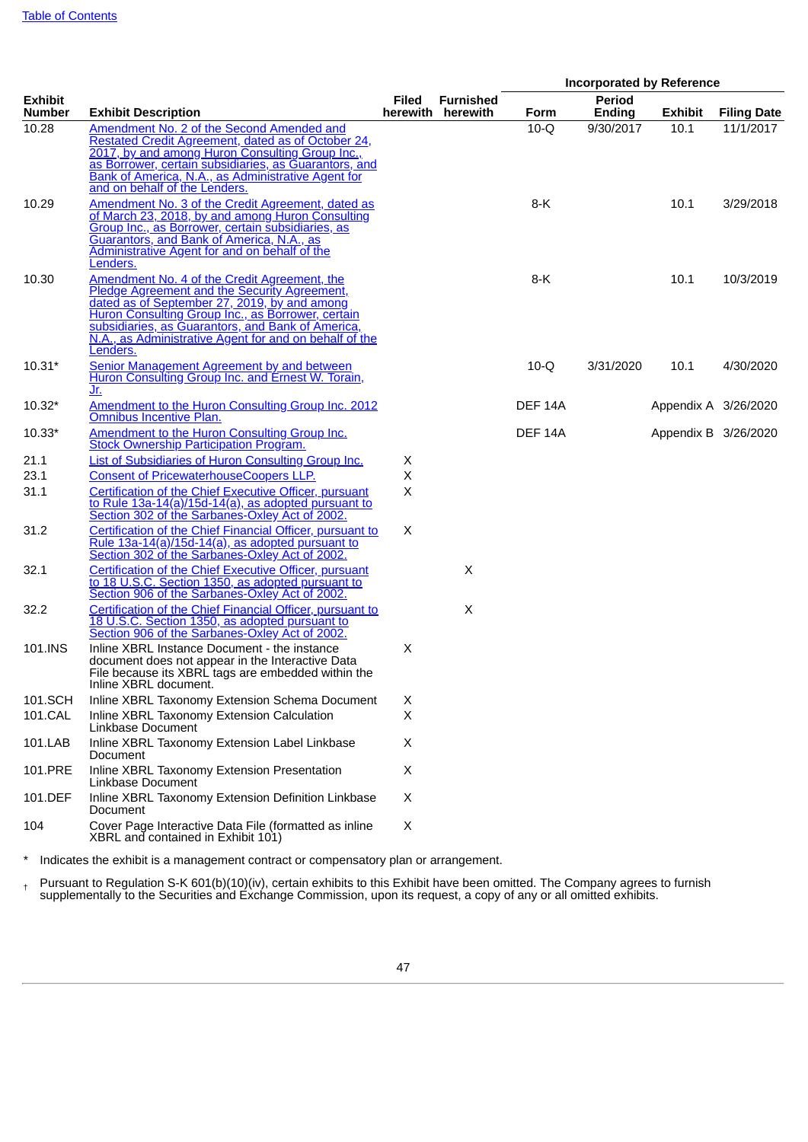|                                 |                                                                                                                                                                                                                                                                                                                                     |             |                                       | <b>Incorporated by Reference</b> |                  |                      |                    |  |
|---------------------------------|-------------------------------------------------------------------------------------------------------------------------------------------------------------------------------------------------------------------------------------------------------------------------------------------------------------------------------------|-------------|---------------------------------------|----------------------------------|------------------|----------------------|--------------------|--|
| <b>Exhibit</b><br><b>Number</b> | <b>Exhibit Description</b>                                                                                                                                                                                                                                                                                                          | Filed       | <b>Furnished</b><br>herewith herewith | Form                             | Period<br>Ending | <b>Exhibit</b>       | <b>Filing Date</b> |  |
| 10.28                           | Amendment No. 2 of the Second Amended and<br>Restated Credit Agreement, dated as of October 24,<br>2017, by and among Huron Consulting Group Inc.,<br>as Borrower, certain subsidiaries, as Guarantors, and<br>Bank of America, N.A., as Administrative Agent for<br>and on behalf of the Lenders.                                  |             |                                       | $10-°$                           | 9/30/2017        | 10.1                 | 11/1/2017          |  |
| 10.29                           | Amendment No. 3 of the Credit Agreement, dated as<br>of March 23, 2018, by and among Huron Consulting<br>Group Inc., as Borrower, certain subsidiaries, as<br>Guarantors, and Bank of America, N.A., as<br><b>Administrative Agent for and on behalf of the</b><br>Lenders.                                                         |             |                                       | $8-K$                            |                  | 10.1                 | 3/29/2018          |  |
| 10.30                           | Amendment No. 4 of the Credit Agreement, the<br><b>Pledge Agreement and the Security Agreement,</b><br>dated as of September 27, 2019, by and among<br>Huron Consulting Group Inc., as Borrower, certain<br>subsidiaries, as Guarantors, and Bank of America,<br>N.A., as Administrative Agent for and on behalf of the<br>Lenders. |             |                                       | $8-K$                            |                  | 10.1                 | 10/3/2019          |  |
| $10.31*$                        | <b>Senior Management Agreement by and between</b><br>Huron Consulting Group Inc. and Ernest W. Torain,<br>Jr.                                                                                                                                                                                                                       |             |                                       | $10-Q$                           | 3/31/2020        | 10.1                 | 4/30/2020          |  |
| $10.32*$                        | Amendment to the Huron Consulting Group Inc. 2012<br>Omnibus Incentive Plan.                                                                                                                                                                                                                                                        |             |                                       | DEF <sub>14</sub> A              |                  | Appendix A 3/26/2020 |                    |  |
| $10.33*$                        | Amendment to the Huron Consulting Group Inc.<br>Stock Ownership Participation Program.                                                                                                                                                                                                                                              |             |                                       | DEF <sub>14A</sub>               |                  | Appendix B 3/26/2020 |                    |  |
| 21.1                            | List of Subsidiaries of Huron Consulting Group Inc.                                                                                                                                                                                                                                                                                 | Χ           |                                       |                                  |                  |                      |                    |  |
| 23.1                            | <b>Consent of PricewaterhouseCoopers LLP.</b>                                                                                                                                                                                                                                                                                       | X           |                                       |                                  |                  |                      |                    |  |
| 31.1                            | Certification of the Chief Executive Officer, pursuant<br>to Rule $13a-14(a)/15d-14(a)$ , as adopted pursuant to<br>Section 302 of the Sarbanes-Oxley Act of 2002.                                                                                                                                                                  | $\mathsf X$ |                                       |                                  |                  |                      |                    |  |
| 31.2                            | Certification of the Chief Financial Officer, pursuant to<br>Rule 13a-14(a)/15d-14(a), as adopted pursuant to<br>Section 302 of the Sarbanes-Oxley Act of 2002.                                                                                                                                                                     | X           |                                       |                                  |                  |                      |                    |  |
| 32.1                            | <b>Certification of the Chief Executive Officer, pursuant</b><br>to 18 U.S.C. Section 1350, as adopted pursuant to<br>Section 906 of the Sarbanes-Oxley Act of 2002.                                                                                                                                                                |             | X                                     |                                  |                  |                      |                    |  |
| 32.2                            | Certification of the Chief Financial Officer, pursuant to<br>18 U.S.C. Section 1350, as adopted pursuant to<br>Section 906 of the Sarbanes-Oxley Act of 2002.                                                                                                                                                                       |             | Χ                                     |                                  |                  |                      |                    |  |
| 101.INS                         | Inline XBRL Instance Document - the instance<br>document does not appear in the Interactive Data<br>File because its XBRL tags are embedded within the<br>Inline XBRL document.                                                                                                                                                     | Χ           |                                       |                                  |                  |                      |                    |  |
| 101.SCH                         | Inline XBRL Taxonomy Extension Schema Document                                                                                                                                                                                                                                                                                      | X           |                                       |                                  |                  |                      |                    |  |
| 101.CAL                         | Inline XBRL Taxonomy Extension Calculation<br>Linkbase Document                                                                                                                                                                                                                                                                     | X           |                                       |                                  |                  |                      |                    |  |
| 101.LAB                         | Inline XBRL Taxonomy Extension Label Linkbase<br>Document                                                                                                                                                                                                                                                                           | Χ           |                                       |                                  |                  |                      |                    |  |
| 101.PRE                         | Inline XBRL Taxonomy Extension Presentation<br>Linkbase Document                                                                                                                                                                                                                                                                    | Χ           |                                       |                                  |                  |                      |                    |  |
| 101.DEF                         | Inline XBRL Taxonomy Extension Definition Linkbase<br>Document                                                                                                                                                                                                                                                                      | Χ           |                                       |                                  |                  |                      |                    |  |
| 104                             | Cover Page Interactive Data File (formatted as inline<br>XBRL and contained in Exhibit 101)                                                                                                                                                                                                                                         | Χ           |                                       |                                  |                  |                      |                    |  |

\* Indicates the exhibit is a management contract or compensatory plan or arrangement.

Pursuant to Regulation S-K 601(b)(10)(iv), certain exhibits to this Exhibit have been omitted. The Company agrees to furnish supplementally to the Securities and Exchange Commission, upon its request, a copy of any or all omitted exhibits. †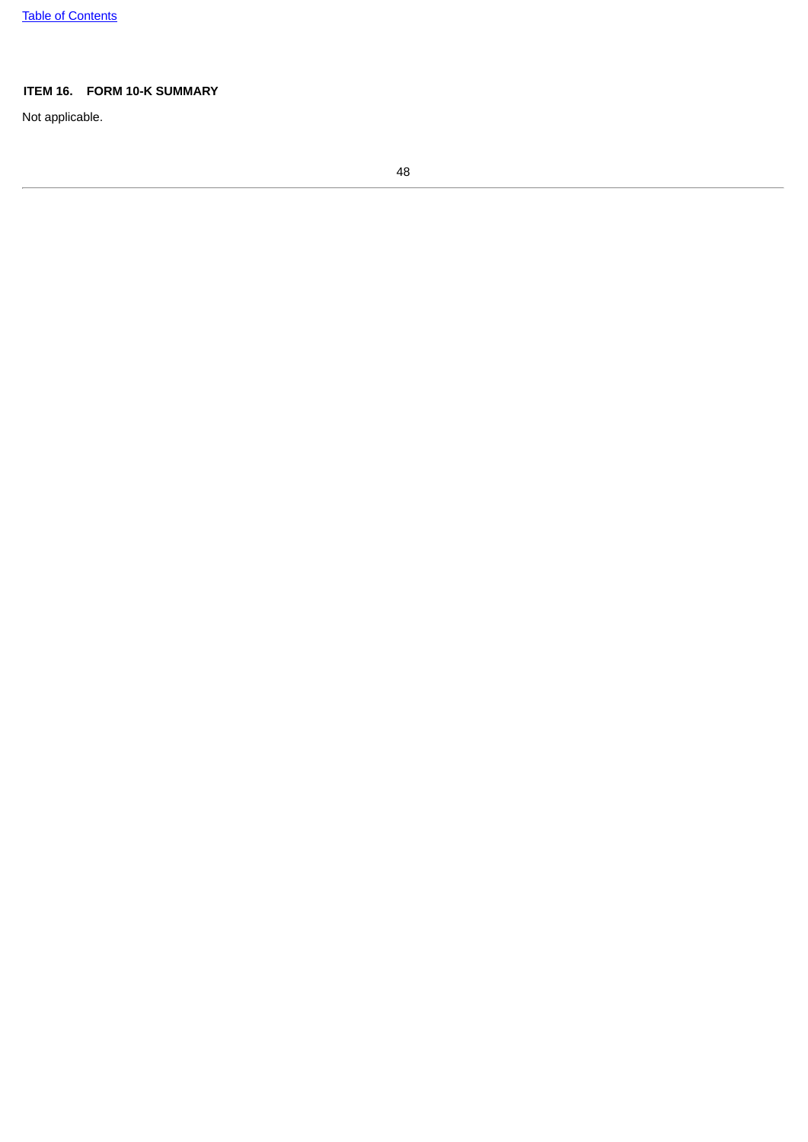# **ITEM 16. FORM 10-K SUMMARY**

Not applicable.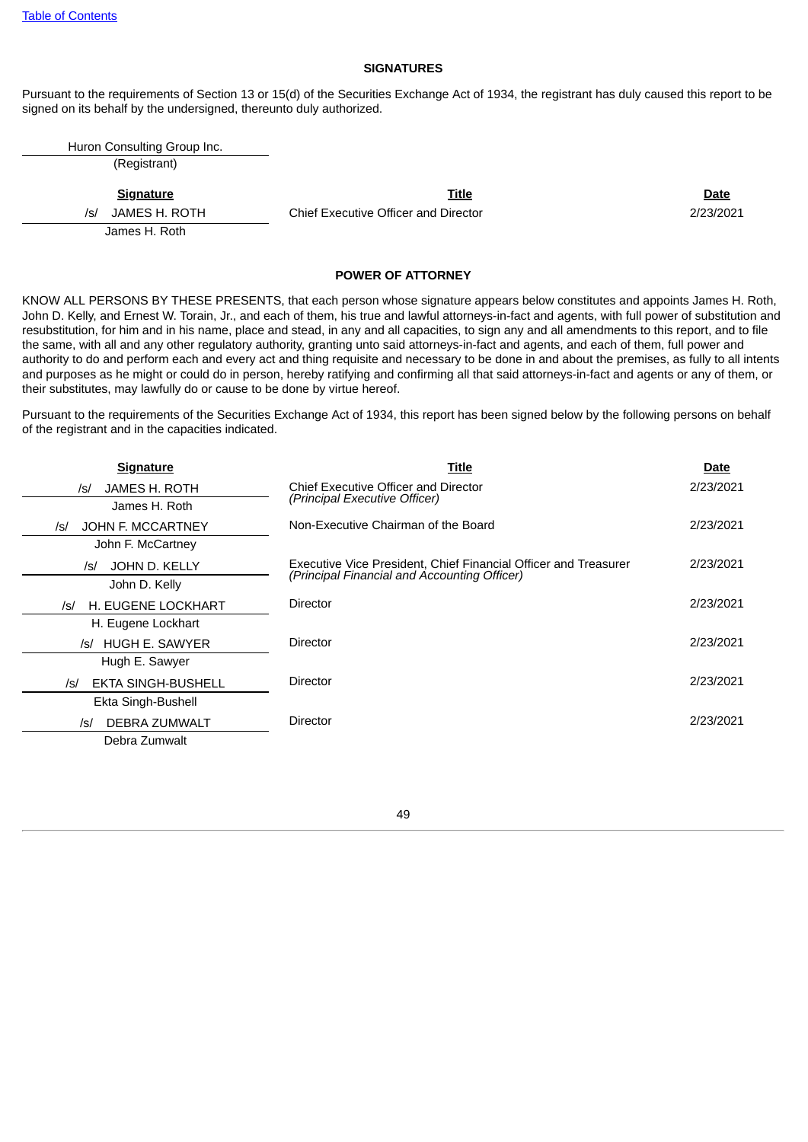#### **SIGNATURES**

Pursuant to the requirements of Section 13 or 15(d) of the Securities Exchange Act of 1934, the registrant has duly caused this report to be signed on its behalf by the undersigned, thereunto duly authorized.

Huron Consulting Group Inc.

(Registrant)

**Signature Title Date**

James H. Roth

/s/ JAMES H. ROTH Chief Executive Officer and Director 2/23/2021

# **POWER OF ATTORNEY**

KNOW ALL PERSONS BY THESE PRESENTS, that each person whose signature appears below constitutes and appoints James H. Roth, John D. Kelly, and Ernest W. Torain, Jr., and each of them, his true and lawful attorneys-in-fact and agents, with full power of substitution and resubstitution, for him and in his name, place and stead, in any and all capacities, to sign any and all amendments to this report, and to file the same, with all and any other regulatory authority, granting unto said attorneys-in-fact and agents, and each of them, full power and authority to do and perform each and every act and thing requisite and necessary to be done in and about the premises, as fully to all intents and purposes as he might or could do in person, hereby ratifying and confirming all that said attorneys-in-fact and agents or any of them, or their substitutes, may lawfully do or cause to be done by virtue hereof.

Pursuant to the requirements of the Securities Exchange Act of 1934, this report has been signed below by the following persons on behalf of the registrant and in the capacities indicated.

| <b>Signature</b>                 | <b>Title</b>                                                    | <b>Date</b> |
|----------------------------------|-----------------------------------------------------------------|-------------|
| JAMES H. ROTH<br>/s/             | Chief Executive Officer and Director                            | 2/23/2021   |
| James H. Roth                    | (Principal Executive Officer)                                   |             |
| JOHN F. MCCARTNEY<br>/s/         | Non-Executive Chairman of the Board                             | 2/23/2021   |
| John F. McCartney                |                                                                 |             |
| JOHN D. KELLY<br>/s/             | Executive Vice President, Chief Financial Officer and Treasurer | 2/23/2021   |
| John D. Kelly                    | (Principal Financial and Accounting Officer)                    |             |
| H. EUGENE LOCKHART<br>/s/        | <b>Director</b>                                                 | 2/23/2021   |
| H. Eugene Lockhart               |                                                                 |             |
| /s/ HUGH E. SAWYER               | <b>Director</b>                                                 | 2/23/2021   |
| Hugh E. Sawyer                   |                                                                 |             |
| <b>EKTA SINGH-BUSHELL</b><br>/s/ | <b>Director</b>                                                 | 2/23/2021   |
| Ekta Singh-Bushell               |                                                                 |             |
| DEBRA ZUMWALT<br>/s/             | <b>Director</b>                                                 | 2/23/2021   |
| Debra Zumwalt                    |                                                                 |             |

49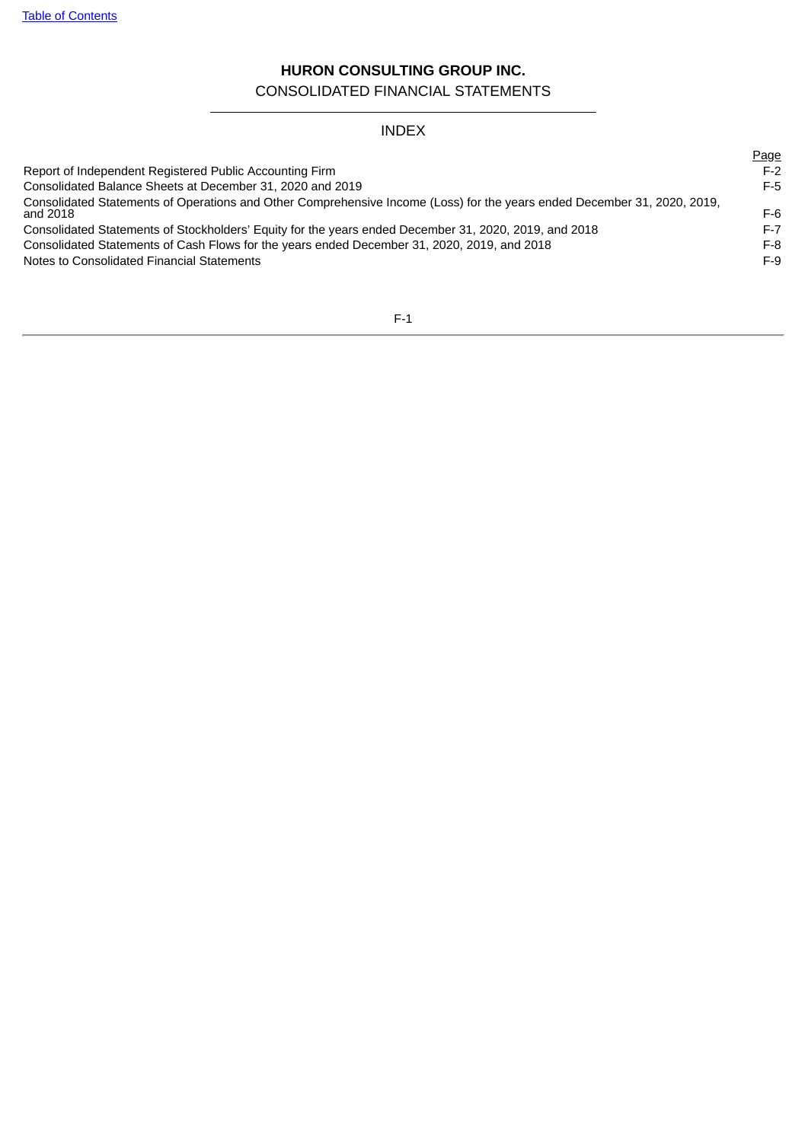# **HURON CONSULTING GROUP INC.**

CONSOLIDATED FINANCIAL STATEMENTS

# INDEX

<span id="page-51-0"></span>

|                                                                                                                                      | Page  |
|--------------------------------------------------------------------------------------------------------------------------------------|-------|
| Report of Independent Registered Public Accounting Firm                                                                              | $F-2$ |
| Consolidated Balance Sheets at December 31, 2020 and 2019                                                                            | $F-5$ |
| Consolidated Statements of Operations and Other Comprehensive Income (Loss) for the years ended December 31, 2020, 2019,<br>and 2018 | $F-6$ |
| Consolidated Statements of Stockholders' Equity for the years ended December 31, 2020, 2019, and 2018                                | $F-7$ |
| Consolidated Statements of Cash Flows for the years ended December 31, 2020, 2019, and 2018                                          | $F-8$ |
| Notes to Consolidated Financial Statements                                                                                           | $F-9$ |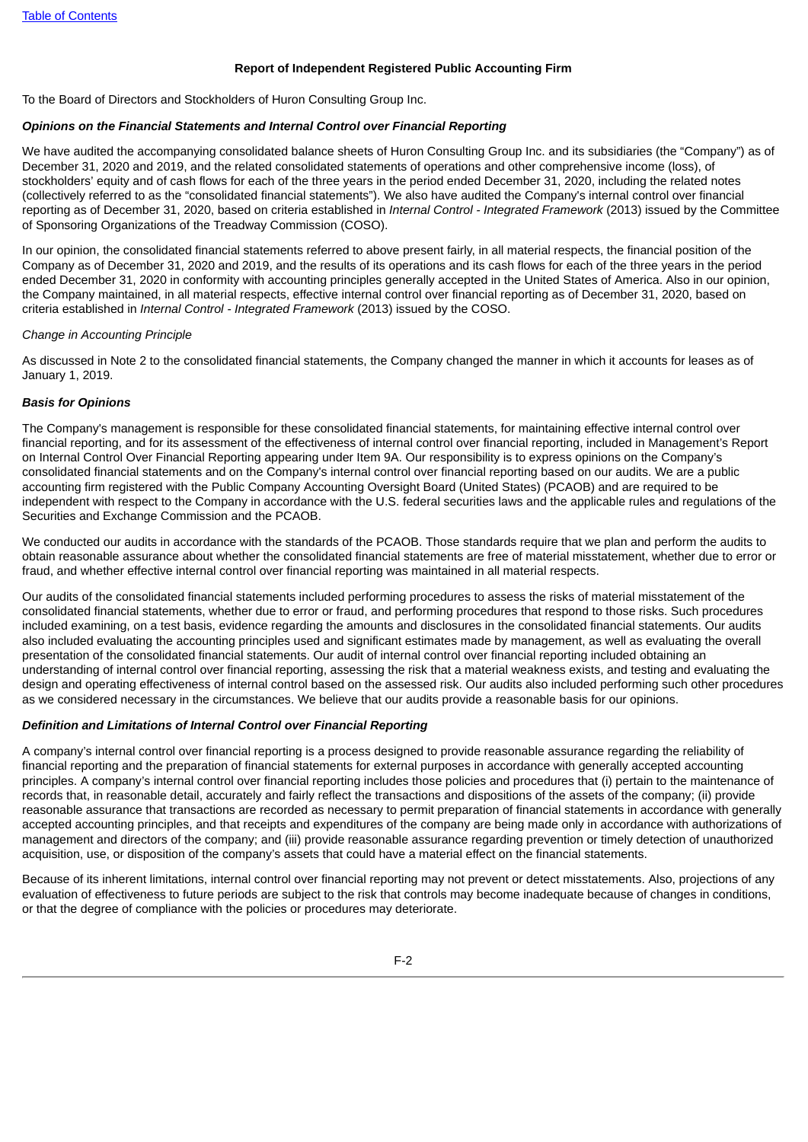## **Report of Independent Registered Public Accounting Firm**

To the Board of Directors and Stockholders of Huron Consulting Group Inc.

## *Opinions on the Financial Statements and Internal Control over Financial Reporting*

We have audited the accompanying consolidated balance sheets of Huron Consulting Group Inc. and its subsidiaries (the "Company") as of December 31, 2020 and 2019, and the related consolidated statements of operations and other comprehensive income (loss), of stockholders' equity and of cash flows for each of the three years in the period ended December 31, 2020, including the related notes (collectively referred to as the "consolidated financial statements"). We also have audited the Company's internal control over financial reporting as of December 31, 2020, based on criteria established in *Internal Control - Integrated Framework* (2013) issued by the Committee of Sponsoring Organizations of the Treadway Commission (COSO).

In our opinion, the consolidated financial statements referred to above present fairly, in all material respects, the financial position of the Company as of December 31, 2020 and 2019, and the results of its operations and its cash flows for each of the three years in the period ended December 31, 2020 in conformity with accounting principles generally accepted in the United States of America. Also in our opinion, the Company maintained, in all material respects, effective internal control over financial reporting as of December 31, 2020, based on criteria established in *Internal Control - Integrated Framework* (2013) issued by the COSO.

#### *Change in Accounting Principle*

As discussed in Note 2 to the consolidated financial statements, the Company changed the manner in which it accounts for leases as of January 1, 2019.

## *Basis for Opinions*

The Company's management is responsible for these consolidated financial statements, for maintaining effective internal control over financial reporting, and for its assessment of the effectiveness of internal control over financial reporting, included in Management's Report on Internal Control Over Financial Reporting appearing under Item 9A. Our responsibility is to express opinions on the Company's consolidated financial statements and on the Company's internal control over financial reporting based on our audits. We are a public accounting firm registered with the Public Company Accounting Oversight Board (United States) (PCAOB) and are required to be independent with respect to the Company in accordance with the U.S. federal securities laws and the applicable rules and regulations of the Securities and Exchange Commission and the PCAOB.

We conducted our audits in accordance with the standards of the PCAOB. Those standards require that we plan and perform the audits to obtain reasonable assurance about whether the consolidated financial statements are free of material misstatement, whether due to error or fraud, and whether effective internal control over financial reporting was maintained in all material respects.

Our audits of the consolidated financial statements included performing procedures to assess the risks of material misstatement of the consolidated financial statements, whether due to error or fraud, and performing procedures that respond to those risks. Such procedures included examining, on a test basis, evidence regarding the amounts and disclosures in the consolidated financial statements. Our audits also included evaluating the accounting principles used and significant estimates made by management, as well as evaluating the overall presentation of the consolidated financial statements. Our audit of internal control over financial reporting included obtaining an understanding of internal control over financial reporting, assessing the risk that a material weakness exists, and testing and evaluating the design and operating effectiveness of internal control based on the assessed risk. Our audits also included performing such other procedures as we considered necessary in the circumstances. We believe that our audits provide a reasonable basis for our opinions.

#### *Definition and Limitations of Internal Control over Financial Reporting*

A company's internal control over financial reporting is a process designed to provide reasonable assurance regarding the reliability of financial reporting and the preparation of financial statements for external purposes in accordance with generally accepted accounting principles. A company's internal control over financial reporting includes those policies and procedures that (i) pertain to the maintenance of records that, in reasonable detail, accurately and fairly reflect the transactions and dispositions of the assets of the company; (ii) provide reasonable assurance that transactions are recorded as necessary to permit preparation of financial statements in accordance with generally accepted accounting principles, and that receipts and expenditures of the company are being made only in accordance with authorizations of management and directors of the company; and (iii) provide reasonable assurance regarding prevention or timely detection of unauthorized acquisition, use, or disposition of the company's assets that could have a material effect on the financial statements.

Because of its inherent limitations, internal control over financial reporting may not prevent or detect misstatements. Also, projections of any evaluation of effectiveness to future periods are subject to the risk that controls may become inadequate because of changes in conditions, or that the degree of compliance with the policies or procedures may deteriorate.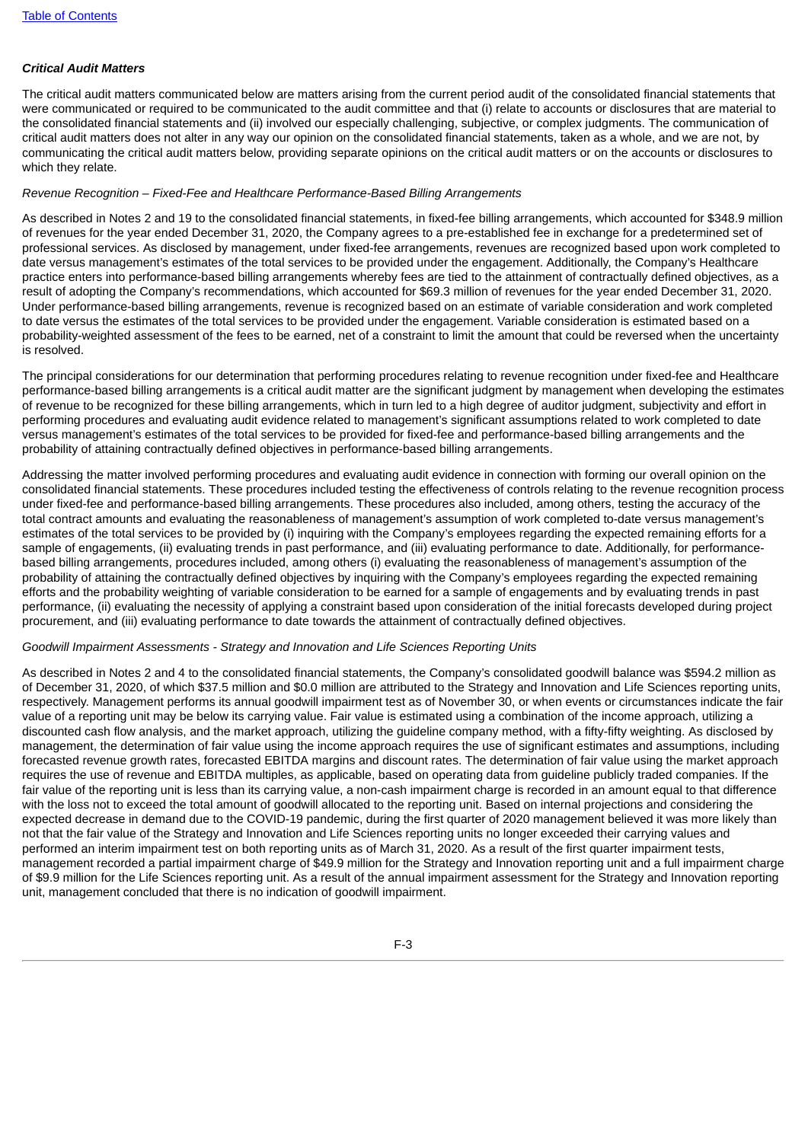# *Critical Audit Matters*

The critical audit matters communicated below are matters arising from the current period audit of the consolidated financial statements that were communicated or required to be communicated to the audit committee and that (i) relate to accounts or disclosures that are material to the consolidated financial statements and (ii) involved our especially challenging, subjective, or complex judgments. The communication of critical audit matters does not alter in any way our opinion on the consolidated financial statements, taken as a whole, and we are not, by communicating the critical audit matters below, providing separate opinions on the critical audit matters or on the accounts or disclosures to which they relate.

## *Revenue Recognition – Fixed-Fee and Healthcare Performance-Based Billing Arrangements*

As described in Notes 2 and 19 to the consolidated financial statements, in fixed-fee billing arrangements, which accounted for \$348.9 million of revenues for the year ended December 31, 2020, the Company agrees to a pre-established fee in exchange for a predetermined set of professional services. As disclosed by management, under fixed-fee arrangements, revenues are recognized based upon work completed to date versus management's estimates of the total services to be provided under the engagement. Additionally, the Company's Healthcare practice enters into performance-based billing arrangements whereby fees are tied to the attainment of contractually defined objectives, as a result of adopting the Company's recommendations, which accounted for \$69.3 million of revenues for the year ended December 31, 2020. Under performance-based billing arrangements, revenue is recognized based on an estimate of variable consideration and work completed to date versus the estimates of the total services to be provided under the engagement. Variable consideration is estimated based on a probability-weighted assessment of the fees to be earned, net of a constraint to limit the amount that could be reversed when the uncertainty is resolved.

The principal considerations for our determination that performing procedures relating to revenue recognition under fixed-fee and Healthcare performance-based billing arrangements is a critical audit matter are the significant judgment by management when developing the estimates of revenue to be recognized for these billing arrangements, which in turn led to a high degree of auditor judgment, subjectivity and effort in performing procedures and evaluating audit evidence related to management's significant assumptions related to work completed to date versus management's estimates of the total services to be provided for fixed-fee and performance-based billing arrangements and the probability of attaining contractually defined objectives in performance-based billing arrangements.

Addressing the matter involved performing procedures and evaluating audit evidence in connection with forming our overall opinion on the consolidated financial statements. These procedures included testing the effectiveness of controls relating to the revenue recognition process under fixed-fee and performance-based billing arrangements. These procedures also included, among others, testing the accuracy of the total contract amounts and evaluating the reasonableness of management's assumption of work completed to-date versus management's estimates of the total services to be provided by (i) inquiring with the Company's employees regarding the expected remaining efforts for a sample of engagements, (ii) evaluating trends in past performance, and (iii) evaluating performance to date. Additionally, for performancebased billing arrangements, procedures included, among others (i) evaluating the reasonableness of management's assumption of the probability of attaining the contractually defined objectives by inquiring with the Company's employees regarding the expected remaining efforts and the probability weighting of variable consideration to be earned for a sample of engagements and by evaluating trends in past performance, (ii) evaluating the necessity of applying a constraint based upon consideration of the initial forecasts developed during project procurement, and (iii) evaluating performance to date towards the attainment of contractually defined objectives.

#### *Goodwill Impairment Assessments - Strategy and Innovation and Life Sciences Reporting Units*

As described in Notes 2 and 4 to the consolidated financial statements, the Company's consolidated goodwill balance was \$594.2 million as of December 31, 2020, of which \$37.5 million and \$0.0 million are attributed to the Strategy and Innovation and Life Sciences reporting units, respectively. Management performs its annual goodwill impairment test as of November 30, or when events or circumstances indicate the fair value of a reporting unit may be below its carrying value. Fair value is estimated using a combination of the income approach, utilizing a discounted cash flow analysis, and the market approach, utilizing the guideline company method, with a fifty-fifty weighting. As disclosed by management, the determination of fair value using the income approach requires the use of significant estimates and assumptions, including forecasted revenue growth rates, forecasted EBITDA margins and discount rates. The determination of fair value using the market approach requires the use of revenue and EBITDA multiples, as applicable, based on operating data from guideline publicly traded companies. If the fair value of the reporting unit is less than its carrying value, a non-cash impairment charge is recorded in an amount equal to that difference with the loss not to exceed the total amount of goodwill allocated to the reporting unit. Based on internal projections and considering the expected decrease in demand due to the COVID-19 pandemic, during the first quarter of 2020 management believed it was more likely than not that the fair value of the Strategy and Innovation and Life Sciences reporting units no longer exceeded their carrying values and performed an interim impairment test on both reporting units as of March 31, 2020. As a result of the first quarter impairment tests, management recorded a partial impairment charge of \$49.9 million for the Strategy and Innovation reporting unit and a full impairment charge of \$9.9 million for the Life Sciences reporting unit. As a result of the annual impairment assessment for the Strategy and Innovation reporting unit, management concluded that there is no indication of goodwill impairment.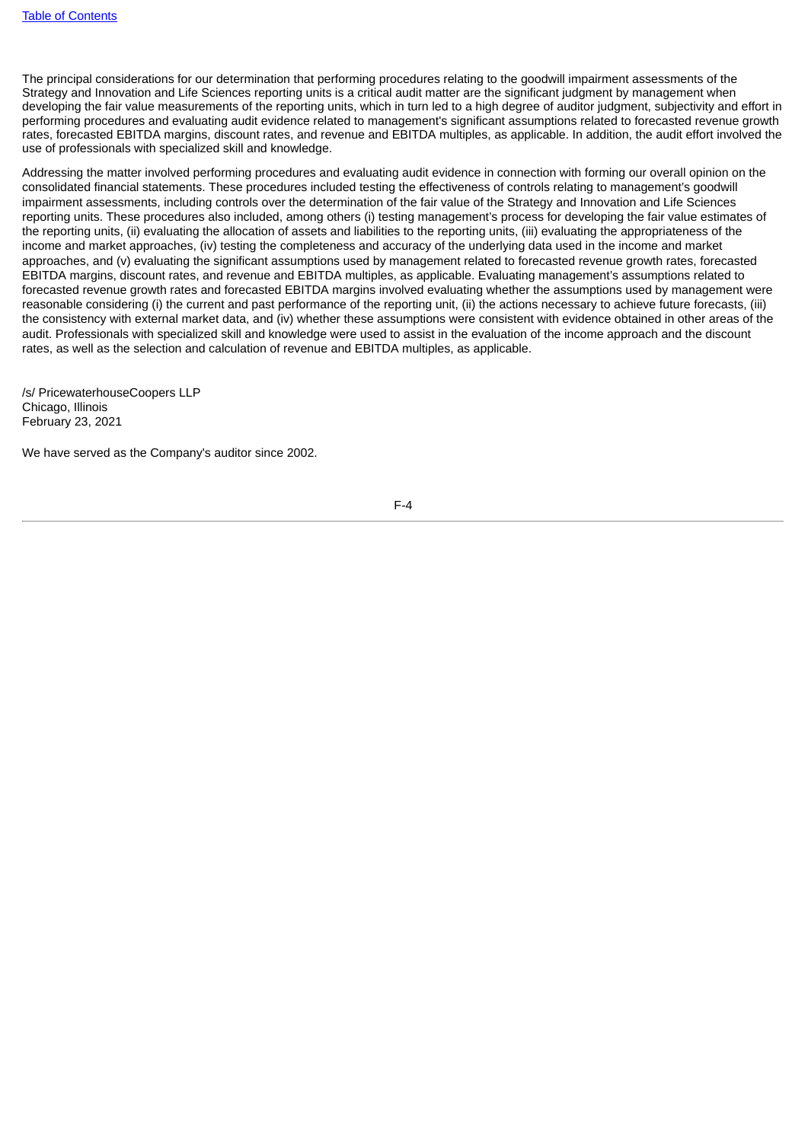The principal considerations for our determination that performing procedures relating to the goodwill impairment assessments of the Strategy and Innovation and Life Sciences reporting units is a critical audit matter are the significant judgment by management when developing the fair value measurements of the reporting units, which in turn led to a high degree of auditor judgment, subjectivity and effort in performing procedures and evaluating audit evidence related to management's significant assumptions related to forecasted revenue growth rates, forecasted EBITDA margins, discount rates, and revenue and EBITDA multiples, as applicable. In addition, the audit effort involved the use of professionals with specialized skill and knowledge.

Addressing the matter involved performing procedures and evaluating audit evidence in connection with forming our overall opinion on the consolidated financial statements. These procedures included testing the effectiveness of controls relating to management's goodwill impairment assessments, including controls over the determination of the fair value of the Strategy and Innovation and Life Sciences reporting units. These procedures also included, among others (i) testing management's process for developing the fair value estimates of the reporting units, (ii) evaluating the allocation of assets and liabilities to the reporting units, (iii) evaluating the appropriateness of the income and market approaches, (iv) testing the completeness and accuracy of the underlying data used in the income and market approaches, and (v) evaluating the significant assumptions used by management related to forecasted revenue growth rates, forecasted EBITDA margins, discount rates, and revenue and EBITDA multiples, as applicable. Evaluating management's assumptions related to forecasted revenue growth rates and forecasted EBITDA margins involved evaluating whether the assumptions used by management were reasonable considering (i) the current and past performance of the reporting unit, (ii) the actions necessary to achieve future forecasts, (iii) the consistency with external market data, and (iv) whether these assumptions were consistent with evidence obtained in other areas of the audit. Professionals with specialized skill and knowledge were used to assist in the evaluation of the income approach and the discount rates, as well as the selection and calculation of revenue and EBITDA multiples, as applicable.

/s/ PricewaterhouseCoopers LLP Chicago, Illinois February 23, 2021

We have served as the Company's auditor since 2002.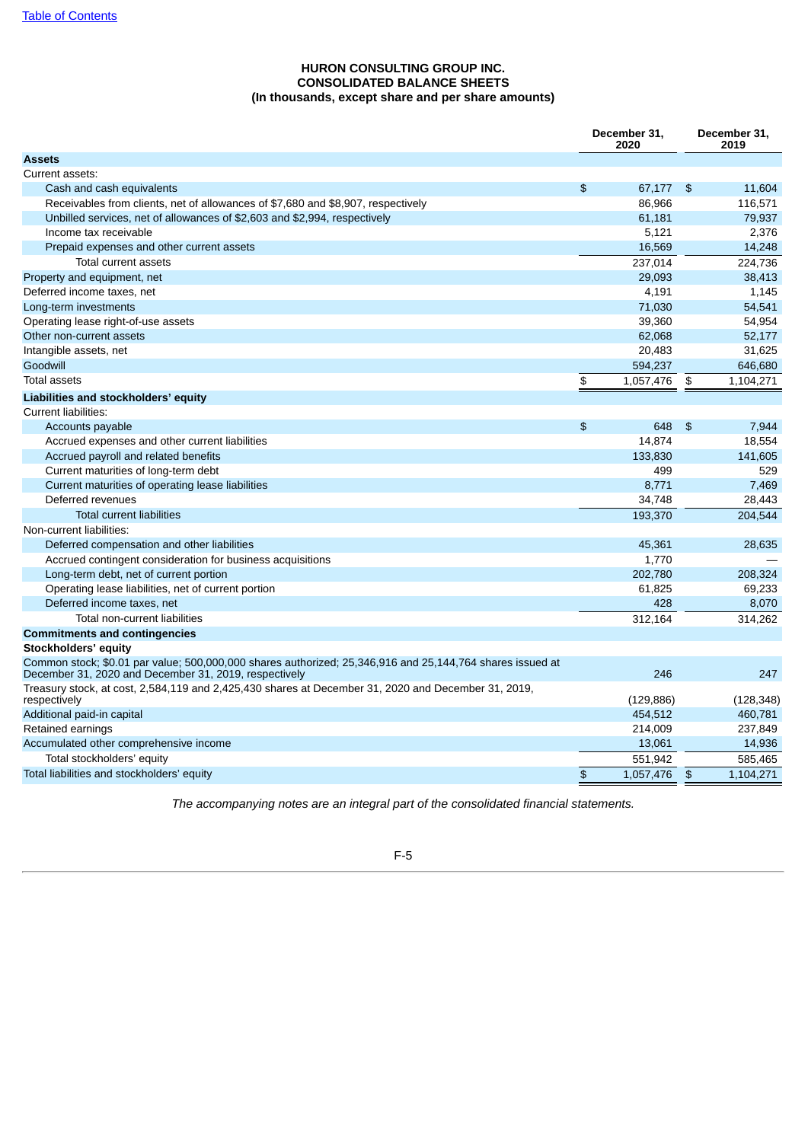# **HURON CONSULTING GROUP INC. CONSOLIDATED BALANCE SHEETS (In thousands, except share and per share amounts)**

|                                                                                                                                                                    |               | December 31,<br>2020 | December 31,<br>2019 |            |  |
|--------------------------------------------------------------------------------------------------------------------------------------------------------------------|---------------|----------------------|----------------------|------------|--|
| <b>Assets</b>                                                                                                                                                      |               |                      |                      |            |  |
| Current assets:                                                                                                                                                    |               |                      |                      |            |  |
| Cash and cash equivalents                                                                                                                                          | \$            | 67,177               | \$                   | 11,604     |  |
| Receivables from clients, net of allowances of \$7,680 and \$8,907, respectively                                                                                   |               | 86,966               |                      | 116,571    |  |
| Unbilled services, net of allowances of \$2,603 and \$2,994, respectively                                                                                          |               | 61,181               |                      | 79,937     |  |
| Income tax receivable                                                                                                                                              |               | 5,121                |                      | 2,376      |  |
| Prepaid expenses and other current assets                                                                                                                          |               | 16,569               |                      | 14,248     |  |
| Total current assets                                                                                                                                               |               | 237.014              |                      | 224.736    |  |
| Property and equipment, net                                                                                                                                        |               | 29.093               |                      | 38,413     |  |
| Deferred income taxes, net                                                                                                                                         |               | 4,191                |                      | 1,145      |  |
| Long-term investments                                                                                                                                              |               | 71,030               |                      | 54,541     |  |
| Operating lease right-of-use assets                                                                                                                                |               | 39,360               |                      | 54,954     |  |
| Other non-current assets                                                                                                                                           |               | 62,068               |                      | 52,177     |  |
| Intangible assets, net                                                                                                                                             |               | 20,483               |                      | 31,625     |  |
| Goodwill                                                                                                                                                           |               | 594,237              |                      | 646,680    |  |
| <b>Total assets</b>                                                                                                                                                | \$            | 1,057,476            | \$                   | 1,104,271  |  |
| Liabilities and stockholders' equity                                                                                                                               |               |                      |                      |            |  |
| <b>Current liabilities:</b>                                                                                                                                        |               |                      |                      |            |  |
| Accounts payable                                                                                                                                                   | $\frac{1}{2}$ | 648                  | $\mathfrak{F}$       | 7,944      |  |
| Accrued expenses and other current liabilities                                                                                                                     |               | 14,874               |                      | 18,554     |  |
| Accrued payroll and related benefits                                                                                                                               |               | 133,830              |                      | 141,605    |  |
| Current maturities of long-term debt                                                                                                                               |               | 499                  |                      | 529        |  |
| Current maturities of operating lease liabilities                                                                                                                  |               | 8,771                |                      | 7,469      |  |
| Deferred revenues                                                                                                                                                  |               | 34,748               |                      | 28,443     |  |
| <b>Total current liabilities</b>                                                                                                                                   |               | 193,370              |                      | 204,544    |  |
| Non-current liabilities:                                                                                                                                           |               |                      |                      |            |  |
| Deferred compensation and other liabilities                                                                                                                        |               | 45.361               |                      | 28.635     |  |
| Accrued contingent consideration for business acquisitions                                                                                                         |               | 1.770                |                      |            |  |
| Long-term debt, net of current portion                                                                                                                             |               | 202.780              |                      | 208,324    |  |
| Operating lease liabilities, net of current portion                                                                                                                |               | 61,825               |                      | 69,233     |  |
| Deferred income taxes, net                                                                                                                                         |               | 428                  |                      | 8,070      |  |
| Total non-current liabilities                                                                                                                                      |               | 312,164              |                      | 314,262    |  |
| <b>Commitments and contingencies</b>                                                                                                                               |               |                      |                      |            |  |
| Stockholders' equity                                                                                                                                               |               |                      |                      |            |  |
| Common stock; \$0.01 par value; 500,000,000 shares authorized; 25,346,916 and 25,144,764 shares issued at<br>December 31, 2020 and December 31, 2019, respectively |               | 246                  |                      | 247        |  |
| Treasury stock, at cost, 2,584,119 and 2,425,430 shares at December 31, 2020 and December 31, 2019,<br>respectively                                                |               | (129, 886)           |                      | (128, 348) |  |
| Additional paid-in capital                                                                                                                                         |               | 454,512              |                      | 460,781    |  |
| Retained earnings                                                                                                                                                  |               | 214,009              |                      | 237,849    |  |
| Accumulated other comprehensive income                                                                                                                             |               | 13,061               |                      | 14,936     |  |
| Total stockholders' equity                                                                                                                                         |               | 551,942              |                      | 585,465    |  |
| Total liabilities and stockholders' equity                                                                                                                         | \$            | 1,057,476            | $\mathfrak{S}$       | 1,104,271  |  |

*The accompanying notes are an integral part of the consolidated financial statements.*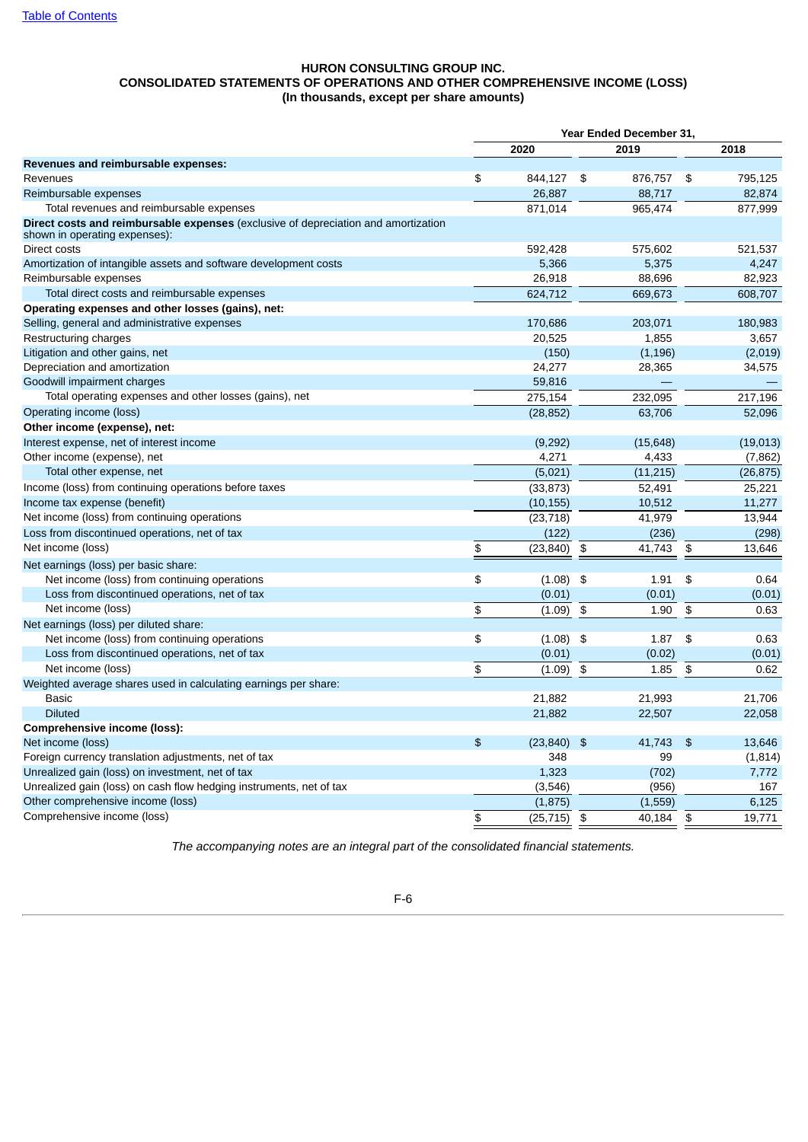# **HURON CONSULTING GROUP INC. CONSOLIDATED STATEMENTS OF OPERATIONS AND OTHER COMPREHENSIVE INCOME (LOSS) (In thousands, except per share amounts)**

|                                                                                                                            |               |            |               | Year Ended December 31, |               |           |
|----------------------------------------------------------------------------------------------------------------------------|---------------|------------|---------------|-------------------------|---------------|-----------|
|                                                                                                                            |               | 2020       |               | 2019                    |               | 2018      |
| Revenues and reimbursable expenses:                                                                                        |               |            |               |                         |               |           |
| Revenues                                                                                                                   | \$            | 844,127 \$ |               | 876,757 \$              |               | 795,125   |
| Reimbursable expenses                                                                                                      |               | 26,887     |               | 88,717                  |               | 82,874    |
| Total revenues and reimbursable expenses                                                                                   |               | 871.014    |               | 965.474                 |               | 877,999   |
| <b>Direct costs and reimbursable expenses</b> (exclusive of depreciation and amortization<br>shown in operating expenses): |               |            |               |                         |               |           |
| Direct costs                                                                                                               |               | 592,428    |               | 575,602                 |               | 521,537   |
| Amortization of intangible assets and software development costs                                                           |               | 5,366      |               | 5,375                   |               | 4,247     |
| Reimbursable expenses                                                                                                      |               | 26,918     |               | 88,696                  |               | 82,923    |
| Total direct costs and reimbursable expenses                                                                               |               | 624,712    |               | 669,673                 |               | 608,707   |
| Operating expenses and other losses (gains), net:                                                                          |               |            |               |                         |               |           |
| Selling, general and administrative expenses                                                                               |               | 170,686    |               | 203,071                 |               | 180,983   |
| Restructuring charges                                                                                                      |               | 20,525     |               | 1,855                   |               | 3,657     |
| Litigation and other gains, net                                                                                            |               | (150)      |               | (1, 196)                |               | (2,019)   |
| Depreciation and amortization                                                                                              |               | 24,277     |               | 28,365                  |               | 34,575    |
| Goodwill impairment charges                                                                                                |               | 59,816     |               |                         |               |           |
| Total operating expenses and other losses (gains), net                                                                     |               | 275,154    |               | 232,095                 |               | 217,196   |
| Operating income (loss)                                                                                                    |               | (28, 852)  |               | 63,706                  |               | 52,096    |
| Other income (expense), net:                                                                                               |               |            |               |                         |               |           |
| Interest expense, net of interest income                                                                                   |               | (9, 292)   |               | (15, 648)               |               | (19, 013) |
| Other income (expense), net                                                                                                |               | 4,271      |               | 4,433                   |               | (7, 862)  |
| Total other expense, net                                                                                                   |               | (5,021)    |               | (11, 215)               |               | (26, 875) |
| Income (loss) from continuing operations before taxes                                                                      |               | (33, 873)  |               | 52,491                  |               | 25,221    |
| Income tax expense (benefit)                                                                                               |               | (10, 155)  |               | 10,512                  |               | 11,277    |
| Net income (loss) from continuing operations                                                                               |               | (23, 718)  |               | 41,979                  |               | 13,944    |
| Loss from discontinued operations, net of tax                                                                              |               | (122)      |               | (236)                   |               | (298)     |
| Net income (loss)                                                                                                          | \$            | (23, 840)  | \$            | 41,743                  | \$            | 13,646    |
| Net earnings (loss) per basic share:                                                                                       |               |            |               |                         |               |           |
| Net income (loss) from continuing operations                                                                               | \$            | (1.08)     | \$            | 1.91                    | \$            | 0.64      |
| Loss from discontinued operations, net of tax                                                                              |               | (0.01)     |               | (0.01)                  |               | (0.01)    |
| Net income (loss)                                                                                                          | \$            | (1.09)     | \$            | 1.90                    | \$            | 0.63      |
| Net earnings (loss) per diluted share:                                                                                     |               |            |               |                         |               |           |
| Net income (loss) from continuing operations                                                                               | \$            | (1.08)     | \$            | 1.87                    | \$            | 0.63      |
| Loss from discontinued operations, net of tax                                                                              |               | (0.01)     |               | (0.02)                  |               | (0.01)    |
| Net income (loss)                                                                                                          | \$            | (1.09)     | \$            | 1.85                    | \$            | 0.62      |
| Weighted average shares used in calculating earnings per share:                                                            |               |            |               |                         |               |           |
| <b>Basic</b>                                                                                                               |               | 21,882     |               | 21,993                  |               | 21,706    |
| <b>Diluted</b>                                                                                                             |               | 21,882     |               | 22,507                  |               | 22,058    |
| Comprehensive income (loss):                                                                                               |               |            |               |                         |               |           |
| Net income (loss)                                                                                                          | $\frac{4}{5}$ | (23, 840)  | $\frac{3}{2}$ | 41,743                  | $\frac{1}{2}$ | 13,646    |
| Foreign currency translation adjustments, net of tax                                                                       |               | 348        |               | 99                      |               | (1, 814)  |
| Unrealized gain (loss) on investment, net of tax                                                                           |               | 1,323      |               | (702)                   |               | 7,772     |
| Unrealized gain (loss) on cash flow hedging instruments, net of tax                                                        |               | (3,546)    |               | (956)                   |               | 167       |
| Other comprehensive income (loss)                                                                                          |               | (1, 875)   |               | (1, 559)                |               | 6,125     |
| Comprehensive income (loss)                                                                                                | \$            | (25, 715)  | \$            | 40,184                  | \$            | 19,771    |

<span id="page-56-0"></span>*The accompanying notes are an integral part of the consolidated financial statements.*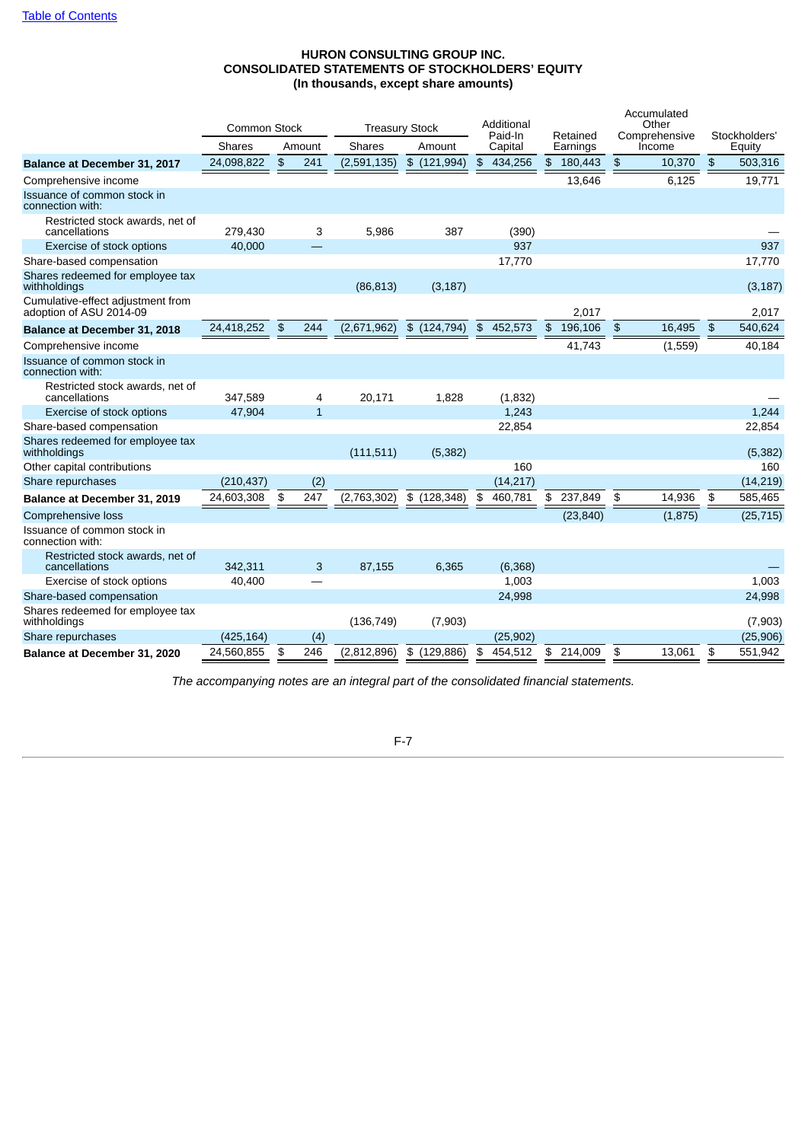# **HURON CONSULTING GROUP INC. CONSOLIDATED STATEMENTS OF STOCKHOLDERS' EQUITY (In thousands, except share amounts)**

|                                                              | <b>Common Stock</b> |              | <b>Treasury Stock</b> |                             | Additional<br>Paid-In | Retained      | Accumulated<br>Other<br>Comprehensive |               | Stockholders' |
|--------------------------------------------------------------|---------------------|--------------|-----------------------|-----------------------------|-----------------------|---------------|---------------------------------------|---------------|---------------|
|                                                              | <b>Shares</b>       | Amount       | <b>Shares</b>         | Amount                      | Capital               | Earnings      | Income                                |               | Equity        |
| Balance at December 31, 2017                                 | 24,098,822          | \$<br>241    | (2,591,135)           | $\frac{2}{3}$<br>(121, 994) | \$<br>434,256         | \$<br>180,443 | \$<br>10,370                          | $\frac{1}{2}$ | 503,316       |
| Comprehensive income                                         |                     |              |                       |                             |                       | 13,646        | 6,125                                 |               | 19,771        |
| Issuance of common stock in<br>connection with:              |                     |              |                       |                             |                       |               |                                       |               |               |
| Restricted stock awards, net of<br>cancellations             | 279,430             | 3            | 5,986                 | 387                         | (390)                 |               |                                       |               |               |
| Exercise of stock options                                    | 40,000              |              |                       |                             | 937                   |               |                                       |               | 937           |
| Share-based compensation                                     |                     |              |                       |                             | 17,770                |               |                                       |               | 17,770        |
| Shares redeemed for employee tax<br>withholdings             |                     |              | (86, 813)             | (3, 187)                    |                       |               |                                       |               | (3, 187)      |
| Cumulative-effect adiustment from<br>adoption of ASU 2014-09 |                     |              |                       |                             |                       | 2,017         |                                       |               | 2,017         |
| Balance at December 31, 2018                                 | 24,418,252          | \$<br>244    | (2,671,962)           | (124, 794)<br>$\frac{1}{2}$ | \$<br>452,573         | \$<br>196.106 | \$<br>16,495                          | $\frac{2}{3}$ | 540,624       |
| Comprehensive income                                         |                     |              |                       |                             |                       | 41,743        | (1, 559)                              |               | 40,184        |
| Issuance of common stock in<br>connection with:              |                     |              |                       |                             |                       |               |                                       |               |               |
| Restricted stock awards, net of<br>cancellations             | 347,589             | 4            | 20,171                | 1,828                       | (1,832)               |               |                                       |               |               |
| Exercise of stock options                                    | 47,904              | $\mathbf{1}$ |                       |                             | 1,243                 |               |                                       |               | 1,244         |
| Share-based compensation                                     |                     |              |                       |                             | 22,854                |               |                                       |               | 22,854        |
| Shares redeemed for employee tax<br>withholdinas             |                     |              | (111, 511)            | (5, 382)                    |                       |               |                                       |               | (5, 382)      |
| Other capital contributions                                  |                     |              |                       |                             | 160                   |               |                                       |               | 160           |
| Share repurchases                                            | (210, 437)          | (2)          |                       |                             | (14, 217)             |               |                                       |               | (14, 219)     |
| Balance at December 31, 2019                                 | 24,603,308          | \$<br>247    | (2,763,302)           | \$<br>(128, 348)            | \$<br>460.781         | \$<br>237.849 | \$<br>14,936                          | \$            | 585,465       |
| Comprehensive loss                                           |                     |              |                       |                             |                       | (23, 840)     | (1, 875)                              |               | (25, 715)     |
| Issuance of common stock in<br>connection with:              |                     |              |                       |                             |                       |               |                                       |               |               |
| Restricted stock awards, net of<br>cancellations             | 342,311             | 3            | 87,155                | 6,365                       | (6, 368)              |               |                                       |               |               |
| Exercise of stock options                                    | 40.400              |              |                       |                             | 1,003                 |               |                                       |               | 1,003         |
| Share-based compensation                                     |                     |              |                       |                             | 24,998                |               |                                       |               | 24,998        |
| Shares redeemed for employee tax<br>withholdings             |                     |              | (136, 749)            | (7,903)                     |                       |               |                                       |               | (7,903)       |
| Share repurchases                                            | (425, 164)          | (4)          |                       |                             | (25,902)              |               |                                       |               | (25,906)      |
| Balance at December 31, 2020                                 | 24,560,855          | \$<br>246    | (2,812,896)           | \$(129, 886)                | \$<br>454,512         | \$214,009     | \$<br>13,061                          | \$            | 551,942       |

<span id="page-57-0"></span>*The accompanying notes are an integral part of the consolidated financial statements.*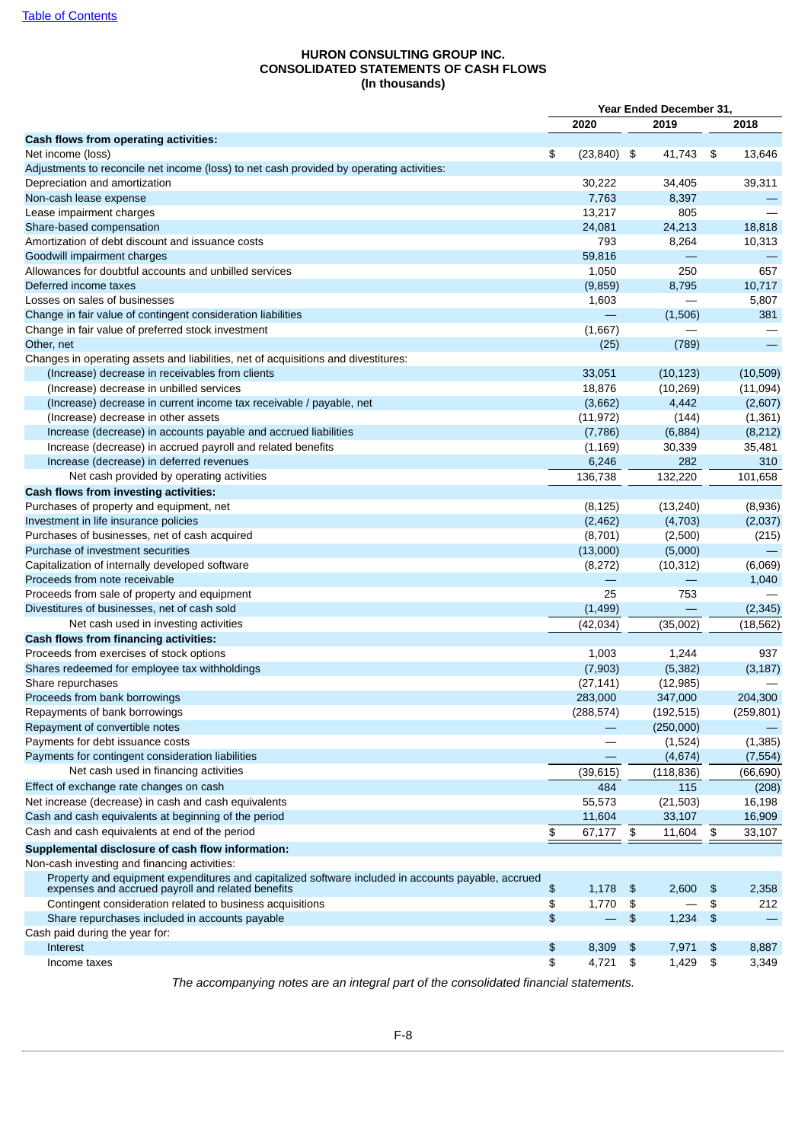# **HURON CONSULTING GROUP INC. CONSOLIDATED STATEMENTS OF CASH FLOWS (In thousands)**

|                                                                                                                                                         |                     |     | <b>Year Ended December 31,</b> |               |                          |
|---------------------------------------------------------------------------------------------------------------------------------------------------------|---------------------|-----|--------------------------------|---------------|--------------------------|
|                                                                                                                                                         | 2020                |     | 2019                           |               | 2018                     |
| Cash flows from operating activities:                                                                                                                   |                     |     |                                |               |                          |
| Net income (loss)                                                                                                                                       | \$<br>$(23,840)$ \$ |     | 41,743                         | \$            | 13,646                   |
| Adjustments to reconcile net income (loss) to net cash provided by operating activities:                                                                |                     |     |                                |               |                          |
| Depreciation and amortization                                                                                                                           | 30,222              |     | 34,405                         |               | 39,311                   |
| Non-cash lease expense                                                                                                                                  | 7,763               |     | 8,397                          |               |                          |
| Lease impairment charges                                                                                                                                | 13,217              |     | 805                            |               |                          |
| Share-based compensation                                                                                                                                | 24,081              |     | 24,213                         |               | 18,818                   |
| Amortization of debt discount and issuance costs                                                                                                        | 793                 |     | 8,264                          |               | 10,313                   |
| Goodwill impairment charges                                                                                                                             | 59,816              |     |                                |               |                          |
| Allowances for doubtful accounts and unbilled services                                                                                                  | 1,050               |     | 250                            |               | 657                      |
| Deferred income taxes                                                                                                                                   | (9,859)             |     | 8,795                          |               | 10,717                   |
| Losses on sales of businesses                                                                                                                           | 1,603               |     | $\overline{\phantom{0}}$       |               | 5,807                    |
| Change in fair value of contingent consideration liabilities                                                                                            |                     |     | (1,506)                        |               | 381                      |
| Change in fair value of preferred stock investment                                                                                                      | (1,667)             |     |                                |               |                          |
| Other, net                                                                                                                                              | (25)                |     | (789)                          |               | $\overline{\phantom{m}}$ |
| Changes in operating assets and liabilities, net of acquisitions and divestitures:                                                                      |                     |     |                                |               |                          |
| (Increase) decrease in receivables from clients                                                                                                         | 33,051              |     | (10, 123)                      |               | (10,509)                 |
| (Increase) decrease in unbilled services                                                                                                                | 18,876              |     | (10, 269)                      |               | (11,094)                 |
| (Increase) decrease in current income tax receivable / payable, net                                                                                     | (3,662)             |     | 4,442                          |               | (2,607)                  |
| (Increase) decrease in other assets                                                                                                                     | (11, 972)           |     | (144)                          |               | (1, 361)                 |
| Increase (decrease) in accounts payable and accrued liabilities                                                                                         | (7,786)             |     | (6,884)                        |               | (8,212)                  |
| Increase (decrease) in accrued payroll and related benefits                                                                                             | (1, 169)            |     | 30,339                         |               | 35,481                   |
| Increase (decrease) in deferred revenues                                                                                                                | 6,246               |     | 282                            |               | 310                      |
| Net cash provided by operating activities                                                                                                               | 136,738             |     | 132,220                        |               | 101,658                  |
| Cash flows from investing activities:                                                                                                                   |                     |     |                                |               |                          |
| Purchases of property and equipment, net                                                                                                                | (8, 125)            |     | (13, 240)                      |               | (8,936)                  |
| Investment in life insurance policies                                                                                                                   | (2,462)             |     | (4,703)                        |               | (2,037)                  |
| Purchases of businesses, net of cash acquired                                                                                                           | (8,701)             |     | (2,500)                        |               | (215)                    |
| Purchase of investment securities                                                                                                                       | (13,000)            |     | (5,000)                        |               |                          |
| Capitalization of internally developed software                                                                                                         | (8,272)             |     | (10, 312)                      |               | (6,069)                  |
| Proceeds from note receivable                                                                                                                           |                     |     |                                |               | 1,040                    |
| Proceeds from sale of property and equipment                                                                                                            | 25                  |     | 753                            |               |                          |
| Divestitures of businesses, net of cash sold                                                                                                            | (1,499)             |     |                                |               | (2, 345)                 |
| Net cash used in investing activities                                                                                                                   |                     |     |                                |               |                          |
|                                                                                                                                                         | (42, 034)           |     | (35,002)                       |               | (18, 562)                |
| Cash flows from financing activities:                                                                                                                   |                     |     |                                |               |                          |
| Proceeds from exercises of stock options                                                                                                                | 1,003               |     | 1,244                          |               | 937                      |
| Shares redeemed for employee tax withholdings                                                                                                           | (7,903)             |     | (5, 382)                       |               | (3, 187)                 |
| Share repurchases                                                                                                                                       | (27, 141)           |     | (12, 985)                      |               |                          |
| Proceeds from bank borrowings                                                                                                                           | 283,000             |     | 347,000                        |               | 204,300                  |
| Repayments of bank borrowings                                                                                                                           | (288, 574)          |     | (192, 515)                     |               | (259, 801)               |
| Repayment of convertible notes                                                                                                                          |                     |     | (250,000)                      |               |                          |
| Payments for debt issuance costs                                                                                                                        |                     |     | (1,524)                        |               | (1,385)                  |
| Payments for contingent consideration liabilities                                                                                                       |                     |     | (4,674)                        |               | (7, 554)                 |
| Net cash used in financing activities                                                                                                                   | (39,615)            |     | (118, 836)                     |               | (66,690)                 |
| Effect of exchange rate changes on cash                                                                                                                 | 484                 |     | 115                            |               | (208)                    |
| Net increase (decrease) in cash and cash equivalents                                                                                                    | 55,573              |     | (21, 503)                      |               | 16,198                   |
| Cash and cash equivalents at beginning of the period                                                                                                    | 11,604              |     | 33,107                         |               | 16,909                   |
| Cash and cash equivalents at end of the period                                                                                                          | \$<br>67,177 \$     |     | 11,604                         | \$            | 33,107                   |
| Supplemental disclosure of cash flow information:                                                                                                       |                     |     |                                |               |                          |
| Non-cash investing and financing activities:                                                                                                            |                     |     |                                |               |                          |
| Property and equipment expenditures and capitalized software included in accounts payable, accrued<br>expenses and accrued payroll and related benefits | \$<br>1,178         | -\$ | 2,600                          | \$            | 2,358                    |
| Contingent consideration related to business acquisitions                                                                                               | \$<br>1,770         | \$  |                                | \$            | 212                      |
| Share repurchases included in accounts payable                                                                                                          | \$                  | \$  | 1,234                          | \$            | $\qquad \qquad -$        |
| Cash paid during the year for:                                                                                                                          |                     |     |                                |               |                          |
| Interest                                                                                                                                                | \$<br>8,309         | \$  | 7,971                          | $\frac{1}{2}$ | 8,887                    |
| Income taxes                                                                                                                                            | \$<br>$4,721$ \$    |     | 1,429                          | \$            | 3,349                    |
|                                                                                                                                                         |                     |     |                                |               |                          |

<span id="page-58-0"></span>*The accompanying notes are an integral part of the consolidated financial statements.*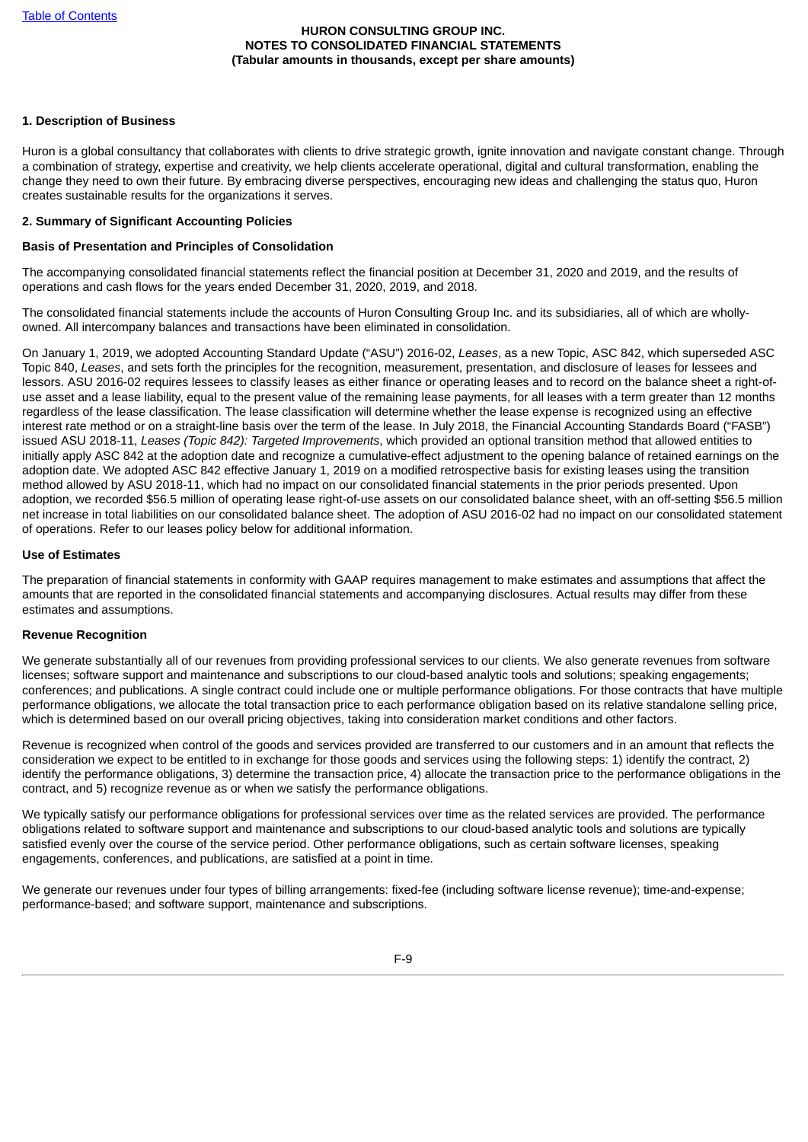## **1. Description of Business**

Huron is a global consultancy that collaborates with clients to drive strategic growth, ignite innovation and navigate constant change. Through a combination of strategy, expertise and creativity, we help clients accelerate operational, digital and cultural transformation, enabling the change they need to own their future. By embracing diverse perspectives, encouraging new ideas and challenging the status quo, Huron creates sustainable results for the organizations it serves.

## **2. Summary of Significant Accounting Policies**

## **Basis of Presentation and Principles of Consolidation**

The accompanying consolidated financial statements reflect the financial position at December 31, 2020 and 2019, and the results of operations and cash flows for the years ended December 31, 2020, 2019, and 2018.

The consolidated financial statements include the accounts of Huron Consulting Group Inc. and its subsidiaries, all of which are whollyowned. All intercompany balances and transactions have been eliminated in consolidation.

On January 1, 2019, we adopted Accounting Standard Update ("ASU") 2016-02, *Leases*, as a new Topic, ASC 842, which superseded ASC Topic 840, *Leases*, and sets forth the principles for the recognition, measurement, presentation, and disclosure of leases for lessees and lessors. ASU 2016-02 requires lessees to classify leases as either finance or operating leases and to record on the balance sheet a right-ofuse asset and a lease liability, equal to the present value of the remaining lease payments, for all leases with a term greater than 12 months regardless of the lease classification. The lease classification will determine whether the lease expense is recognized using an effective interest rate method or on a straight-line basis over the term of the lease. In July 2018, the Financial Accounting Standards Board ("FASB") issued ASU 2018-11, *Leases (Topic 842): Targeted Improvements*, which provided an optional transition method that allowed entities to initially apply ASC 842 at the adoption date and recognize a cumulative-effect adjustment to the opening balance of retained earnings on the adoption date. We adopted ASC 842 effective January 1, 2019 on a modified retrospective basis for existing leases using the transition method allowed by ASU 2018-11, which had no impact on our consolidated financial statements in the prior periods presented. Upon adoption, we recorded \$56.5 million of operating lease right-of-use assets on our consolidated balance sheet, with an off-setting \$56.5 million net increase in total liabilities on our consolidated balance sheet. The adoption of ASU 2016-02 had no impact on our consolidated statement of operations. Refer to our leases policy below for additional information.

## **Use of Estimates**

The preparation of financial statements in conformity with GAAP requires management to make estimates and assumptions that affect the amounts that are reported in the consolidated financial statements and accompanying disclosures. Actual results may differ from these estimates and assumptions.

## **Revenue Recognition**

We generate substantially all of our revenues from providing professional services to our clients. We also generate revenues from software licenses; software support and maintenance and subscriptions to our cloud-based analytic tools and solutions; speaking engagements; conferences; and publications. A single contract could include one or multiple performance obligations. For those contracts that have multiple performance obligations, we allocate the total transaction price to each performance obligation based on its relative standalone selling price, which is determined based on our overall pricing objectives, taking into consideration market conditions and other factors.

Revenue is recognized when control of the goods and services provided are transferred to our customers and in an amount that reflects the consideration we expect to be entitled to in exchange for those goods and services using the following steps: 1) identify the contract, 2) identify the performance obligations, 3) determine the transaction price, 4) allocate the transaction price to the performance obligations in the contract, and 5) recognize revenue as or when we satisfy the performance obligations.

We typically satisfy our performance obligations for professional services over time as the related services are provided. The performance obligations related to software support and maintenance and subscriptions to our cloud-based analytic tools and solutions are typically satisfied evenly over the course of the service period. Other performance obligations, such as certain software licenses, speaking engagements, conferences, and publications, are satisfied at a point in time.

We generate our revenues under four types of billing arrangements: fixed-fee (including software license revenue); time-and-expense; performance-based; and software support, maintenance and subscriptions.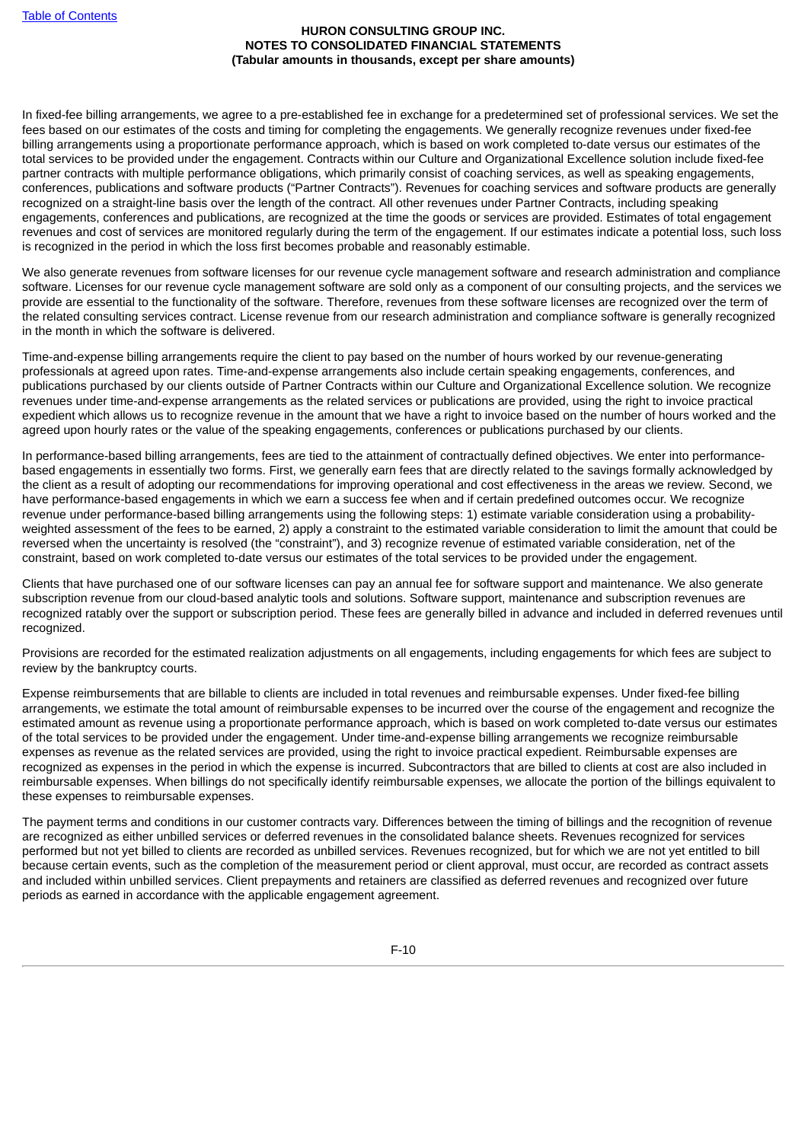In fixed-fee billing arrangements, we agree to a pre-established fee in exchange for a predetermined set of professional services. We set the fees based on our estimates of the costs and timing for completing the engagements. We generally recognize revenues under fixed-fee billing arrangements using a proportionate performance approach, which is based on work completed to-date versus our estimates of the total services to be provided under the engagement. Contracts within our Culture and Organizational Excellence solution include fixed-fee partner contracts with multiple performance obligations, which primarily consist of coaching services, as well as speaking engagements, conferences, publications and software products ("Partner Contracts"). Revenues for coaching services and software products are generally recognized on a straight-line basis over the length of the contract. All other revenues under Partner Contracts, including speaking engagements, conferences and publications, are recognized at the time the goods or services are provided. Estimates of total engagement revenues and cost of services are monitored regularly during the term of the engagement. If our estimates indicate a potential loss, such loss is recognized in the period in which the loss first becomes probable and reasonably estimable.

We also generate revenues from software licenses for our revenue cycle management software and research administration and compliance software. Licenses for our revenue cycle management software are sold only as a component of our consulting projects, and the services we provide are essential to the functionality of the software. Therefore, revenues from these software licenses are recognized over the term of the related consulting services contract. License revenue from our research administration and compliance software is generally recognized in the month in which the software is delivered.

Time-and-expense billing arrangements require the client to pay based on the number of hours worked by our revenue-generating professionals at agreed upon rates. Time-and-expense arrangements also include certain speaking engagements, conferences, and publications purchased by our clients outside of Partner Contracts within our Culture and Organizational Excellence solution. We recognize revenues under time-and-expense arrangements as the related services or publications are provided, using the right to invoice practical expedient which allows us to recognize revenue in the amount that we have a right to invoice based on the number of hours worked and the agreed upon hourly rates or the value of the speaking engagements, conferences or publications purchased by our clients.

In performance-based billing arrangements, fees are tied to the attainment of contractually defined objectives. We enter into performancebased engagements in essentially two forms. First, we generally earn fees that are directly related to the savings formally acknowledged by the client as a result of adopting our recommendations for improving operational and cost effectiveness in the areas we review. Second, we have performance-based engagements in which we earn a success fee when and if certain predefined outcomes occur. We recognize revenue under performance-based billing arrangements using the following steps: 1) estimate variable consideration using a probabilityweighted assessment of the fees to be earned, 2) apply a constraint to the estimated variable consideration to limit the amount that could be reversed when the uncertainty is resolved (the "constraint"), and 3) recognize revenue of estimated variable consideration, net of the constraint, based on work completed to-date versus our estimates of the total services to be provided under the engagement.

Clients that have purchased one of our software licenses can pay an annual fee for software support and maintenance. We also generate subscription revenue from our cloud-based analytic tools and solutions. Software support, maintenance and subscription revenues are recognized ratably over the support or subscription period. These fees are generally billed in advance and included in deferred revenues until recognized.

Provisions are recorded for the estimated realization adjustments on all engagements, including engagements for which fees are subject to review by the bankruptcy courts.

Expense reimbursements that are billable to clients are included in total revenues and reimbursable expenses. Under fixed-fee billing arrangements, we estimate the total amount of reimbursable expenses to be incurred over the course of the engagement and recognize the estimated amount as revenue using a proportionate performance approach, which is based on work completed to-date versus our estimates of the total services to be provided under the engagement. Under time-and-expense billing arrangements we recognize reimbursable expenses as revenue as the related services are provided, using the right to invoice practical expedient. Reimbursable expenses are recognized as expenses in the period in which the expense is incurred. Subcontractors that are billed to clients at cost are also included in reimbursable expenses. When billings do not specifically identify reimbursable expenses, we allocate the portion of the billings equivalent to these expenses to reimbursable expenses.

The payment terms and conditions in our customer contracts vary. Differences between the timing of billings and the recognition of revenue are recognized as either unbilled services or deferred revenues in the consolidated balance sheets. Revenues recognized for services performed but not yet billed to clients are recorded as unbilled services. Revenues recognized, but for which we are not yet entitled to bill because certain events, such as the completion of the measurement period or client approval, must occur, are recorded as contract assets and included within unbilled services. Client prepayments and retainers are classified as deferred revenues and recognized over future periods as earned in accordance with the applicable engagement agreement.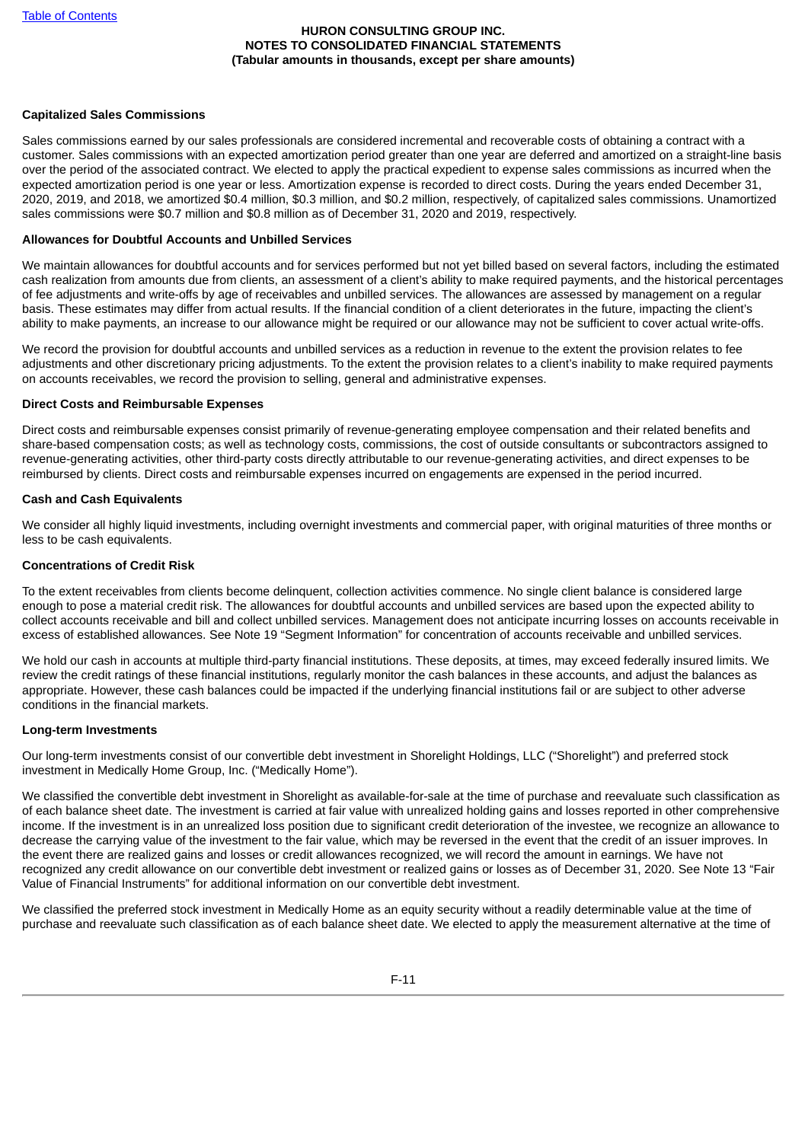## **Capitalized Sales Commissions**

Sales commissions earned by our sales professionals are considered incremental and recoverable costs of obtaining a contract with a customer. Sales commissions with an expected amortization period greater than one year are deferred and amortized on a straight-line basis over the period of the associated contract. We elected to apply the practical expedient to expense sales commissions as incurred when the expected amortization period is one year or less. Amortization expense is recorded to direct costs. During the years ended December 31, 2020, 2019, and 2018, we amortized \$0.4 million, \$0.3 million, and \$0.2 million, respectively, of capitalized sales commissions. Unamortized sales commissions were \$0.7 million and \$0.8 million as of December 31, 2020 and 2019, respectively.

## **Allowances for Doubtful Accounts and Unbilled Services**

We maintain allowances for doubtful accounts and for services performed but not yet billed based on several factors, including the estimated cash realization from amounts due from clients, an assessment of a client's ability to make required payments, and the historical percentages of fee adjustments and write-offs by age of receivables and unbilled services. The allowances are assessed by management on a regular basis. These estimates may differ from actual results. If the financial condition of a client deteriorates in the future, impacting the client's ability to make payments, an increase to our allowance might be required or our allowance may not be sufficient to cover actual write-offs.

We record the provision for doubtful accounts and unbilled services as a reduction in revenue to the extent the provision relates to fee adjustments and other discretionary pricing adjustments. To the extent the provision relates to a client's inability to make required payments on accounts receivables, we record the provision to selling, general and administrative expenses.

#### **Direct Costs and Reimbursable Expenses**

Direct costs and reimbursable expenses consist primarily of revenue-generating employee compensation and their related benefits and share-based compensation costs; as well as technology costs, commissions, the cost of outside consultants or subcontractors assigned to revenue-generating activities, other third-party costs directly attributable to our revenue-generating activities, and direct expenses to be reimbursed by clients. Direct costs and reimbursable expenses incurred on engagements are expensed in the period incurred.

## **Cash and Cash Equivalents**

We consider all highly liquid investments, including overnight investments and commercial paper, with original maturities of three months or less to be cash equivalents.

## **Concentrations of Credit Risk**

To the extent receivables from clients become delinquent, collection activities commence. No single client balance is considered large enough to pose a material credit risk. The allowances for doubtful accounts and unbilled services are based upon the expected ability to collect accounts receivable and bill and collect unbilled services. Management does not anticipate incurring losses on accounts receivable in excess of established allowances. See Note 19 "Segment Information" for concentration of accounts receivable and unbilled services.

We hold our cash in accounts at multiple third-party financial institutions. These deposits, at times, may exceed federally insured limits. We review the credit ratings of these financial institutions, regularly monitor the cash balances in these accounts, and adjust the balances as appropriate. However, these cash balances could be impacted if the underlying financial institutions fail or are subject to other adverse conditions in the financial markets.

#### **Long-term Investments**

Our long-term investments consist of our convertible debt investment in Shorelight Holdings, LLC ("Shorelight") and preferred stock investment in Medically Home Group, Inc. ("Medically Home").

We classified the convertible debt investment in Shorelight as available-for-sale at the time of purchase and reevaluate such classification as of each balance sheet date. The investment is carried at fair value with unrealized holding gains and losses reported in other comprehensive income. If the investment is in an unrealized loss position due to significant credit deterioration of the investee, we recognize an allowance to decrease the carrying value of the investment to the fair value, which may be reversed in the event that the credit of an issuer improves. In the event there are realized gains and losses or credit allowances recognized, we will record the amount in earnings. We have not recognized any credit allowance on our convertible debt investment or realized gains or losses as of December 31, 2020. See Note 13 "Fair Value of Financial Instruments" for additional information on our convertible debt investment.

We classified the preferred stock investment in Medically Home as an equity security without a readily determinable value at the time of purchase and reevaluate such classification as of each balance sheet date. We elected to apply the measurement alternative at the time of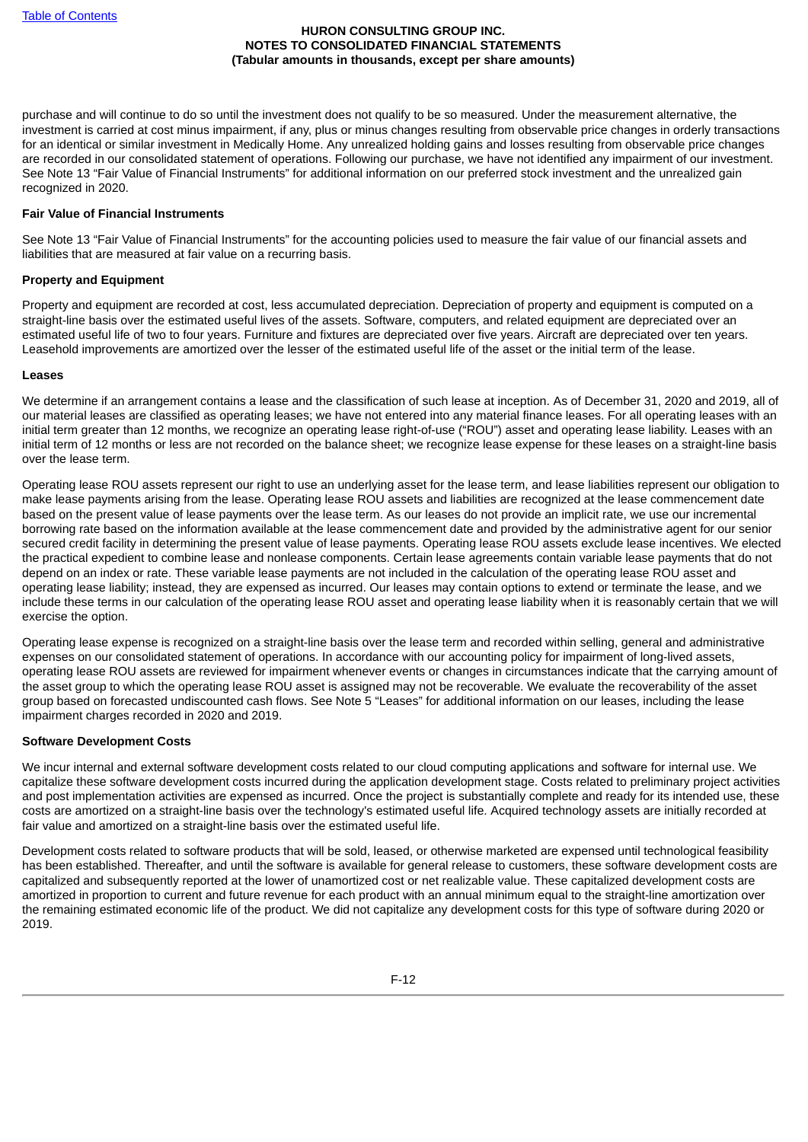purchase and will continue to do so until the investment does not qualify to be so measured. Under the measurement alternative, the investment is carried at cost minus impairment, if any, plus or minus changes resulting from observable price changes in orderly transactions for an identical or similar investment in Medically Home. Any unrealized holding gains and losses resulting from observable price changes are recorded in our consolidated statement of operations. Following our purchase, we have not identified any impairment of our investment. See Note 13 "Fair Value of Financial Instruments" for additional information on our preferred stock investment and the unrealized gain recognized in 2020.

## **Fair Value of Financial Instruments**

See Note 13 "Fair Value of Financial Instruments" for the accounting policies used to measure the fair value of our financial assets and liabilities that are measured at fair value on a recurring basis.

## **Property and Equipment**

Property and equipment are recorded at cost, less accumulated depreciation. Depreciation of property and equipment is computed on a straight-line basis over the estimated useful lives of the assets. Software, computers, and related equipment are depreciated over an estimated useful life of two to four years. Furniture and fixtures are depreciated over five years. Aircraft are depreciated over ten years. Leasehold improvements are amortized over the lesser of the estimated useful life of the asset or the initial term of the lease.

#### **Leases**

We determine if an arrangement contains a lease and the classification of such lease at inception. As of December 31, 2020 and 2019, all of our material leases are classified as operating leases; we have not entered into any material finance leases. For all operating leases with an initial term greater than 12 months, we recognize an operating lease right-of-use ("ROU") asset and operating lease liability. Leases with an initial term of 12 months or less are not recorded on the balance sheet; we recognize lease expense for these leases on a straight-line basis over the lease term.

Operating lease ROU assets represent our right to use an underlying asset for the lease term, and lease liabilities represent our obligation to make lease payments arising from the lease. Operating lease ROU assets and liabilities are recognized at the lease commencement date based on the present value of lease payments over the lease term. As our leases do not provide an implicit rate, we use our incremental borrowing rate based on the information available at the lease commencement date and provided by the administrative agent for our senior secured credit facility in determining the present value of lease payments. Operating lease ROU assets exclude lease incentives. We elected the practical expedient to combine lease and nonlease components. Certain lease agreements contain variable lease payments that do not depend on an index or rate. These variable lease payments are not included in the calculation of the operating lease ROU asset and operating lease liability; instead, they are expensed as incurred. Our leases may contain options to extend or terminate the lease, and we include these terms in our calculation of the operating lease ROU asset and operating lease liability when it is reasonably certain that we will exercise the option.

Operating lease expense is recognized on a straight-line basis over the lease term and recorded within selling, general and administrative expenses on our consolidated statement of operations. In accordance with our accounting policy for impairment of long-lived assets, operating lease ROU assets are reviewed for impairment whenever events or changes in circumstances indicate that the carrying amount of the asset group to which the operating lease ROU asset is assigned may not be recoverable. We evaluate the recoverability of the asset group based on forecasted undiscounted cash flows. See Note 5 "Leases" for additional information on our leases, including the lease impairment charges recorded in 2020 and 2019.

## **Software Development Costs**

We incur internal and external software development costs related to our cloud computing applications and software for internal use. We capitalize these software development costs incurred during the application development stage. Costs related to preliminary project activities and post implementation activities are expensed as incurred. Once the project is substantially complete and ready for its intended use, these costs are amortized on a straight-line basis over the technology's estimated useful life. Acquired technology assets are initially recorded at fair value and amortized on a straight-line basis over the estimated useful life.

Development costs related to software products that will be sold, leased, or otherwise marketed are expensed until technological feasibility has been established. Thereafter, and until the software is available for general release to customers, these software development costs are capitalized and subsequently reported at the lower of unamortized cost or net realizable value. These capitalized development costs are amortized in proportion to current and future revenue for each product with an annual minimum equal to the straight-line amortization over the remaining estimated economic life of the product. We did not capitalize any development costs for this type of software during 2020 or 2019.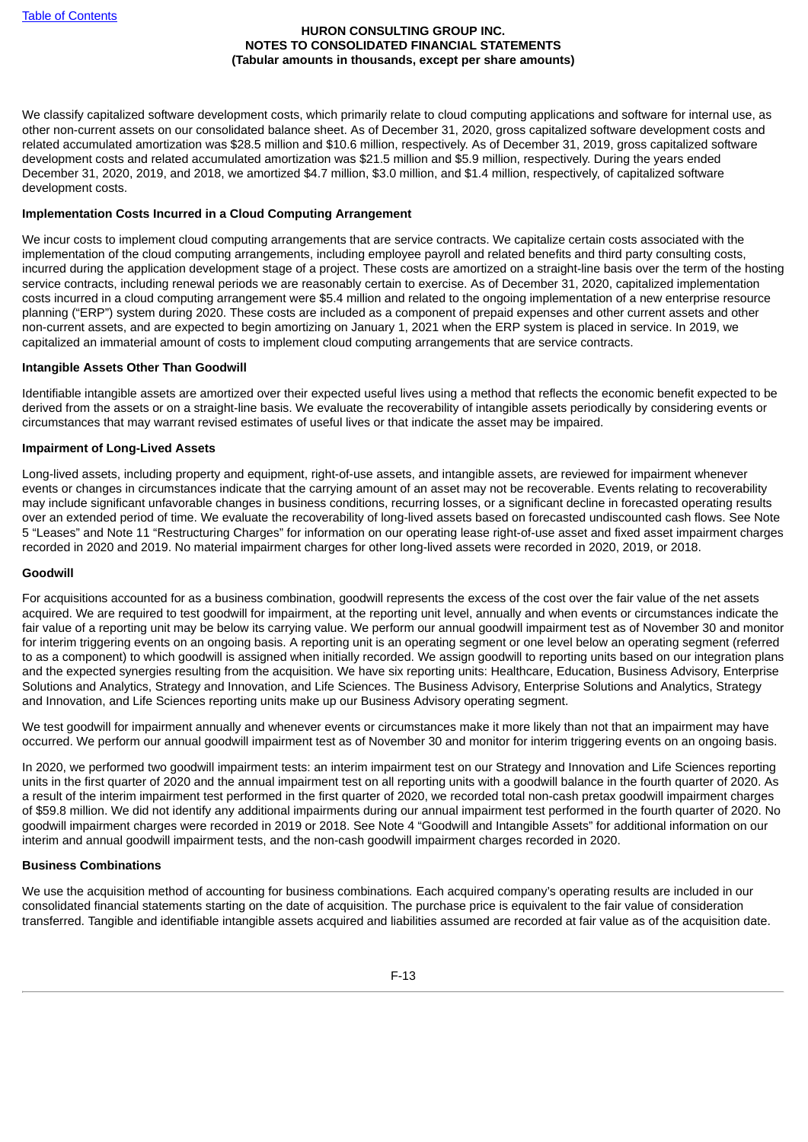We classify capitalized software development costs, which primarily relate to cloud computing applications and software for internal use, as other non-current assets on our consolidated balance sheet. As of December 31, 2020, gross capitalized software development costs and related accumulated amortization was \$28.5 million and \$10.6 million, respectively. As of December 31, 2019, gross capitalized software development costs and related accumulated amortization was \$21.5 million and \$5.9 million, respectively. During the years ended December 31, 2020, 2019, and 2018, we amortized \$4.7 million, \$3.0 million, and \$1.4 million, respectively, of capitalized software development costs.

# **Implementation Costs Incurred in a Cloud Computing Arrangement**

We incur costs to implement cloud computing arrangements that are service contracts. We capitalize certain costs associated with the implementation of the cloud computing arrangements, including employee payroll and related benefits and third party consulting costs, incurred during the application development stage of a project. These costs are amortized on a straight-line basis over the term of the hosting service contracts, including renewal periods we are reasonably certain to exercise. As of December 31, 2020, capitalized implementation costs incurred in a cloud computing arrangement were \$5.4 million and related to the ongoing implementation of a new enterprise resource planning ("ERP") system during 2020. These costs are included as a component of prepaid expenses and other current assets and other non-current assets, and are expected to begin amortizing on January 1, 2021 when the ERP system is placed in service. In 2019, we capitalized an immaterial amount of costs to implement cloud computing arrangements that are service contracts.

## **Intangible Assets Other Than Goodwill**

Identifiable intangible assets are amortized over their expected useful lives using a method that reflects the economic benefit expected to be derived from the assets or on a straight-line basis. We evaluate the recoverability of intangible assets periodically by considering events or circumstances that may warrant revised estimates of useful lives or that indicate the asset may be impaired.

## **Impairment of Long-Lived Assets**

Long-lived assets, including property and equipment, right-of-use assets, and intangible assets, are reviewed for impairment whenever events or changes in circumstances indicate that the carrying amount of an asset may not be recoverable. Events relating to recoverability may include significant unfavorable changes in business conditions, recurring losses, or a significant decline in forecasted operating results over an extended period of time. We evaluate the recoverability of long-lived assets based on forecasted undiscounted cash flows. See Note 5 "Leases" and Note 11 "Restructuring Charges" for information on our operating lease right-of-use asset and fixed asset impairment charges recorded in 2020 and 2019. No material impairment charges for other long-lived assets were recorded in 2020, 2019, or 2018.

## **Goodwill**

For acquisitions accounted for as a business combination, goodwill represents the excess of the cost over the fair value of the net assets acquired. We are required to test goodwill for impairment, at the reporting unit level, annually and when events or circumstances indicate the fair value of a reporting unit may be below its carrying value. We perform our annual goodwill impairment test as of November 30 and monitor for interim triggering events on an ongoing basis. A reporting unit is an operating segment or one level below an operating segment (referred to as a component) to which goodwill is assigned when initially recorded. We assign goodwill to reporting units based on our integration plans and the expected synergies resulting from the acquisition. We have six reporting units: Healthcare, Education, Business Advisory, Enterprise Solutions and Analytics, Strategy and Innovation, and Life Sciences. The Business Advisory, Enterprise Solutions and Analytics, Strategy and Innovation, and Life Sciences reporting units make up our Business Advisory operating segment.

We test goodwill for impairment annually and whenever events or circumstances make it more likely than not that an impairment may have occurred. We perform our annual goodwill impairment test as of November 30 and monitor for interim triggering events on an ongoing basis.

In 2020, we performed two goodwill impairment tests: an interim impairment test on our Strategy and Innovation and Life Sciences reporting units in the first quarter of 2020 and the annual impairment test on all reporting units with a goodwill balance in the fourth quarter of 2020. As a result of the interim impairment test performed in the first quarter of 2020, we recorded total non-cash pretax goodwill impairment charges of \$59.8 million. We did not identify any additional impairments during our annual impairment test performed in the fourth quarter of 2020. No goodwill impairment charges were recorded in 2019 or 2018. See Note 4 "Goodwill and Intangible Assets" for additional information on our interim and annual goodwill impairment tests, and the non-cash goodwill impairment charges recorded in 2020.

# **Business Combinations**

We use the acquisition method of accounting for business combinations*.* Each acquired company's operating results are included in our consolidated financial statements starting on the date of acquisition. The purchase price is equivalent to the fair value of consideration transferred. Tangible and identifiable intangible assets acquired and liabilities assumed are recorded at fair value as of the acquisition date.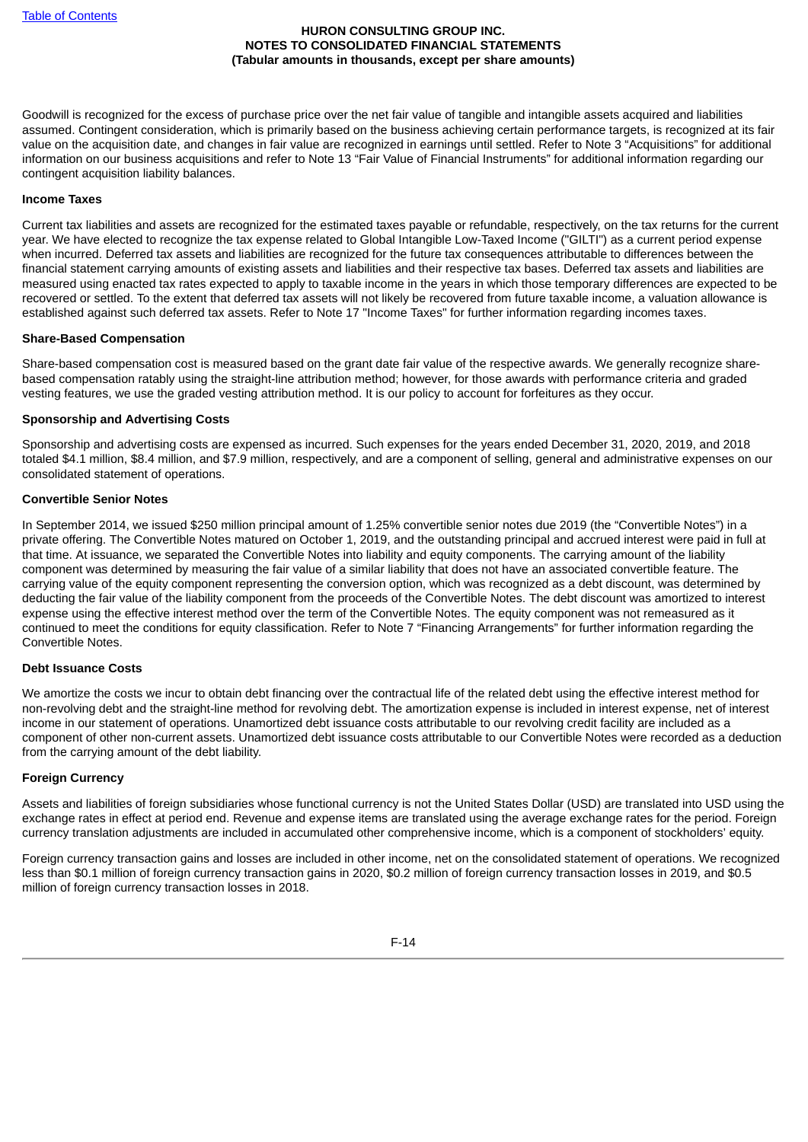Goodwill is recognized for the excess of purchase price over the net fair value of tangible and intangible assets acquired and liabilities assumed. Contingent consideration, which is primarily based on the business achieving certain performance targets, is recognized at its fair value on the acquisition date, and changes in fair value are recognized in earnings until settled. Refer to Note 3 "Acquisitions" for additional information on our business acquisitions and refer to Note 13 "Fair Value of Financial Instruments" for additional information regarding our contingent acquisition liability balances.

## **Income Taxes**

Current tax liabilities and assets are recognized for the estimated taxes payable or refundable, respectively, on the tax returns for the current year. We have elected to recognize the tax expense related to Global Intangible Low-Taxed Income ("GILTI") as a current period expense when incurred. Deferred tax assets and liabilities are recognized for the future tax consequences attributable to differences between the financial statement carrying amounts of existing assets and liabilities and their respective tax bases. Deferred tax assets and liabilities are measured using enacted tax rates expected to apply to taxable income in the years in which those temporary differences are expected to be recovered or settled. To the extent that deferred tax assets will not likely be recovered from future taxable income, a valuation allowance is established against such deferred tax assets. Refer to Note 17 "Income Taxes" for further information regarding incomes taxes.

#### **Share-Based Compensation**

Share-based compensation cost is measured based on the grant date fair value of the respective awards. We generally recognize sharebased compensation ratably using the straight-line attribution method; however, for those awards with performance criteria and graded vesting features, we use the graded vesting attribution method. It is our policy to account for forfeitures as they occur.

#### **Sponsorship and Advertising Costs**

Sponsorship and advertising costs are expensed as incurred. Such expenses for the years ended December 31, 2020, 2019, and 2018 totaled \$4.1 million, \$8.4 million, and \$7.9 million, respectively, and are a component of selling, general and administrative expenses on our consolidated statement of operations.

# **Convertible Senior Notes**

In September 2014, we issued \$250 million principal amount of 1.25% convertible senior notes due 2019 (the "Convertible Notes") in a private offering. The Convertible Notes matured on October 1, 2019, and the outstanding principal and accrued interest were paid in full at that time. At issuance, we separated the Convertible Notes into liability and equity components. The carrying amount of the liability component was determined by measuring the fair value of a similar liability that does not have an associated convertible feature. The carrying value of the equity component representing the conversion option, which was recognized as a debt discount, was determined by deducting the fair value of the liability component from the proceeds of the Convertible Notes. The debt discount was amortized to interest expense using the effective interest method over the term of the Convertible Notes. The equity component was not remeasured as it continued to meet the conditions for equity classification. Refer to Note 7 "Financing Arrangements" for further information regarding the Convertible Notes.

## **Debt Issuance Costs**

We amortize the costs we incur to obtain debt financing over the contractual life of the related debt using the effective interest method for non-revolving debt and the straight-line method for revolving debt. The amortization expense is included in interest expense, net of interest income in our statement of operations. Unamortized debt issuance costs attributable to our revolving credit facility are included as a component of other non-current assets. Unamortized debt issuance costs attributable to our Convertible Notes were recorded as a deduction from the carrying amount of the debt liability.

## **Foreign Currency**

Assets and liabilities of foreign subsidiaries whose functional currency is not the United States Dollar (USD) are translated into USD using the exchange rates in effect at period end. Revenue and expense items are translated using the average exchange rates for the period. Foreign currency translation adjustments are included in accumulated other comprehensive income, which is a component of stockholders' equity.

Foreign currency transaction gains and losses are included in other income, net on the consolidated statement of operations. We recognized less than \$0.1 million of foreign currency transaction gains in 2020, \$0.2 million of foreign currency transaction losses in 2019, and \$0.5 million of foreign currency transaction losses in 2018.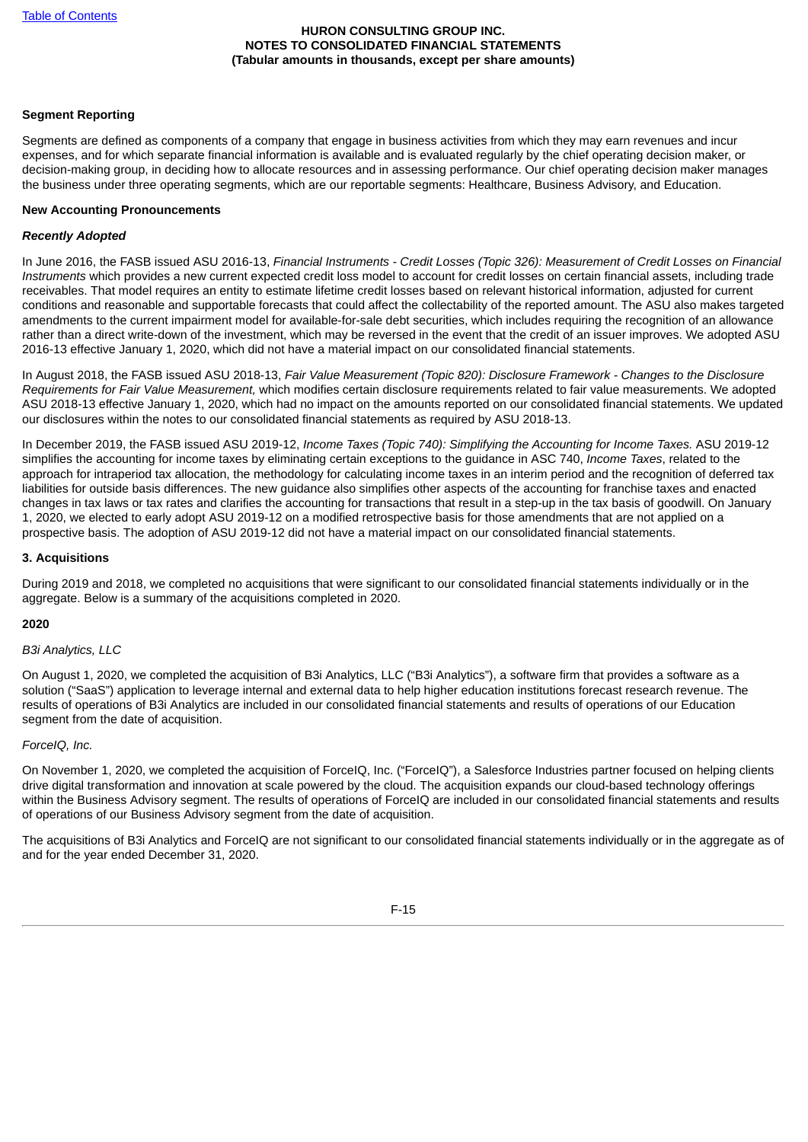# **Segment Reporting**

Segments are defined as components of a company that engage in business activities from which they may earn revenues and incur expenses, and for which separate financial information is available and is evaluated regularly by the chief operating decision maker, or decision-making group, in deciding how to allocate resources and in assessing performance. Our chief operating decision maker manages the business under three operating segments, which are our reportable segments: Healthcare, Business Advisory, and Education.

## **New Accounting Pronouncements**

## *Recently Adopted*

In June 2016, the FASB issued ASU 2016-13, Financial Instruments - Credit Losses (Topic 326): Measurement of Credit Losses on Financial *Instruments* which provides a new current expected credit loss model to account for credit losses on certain financial assets, including trade receivables. That model requires an entity to estimate lifetime credit losses based on relevant historical information, adjusted for current conditions and reasonable and supportable forecasts that could affect the collectability of the reported amount. The ASU also makes targeted amendments to the current impairment model for available-for-sale debt securities, which includes requiring the recognition of an allowance rather than a direct write-down of the investment, which may be reversed in the event that the credit of an issuer improves. We adopted ASU 2016-13 effective January 1, 2020, which did not have a material impact on our consolidated financial statements.

In August 2018, the FASB issued ASU 2018-13, *Fair Value Measurement (Topic 820): Disclosure Framework - Changes to the Disclosure Requirements for Fair Value Measurement,* which modifies certain disclosure requirements related to fair value measurements. We adopted ASU 2018-13 effective January 1, 2020, which had no impact on the amounts reported on our consolidated financial statements. We updated our disclosures within the notes to our consolidated financial statements as required by ASU 2018-13.

In December 2019, the FASB issued ASU 2019-12, *Income Taxes (Topic 740): Simplifying the Accounting for Income Taxes.* ASU 2019-12 simplifies the accounting for income taxes by eliminating certain exceptions to the guidance in ASC 740, *Income Taxes*, related to the approach for intraperiod tax allocation, the methodology for calculating income taxes in an interim period and the recognition of deferred tax liabilities for outside basis differences. The new guidance also simplifies other aspects of the accounting for franchise taxes and enacted changes in tax laws or tax rates and clarifies the accounting for transactions that result in a step-up in the tax basis of goodwill. On January 1, 2020, we elected to early adopt ASU 2019-12 on a modified retrospective basis for those amendments that are not applied on a prospective basis. The adoption of ASU 2019-12 did not have a material impact on our consolidated financial statements.

## **3. Acquisitions**

During 2019 and 2018, we completed no acquisitions that were significant to our consolidated financial statements individually or in the aggregate. Below is a summary of the acquisitions completed in 2020.

## **2020**

## *B3i Analytics, LLC*

On August 1, 2020, we completed the acquisition of B3i Analytics, LLC ("B3i Analytics"), a software firm that provides a software as a solution ("SaaS") application to leverage internal and external data to help higher education institutions forecast research revenue. The results of operations of B3i Analytics are included in our consolidated financial statements and results of operations of our Education segment from the date of acquisition.

## *ForceIQ, Inc.*

On November 1, 2020, we completed the acquisition of ForceIQ, Inc. ("ForceIQ"), a Salesforce Industries partner focused on helping clients drive digital transformation and innovation at scale powered by the cloud. The acquisition expands our cloud-based technology offerings within the Business Advisory segment. The results of operations of ForceIQ are included in our consolidated financial statements and results of operations of our Business Advisory segment from the date of acquisition.

The acquisitions of B3i Analytics and ForceIO are not significant to our consolidated financial statements individually or in the aggregate as of and for the year ended December 31, 2020.

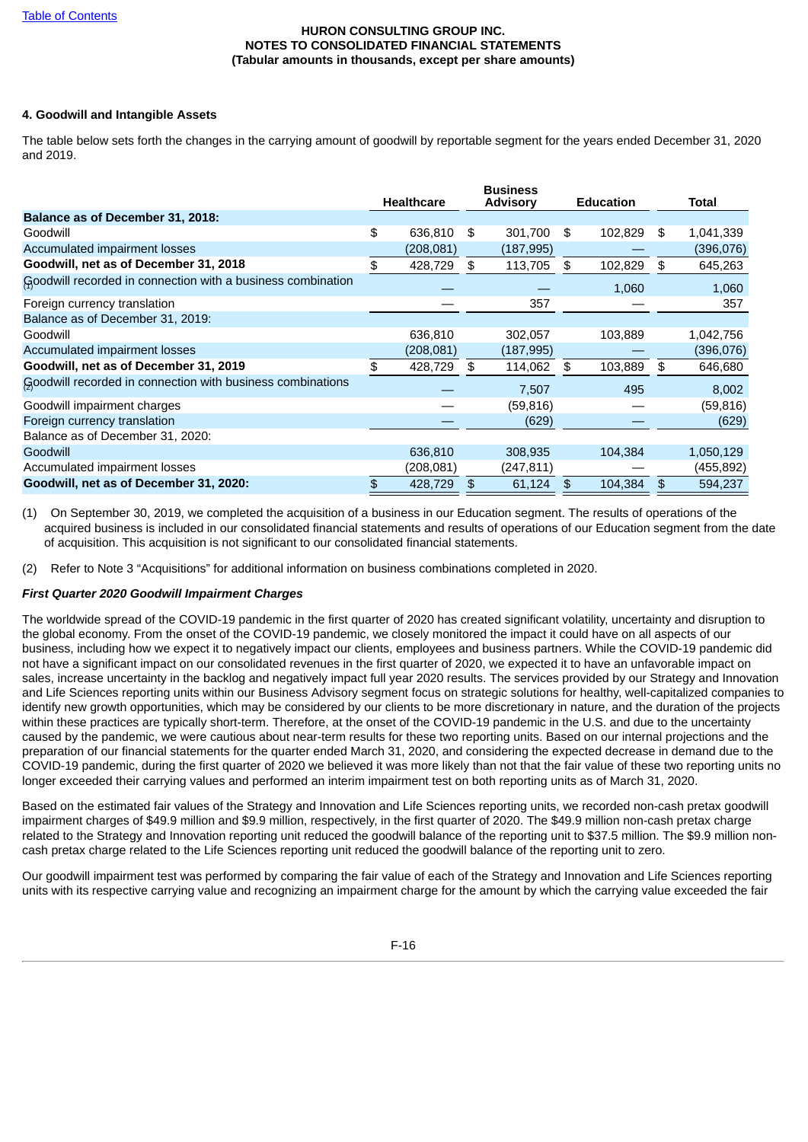# **4. Goodwill and Intangible Assets**

The table below sets forth the changes in the carrying amount of goodwill by reportable segment for the years ended December 31, 2020 and 2019.

|                                                             |    |                   |          | <b>Business</b> |                  |         |                 |
|-------------------------------------------------------------|----|-------------------|----------|-----------------|------------------|---------|-----------------|
|                                                             |    | <b>Healthcare</b> | Advisory |                 | <b>Education</b> |         | <b>Total</b>    |
| Balance as of December 31, 2018:                            |    |                   |          |                 |                  |         |                 |
| Goodwill                                                    | \$ | 636.810           | \$       | 301,700         | \$               | 102,829 | \$<br>1,041,339 |
| Accumulated impairment losses                               |    | (208, 081)        |          | (187, 995)      |                  |         | (396, 076)      |
| Goodwill, net as of December 31, 2018                       | \$ | 428,729           | \$       | 113,705         | \$               | 102,829 | \$<br>645,263   |
| Goodwill recorded in connection with a business combination |    |                   |          |                 |                  | 1,060   | 1,060           |
| Foreign currency translation                                |    |                   |          | 357             |                  |         | 357             |
| Balance as of December 31, 2019:                            |    |                   |          |                 |                  |         |                 |
| Goodwill                                                    |    | 636,810           |          | 302,057         |                  | 103,889 | 1,042,756       |
| Accumulated impairment losses                               |    | (208, 081)        |          | (187, 995)      |                  |         | (396, 076)      |
| Goodwill, net as of December 31, 2019                       |    | 428,729           | \$       | 114,062         | \$               | 103,889 | \$<br>646,680   |
| Goodwill recorded in connection with business combinations  |    |                   |          | 7,507           |                  | 495     | 8,002           |
| Goodwill impairment charges                                 |    |                   |          | (59, 816)       |                  |         | (59, 816)       |
| Foreign currency translation                                |    |                   |          | (629)           |                  |         | (629)           |
| Balance as of December 31, 2020:                            |    |                   |          |                 |                  |         |                 |
| Goodwill                                                    |    | 636,810           |          | 308,935         |                  | 104,384 | 1,050,129       |
| Accumulated impairment losses                               |    | (208,081)         |          | (247, 811)      |                  |         | (455, 892)      |
| Goodwill, net as of December 31, 2020:                      | \$ | 428,729           | \$       | 61,124          | \$               | 104,384 | \$<br>594,237   |

(1) On September 30, 2019, we completed the acquisition of a business in our Education segment. The results of operations of the acquired business is included in our consolidated financial statements and results of operations of our Education segment from the date of acquisition. This acquisition is not significant to our consolidated financial statements.

(2) Refer to Note 3 "Acquisitions" for additional information on business combinations completed in 2020.

## *First Quarter 2020 Goodwill Impairment Charges*

The worldwide spread of the COVID-19 pandemic in the first quarter of 2020 has created significant volatility, uncertainty and disruption to the global economy. From the onset of the COVID-19 pandemic, we closely monitored the impact it could have on all aspects of our business, including how we expect it to negatively impact our clients, employees and business partners. While the COVID-19 pandemic did not have a significant impact on our consolidated revenues in the first quarter of 2020, we expected it to have an unfavorable impact on sales, increase uncertainty in the backlog and negatively impact full year 2020 results. The services provided by our Strategy and Innovation and Life Sciences reporting units within our Business Advisory segment focus on strategic solutions for healthy, well-capitalized companies to identify new growth opportunities, which may be considered by our clients to be more discretionary in nature, and the duration of the projects within these practices are typically short-term. Therefore, at the onset of the COVID-19 pandemic in the U.S. and due to the uncertainty caused by the pandemic, we were cautious about near-term results for these two reporting units. Based on our internal projections and the preparation of our financial statements for the quarter ended March 31, 2020, and considering the expected decrease in demand due to the COVID-19 pandemic, during the first quarter of 2020 we believed it was more likely than not that the fair value of these two reporting units no longer exceeded their carrying values and performed an interim impairment test on both reporting units as of March 31, 2020.

Based on the estimated fair values of the Strategy and Innovation and Life Sciences reporting units, we recorded non-cash pretax goodwill impairment charges of \$49.9 million and \$9.9 million, respectively, in the first quarter of 2020. The \$49.9 million non-cash pretax charge related to the Strategy and Innovation reporting unit reduced the goodwill balance of the reporting unit to \$37.5 million. The \$9.9 million noncash pretax charge related to the Life Sciences reporting unit reduced the goodwill balance of the reporting unit to zero.

Our goodwill impairment test was performed by comparing the fair value of each of the Strategy and Innovation and Life Sciences reporting units with its respective carrying value and recognizing an impairment charge for the amount by which the carrying value exceeded the fair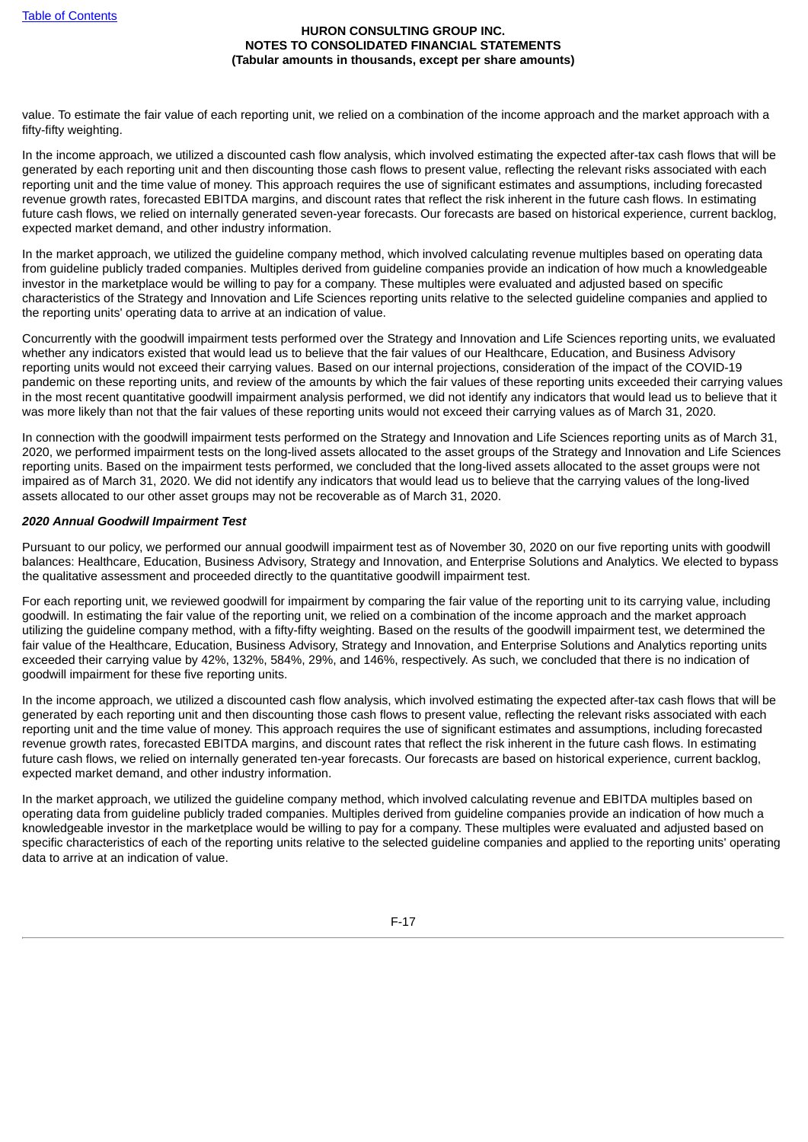value. To estimate the fair value of each reporting unit, we relied on a combination of the income approach and the market approach with a fifty-fifty weighting.

In the income approach, we utilized a discounted cash flow analysis, which involved estimating the expected after-tax cash flows that will be generated by each reporting unit and then discounting those cash flows to present value, reflecting the relevant risks associated with each reporting unit and the time value of money. This approach requires the use of significant estimates and assumptions, including forecasted revenue growth rates, forecasted EBITDA margins, and discount rates that reflect the risk inherent in the future cash flows. In estimating future cash flows, we relied on internally generated seven-year forecasts. Our forecasts are based on historical experience, current backlog, expected market demand, and other industry information.

In the market approach, we utilized the guideline company method, which involved calculating revenue multiples based on operating data from guideline publicly traded companies. Multiples derived from guideline companies provide an indication of how much a knowledgeable investor in the marketplace would be willing to pay for a company. These multiples were evaluated and adjusted based on specific characteristics of the Strategy and Innovation and Life Sciences reporting units relative to the selected guideline companies and applied to the reporting units' operating data to arrive at an indication of value.

Concurrently with the goodwill impairment tests performed over the Strategy and Innovation and Life Sciences reporting units, we evaluated whether any indicators existed that would lead us to believe that the fair values of our Healthcare, Education, and Business Advisory reporting units would not exceed their carrying values. Based on our internal projections, consideration of the impact of the COVID-19 pandemic on these reporting units, and review of the amounts by which the fair values of these reporting units exceeded their carrying values in the most recent quantitative goodwill impairment analysis performed, we did not identify any indicators that would lead us to believe that it was more likely than not that the fair values of these reporting units would not exceed their carrying values as of March 31, 2020.

In connection with the goodwill impairment tests performed on the Strategy and Innovation and Life Sciences reporting units as of March 31, 2020, we performed impairment tests on the long-lived assets allocated to the asset groups of the Strategy and Innovation and Life Sciences reporting units. Based on the impairment tests performed, we concluded that the long-lived assets allocated to the asset groups were not impaired as of March 31, 2020. We did not identify any indicators that would lead us to believe that the carrying values of the long-lived assets allocated to our other asset groups may not be recoverable as of March 31, 2020.

# *2020 Annual Goodwill Impairment Test*

Pursuant to our policy, we performed our annual goodwill impairment test as of November 30, 2020 on our five reporting units with goodwill balances: Healthcare, Education, Business Advisory, Strategy and Innovation, and Enterprise Solutions and Analytics. We elected to bypass the qualitative assessment and proceeded directly to the quantitative goodwill impairment test.

For each reporting unit, we reviewed goodwill for impairment by comparing the fair value of the reporting unit to its carrying value, including goodwill. In estimating the fair value of the reporting unit, we relied on a combination of the income approach and the market approach utilizing the guideline company method, with a fifty-fifty weighting. Based on the results of the goodwill impairment test, we determined the fair value of the Healthcare, Education, Business Advisory, Strategy and Innovation, and Enterprise Solutions and Analytics reporting units exceeded their carrying value by 42%, 132%, 584%, 29%, and 146%, respectively. As such, we concluded that there is no indication of goodwill impairment for these five reporting units.

In the income approach, we utilized a discounted cash flow analysis, which involved estimating the expected after-tax cash flows that will be generated by each reporting unit and then discounting those cash flows to present value, reflecting the relevant risks associated with each reporting unit and the time value of money. This approach requires the use of significant estimates and assumptions, including forecasted revenue growth rates, forecasted EBITDA margins, and discount rates that reflect the risk inherent in the future cash flows. In estimating future cash flows, we relied on internally generated ten-year forecasts. Our forecasts are based on historical experience, current backlog, expected market demand, and other industry information.

In the market approach, we utilized the guideline company method, which involved calculating revenue and EBITDA multiples based on operating data from guideline publicly traded companies. Multiples derived from guideline companies provide an indication of how much a knowledgeable investor in the marketplace would be willing to pay for a company. These multiples were evaluated and adjusted based on specific characteristics of each of the reporting units relative to the selected guideline companies and applied to the reporting units' operating data to arrive at an indication of value.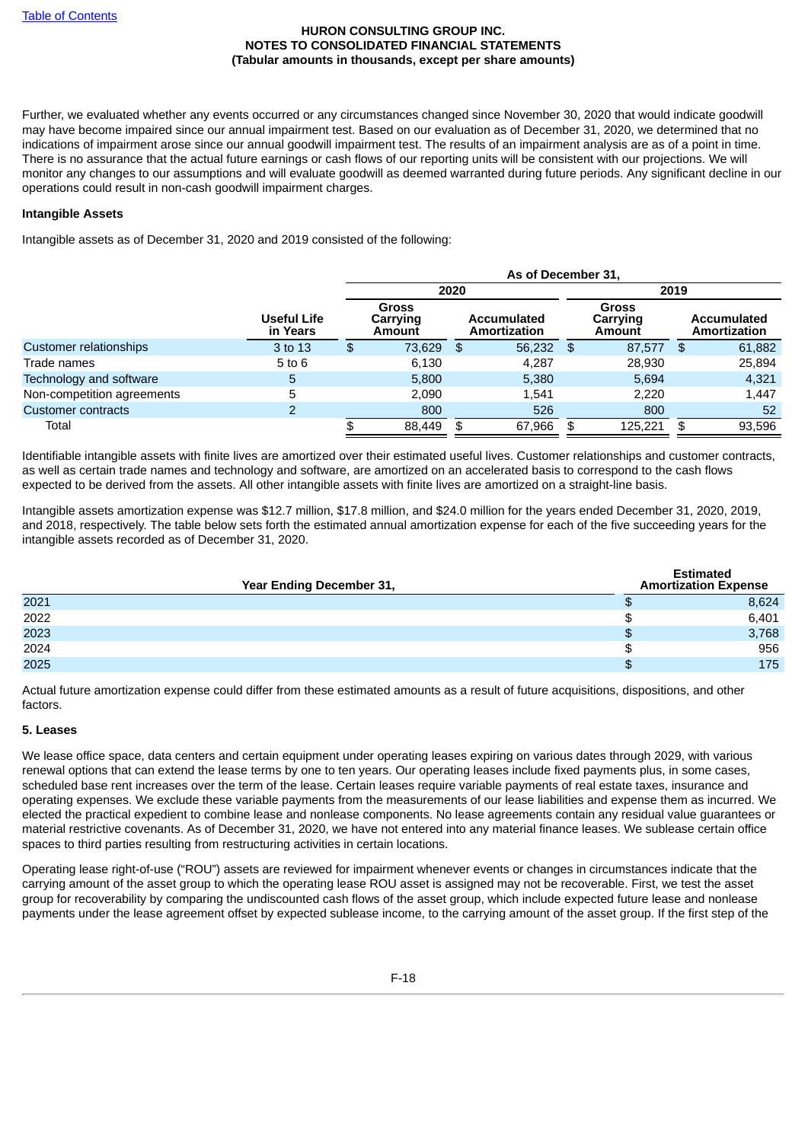Further, we evaluated whether any events occurred or any circumstances changed since November 30, 2020 that would indicate goodwill may have become impaired since our annual impairment test. Based on our evaluation as of December 31, 2020, we determined that no indications of impairment arose since our annual goodwill impairment test. The results of an impairment analysis are as of a point in time. There is no assurance that the actual future earnings or cash flows of our reporting units will be consistent with our projections. We will monitor any changes to our assumptions and will evaluate goodwill as deemed warranted during future periods. Any significant decline in our operations could result in non-cash goodwill impairment charges.

## **Intangible Assets**

Intangible assets as of December 31, 2020 and 2019 consisted of the following:

|                            |                         | As of December 31, |                                    |      |                                    |    |                                    |      |                                    |
|----------------------------|-------------------------|--------------------|------------------------------------|------|------------------------------------|----|------------------------------------|------|------------------------------------|
|                            |                         |                    |                                    | 2020 |                                    |    |                                    | 2019 |                                    |
|                            | Useful Life<br>in Years |                    | <b>Gross</b><br>Carrying<br>Amount |      | <b>Accumulated</b><br>Amortization |    | <b>Gross</b><br>Carrying<br>Amount |      | <b>Accumulated</b><br>Amortization |
| Customer relationships     | 3 to 13                 | \$                 | 73,629                             | \$   | $56,232$ \$                        |    | 87,577                             | \$   | 61,882                             |
| Trade names                | $5$ to $6$              |                    | 6,130                              |      | 4.287                              |    | 28,930                             |      | 25,894                             |
| Technology and software    | 5                       |                    | 5,800                              |      | 5,380                              |    | 5,694                              |      | 4,321                              |
| Non-competition agreements | 5                       |                    | 2.090                              |      | 1.541                              |    | 2,220                              |      | 1,447                              |
| Customer contracts         | $\overline{2}$          |                    | 800                                |      | 526                                |    | 800                                |      | 52                                 |
| Total                      |                         | \$.                | 88,449                             | \$   | 67.966                             | \$ | 125,221                            |      | 93.596                             |

Identifiable intangible assets with finite lives are amortized over their estimated useful lives. Customer relationships and customer contracts, as well as certain trade names and technology and software, are amortized on an accelerated basis to correspond to the cash flows expected to be derived from the assets. All other intangible assets with finite lives are amortized on a straight-line basis.

Intangible assets amortization expense was \$12.7 million, \$17.8 million, and \$24.0 million for the years ended December 31, 2020, 2019, and 2018, respectively. The table below sets forth the estimated annual amortization expense for each of the five succeeding years for the intangible assets recorded as of December 31, 2020.

|      | Year Ending December 31, |    | <b>Estimated</b><br><b>Amortization Expense</b> |
|------|--------------------------|----|-------------------------------------------------|
| 2021 |                          | Ф  | 8,624                                           |
| 2022 |                          | J  | 6,401                                           |
| 2023 |                          | £. | 3,768                                           |
| 2024 |                          | \$ | 956                                             |
| 2025 |                          | \$ | 175                                             |
|      |                          |    |                                                 |

Actual future amortization expense could differ from these estimated amounts as a result of future acquisitions, dispositions, and other factors.

## **5. Leases**

We lease office space, data centers and certain equipment under operating leases expiring on various dates through 2029, with various renewal options that can extend the lease terms by one to ten years. Our operating leases include fixed payments plus, in some cases, scheduled base rent increases over the term of the lease. Certain leases require variable payments of real estate taxes, insurance and operating expenses. We exclude these variable payments from the measurements of our lease liabilities and expense them as incurred. We elected the practical expedient to combine lease and nonlease components. No lease agreements contain any residual value guarantees or material restrictive covenants. As of December 31, 2020, we have not entered into any material finance leases. We sublease certain office spaces to third parties resulting from restructuring activities in certain locations.

Operating lease right-of-use ("ROU") assets are reviewed for impairment whenever events or changes in circumstances indicate that the carrying amount of the asset group to which the operating lease ROU asset is assigned may not be recoverable. First, we test the asset group for recoverability by comparing the undiscounted cash flows of the asset group, which include expected future lease and nonlease payments under the lease agreement offset by expected sublease income, to the carrying amount of the asset group. If the first step of the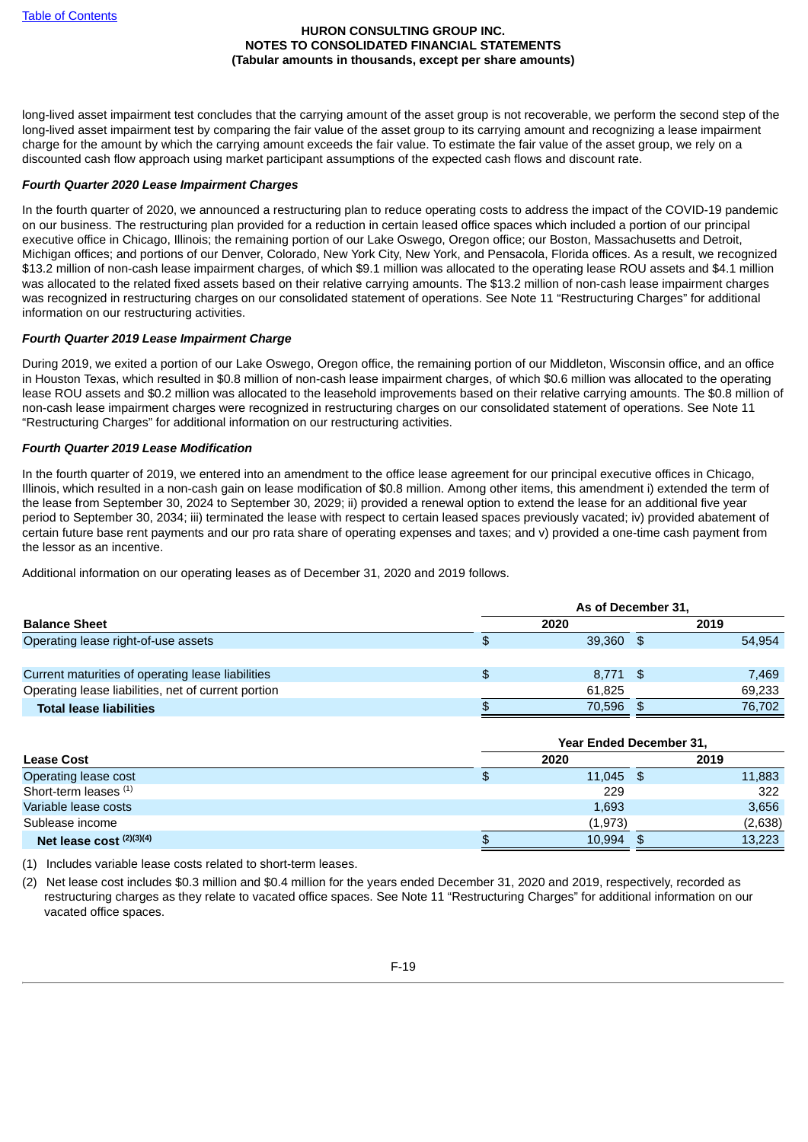long-lived asset impairment test concludes that the carrying amount of the asset group is not recoverable, we perform the second step of the long-lived asset impairment test by comparing the fair value of the asset group to its carrying amount and recognizing a lease impairment charge for the amount by which the carrying amount exceeds the fair value. To estimate the fair value of the asset group, we rely on a discounted cash flow approach using market participant assumptions of the expected cash flows and discount rate.

## *Fourth Quarter 2020 Lease Impairment Charges*

In the fourth quarter of 2020, we announced a restructuring plan to reduce operating costs to address the impact of the COVID-19 pandemic on our business. The restructuring plan provided for a reduction in certain leased office spaces which included a portion of our principal executive office in Chicago, Illinois; the remaining portion of our Lake Oswego, Oregon office; our Boston, Massachusetts and Detroit, Michigan offices; and portions of our Denver, Colorado, New York City, New York, and Pensacola, Florida offices. As a result, we recognized \$13.2 million of non-cash lease impairment charges, of which \$9.1 million was allocated to the operating lease ROU assets and \$4.1 million was allocated to the related fixed assets based on their relative carrying amounts. The \$13.2 million of non-cash lease impairment charges was recognized in restructuring charges on our consolidated statement of operations. See Note 11 "Restructuring Charges" for additional information on our restructuring activities.

## *Fourth Quarter 2019 Lease Impairment Charge*

During 2019, we exited a portion of our Lake Oswego, Oregon office, the remaining portion of our Middleton, Wisconsin office, and an office in Houston Texas, which resulted in \$0.8 million of non-cash lease impairment charges, of which \$0.6 million was allocated to the operating lease ROU assets and \$0.2 million was allocated to the leasehold improvements based on their relative carrying amounts. The \$0.8 million of non-cash lease impairment charges were recognized in restructuring charges on our consolidated statement of operations. See Note 11 "Restructuring Charges" for additional information on our restructuring activities.

## *Fourth Quarter 2019 Lease Modification*

In the fourth quarter of 2019, we entered into an amendment to the office lease agreement for our principal executive offices in Chicago, Illinois, which resulted in a non-cash gain on lease modification of \$0.8 million. Among other items, this amendment i) extended the term of the lease from September 30, 2024 to September 30, 2029; ii) provided a renewal option to extend the lease for an additional five year period to September 30, 2034; iii) terminated the lease with respect to certain leased spaces previously vacated; iv) provided abatement of certain future base rent payments and our pro rata share of operating expenses and taxes; and v) provided a one-time cash payment from the lessor as an incentive.

Additional information on our operating leases as of December 31, 2020 and 2019 follows.

| <b>Balance Sheet</b><br>Operating lease right-of-use assets | As of December 31, |  |        |  |  |  |  |
|-------------------------------------------------------------|--------------------|--|--------|--|--|--|--|
|                                                             | 2020               |  | 2019   |  |  |  |  |
|                                                             | $39,360$ \$        |  | 54,954 |  |  |  |  |
|                                                             |                    |  |        |  |  |  |  |
| Current maturities of operating lease liabilities           | $8,771$ \$         |  | 7.469  |  |  |  |  |
| Operating lease liabilities, net of current portion         | 61.825             |  | 69,233 |  |  |  |  |
| <b>Total lease liabilities</b>                              | 70,596             |  | 76.702 |  |  |  |  |

|                            | Year Ended December 31, |                |  |  |  |  |  |
|----------------------------|-------------------------|----------------|--|--|--|--|--|
| <b>Lease Cost</b>          | 2020                    | 2019           |  |  |  |  |  |
| Operating lease cost       | 11,045 \$               | 11,883         |  |  |  |  |  |
| Short-term leases (1)      | 229                     | 322            |  |  |  |  |  |
| Variable lease costs       | 1,693                   | 3,656          |  |  |  |  |  |
| Sublease income            | (1,973)                 | (2,638)        |  |  |  |  |  |
| Net lease cost $(2)(3)(4)$ | 10,994                  | 13,223<br>- \$ |  |  |  |  |  |

(1) Includes variable lease costs related to short-term leases.

(2) Net lease cost includes \$0.3 million and \$0.4 million for the years ended December 31, 2020 and 2019, respectively, recorded as restructuring charges as they relate to vacated office spaces. See Note 11 "Restructuring Charges" for additional information on our vacated office spaces.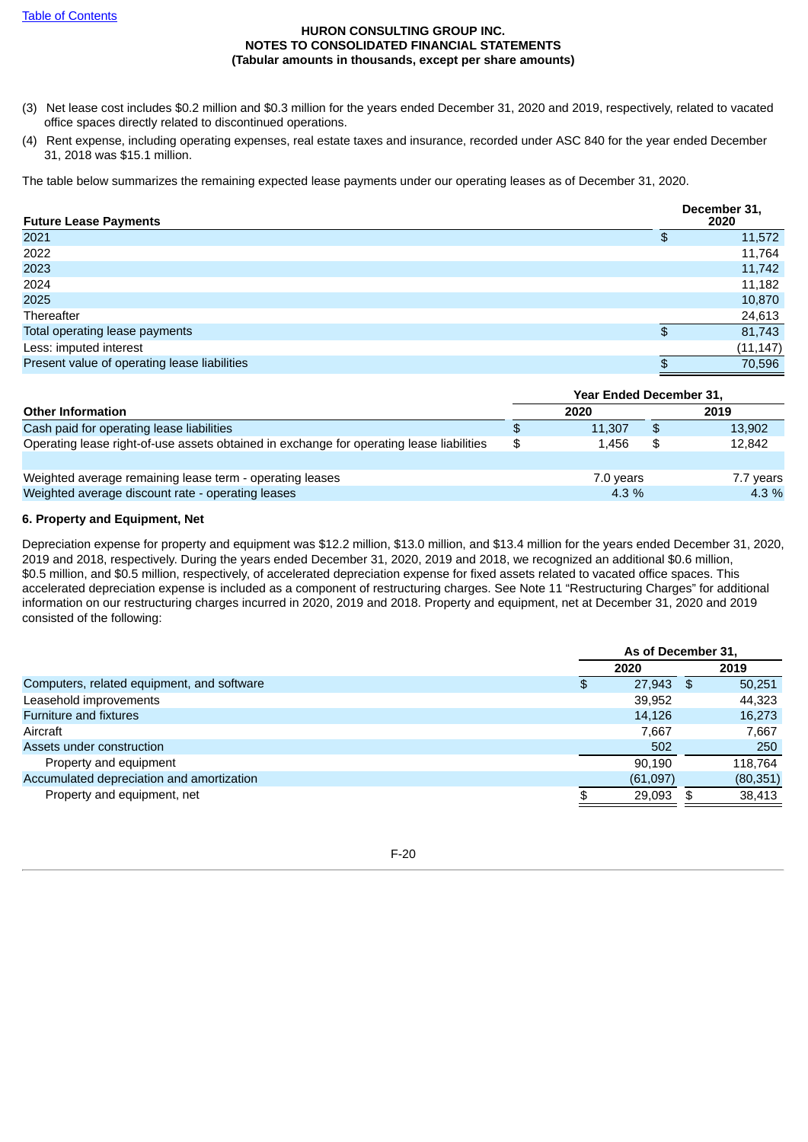- (3) Net lease cost includes \$0.2 million and \$0.3 million for the years ended December 31, 2020 and 2019, respectively, related to vacated office spaces directly related to discontinued operations.
- (4) Rent expense, including operating expenses, real estate taxes and insurance, recorded under ASC 840 for the year ended December 31, 2018 was \$15.1 million.

The table below summarizes the remaining expected lease payments under our operating leases as of December 31, 2020.

| <b>Future Lease Payments</b>                 | December 31,<br>2020 |
|----------------------------------------------|----------------------|
| 2021                                         | 11,572               |
| 2022                                         | 11,764               |
| 2023                                         | 11,742               |
| 2024                                         | 11,182               |
| 2025                                         | 10,870               |
| Thereafter                                   | 24,613               |
| Total operating lease payments               | \$<br>81,743         |
| Less: imputed interest                       | (11, 147)            |
| Present value of operating lease liabilities | 70.596               |

|                                                                                          | Year Ended December 31, |           |    |           |  |
|------------------------------------------------------------------------------------------|-------------------------|-----------|----|-----------|--|
| <b>Other Information</b>                                                                 |                         | 2020      |    | 2019      |  |
| Cash paid for operating lease liabilities                                                | £.                      | 11.307    | \$ | 13,902    |  |
| Operating lease right-of-use assets obtained in exchange for operating lease liabilities | \$                      | 1.456     | \$ | 12,842    |  |
| Weighted average remaining lease term - operating leases                                 |                         | 7.0 years |    | 7.7 years |  |
| Weighted average discount rate - operating leases                                        |                         | $4.3\%$   |    | 4.3 %     |  |

# **6. Property and Equipment, Net**

Depreciation expense for property and equipment was \$12.2 million, \$13.0 million, and \$13.4 million for the years ended December 31, 2020, 2019 and 2018, respectively. During the years ended December 31, 2020, 2019 and 2018, we recognized an additional \$0.6 million, \$0.5 million, and \$0.5 million, respectively, of accelerated depreciation expense for fixed assets related to vacated office spaces. This accelerated depreciation expense is included as a component of restructuring charges. See Note 11 "Restructuring Charges" for additional information on our restructuring charges incurred in 2020, 2019 and 2018. Property and equipment, net at December 31, 2020 and 2019 consisted of the following:

|                                            | As of December 31, |          |      |           |
|--------------------------------------------|--------------------|----------|------|-----------|
|                                            |                    | 2020     |      | 2019      |
| Computers, related equipment, and software |                    | 27.943   | - \$ | 50,251    |
| Leasehold improvements                     |                    | 39.952   |      | 44,323    |
| <b>Furniture and fixtures</b>              |                    | 14.126   |      | 16,273    |
| Aircraft                                   |                    | 7.667    |      | 7.667     |
| Assets under construction                  |                    | 502      |      | 250       |
| Property and equipment                     |                    | 90.190   |      | 118.764   |
| Accumulated depreciation and amortization  |                    | (61,097) |      | (80, 351) |
| Property and equipment, net                |                    | 29,093   | \$.  | 38,413    |

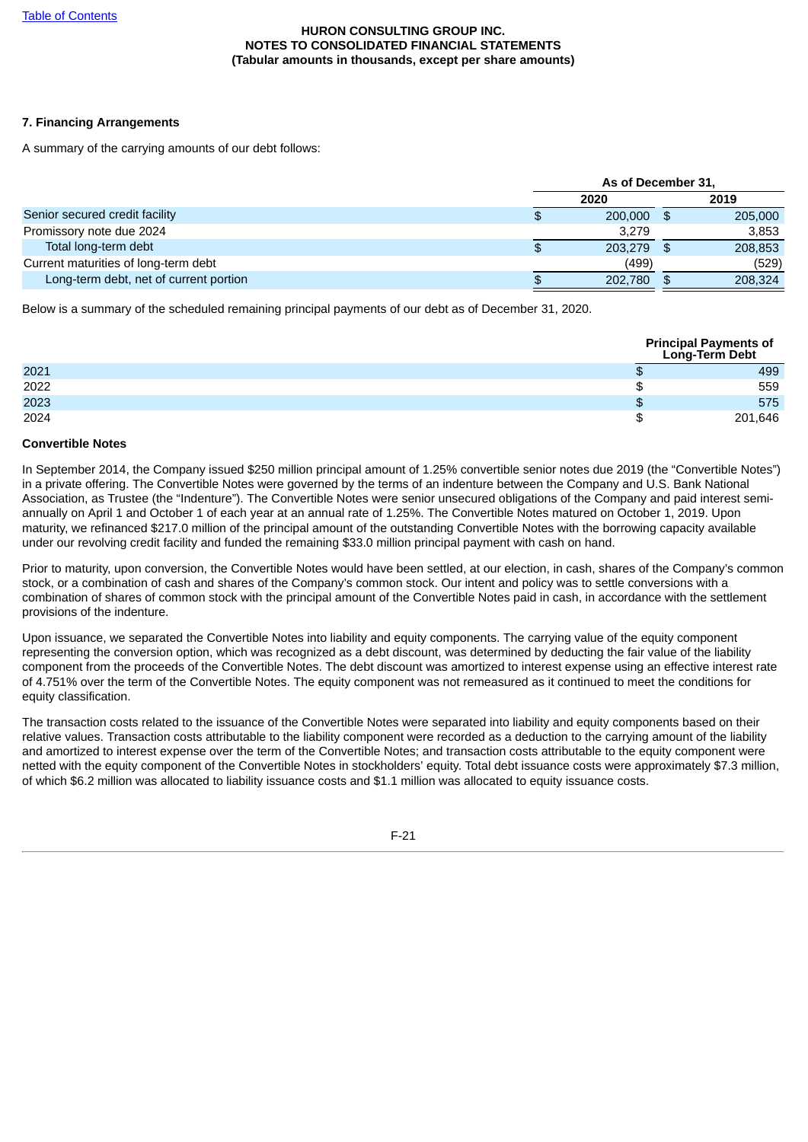# **7. Financing Arrangements**

A summary of the carrying amounts of our debt follows:

|                                        | As of December 31, |         |  |         |
|----------------------------------------|--------------------|---------|--|---------|
|                                        |                    | 2020    |  | 2019    |
| Senior secured credit facility         |                    | 200,000 |  | 205,000 |
| Promissory note due 2024               |                    | 3.279   |  | 3.853   |
| Total long-term debt                   | \$                 | 203.279 |  | 208,853 |
| Current maturities of long-term debt   |                    | (499)   |  | (529)   |
| Long-term debt, net of current portion |                    | 202,780 |  | 208,324 |

Below is a summary of the scheduled remaining principal payments of our debt as of December 31, 2020.

|      |    | <b>Principal Payments of<br/>Long-Term Debt</b> |  |  |
|------|----|-------------------------------------------------|--|--|
| 2021 | ۰D | 499                                             |  |  |
| 2022 |    | 559                                             |  |  |
| 2023 | £. | 575                                             |  |  |
| 2024 |    | 201,646                                         |  |  |

## **Convertible Notes**

In September 2014, the Company issued \$250 million principal amount of 1.25% convertible senior notes due 2019 (the "Convertible Notes") in a private offering. The Convertible Notes were governed by the terms of an indenture between the Company and U.S. Bank National Association, as Trustee (the "Indenture"). The Convertible Notes were senior unsecured obligations of the Company and paid interest semiannually on April 1 and October 1 of each year at an annual rate of 1.25%. The Convertible Notes matured on October 1, 2019. Upon maturity, we refinanced \$217.0 million of the principal amount of the outstanding Convertible Notes with the borrowing capacity available under our revolving credit facility and funded the remaining \$33.0 million principal payment with cash on hand.

Prior to maturity, upon conversion, the Convertible Notes would have been settled, at our election, in cash, shares of the Company's common stock, or a combination of cash and shares of the Company's common stock. Our intent and policy was to settle conversions with a combination of shares of common stock with the principal amount of the Convertible Notes paid in cash, in accordance with the settlement provisions of the indenture.

Upon issuance, we separated the Convertible Notes into liability and equity components. The carrying value of the equity component representing the conversion option, which was recognized as a debt discount, was determined by deducting the fair value of the liability component from the proceeds of the Convertible Notes. The debt discount was amortized to interest expense using an effective interest rate of 4.751% over the term of the Convertible Notes. The equity component was not remeasured as it continued to meet the conditions for equity classification.

The transaction costs related to the issuance of the Convertible Notes were separated into liability and equity components based on their relative values. Transaction costs attributable to the liability component were recorded as a deduction to the carrying amount of the liability and amortized to interest expense over the term of the Convertible Notes; and transaction costs attributable to the equity component were netted with the equity component of the Convertible Notes in stockholders' equity. Total debt issuance costs were approximately \$7.3 million. of which \$6.2 million was allocated to liability issuance costs and \$1.1 million was allocated to equity issuance costs.

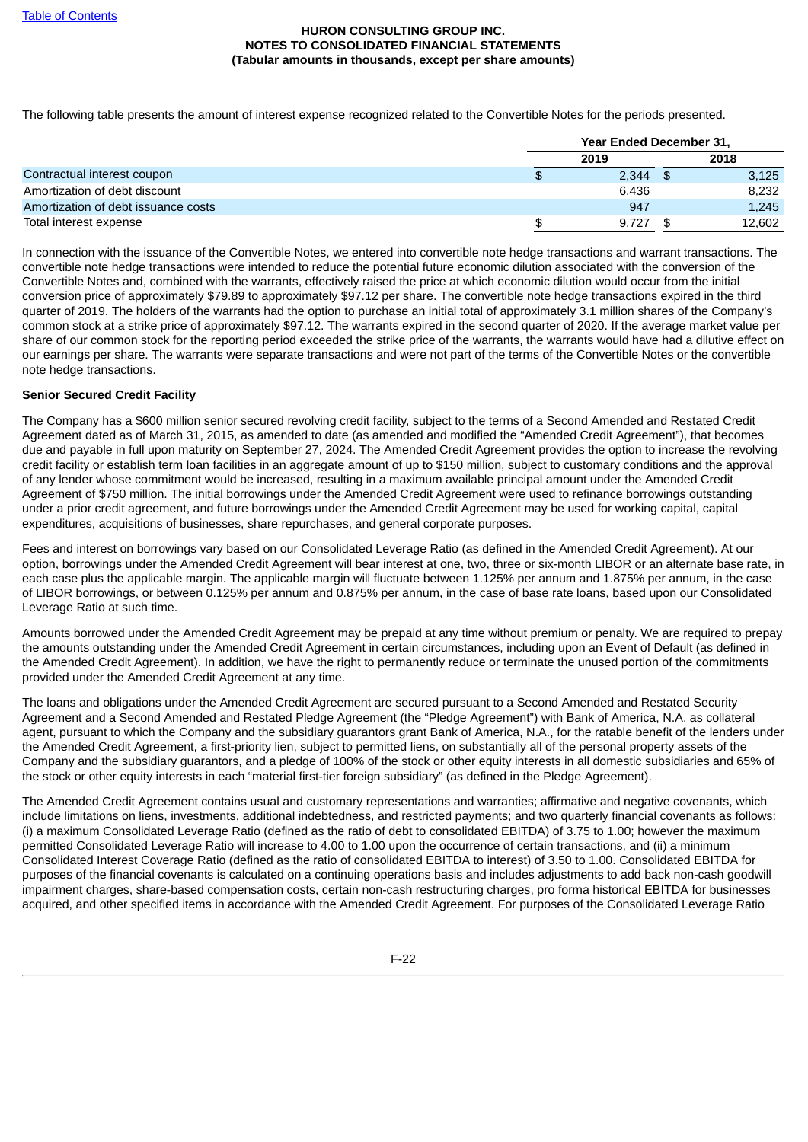The following table presents the amount of interest expense recognized related to the Convertible Notes for the periods presented.

|                                     | Year Ended December 31, |       |  |        |  |
|-------------------------------------|-------------------------|-------|--|--------|--|
|                                     |                         | 2019  |  | 2018   |  |
| Contractual interest coupon         |                         | 2,344 |  | 3,125  |  |
| Amortization of debt discount       |                         | 6.436 |  | 8,232  |  |
| Amortization of debt issuance costs |                         | 947   |  | 1,245  |  |
| Total interest expense              |                         | 9.727 |  | 12.602 |  |

In connection with the issuance of the Convertible Notes, we entered into convertible note hedge transactions and warrant transactions. The convertible note hedge transactions were intended to reduce the potential future economic dilution associated with the conversion of the Convertible Notes and, combined with the warrants, effectively raised the price at which economic dilution would occur from the initial conversion price of approximately \$79.89 to approximately \$97.12 per share. The convertible note hedge transactions expired in the third quarter of 2019. The holders of the warrants had the option to purchase an initial total of approximately 3.1 million shares of the Company's common stock at a strike price of approximately \$97.12. The warrants expired in the second quarter of 2020. If the average market value per share of our common stock for the reporting period exceeded the strike price of the warrants, the warrants would have had a dilutive effect on our earnings per share. The warrants were separate transactions and were not part of the terms of the Convertible Notes or the convertible note hedge transactions.

## **Senior Secured Credit Facility**

The Company has a \$600 million senior secured revolving credit facility, subject to the terms of a Second Amended and Restated Credit Agreement dated as of March 31, 2015, as amended to date (as amended and modified the "Amended Credit Agreement"), that becomes due and payable in full upon maturity on September 27, 2024. The Amended Credit Agreement provides the option to increase the revolving credit facility or establish term loan facilities in an aggregate amount of up to \$150 million, subject to customary conditions and the approval of any lender whose commitment would be increased, resulting in a maximum available principal amount under the Amended Credit Agreement of \$750 million. The initial borrowings under the Amended Credit Agreement were used to refinance borrowings outstanding under a prior credit agreement, and future borrowings under the Amended Credit Agreement may be used for working capital, capital expenditures, acquisitions of businesses, share repurchases, and general corporate purposes.

Fees and interest on borrowings vary based on our Consolidated Leverage Ratio (as defined in the Amended Credit Agreement). At our option, borrowings under the Amended Credit Agreement will bear interest at one, two, three or six-month LIBOR or an alternate base rate, in each case plus the applicable margin. The applicable margin will fluctuate between 1.125% per annum and 1.875% per annum, in the case of LIBOR borrowings, or between 0.125% per annum and 0.875% per annum, in the case of base rate loans, based upon our Consolidated Leverage Ratio at such time.

Amounts borrowed under the Amended Credit Agreement may be prepaid at any time without premium or penalty. We are required to prepay the amounts outstanding under the Amended Credit Agreement in certain circumstances, including upon an Event of Default (as defined in the Amended Credit Agreement). In addition, we have the right to permanently reduce or terminate the unused portion of the commitments provided under the Amended Credit Agreement at any time.

The loans and obligations under the Amended Credit Agreement are secured pursuant to a Second Amended and Restated Security Agreement and a Second Amended and Restated Pledge Agreement (the "Pledge Agreement") with Bank of America, N.A. as collateral agent, pursuant to which the Company and the subsidiary guarantors grant Bank of America, N.A., for the ratable benefit of the lenders under the Amended Credit Agreement, a first-priority lien, subject to permitted liens, on substantially all of the personal property assets of the Company and the subsidiary guarantors, and a pledge of 100% of the stock or other equity interests in all domestic subsidiaries and 65% of the stock or other equity interests in each "material first-tier foreign subsidiary" (as defined in the Pledge Agreement).

The Amended Credit Agreement contains usual and customary representations and warranties; affirmative and negative covenants, which include limitations on liens, investments, additional indebtedness, and restricted payments; and two quarterly financial covenants as follows: (i) a maximum Consolidated Leverage Ratio (defined as the ratio of debt to consolidated EBITDA) of 3.75 to 1.00; however the maximum permitted Consolidated Leverage Ratio will increase to 4.00 to 1.00 upon the occurrence of certain transactions, and (ii) a minimum Consolidated Interest Coverage Ratio (defined as the ratio of consolidated EBITDA to interest) of 3.50 to 1.00. Consolidated EBITDA for purposes of the financial covenants is calculated on a continuing operations basis and includes adjustments to add back non-cash goodwill impairment charges, share-based compensation costs, certain non-cash restructuring charges, pro forma historical EBITDA for businesses acquired, and other specified items in accordance with the Amended Credit Agreement. For purposes of the Consolidated Leverage Ratio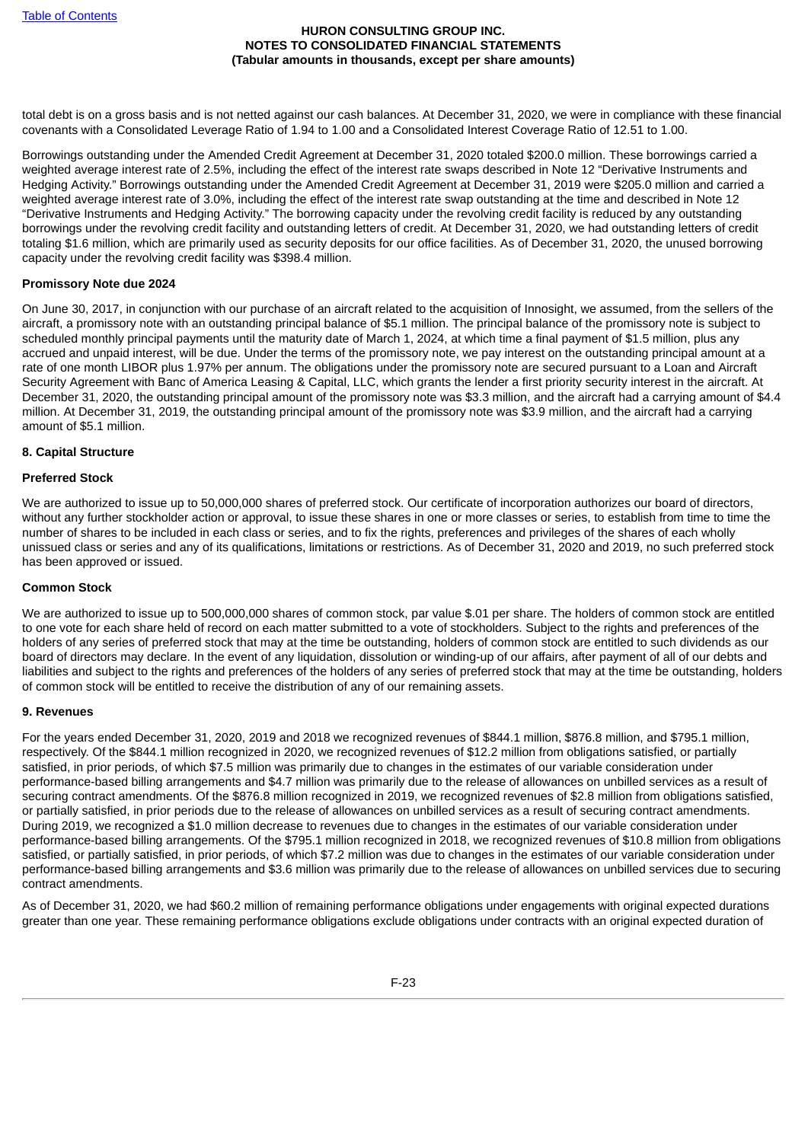total debt is on a gross basis and is not netted against our cash balances. At December 31, 2020, we were in compliance with these financial covenants with a Consolidated Leverage Ratio of 1.94 to 1.00 and a Consolidated Interest Coverage Ratio of 12.51 to 1.00.

Borrowings outstanding under the Amended Credit Agreement at December 31, 2020 totaled \$200.0 million. These borrowings carried a weighted average interest rate of 2.5%, including the effect of the interest rate swaps described in Note 12 "Derivative Instruments and Hedging Activity." Borrowings outstanding under the Amended Credit Agreement at December 31, 2019 were \$205.0 million and carried a weighted average interest rate of 3.0%, including the effect of the interest rate swap outstanding at the time and described in Note 12 "Derivative Instruments and Hedging Activity." The borrowing capacity under the revolving credit facility is reduced by any outstanding borrowings under the revolving credit facility and outstanding letters of credit. At December 31, 2020, we had outstanding letters of credit totaling \$1.6 million, which are primarily used as security deposits for our office facilities. As of December 31, 2020, the unused borrowing capacity under the revolving credit facility was \$398.4 million.

#### **Promissory Note due 2024**

On June 30, 2017, in conjunction with our purchase of an aircraft related to the acquisition of Innosight, we assumed, from the sellers of the aircraft, a promissory note with an outstanding principal balance of \$5.1 million. The principal balance of the promissory note is subject to scheduled monthly principal payments until the maturity date of March 1, 2024, at which time a final payment of \$1.5 million, plus any accrued and unpaid interest, will be due. Under the terms of the promissory note, we pay interest on the outstanding principal amount at a rate of one month LIBOR plus 1.97% per annum. The obligations under the promissory note are secured pursuant to a Loan and Aircraft Security Agreement with Banc of America Leasing & Capital, LLC, which grants the lender a first priority security interest in the aircraft. At December 31, 2020, the outstanding principal amount of the promissory note was \$3.3 million, and the aircraft had a carrying amount of \$4.4 million. At December 31, 2019, the outstanding principal amount of the promissory note was \$3.9 million, and the aircraft had a carrying amount of \$5.1 million.

#### **8. Capital Structure**

#### **Preferred Stock**

We are authorized to issue up to 50,000,000 shares of preferred stock. Our certificate of incorporation authorizes our board of directors. without any further stockholder action or approval, to issue these shares in one or more classes or series, to establish from time to time the number of shares to be included in each class or series, and to fix the rights, preferences and privileges of the shares of each wholly unissued class or series and any of its qualifications, limitations or restrictions. As of December 31, 2020 and 2019, no such preferred stock has been approved or issued.

## **Common Stock**

We are authorized to issue up to 500,000,000 shares of common stock, par value \$.01 per share. The holders of common stock are entitled to one vote for each share held of record on each matter submitted to a vote of stockholders. Subject to the rights and preferences of the holders of any series of preferred stock that may at the time be outstanding, holders of common stock are entitled to such dividends as our board of directors may declare. In the event of any liquidation, dissolution or winding-up of our affairs, after payment of all of our debts and liabilities and subject to the rights and preferences of the holders of any series of preferred stock that may at the time be outstanding, holders of common stock will be entitled to receive the distribution of any of our remaining assets.

#### **9. Revenues**

For the years ended December 31, 2020, 2019 and 2018 we recognized revenues of \$844.1 million, \$876.8 million, and \$795.1 million, respectively. Of the \$844.1 million recognized in 2020, we recognized revenues of \$12.2 million from obligations satisfied, or partially satisfied, in prior periods, of which \$7.5 million was primarily due to changes in the estimates of our variable consideration under performance-based billing arrangements and \$4.7 million was primarily due to the release of allowances on unbilled services as a result of securing contract amendments. Of the \$876.8 million recognized in 2019, we recognized revenues of \$2.8 million from obligations satisfied. or partially satisfied, in prior periods due to the release of allowances on unbilled services as a result of securing contract amendments. During 2019, we recognized a \$1.0 million decrease to revenues due to changes in the estimates of our variable consideration under performance-based billing arrangements. Of the \$795.1 million recognized in 2018, we recognized revenues of \$10.8 million from obligations satisfied, or partially satisfied, in prior periods, of which \$7.2 million was due to changes in the estimates of our variable consideration under performance-based billing arrangements and \$3.6 million was primarily due to the release of allowances on unbilled services due to securing contract amendments.

As of December 31, 2020, we had \$60.2 million of remaining performance obligations under engagements with original expected durations greater than one year. These remaining performance obligations exclude obligations under contracts with an original expected duration of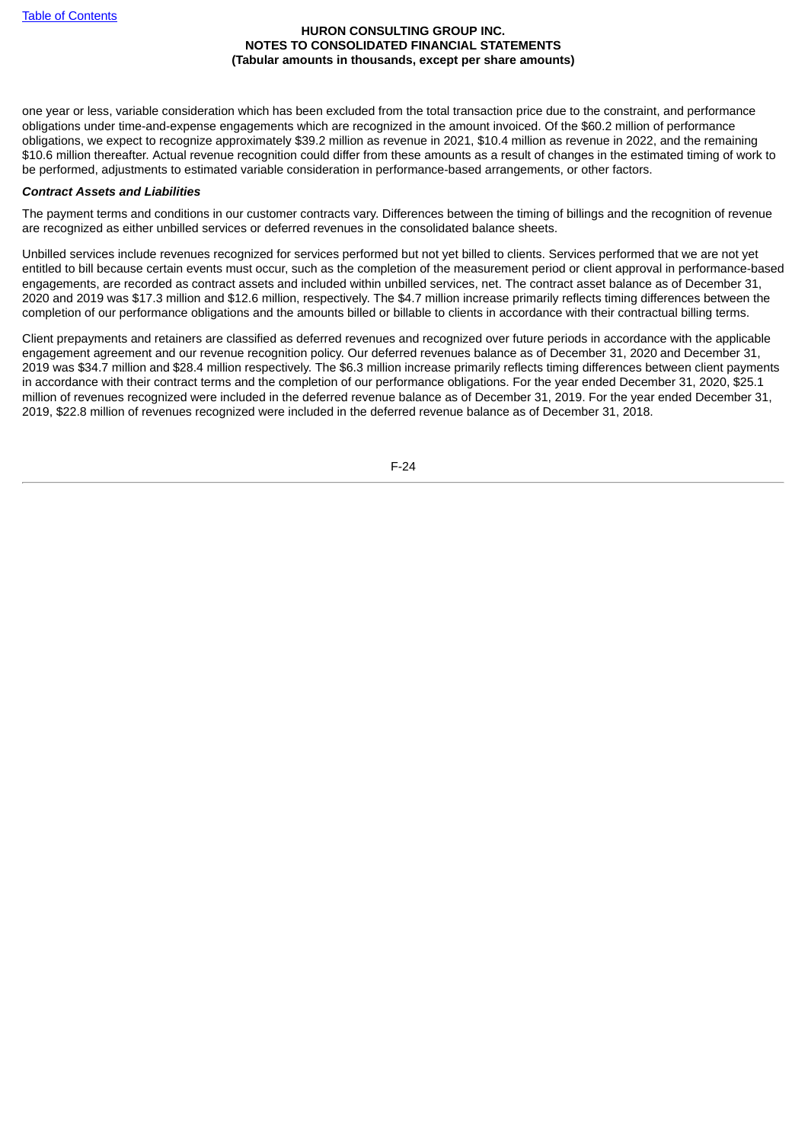one year or less, variable consideration which has been excluded from the total transaction price due to the constraint, and performance obligations under time-and-expense engagements which are recognized in the amount invoiced. Of the \$60.2 million of performance obligations, we expect to recognize approximately \$39.2 million as revenue in 2021, \$10.4 million as revenue in 2022, and the remaining \$10.6 million thereafter. Actual revenue recognition could differ from these amounts as a result of changes in the estimated timing of work to be performed, adjustments to estimated variable consideration in performance-based arrangements, or other factors.

#### *Contract Assets and Liabilities*

The payment terms and conditions in our customer contracts vary. Differences between the timing of billings and the recognition of revenue are recognized as either unbilled services or deferred revenues in the consolidated balance sheets.

Unbilled services include revenues recognized for services performed but not yet billed to clients. Services performed that we are not yet entitled to bill because certain events must occur, such as the completion of the measurement period or client approval in performance-based engagements, are recorded as contract assets and included within unbilled services, net. The contract asset balance as of December 31, 2020 and 2019 was \$17.3 million and \$12.6 million, respectively. The \$4.7 million increase primarily reflects timing differences between the completion of our performance obligations and the amounts billed or billable to clients in accordance with their contractual billing terms.

Client prepayments and retainers are classified as deferred revenues and recognized over future periods in accordance with the applicable engagement agreement and our revenue recognition policy. Our deferred revenues balance as of December 31, 2020 and December 31, 2019 was \$34.7 million and \$28.4 million respectively. The \$6.3 million increase primarily reflects timing differences between client payments in accordance with their contract terms and the completion of our performance obligations. For the year ended December 31, 2020, \$25.1 million of revenues recognized were included in the deferred revenue balance as of December 31, 2019. For the year ended December 31, 2019, \$22.8 million of revenues recognized were included in the deferred revenue balance as of December 31, 2018.

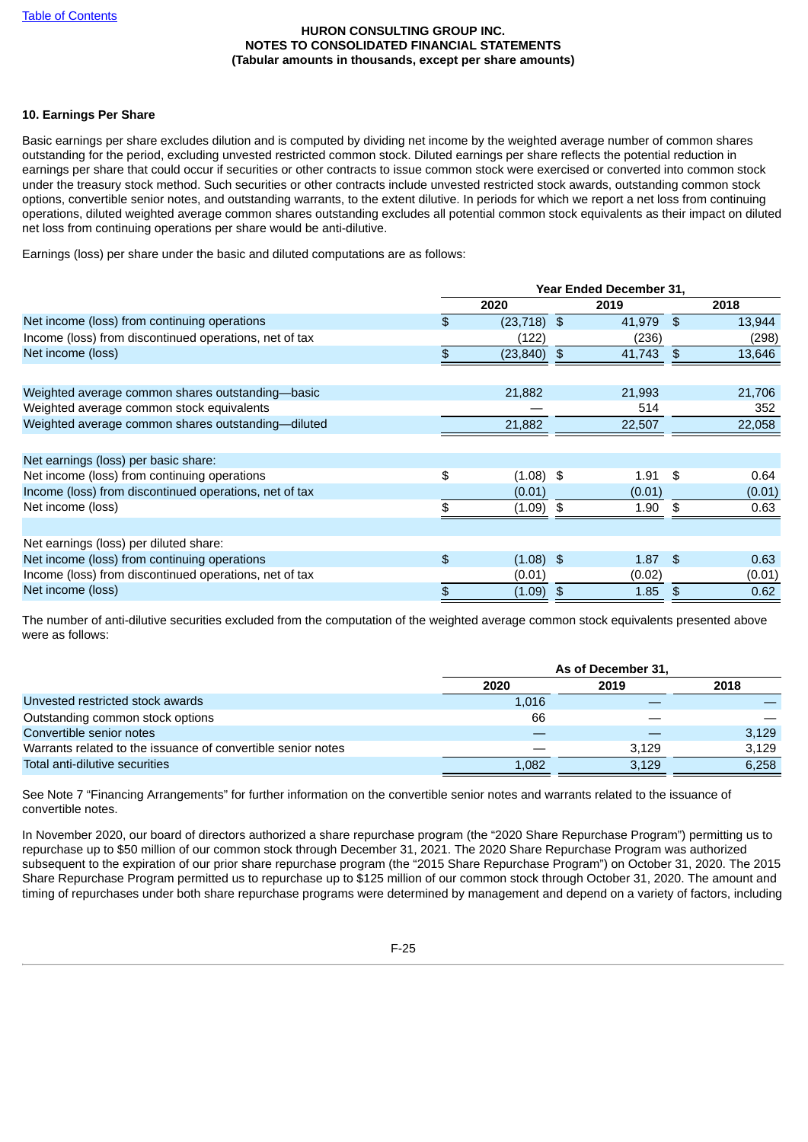## **10. Earnings Per Share**

Basic earnings per share excludes dilution and is computed by dividing net income by the weighted average number of common shares outstanding for the period, excluding unvested restricted common stock. Diluted earnings per share reflects the potential reduction in earnings per share that could occur if securities or other contracts to issue common stock were exercised or converted into common stock under the treasury stock method. Such securities or other contracts include unvested restricted stock awards, outstanding common stock options, convertible senior notes, and outstanding warrants, to the extent dilutive. In periods for which we report a net loss from continuing operations, diluted weighted average common shares outstanding excludes all potential common stock equivalents as their impact on diluted net loss from continuing operations per share would be anti-dilutive.

Earnings (loss) per share under the basic and diluted computations are as follows:

|                                                        | Year Ended December 31, |               |    |        |      |        |
|--------------------------------------------------------|-------------------------|---------------|----|--------|------|--------|
|                                                        |                         | 2020          |    | 2019   | 2018 |        |
| Net income (loss) from continuing operations           | \$                      | $(23,718)$ \$ |    | 41,979 | -\$  | 13,944 |
| Income (loss) from discontinued operations, net of tax |                         | (122)         |    | (236)  |      | (298)  |
| Net income (loss)                                      | \$                      | (23, 840)     | \$ | 41,743 | \$   | 13,646 |
|                                                        |                         |               |    |        |      |        |
| Weighted average common shares outstanding-basic       |                         | 21,882        |    | 21,993 |      | 21,706 |
| Weighted average common stock equivalents              |                         |               |    | 514    |      | 352    |
| Weighted average common shares outstanding-diluted     |                         | 21,882        |    | 22,507 |      | 22,058 |
|                                                        |                         |               |    |        |      |        |
| Net earnings (loss) per basic share:                   |                         |               |    |        |      |        |
| Net income (loss) from continuing operations           | \$                      | $(1.08)$ \$   |    | 1.91   | \$   | 0.64   |
| Income (loss) from discontinued operations, net of tax |                         | (0.01)        |    | (0.01) |      | (0.01) |
| Net income (loss)                                      | \$.                     | (1.09)        | \$ | 1.90   | \$   | 0.63   |
|                                                        |                         |               |    |        |      |        |
| Net earnings (loss) per diluted share:                 |                         |               |    |        |      |        |
| Net income (loss) from continuing operations           | \$                      | $(1.08)$ \$   |    | 1.87   | \$   | 0.63   |
| Income (loss) from discontinued operations, net of tax |                         | (0.01)        |    | (0.02) |      | (0.01) |
| Net income (loss)                                      | \$                      | (1.09)        | \$ | 1.85   | \$   | 0.62   |

The number of anti-dilutive securities excluded from the computation of the weighted average common stock equivalents presented above were as follows:

|                                                              |       | As of December 31, |       |  |  |
|--------------------------------------------------------------|-------|--------------------|-------|--|--|
|                                                              | 2020  | 2019               | 2018  |  |  |
| Unvested restricted stock awards                             | 1,016 |                    |       |  |  |
| Outstanding common stock options                             | 66    |                    |       |  |  |
| Convertible senior notes                                     |       |                    | 3,129 |  |  |
| Warrants related to the issuance of convertible senior notes |       | 3.129              | 3.129 |  |  |
| Total anti-dilutive securities                               | 1,082 | 3.129              | 6,258 |  |  |

See Note 7 "Financing Arrangements" for further information on the convertible senior notes and warrants related to the issuance of convertible notes.

In November 2020, our board of directors authorized a share repurchase program (the "2020 Share Repurchase Program") permitting us to repurchase up to \$50 million of our common stock through December 31, 2021. The 2020 Share Repurchase Program was authorized subsequent to the expiration of our prior share repurchase program (the "2015 Share Repurchase Program") on October 31, 2020. The 2015 Share Repurchase Program permitted us to repurchase up to \$125 million of our common stock through October 31, 2020. The amount and timing of repurchases under both share repurchase programs were determined by management and depend on a variety of factors, including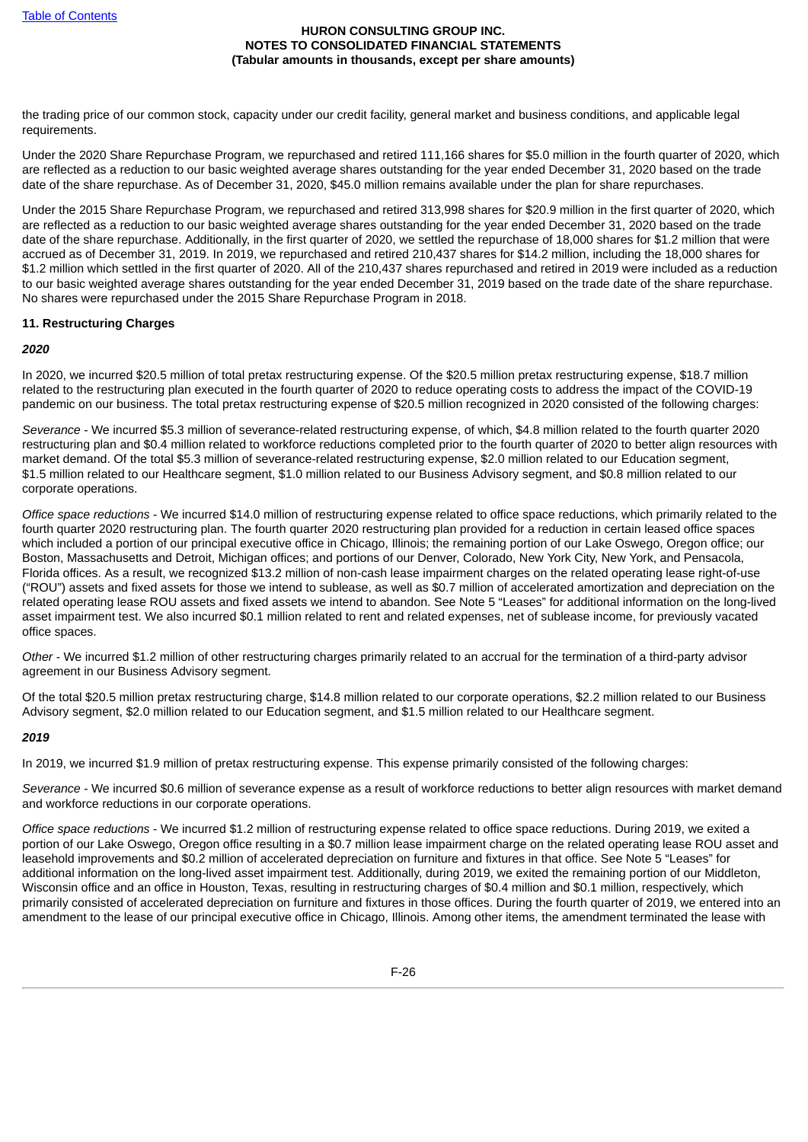the trading price of our common stock, capacity under our credit facility, general market and business conditions, and applicable legal requirements.

Under the 2020 Share Repurchase Program, we repurchased and retired 111,166 shares for \$5.0 million in the fourth quarter of 2020, which are reflected as a reduction to our basic weighted average shares outstanding for the year ended December 31, 2020 based on the trade date of the share repurchase. As of December 31, 2020, \$45.0 million remains available under the plan for share repurchases.

Under the 2015 Share Repurchase Program, we repurchased and retired 313,998 shares for \$20.9 million in the first quarter of 2020, which are reflected as a reduction to our basic weighted average shares outstanding for the year ended December 31, 2020 based on the trade date of the share repurchase. Additionally, in the first quarter of 2020, we settled the repurchase of 18,000 shares for \$1.2 million that were accrued as of December 31, 2019. In 2019, we repurchased and retired 210,437 shares for \$14.2 million, including the 18,000 shares for \$1.2 million which settled in the first quarter of 2020. All of the 210,437 shares repurchased and retired in 2019 were included as a reduction to our basic weighted average shares outstanding for the year ended December 31, 2019 based on the trade date of the share repurchase. No shares were repurchased under the 2015 Share Repurchase Program in 2018.

#### **11. Restructuring Charges**

#### *2020*

In 2020, we incurred \$20.5 million of total pretax restructuring expense. Of the \$20.5 million pretax restructuring expense, \$18.7 million related to the restructuring plan executed in the fourth quarter of 2020 to reduce operating costs to address the impact of the COVID-19 pandemic on our business. The total pretax restructuring expense of \$20.5 million recognized in 2020 consisted of the following charges:

*Severance* - We incurred \$5.3 million of severance-related restructuring expense, of which, \$4.8 million related to the fourth quarter 2020 restructuring plan and \$0.4 million related to workforce reductions completed prior to the fourth quarter of 2020 to better align resources with market demand. Of the total \$5.3 million of severance-related restructuring expense, \$2.0 million related to our Education segment, \$1.5 million related to our Healthcare segment, \$1.0 million related to our Business Advisory segment, and \$0.8 million related to our corporate operations.

*Office space reductions* - We incurred \$14.0 million of restructuring expense related to office space reductions, which primarily related to the fourth quarter 2020 restructuring plan. The fourth quarter 2020 restructuring plan provided for a reduction in certain leased office spaces which included a portion of our principal executive office in Chicago, Illinois; the remaining portion of our Lake Oswego, Oregon office; our Boston, Massachusetts and Detroit, Michigan offices; and portions of our Denver, Colorado, New York City, New York, and Pensacola, Florida offices. As a result, we recognized \$13.2 million of non-cash lease impairment charges on the related operating lease right-of-use ("ROU") assets and fixed assets for those we intend to sublease, as well as \$0.7 million of accelerated amortization and depreciation on the related operating lease ROU assets and fixed assets we intend to abandon. See Note 5 "Leases" for additional information on the long-lived asset impairment test. We also incurred \$0.1 million related to rent and related expenses, net of sublease income, for previously vacated office spaces.

*Other* - We incurred \$1.2 million of other restructuring charges primarily related to an accrual for the termination of a third-party advisor agreement in our Business Advisory segment.

Of the total \$20.5 million pretax restructuring charge, \$14.8 million related to our corporate operations, \$2.2 million related to our Business Advisory segment, \$2.0 million related to our Education segment, and \$1.5 million related to our Healthcare segment.

#### *2019*

In 2019, we incurred \$1.9 million of pretax restructuring expense. This expense primarily consisted of the following charges:

*Severance* - We incurred \$0.6 million of severance expense as a result of workforce reductions to better align resources with market demand and workforce reductions in our corporate operations.

*Office space reductions* - We incurred \$1.2 million of restructuring expense related to office space reductions. During 2019, we exited a portion of our Lake Oswego, Oregon office resulting in a \$0.7 million lease impairment charge on the related operating lease ROU asset and leasehold improvements and \$0.2 million of accelerated depreciation on furniture and fixtures in that office. See Note 5 "Leases" for additional information on the long-lived asset impairment test. Additionally, during 2019, we exited the remaining portion of our Middleton, Wisconsin office and an office in Houston, Texas, resulting in restructuring charges of \$0.4 million and \$0.1 million, respectively, which primarily consisted of accelerated depreciation on furniture and fixtures in those offices. During the fourth quarter of 2019, we entered into an amendment to the lease of our principal executive office in Chicago, Illinois. Among other items, the amendment terminated the lease with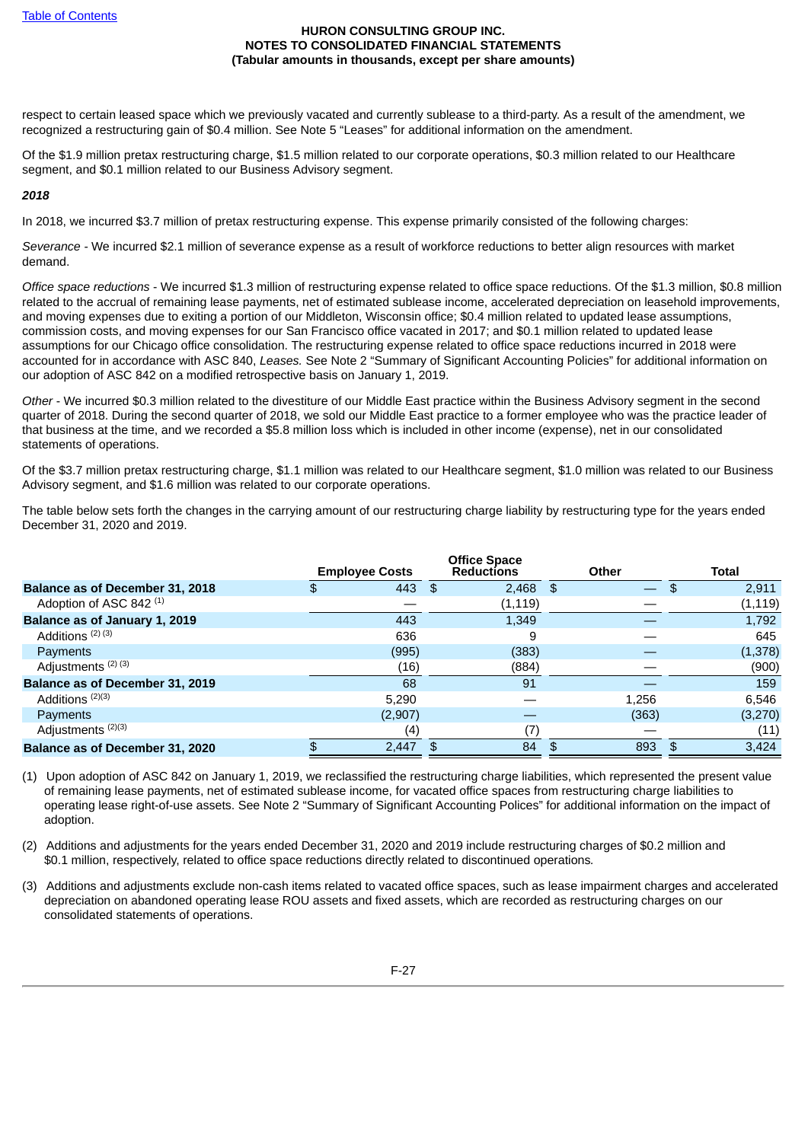respect to certain leased space which we previously vacated and currently sublease to a third-party. As a result of the amendment, we recognized a restructuring gain of \$0.4 million. See Note 5 "Leases" for additional information on the amendment.

Of the \$1.9 million pretax restructuring charge, \$1.5 million related to our corporate operations, \$0.3 million related to our Healthcare segment, and \$0.1 million related to our Business Advisory segment.

#### *2018*

In 2018, we incurred \$3.7 million of pretax restructuring expense. This expense primarily consisted of the following charges:

*Severance -* We incurred \$2.1 million of severance expense as a result of workforce reductions to better align resources with market demand.

*Office space reductions* - We incurred \$1.3 million of restructuring expense related to office space reductions. Of the \$1.3 million, \$0.8 million related to the accrual of remaining lease payments, net of estimated sublease income, accelerated depreciation on leasehold improvements, and moving expenses due to exiting a portion of our Middleton, Wisconsin office; \$0.4 million related to updated lease assumptions, commission costs, and moving expenses for our San Francisco office vacated in 2017; and \$0.1 million related to updated lease assumptions for our Chicago office consolidation. The restructuring expense related to office space reductions incurred in 2018 were accounted for in accordance with ASC 840, *Leases.* See Note 2 "Summary of Significant Accounting Policies" for additional information on our adoption of ASC 842 on a modified retrospective basis on January 1, 2019.

*Other* - We incurred \$0.3 million related to the divestiture of our Middle East practice within the Business Advisory segment in the second quarter of 2018. During the second quarter of 2018, we sold our Middle East practice to a former employee who was the practice leader of that business at the time, and we recorded a \$5.8 million loss which is included in other income (expense), net in our consolidated statements of operations.

Of the \$3.7 million pretax restructuring charge, \$1.1 million was related to our Healthcare segment, \$1.0 million was related to our Business Advisory segment, and \$1.6 million was related to our corporate operations.

The table below sets forth the changes in the carrying amount of our restructuring charge liability by restructuring type for the years ended December 31, 2020 and 2019.

|                                    | <b>Employee Costs</b> |     | <b>Office Space</b><br><b>Reductions</b> |      | <b>Other</b> |              | <b>Total</b> |
|------------------------------------|-----------------------|-----|------------------------------------------|------|--------------|--------------|--------------|
| Balance as of December 31, 2018    | \$<br>443             | \$  | 2,468                                    | - \$ |              | \$           | 2,911        |
| Adoption of ASC 842 <sup>(1)</sup> |                       |     | (1, 119)                                 |      |              |              | (1, 119)     |
| Balance as of January 1, 2019      | 443                   |     | 1,349                                    |      |              |              | 1,792        |
| Additions <sup>(2)(3)</sup>        | 636                   |     | 9                                        |      |              |              | 645          |
| <b>Payments</b>                    | (995)                 |     | (383)                                    |      |              |              | (1, 378)     |
| Adjustments <sup>(2)(3)</sup>      | (16)                  |     | (884)                                    |      |              |              | (900)        |
| Balance as of December 31, 2019    | 68                    |     | 91                                       |      |              |              | 159          |
| Additions <sup>(2)(3)</sup>        | 5,290                 |     |                                          |      | 1,256        |              | 6,546        |
| <b>Payments</b>                    | (2,907)               |     |                                          |      | (363)        |              | (3,270)      |
| Adjustments <sup>(2)(3)</sup>      | (4)                   |     |                                          |      |              |              | (11)         |
| Balance as of December 31, 2020    | 2,447                 | -\$ | 84                                       | \$   | 893          | $\mathbf{r}$ | 3,424        |

(1) Upon adoption of ASC 842 on January 1, 2019, we reclassified the restructuring charge liabilities, which represented the present value of remaining lease payments, net of estimated sublease income, for vacated office spaces from restructuring charge liabilities to operating lease right-of-use assets. See Note 2 "Summary of Significant Accounting Polices" for additional information on the impact of adoption.

- (2) Additions and adjustments for the years ended December 31, 2020 and 2019 include restructuring charges of \$0.2 million and \$0.1 million, respectively, related to office space reductions directly related to discontinued operations*.*
- (3) Additions and adjustments exclude non-cash items related to vacated office spaces, such as lease impairment charges and accelerated depreciation on abandoned operating lease ROU assets and fixed assets, which are recorded as restructuring charges on our consolidated statements of operations.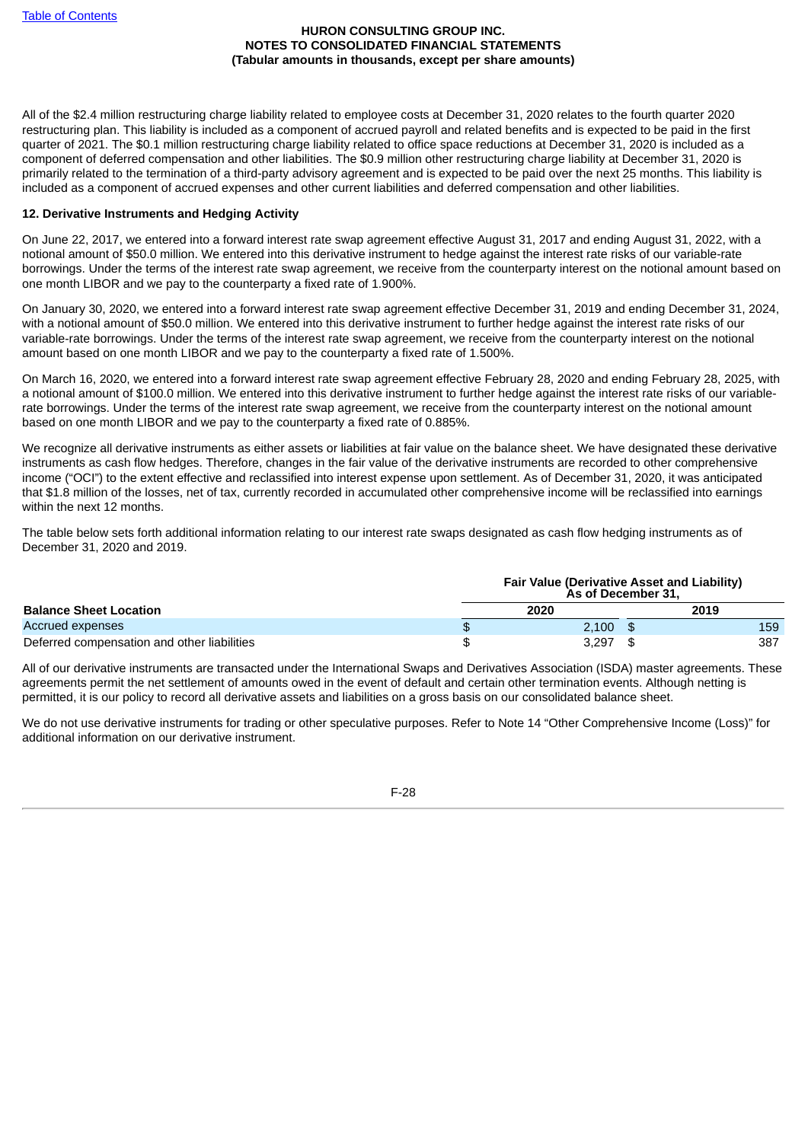All of the \$2.4 million restructuring charge liability related to employee costs at December 31, 2020 relates to the fourth quarter 2020 restructuring plan. This liability is included as a component of accrued payroll and related benefits and is expected to be paid in the first quarter of 2021. The \$0.1 million restructuring charge liability related to office space reductions at December 31, 2020 is included as a component of deferred compensation and other liabilities. The \$0.9 million other restructuring charge liability at December 31, 2020 is primarily related to the termination of a third-party advisory agreement and is expected to be paid over the next 25 months. This liability is included as a component of accrued expenses and other current liabilities and deferred compensation and other liabilities.

## **12. Derivative Instruments and Hedging Activity**

On June 22, 2017, we entered into a forward interest rate swap agreement effective August 31, 2017 and ending August 31, 2022, with a notional amount of \$50.0 million. We entered into this derivative instrument to hedge against the interest rate risks of our variable-rate borrowings. Under the terms of the interest rate swap agreement, we receive from the counterparty interest on the notional amount based on one month LIBOR and we pay to the counterparty a fixed rate of 1.900%.

On January 30, 2020, we entered into a forward interest rate swap agreement effective December 31, 2019 and ending December 31, 2024, with a notional amount of \$50.0 million. We entered into this derivative instrument to further hedge against the interest rate risks of our variable-rate borrowings. Under the terms of the interest rate swap agreement, we receive from the counterparty interest on the notional amount based on one month LIBOR and we pay to the counterparty a fixed rate of 1.500%.

On March 16, 2020, we entered into a forward interest rate swap agreement effective February 28, 2020 and ending February 28, 2025, with a notional amount of \$100.0 million. We entered into this derivative instrument to further hedge against the interest rate risks of our variablerate borrowings. Under the terms of the interest rate swap agreement, we receive from the counterparty interest on the notional amount based on one month LIBOR and we pay to the counterparty a fixed rate of 0.885%.

We recognize all derivative instruments as either assets or liabilities at fair value on the balance sheet. We have designated these derivative instruments as cash flow hedges. Therefore, changes in the fair value of the derivative instruments are recorded to other comprehensive income ("OCI") to the extent effective and reclassified into interest expense upon settlement. As of December 31, 2020, it was anticipated that \$1.8 million of the losses, net of tax, currently recorded in accumulated other comprehensive income will be reclassified into earnings within the next 12 months.

The table below sets forth additional information relating to our interest rate swaps designated as cash flow hedging instruments as of December 31, 2020 and 2019.

| <b>Balance Sheet Location</b>               | <b>Fair Value (Derivative Asset and Liability)</b><br>As of December 31. |            |  |      |  |  |  |  |  |
|---------------------------------------------|--------------------------------------------------------------------------|------------|--|------|--|--|--|--|--|
|                                             |                                                                          | 2020       |  | 2019 |  |  |  |  |  |
| Accrued expenses                            |                                                                          | $2,100$ \$ |  | 159. |  |  |  |  |  |
| Deferred compensation and other liabilities |                                                                          | 3.297      |  | 387  |  |  |  |  |  |

All of our derivative instruments are transacted under the International Swaps and Derivatives Association (ISDA) master agreements. These agreements permit the net settlement of amounts owed in the event of default and certain other termination events. Although netting is permitted, it is our policy to record all derivative assets and liabilities on a gross basis on our consolidated balance sheet.

We do not use derivative instruments for trading or other speculative purposes. Refer to Note 14 "Other Comprehensive Income (Loss)" for additional information on our derivative instrument.

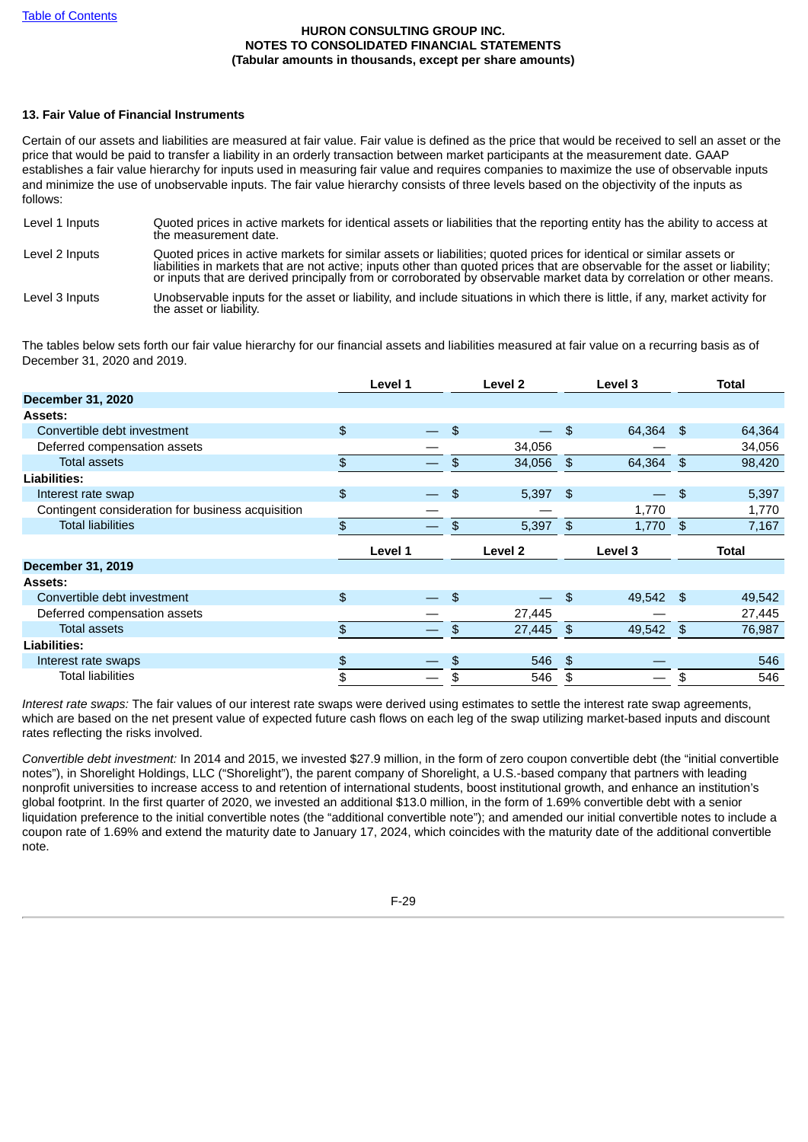## **13. Fair Value of Financial Instruments**

Certain of our assets and liabilities are measured at fair value. Fair value is defined as the price that would be received to sell an asset or the price that would be paid to transfer a liability in an orderly transaction between market participants at the measurement date. GAAP establishes a fair value hierarchy for inputs used in measuring fair value and requires companies to maximize the use of observable inputs and minimize the use of unobservable inputs. The fair value hierarchy consists of three levels based on the objectivity of the inputs as follows:

| Level 1 Inputs | Ouoted prices in active markets for identical assets or liabilities that the reporting entity has the ability to access at<br>the measurement date.                                                                                                                                                                                                                        |
|----------------|----------------------------------------------------------------------------------------------------------------------------------------------------------------------------------------------------------------------------------------------------------------------------------------------------------------------------------------------------------------------------|
| Level 2 Inputs | Quoted prices in active markets for similar assets or liabilities; quoted prices for identical or similar assets or<br>liabilities in markets that are not active; inputs other than quoted prices that are observable for the asset or liability;<br>or inputs that are derived principally from or corroborated by observable market data by correlation or other means. |
| Level 3 Inputs | Unobservable inputs for the asset or liability, and include situations in which there is little, if any, market activity for<br>the asset or liability.                                                                                                                                                                                                                    |

The tables below sets forth our fair value hierarchy for our financial assets and liabilities measured at fair value on a recurring basis as of December 31, 2020 and 2019.

|                                                   |                | Level 1 | Level <sub>2</sub> |                    | Level 3   |              | Total  |
|---------------------------------------------------|----------------|---------|--------------------|--------------------|-----------|--------------|--------|
| <b>December 31, 2020</b>                          |                |         |                    |                    |           |              |        |
| Assets:                                           |                |         |                    |                    |           |              |        |
| Convertible debt investment                       | $\mathfrak{P}$ |         | \$                 | \$                 | 64,364 \$ |              | 64,364 |
| Deferred compensation assets                      |                |         | 34,056             |                    |           |              | 34,056 |
| <b>Total assets</b>                               | \$             |         | \$<br>34,056       | \$                 | 64,364    | $\mathbf{r}$ | 98,420 |
| Liabilities:                                      |                |         |                    |                    |           |              |        |
| Interest rate swap                                | $\mathfrak{P}$ |         | \$<br>5,397        | \$                 |           | \$           | 5,397  |
| Contingent consideration for business acquisition |                |         |                    |                    | 1,770     |              | 1,770  |
| <b>Total liabilities</b>                          | \$             | —       | \$<br>5,397        | \$                 | 1,770     | \$           | 7,167  |
|                                                   |                | Level 1 | Level 2            |                    | Level 3   |              | Total  |
| <b>December 31, 2019</b>                          |                |         |                    |                    |           |              |        |
| Assets:                                           |                |         |                    |                    |           |              |        |
| Convertible debt investment                       | $\mathfrak{D}$ |         | \$                 | $\mathfrak{F}$     | 49,542 \$ |              | 49,542 |
| Deferred compensation assets                      |                |         | 27,445             |                    |           |              | 27,445 |
| <b>Total assets</b>                               | \$             |         | \$<br>27,445       | \$                 | 49,542    | $\mathbf{r}$ | 76,987 |
| Liabilities:                                      |                |         |                    |                    |           |              |        |
| Interest rate swaps                               | \$             |         | \$<br>546          | $\mathbf{\hat{f}}$ |           |              | 546    |
| <b>Total liabilities</b>                          | \$             |         | \$<br>546          | \$                 |           | \$           | 546    |

*Interest rate swaps:* The fair values of our interest rate swaps were derived using estimates to settle the interest rate swap agreements, which are based on the net present value of expected future cash flows on each leg of the swap utilizing market-based inputs and discount rates reflecting the risks involved.

*Convertible debt investment:* In 2014 and 2015, we invested \$27.9 million, in the form of zero coupon convertible debt (the "initial convertible notes"), in Shorelight Holdings, LLC ("Shorelight"), the parent company of Shorelight, a U.S.-based company that partners with leading nonprofit universities to increase access to and retention of international students, boost institutional growth, and enhance an institution's global footprint. In the first quarter of 2020, we invested an additional \$13.0 million, in the form of 1.69% convertible debt with a senior liquidation preference to the initial convertible notes (the "additional convertible note"); and amended our initial convertible notes to include a coupon rate of 1.69% and extend the maturity date to January 17, 2024, which coincides with the maturity date of the additional convertible note.

F-29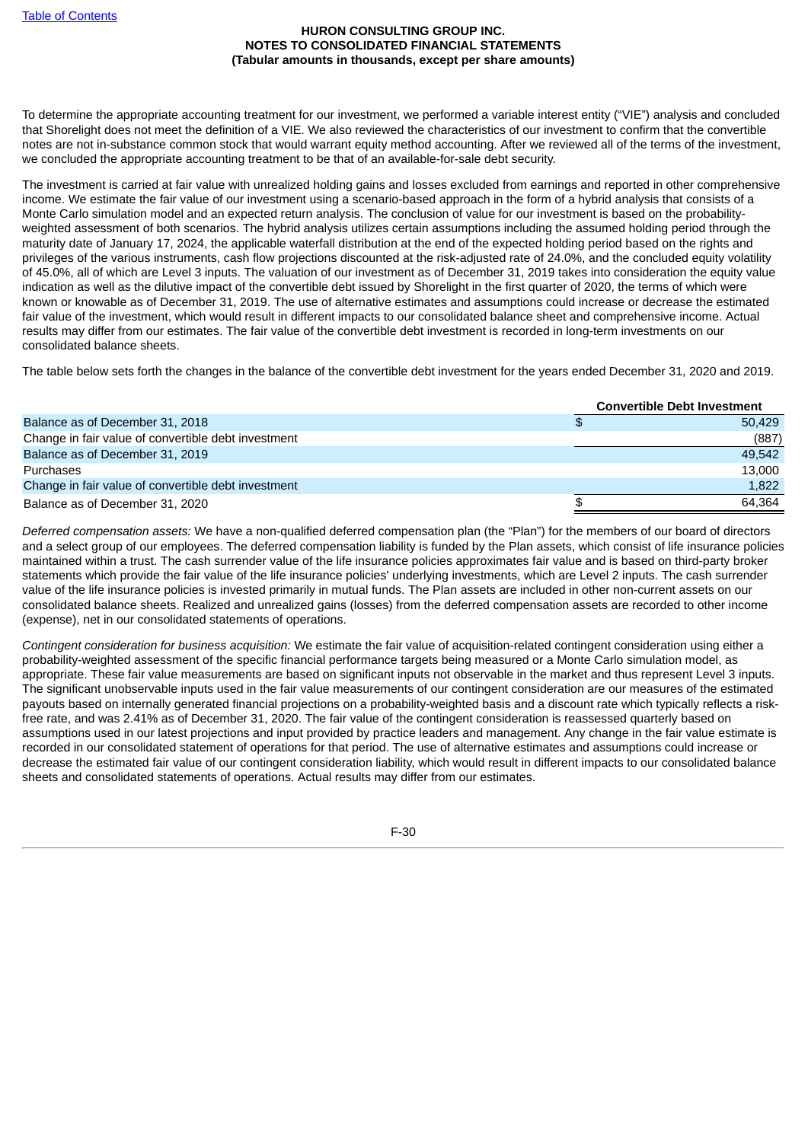To determine the appropriate accounting treatment for our investment, we performed a variable interest entity ("VIE") analysis and concluded that Shorelight does not meet the definition of a VIE. We also reviewed the characteristics of our investment to confirm that the convertible notes are not in-substance common stock that would warrant equity method accounting. After we reviewed all of the terms of the investment, we concluded the appropriate accounting treatment to be that of an available-for-sale debt security.

The investment is carried at fair value with unrealized holding gains and losses excluded from earnings and reported in other comprehensive income. We estimate the fair value of our investment using a scenario-based approach in the form of a hybrid analysis that consists of a Monte Carlo simulation model and an expected return analysis. The conclusion of value for our investment is based on the probabilityweighted assessment of both scenarios. The hybrid analysis utilizes certain assumptions including the assumed holding period through the maturity date of January 17, 2024, the applicable waterfall distribution at the end of the expected holding period based on the rights and privileges of the various instruments, cash flow projections discounted at the risk-adjusted rate of 24.0%, and the concluded equity volatility of 45.0%, all of which are Level 3 inputs. The valuation of our investment as of December 31, 2019 takes into consideration the equity value indication as well as the dilutive impact of the convertible debt issued by Shorelight in the first quarter of 2020, the terms of which were known or knowable as of December 31, 2019. The use of alternative estimates and assumptions could increase or decrease the estimated fair value of the investment, which would result in different impacts to our consolidated balance sheet and comprehensive income. Actual results may differ from our estimates. The fair value of the convertible debt investment is recorded in long-term investments on our consolidated balance sheets.

The table below sets forth the changes in the balance of the convertible debt investment for the years ended December 31, 2020 and 2019.

|                                                     | <b>Convertible Debt Investment</b> |
|-----------------------------------------------------|------------------------------------|
| Balance as of December 31, 2018                     | 50.429<br>Ъ                        |
| Change in fair value of convertible debt investment | (887)                              |
| Balance as of December 31, 2019                     | 49.542                             |
| Purchases                                           | 13,000                             |
| Change in fair value of convertible debt investment | 1,822                              |
| Balance as of December 31, 2020                     | 64.364                             |

*Deferred compensation assets:* We have a non-qualified deferred compensation plan (the "Plan") for the members of our board of directors and a select group of our employees. The deferred compensation liability is funded by the Plan assets, which consist of life insurance policies maintained within a trust. The cash surrender value of the life insurance policies approximates fair value and is based on third-party broker statements which provide the fair value of the life insurance policies' underlying investments, which are Level 2 inputs. The cash surrender value of the life insurance policies is invested primarily in mutual funds. The Plan assets are included in other non-current assets on our consolidated balance sheets. Realized and unrealized gains (losses) from the deferred compensation assets are recorded to other income (expense), net in our consolidated statements of operations.

*Contingent consideration for business acquisition:* We estimate the fair value of acquisition-related contingent consideration using either a probability-weighted assessment of the specific financial performance targets being measured or a Monte Carlo simulation model, as appropriate. These fair value measurements are based on significant inputs not observable in the market and thus represent Level 3 inputs. The significant unobservable inputs used in the fair value measurements of our contingent consideration are our measures of the estimated payouts based on internally generated financial projections on a probability-weighted basis and a discount rate which typically reflects a riskfree rate, and was 2.41% as of December 31, 2020. The fair value of the contingent consideration is reassessed quarterly based on assumptions used in our latest projections and input provided by practice leaders and management. Any change in the fair value estimate is recorded in our consolidated statement of operations for that period. The use of alternative estimates and assumptions could increase or decrease the estimated fair value of our contingent consideration liability, which would result in different impacts to our consolidated balance sheets and consolidated statements of operations. Actual results may differ from our estimates.

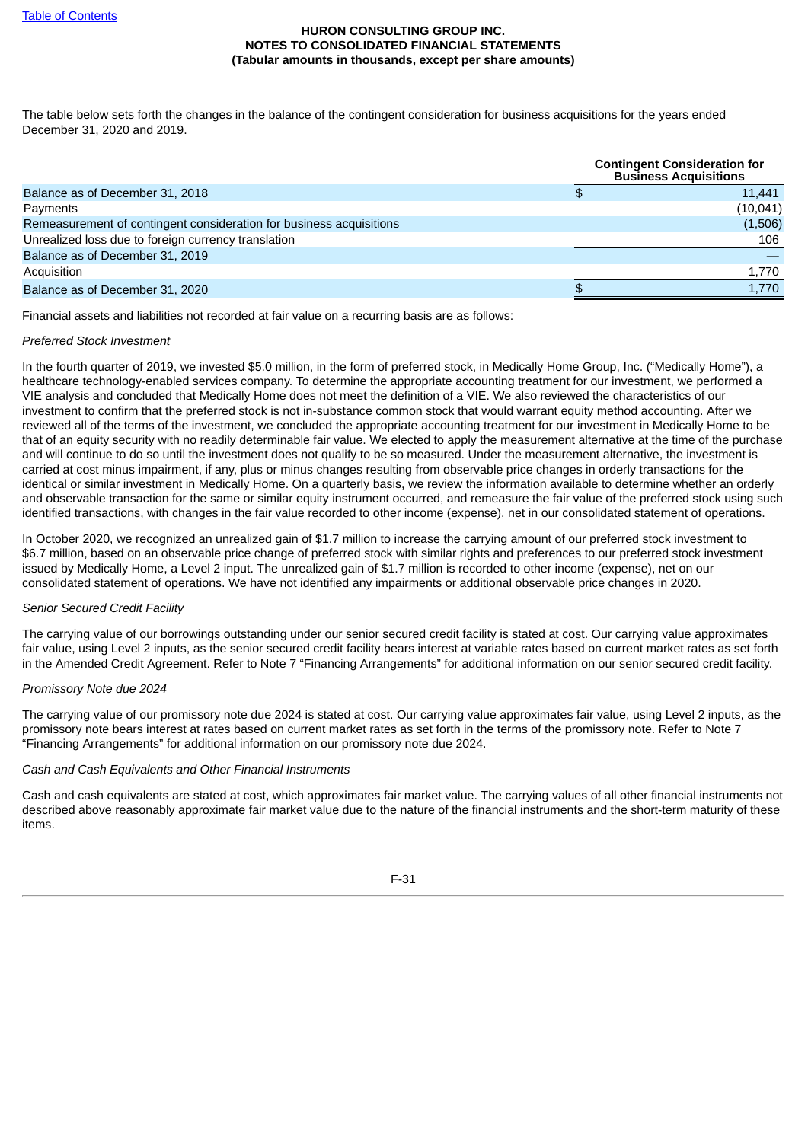The table below sets forth the changes in the balance of the contingent consideration for business acquisitions for the years ended December 31, 2020 and 2019.

|                                                                     | <b>Contingent Consideration for<br/>Business Acquisitions</b> |           |  |
|---------------------------------------------------------------------|---------------------------------------------------------------|-----------|--|
| Balance as of December 31, 2018                                     | \$                                                            | 11,441    |  |
| Payments                                                            |                                                               | (10, 041) |  |
| Remeasurement of contingent consideration for business acquisitions |                                                               | (1,506)   |  |
| Unrealized loss due to foreign currency translation                 |                                                               | 106       |  |
| Balance as of December 31, 2019                                     |                                                               |           |  |
| Acquisition                                                         |                                                               | 1,770     |  |
| Balance as of December 31, 2020                                     |                                                               | 1,770     |  |

Financial assets and liabilities not recorded at fair value on a recurring basis are as follows:

## *Preferred Stock Investment*

In the fourth quarter of 2019, we invested \$5.0 million, in the form of preferred stock, in Medically Home Group, Inc. ("Medically Home"), a healthcare technology-enabled services company. To determine the appropriate accounting treatment for our investment, we performed a VIE analysis and concluded that Medically Home does not meet the definition of a VIE. We also reviewed the characteristics of our investment to confirm that the preferred stock is not in-substance common stock that would warrant equity method accounting. After we reviewed all of the terms of the investment, we concluded the appropriate accounting treatment for our investment in Medically Home to be that of an equity security with no readily determinable fair value. We elected to apply the measurement alternative at the time of the purchase and will continue to do so until the investment does not qualify to be so measured. Under the measurement alternative, the investment is carried at cost minus impairment, if any, plus or minus changes resulting from observable price changes in orderly transactions for the identical or similar investment in Medically Home. On a quarterly basis, we review the information available to determine whether an orderly and observable transaction for the same or similar equity instrument occurred, and remeasure the fair value of the preferred stock using such identified transactions, with changes in the fair value recorded to other income (expense), net in our consolidated statement of operations.

In October 2020, we recognized an unrealized gain of \$1.7 million to increase the carrying amount of our preferred stock investment to \$6.7 million, based on an observable price change of preferred stock with similar rights and preferences to our preferred stock investment issued by Medically Home, a Level 2 input. The unrealized gain of \$1.7 million is recorded to other income (expense), net on our consolidated statement of operations. We have not identified any impairments or additional observable price changes in 2020.

#### *Senior Secured Credit Facility*

The carrying value of our borrowings outstanding under our senior secured credit facility is stated at cost. Our carrying value approximates fair value, using Level 2 inputs, as the senior secured credit facility bears interest at variable rates based on current market rates as set forth in the Amended Credit Agreement. Refer to Note 7 "Financing Arrangements" for additional information on our senior secured credit facility.

### *Promissory Note due 2024*

The carrying value of our promissory note due 2024 is stated at cost. Our carrying value approximates fair value, using Level 2 inputs, as the promissory note bears interest at rates based on current market rates as set forth in the terms of the promissory note. Refer to Note 7 "Financing Arrangements" for additional information on our promissory note due 2024.

## *Cash and Cash Equivalents and Other Financial Instruments*

Cash and cash equivalents are stated at cost, which approximates fair market value. The carrying values of all other financial instruments not described above reasonably approximate fair market value due to the nature of the financial instruments and the short-term maturity of these items.

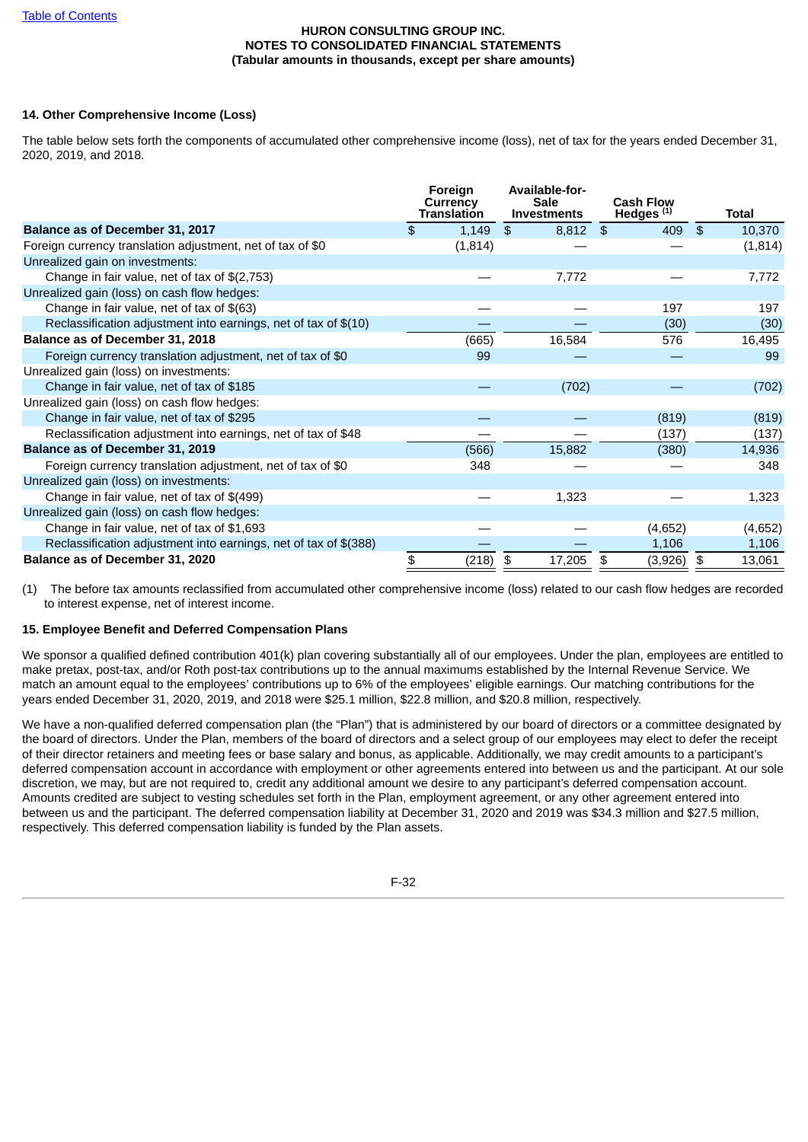# **14. Other Comprehensive Income (Loss)**

The table below sets forth the components of accumulated other comprehensive income (loss), net of tax for the years ended December 31, 2020, 2019, and 2018.

|                                                                  | Foreign<br>Currency<br><b>Translation</b> | Available-for-<br><b>Sale</b><br><b>Investments</b> |               | <b>Cash Flow</b><br>Hedges $(1)$ |     | <b>Total</b> |
|------------------------------------------------------------------|-------------------------------------------|-----------------------------------------------------|---------------|----------------------------------|-----|--------------|
| Balance as of December 31, 2017                                  | \$<br>1,149                               | \$<br>8,812                                         | $\frac{1}{2}$ | 409                              | \$  | 10,370       |
| Foreign currency translation adjustment, net of tax of \$0       | (1, 814)                                  |                                                     |               |                                  |     | (1,814)      |
| Unrealized gain on investments:                                  |                                           |                                                     |               |                                  |     |              |
| Change in fair value, net of tax of $$(2,753)$                   |                                           | 7,772                                               |               |                                  |     | 7,772        |
| Unrealized gain (loss) on cash flow hedges:                      |                                           |                                                     |               |                                  |     |              |
| Change in fair value, net of tax of \$(63)                       |                                           |                                                     |               | 197                              |     | 197          |
| Reclassification adjustment into earnings, net of tax of \$(10)  |                                           |                                                     |               | (30)                             |     | (30)         |
| Balance as of December 31, 2018                                  | (665)                                     | 16,584                                              |               | 576                              |     | 16,495       |
| Foreign currency translation adjustment, net of tax of \$0       | 99                                        |                                                     |               |                                  |     | 99           |
| Unrealized gain (loss) on investments:                           |                                           |                                                     |               |                                  |     |              |
| Change in fair value, net of tax of \$185                        |                                           | (702)                                               |               |                                  |     | (702)        |
| Unrealized gain (loss) on cash flow hedges:                      |                                           |                                                     |               |                                  |     |              |
| Change in fair value, net of tax of \$295                        |                                           |                                                     |               | (819)                            |     | (819)        |
| Reclassification adjustment into earnings, net of tax of \$48    |                                           |                                                     |               | (137)                            |     | (137)        |
| Balance as of December 31, 2019                                  | (566)                                     | 15,882                                              |               | (380)                            |     | 14,936       |
| Foreign currency translation adjustment, net of tax of \$0       | 348                                       |                                                     |               |                                  |     | 348          |
| Unrealized gain (loss) on investments:                           |                                           |                                                     |               |                                  |     |              |
| Change in fair value, net of tax of \$(499)                      |                                           | 1,323                                               |               |                                  |     | 1,323        |
| Unrealized gain (loss) on cash flow hedges:                      |                                           |                                                     |               |                                  |     |              |
| Change in fair value, net of tax of \$1,693                      |                                           |                                                     |               | (4,652)                          |     | (4,652)      |
| Reclassification adjustment into earnings, net of tax of \$(388) |                                           |                                                     |               | 1,106                            |     | 1,106        |
| Balance as of December 31, 2020                                  | \$<br>(218)                               | \$<br>17,205                                        | \$            | (3,926)                          | -\$ | 13,061       |

(1) The before tax amounts reclassified from accumulated other comprehensive income (loss) related to our cash flow hedges are recorded to interest expense, net of interest income.

# **15. Employee Benefit and Deferred Compensation Plans**

We sponsor a qualified defined contribution 401(k) plan covering substantially all of our employees. Under the plan, employees are entitled to make pretax, post-tax, and/or Roth post-tax contributions up to the annual maximums established by the Internal Revenue Service. We match an amount equal to the employees' contributions up to 6% of the employees' eligible earnings. Our matching contributions for the years ended December 31, 2020, 2019, and 2018 were \$25.1 million, \$22.8 million, and \$20.8 million, respectively.

We have a non-qualified deferred compensation plan (the "Plan") that is administered by our board of directors or a committee designated by the board of directors. Under the Plan, members of the board of directors and a select group of our employees may elect to defer the receipt of their director retainers and meeting fees or base salary and bonus, as applicable. Additionally, we may credit amounts to a participant's deferred compensation account in accordance with employment or other agreements entered into between us and the participant. At our sole discretion, we may, but are not required to, credit any additional amount we desire to any participant's deferred compensation account. Amounts credited are subject to vesting schedules set forth in the Plan, employment agreement, or any other agreement entered into between us and the participant. The deferred compensation liability at December 31, 2020 and 2019 was \$34.3 million and \$27.5 million, respectively. This deferred compensation liability is funded by the Plan assets.

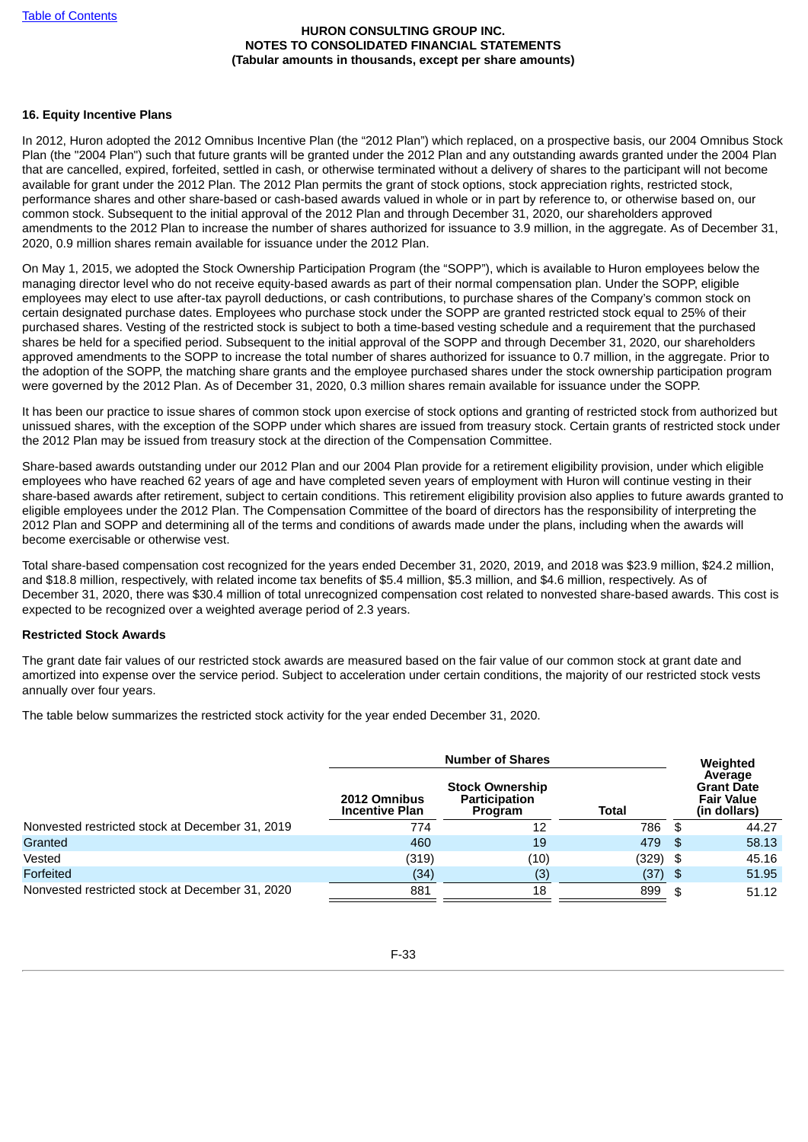## **16. Equity Incentive Plans**

In 2012, Huron adopted the 2012 Omnibus Incentive Plan (the "2012 Plan") which replaced, on a prospective basis, our 2004 Omnibus Stock Plan (the "2004 Plan") such that future grants will be granted under the 2012 Plan and any outstanding awards granted under the 2004 Plan that are cancelled, expired, forfeited, settled in cash, or otherwise terminated without a delivery of shares to the participant will not become available for grant under the 2012 Plan. The 2012 Plan permits the grant of stock options, stock appreciation rights, restricted stock, performance shares and other share-based or cash-based awards valued in whole or in part by reference to, or otherwise based on, our common stock. Subsequent to the initial approval of the 2012 Plan and through December 31, 2020, our shareholders approved amendments to the 2012 Plan to increase the number of shares authorized for issuance to 3.9 million, in the aggregate. As of December 31, 2020, 0.9 million shares remain available for issuance under the 2012 Plan.

On May 1, 2015, we adopted the Stock Ownership Participation Program (the "SOPP"), which is available to Huron employees below the managing director level who do not receive equity-based awards as part of their normal compensation plan. Under the SOPP, eligible employees may elect to use after-tax payroll deductions, or cash contributions, to purchase shares of the Company's common stock on certain designated purchase dates. Employees who purchase stock under the SOPP are granted restricted stock equal to 25% of their purchased shares. Vesting of the restricted stock is subject to both a time-based vesting schedule and a requirement that the purchased shares be held for a specified period. Subsequent to the initial approval of the SOPP and through December 31, 2020, our shareholders approved amendments to the SOPP to increase the total number of shares authorized for issuance to 0.7 million, in the aggregate. Prior to the adoption of the SOPP, the matching share grants and the employee purchased shares under the stock ownership participation program were governed by the 2012 Plan. As of December 31, 2020, 0.3 million shares remain available for issuance under the SOPP.

It has been our practice to issue shares of common stock upon exercise of stock options and granting of restricted stock from authorized but unissued shares, with the exception of the SOPP under which shares are issued from treasury stock. Certain grants of restricted stock under the 2012 Plan may be issued from treasury stock at the direction of the Compensation Committee.

Share-based awards outstanding under our 2012 Plan and our 2004 Plan provide for a retirement eligibility provision, under which eligible employees who have reached 62 years of age and have completed seven years of employment with Huron will continue vesting in their share-based awards after retirement, subject to certain conditions. This retirement eligibility provision also applies to future awards granted to eligible employees under the 2012 Plan. The Compensation Committee of the board of directors has the responsibility of interpreting the 2012 Plan and SOPP and determining all of the terms and conditions of awards made under the plans, including when the awards will become exercisable or otherwise vest.

Total share-based compensation cost recognized for the years ended December 31, 2020, 2019, and 2018 was \$23.9 million, \$24.2 million, and \$18.8 million, respectively, with related income tax benefits of \$5.4 million, \$5.3 million, and \$4.6 million, respectively. As of December 31, 2020, there was \$30.4 million of total unrecognized compensation cost related to nonvested share-based awards. This cost is expected to be recognized over a weighted average period of 2.3 years.

#### **Restricted Stock Awards**

The grant date fair values of our restricted stock awards are measured based on the fair value of our common stock at grant date and amortized into expense over the service period. Subject to acceleration under certain conditions, the majority of our restricted stock vests annually over four years.

The table below summarizes the restricted stock activity for the year ended December 31, 2020.

|                                                 |                                       |                                                           | Weighted |      |                                                                   |  |
|-------------------------------------------------|---------------------------------------|-----------------------------------------------------------|----------|------|-------------------------------------------------------------------|--|
|                                                 | 2012 Omnibus<br><b>Incentive Plan</b> | <b>Stock Ownership</b><br><b>Participation</b><br>Program | Total    |      | Average<br><b>Grant Date</b><br><b>Fair Value</b><br>(in dollars) |  |
| Nonvested restricted stock at December 31, 2019 | 774                                   | 12                                                        | 786      | S    | 44.27                                                             |  |
| Granted                                         | 460                                   | 19                                                        | 479      | - SS | 58.13                                                             |  |
| Vested                                          | (319)                                 | (10)                                                      | (329) \$ |      | 45.16                                                             |  |
| <b>Forfeited</b>                                | (34)                                  | (3)                                                       | (37)     | - \$ | 51.95                                                             |  |
| Nonvested restricted stock at December 31, 2020 | 881                                   | 18                                                        | 899      | \$   | 51.12                                                             |  |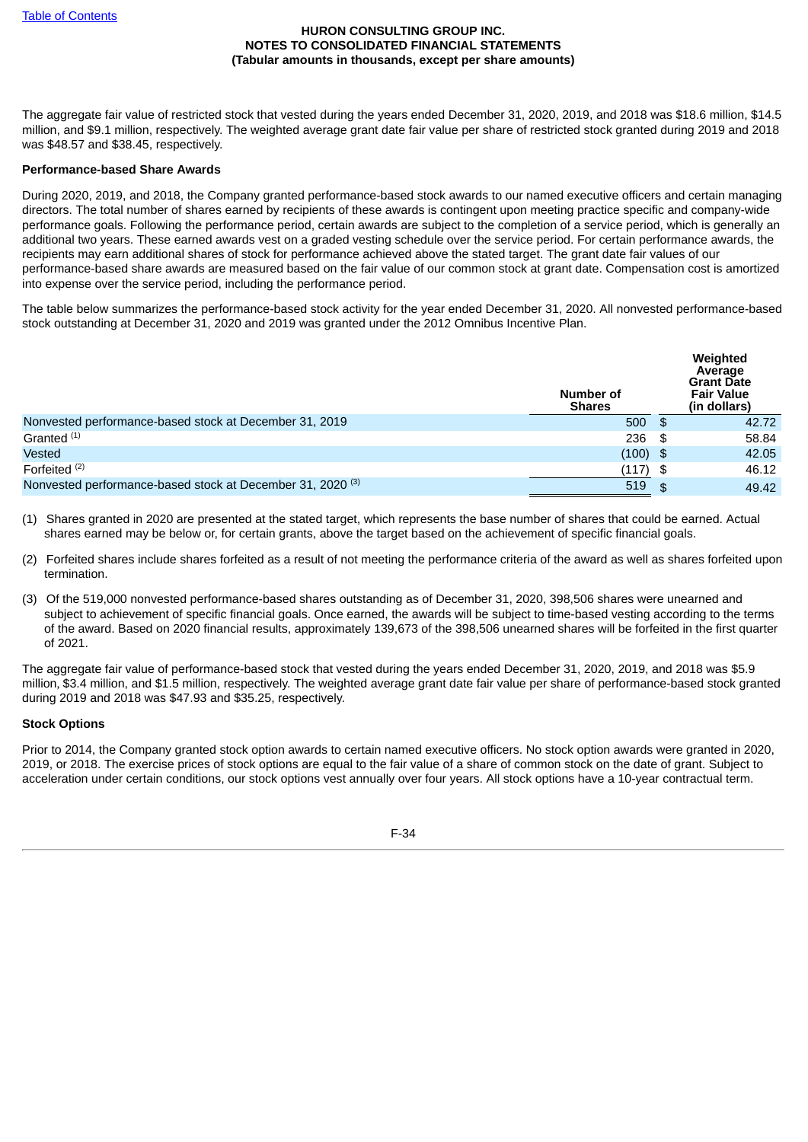The aggregate fair value of restricted stock that vested during the years ended December 31, 2020, 2019, and 2018 was \$18.6 million, \$14.5 million, and \$9.1 million, respectively. The weighted average grant date fair value per share of restricted stock granted during 2019 and 2018 was \$48.57 and \$38.45, respectively.

#### **Performance-based Share Awards**

During 2020, 2019, and 2018, the Company granted performance-based stock awards to our named executive officers and certain managing directors. The total number of shares earned by recipients of these awards is contingent upon meeting practice specific and company-wide performance goals. Following the performance period, certain awards are subject to the completion of a service period, which is generally an additional two years. These earned awards vest on a graded vesting schedule over the service period. For certain performance awards, the recipients may earn additional shares of stock for performance achieved above the stated target. The grant date fair values of our performance-based share awards are measured based on the fair value of our common stock at grant date. Compensation cost is amortized into expense over the service period, including the performance period.

The table below summarizes the performance-based stock activity for the year ended December 31, 2020. All nonvested performance-based stock outstanding at December 31, 2020 and 2019 was granted under the 2012 Omnibus Incentive Plan.

|                                                                       | Number of<br><b>Shares</b> |      | Weighted<br>Average<br><b>Grant Date</b><br><b>Fair Value</b><br>(in dollars) |
|-----------------------------------------------------------------------|----------------------------|------|-------------------------------------------------------------------------------|
| Nonvested performance-based stock at December 31, 2019                | $500$ \$                   |      | 42.72                                                                         |
| Granted <sup>(1)</sup>                                                | 236                        | - \$ | 58.84                                                                         |
| Vested                                                                | $(100)$ \$                 |      | 42.05                                                                         |
| Forfeited <sup>(2)</sup>                                              | $(117)$ \$                 |      | 46.12                                                                         |
| Nonvested performance-based stock at December 31, 2020 <sup>(3)</sup> | 519                        | \$.  | 49.42                                                                         |

- (1) Shares granted in 2020 are presented at the stated target, which represents the base number of shares that could be earned. Actual shares earned may be below or, for certain grants, above the target based on the achievement of specific financial goals.
- (2) Forfeited shares include shares forfeited as a result of not meeting the performance criteria of the award as well as shares forfeited upon termination.
- (3) Of the 519,000 nonvested performance-based shares outstanding as of December 31, 2020, 398,506 shares were unearned and subject to achievement of specific financial goals. Once earned, the awards will be subject to time-based vesting according to the terms of the award. Based on 2020 financial results, approximately 139,673 of the 398,506 unearned shares will be forfeited in the first quarter of 2021.

The aggregate fair value of performance-based stock that vested during the years ended December 31, 2020, 2019, and 2018 was \$5.9 million, \$3.4 million, and \$1.5 million, respectively. The weighted average grant date fair value per share of performance-based stock granted during 2019 and 2018 was \$47.93 and \$35.25, respectively.

#### **Stock Options**

Prior to 2014, the Company granted stock option awards to certain named executive officers. No stock option awards were granted in 2020, 2019, or 2018. The exercise prices of stock options are equal to the fair value of a share of common stock on the date of grant. Subject to acceleration under certain conditions, our stock options vest annually over four years. All stock options have a 10-year contractual term.

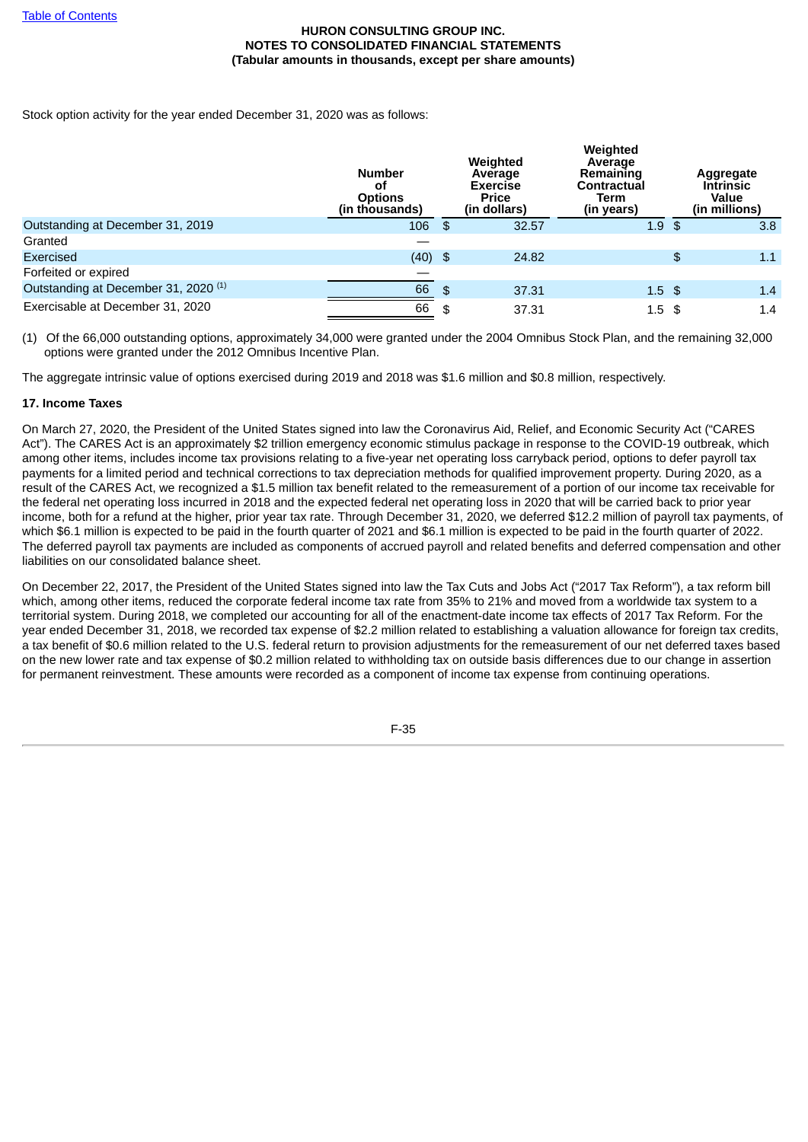Stock option activity for the year ended December 31, 2020 was as follows:

|                                                 | <b>Number</b><br>Οt<br><b>Options</b><br>(in thousands) |      | Weighted<br>Average<br><b>Exercise</b><br><b>Price</b><br>(in dollars) | Weighted<br>Average<br>Remaining<br><b>Contractual</b><br>Term<br>(in years) |     | Aggregate<br><b>Intrinsic</b><br><b>Value</b><br>(in millions) |
|-------------------------------------------------|---------------------------------------------------------|------|------------------------------------------------------------------------|------------------------------------------------------------------------------|-----|----------------------------------------------------------------|
| Outstanding at December 31, 2019                | 106                                                     | - \$ | 32.57                                                                  | 1.9                                                                          | -\$ | 3.8                                                            |
| Granted                                         |                                                         |      |                                                                        |                                                                              |     |                                                                |
| Exercised                                       | $(40)$ \$                                               |      | 24.82                                                                  |                                                                              | \$  | 1.1                                                            |
| Forfeited or expired                            |                                                         |      |                                                                        |                                                                              |     |                                                                |
| Outstanding at December 31, 2020 <sup>(1)</sup> | 66                                                      | - \$ | 37.31                                                                  | $1.5$ \$                                                                     |     | 1.4                                                            |
| Exercisable at December 31, 2020                | 66                                                      | - \$ | 37.31                                                                  | $1.5$ \$                                                                     |     | 1.4                                                            |

(1) Of the 66,000 outstanding options, approximately 34,000 were granted under the 2004 Omnibus Stock Plan, and the remaining 32,000 options were granted under the 2012 Omnibus Incentive Plan.

The aggregate intrinsic value of options exercised during 2019 and 2018 was \$1.6 million and \$0.8 million, respectively.

#### **17. Income Taxes**

On March 27, 2020, the President of the United States signed into law the Coronavirus Aid, Relief, and Economic Security Act ("CARES Act"). The CARES Act is an approximately \$2 trillion emergency economic stimulus package in response to the COVID-19 outbreak, which among other items, includes income tax provisions relating to a five-year net operating loss carryback period, options to defer payroll tax payments for a limited period and technical corrections to tax depreciation methods for qualified improvement property. During 2020, as a result of the CARES Act, we recognized a \$1.5 million tax benefit related to the remeasurement of a portion of our income tax receivable for the federal net operating loss incurred in 2018 and the expected federal net operating loss in 2020 that will be carried back to prior year income, both for a refund at the higher, prior year tax rate. Through December 31, 2020, we deferred \$12.2 million of payroll tax payments, of which \$6.1 million is expected to be paid in the fourth quarter of 2021 and \$6.1 million is expected to be paid in the fourth quarter of 2022. The deferred payroll tax payments are included as components of accrued payroll and related benefits and deferred compensation and other liabilities on our consolidated balance sheet.

On December 22, 2017, the President of the United States signed into law the Tax Cuts and Jobs Act ("2017 Tax Reform"), a tax reform bill which, among other items, reduced the corporate federal income tax rate from 35% to 21% and moved from a worldwide tax system to a territorial system. During 2018, we completed our accounting for all of the enactment-date income tax effects of 2017 Tax Reform. For the year ended December 31, 2018, we recorded tax expense of \$2.2 million related to establishing a valuation allowance for foreign tax credits, a tax benefit of \$0.6 million related to the U.S. federal return to provision adjustments for the remeasurement of our net deferred taxes based on the new lower rate and tax expense of \$0.2 million related to withholding tax on outside basis differences due to our change in assertion for permanent reinvestment. These amounts were recorded as a component of income tax expense from continuing operations.

F-35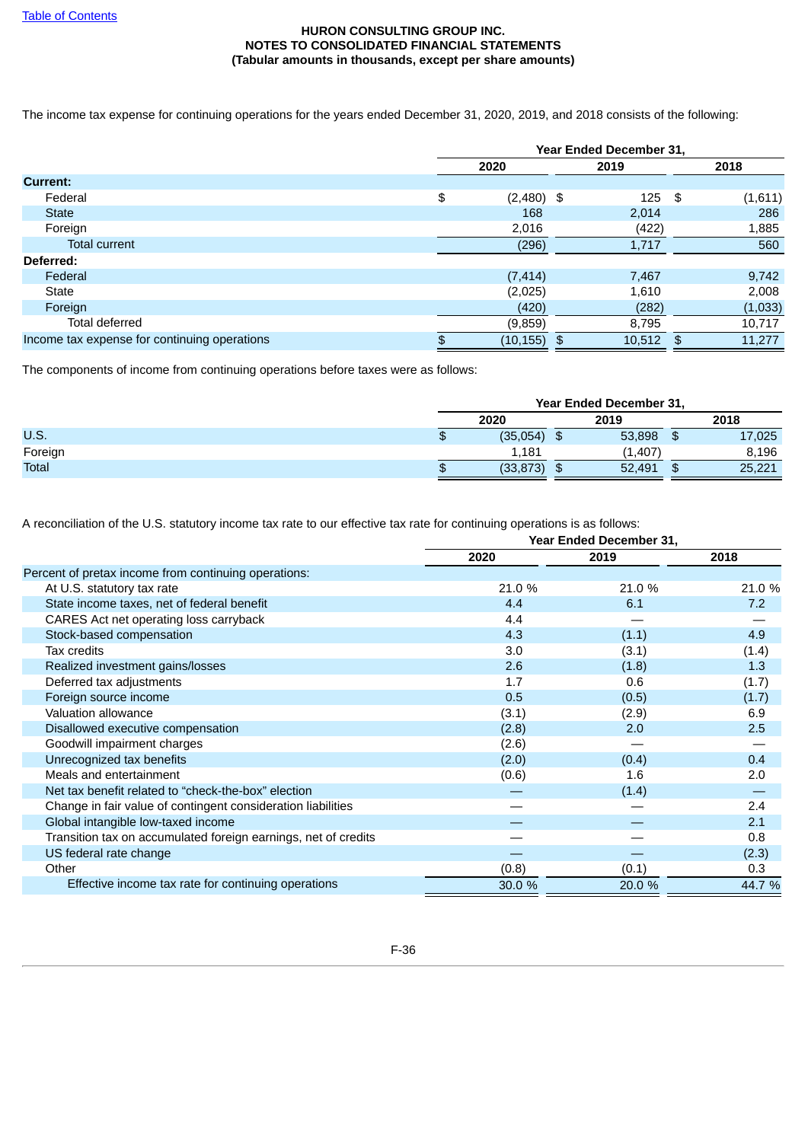The income tax expense for continuing operations for the years ended December 31, 2020, 2019, and 2018 consists of the following:

|                                              | Year Ended December 31, |              |            |        |      |         |  |  |  |  |
|----------------------------------------------|-------------------------|--------------|------------|--------|------|---------|--|--|--|--|
|                                              |                         | 2020         | 2019       |        | 2018 |         |  |  |  |  |
| <b>Current:</b>                              |                         |              |            |        |      |         |  |  |  |  |
| Federal                                      | \$                      | $(2,480)$ \$ |            | 125    | -\$  | (1,611) |  |  |  |  |
| <b>State</b>                                 |                         | 168          |            | 2,014  |      | 286     |  |  |  |  |
| Foreign                                      |                         | 2,016        |            | (422)  |      | 1,885   |  |  |  |  |
| <b>Total current</b>                         |                         | (296)        |            | 1,717  |      | 560     |  |  |  |  |
| Deferred:                                    |                         |              |            |        |      |         |  |  |  |  |
| Federal                                      |                         | (7, 414)     |            | 7,467  |      | 9,742   |  |  |  |  |
| <b>State</b>                                 |                         | (2,025)      |            | 1,610  |      | 2,008   |  |  |  |  |
| Foreign                                      |                         | (420)        |            | (282)  |      | (1,033) |  |  |  |  |
| <b>Total deferred</b>                        |                         | (9,859)      |            | 8,795  |      | 10,717  |  |  |  |  |
| Income tax expense for continuing operations |                         | (10, 155)    | $\sqrt{3}$ | 10,512 | \$   | 11,277  |  |  |  |  |

The components of income from continuing operations before taxes were as follows:

|              | Year Ended December 31, |               |         |    |        |  |  |  |  |
|--------------|-------------------------|---------------|---------|----|--------|--|--|--|--|
|              | 2020                    |               | 2019    |    | 2018   |  |  |  |  |
| <b>U.S.</b>  | (35,054)                | ᠊ᡮ            | 53,898  | \$ | 17,025 |  |  |  |  |
| Foreign      | 1,181                   |               | (1,407) |    | 8,196  |  |  |  |  |
| <b>Total</b> | (33, 873)               | $\rightarrow$ | 52,491  | \$ | 25,221 |  |  |  |  |

A reconciliation of the U.S. statutory income tax rate to our effective tax rate for continuing operations is as follows:

|                                                                | Year Ended December 31, |         |        |  |  |  |  |
|----------------------------------------------------------------|-------------------------|---------|--------|--|--|--|--|
|                                                                | 2020                    | 2019    | 2018   |  |  |  |  |
| Percent of pretax income from continuing operations:           |                         |         |        |  |  |  |  |
| At U.S. statutory tax rate                                     | 21.0 %                  | 21.0 %  | 21.0 % |  |  |  |  |
| State income taxes, net of federal benefit                     | 4.4                     | 6.1     | 7.2    |  |  |  |  |
| CARES Act net operating loss carryback                         | 4.4                     |         |        |  |  |  |  |
| Stock-based compensation                                       | 4.3                     | (1.1)   | 4.9    |  |  |  |  |
| Tax credits                                                    | 3.0                     | (3.1)   | (1.4)  |  |  |  |  |
| Realized investment gains/losses                               | 2.6                     | (1.8)   | 1.3    |  |  |  |  |
| Deferred tax adjustments                                       | 1.7                     | 0.6     | (1.7)  |  |  |  |  |
| Foreign source income                                          | 0.5                     | (0.5)   | (1.7)  |  |  |  |  |
| Valuation allowance                                            | (3.1)                   | (2.9)   | 6.9    |  |  |  |  |
| Disallowed executive compensation                              | (2.8)                   | 2.0     | 2.5    |  |  |  |  |
| Goodwill impairment charges                                    | (2.6)                   |         |        |  |  |  |  |
| Unrecognized tax benefits                                      | (2.0)                   | (0.4)   | 0.4    |  |  |  |  |
| Meals and entertainment                                        | (0.6)                   | $1.6\,$ | 2.0    |  |  |  |  |
| Net tax benefit related to "check-the-box" election            |                         | (1.4)   |        |  |  |  |  |
| Change in fair value of contingent consideration liabilities   |                         |         | 2.4    |  |  |  |  |
| Global intangible low-taxed income                             |                         |         | 2.1    |  |  |  |  |
| Transition tax on accumulated foreign earnings, net of credits |                         |         | 0.8    |  |  |  |  |
| US federal rate change                                         |                         |         | (2.3)  |  |  |  |  |
| Other                                                          | (0.8)                   | (0.1)   | 0.3    |  |  |  |  |
| Effective income tax rate for continuing operations            | 30.0 %                  | 20.0 %  | 44.7 % |  |  |  |  |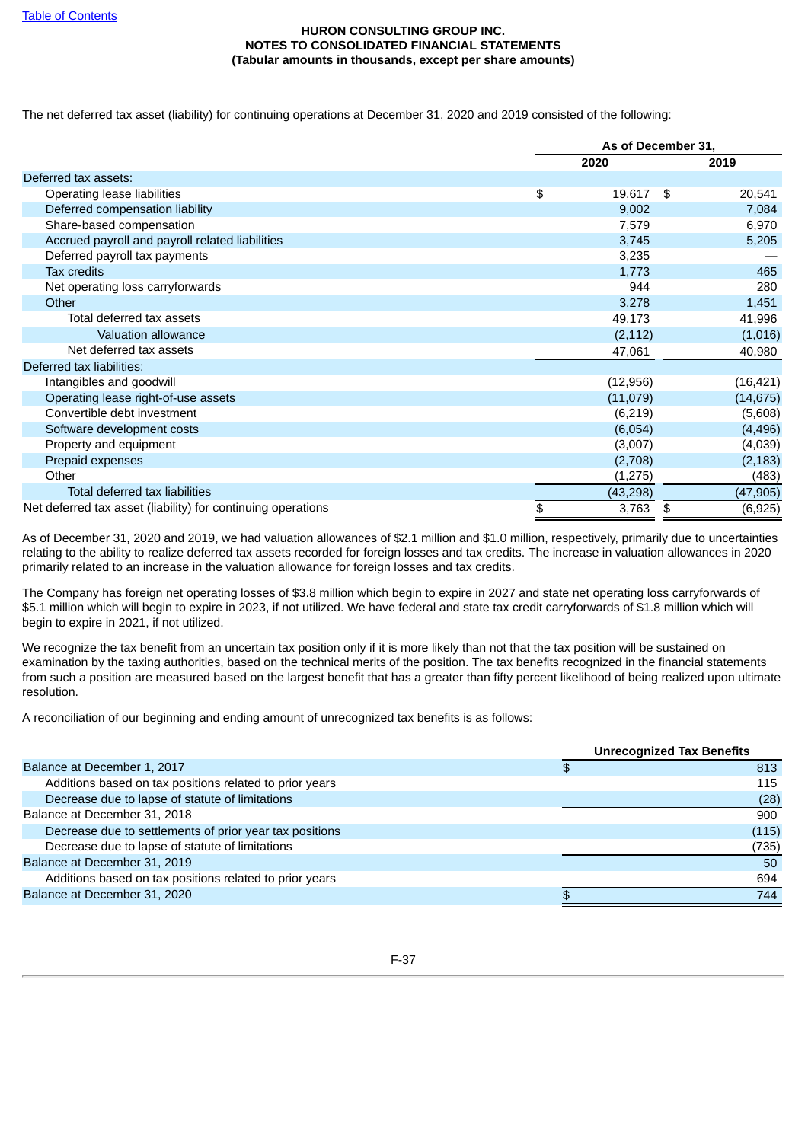The net deferred tax asset (liability) for continuing operations at December 31, 2020 and 2019 consisted of the following:

|                                                              | As of December 31, |    |           |  |  |  |
|--------------------------------------------------------------|--------------------|----|-----------|--|--|--|
|                                                              | 2020               |    | 2019      |  |  |  |
| Deferred tax assets:                                         |                    |    |           |  |  |  |
| Operating lease liabilities                                  | \$<br>19,617       | \$ | 20,541    |  |  |  |
| Deferred compensation liability                              | 9,002              |    | 7,084     |  |  |  |
| Share-based compensation                                     | 7,579              |    | 6,970     |  |  |  |
| Accrued payroll and payroll related liabilities              | 3,745              |    | 5,205     |  |  |  |
| Deferred payroll tax payments                                | 3,235              |    |           |  |  |  |
| Tax credits                                                  | 1,773              |    | 465       |  |  |  |
| Net operating loss carryforwards                             | 944                |    | 280       |  |  |  |
| Other                                                        | 3,278              |    | 1,451     |  |  |  |
| Total deferred tax assets                                    | 49,173             |    | 41,996    |  |  |  |
| <b>Valuation allowance</b>                                   | (2, 112)           |    | (1,016)   |  |  |  |
| Net deferred tax assets                                      | 47,061             |    | 40,980    |  |  |  |
| Deferred tax liabilities:                                    |                    |    |           |  |  |  |
| Intangibles and goodwill                                     | (12,956)           |    | (16, 421) |  |  |  |
| Operating lease right-of-use assets                          | (11,079)           |    | (14, 675) |  |  |  |
| Convertible debt investment                                  | (6, 219)           |    | (5,608)   |  |  |  |
| Software development costs                                   | (6,054)            |    | (4, 496)  |  |  |  |
| Property and equipment                                       | (3,007)            |    | (4,039)   |  |  |  |
| Prepaid expenses                                             | (2,708)            |    | (2, 183)  |  |  |  |
| Other                                                        | (1,275)            |    | (483)     |  |  |  |
| Total deferred tax liabilities                               | (43, 298)          |    | (47, 905) |  |  |  |
| Net deferred tax asset (liability) for continuing operations | \$<br>3,763        | \$ | (6, 925)  |  |  |  |

As of December 31, 2020 and 2019, we had valuation allowances of \$2.1 million and \$1.0 million, respectively, primarily due to uncertainties relating to the ability to realize deferred tax assets recorded for foreign losses and tax credits. The increase in valuation allowances in 2020 primarily related to an increase in the valuation allowance for foreign losses and tax credits.

The Company has foreign net operating losses of \$3.8 million which begin to expire in 2027 and state net operating loss carryforwards of \$5.1 million which will begin to expire in 2023, if not utilized. We have federal and state tax credit carryforwards of \$1.8 million which will begin to expire in 2021, if not utilized.

We recognize the tax benefit from an uncertain tax position only if it is more likely than not that the tax position will be sustained on examination by the taxing authorities, based on the technical merits of the position. The tax benefits recognized in the financial statements from such a position are measured based on the largest benefit that has a greater than fifty percent likelihood of being realized upon ultimate resolution.

A reconciliation of our beginning and ending amount of unrecognized tax benefits is as follows:

|                                                         | <b>Unrecognized Tax Benefits</b> |
|---------------------------------------------------------|----------------------------------|
| Balance at December 1, 2017                             | 813                              |
| Additions based on tax positions related to prior years | 115                              |
| Decrease due to lapse of statute of limitations         | (28)                             |
| Balance at December 31, 2018                            | 900                              |
| Decrease due to settlements of prior year tax positions | (115)                            |
| Decrease due to lapse of statute of limitations         | (735)                            |
| Balance at December 31, 2019                            | 50                               |
| Additions based on tax positions related to prior years | 694                              |
| Balance at December 31, 2020                            | 744                              |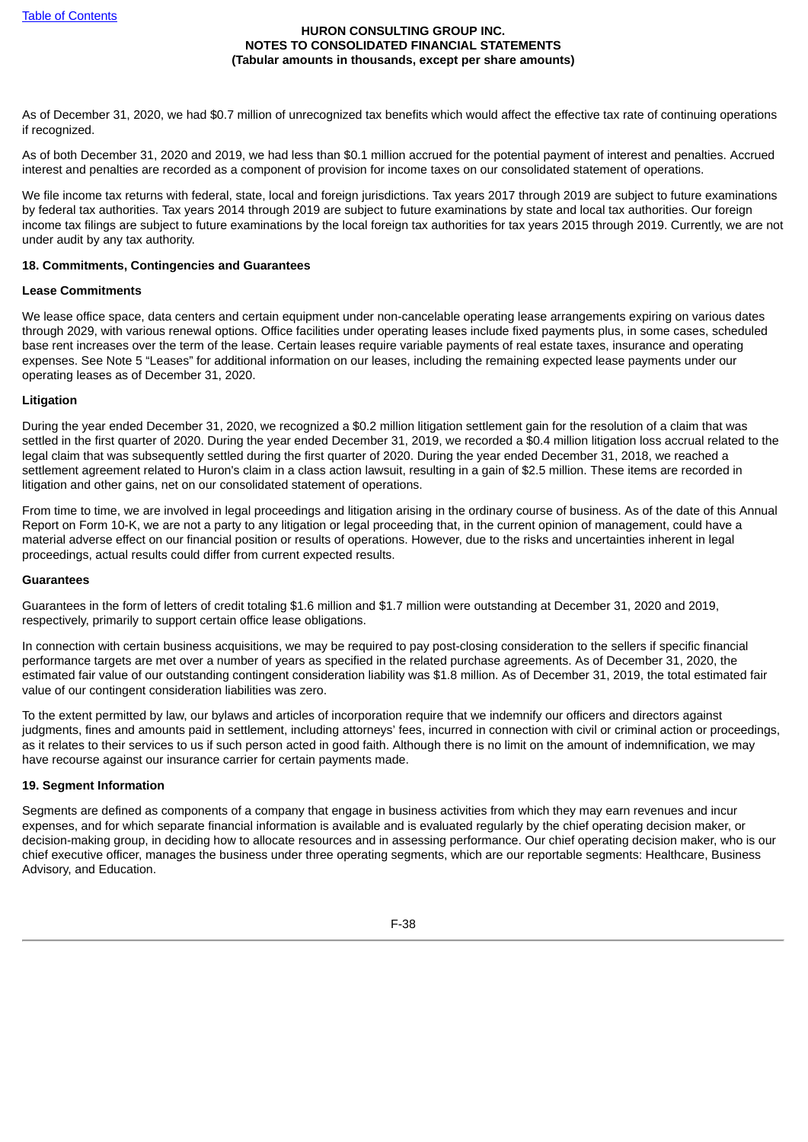As of December 31, 2020, we had \$0.7 million of unrecognized tax benefits which would affect the effective tax rate of continuing operations if recognized.

As of both December 31, 2020 and 2019, we had less than \$0.1 million accrued for the potential payment of interest and penalties. Accrued interest and penalties are recorded as a component of provision for income taxes on our consolidated statement of operations.

We file income tax returns with federal, state, local and foreign jurisdictions. Tax years 2017 through 2019 are subject to future examinations by federal tax authorities. Tax years 2014 through 2019 are subject to future examinations by state and local tax authorities. Our foreign income tax filings are subject to future examinations by the local foreign tax authorities for tax years 2015 through 2019. Currently, we are not under audit by any tax authority.

## **18. Commitments, Contingencies and Guarantees**

# **Lease Commitments**

We lease office space, data centers and certain equipment under non-cancelable operating lease arrangements expiring on various dates through 2029, with various renewal options. Office facilities under operating leases include fixed payments plus, in some cases, scheduled base rent increases over the term of the lease. Certain leases require variable payments of real estate taxes, insurance and operating expenses. See Note 5 "Leases" for additional information on our leases, including the remaining expected lease payments under our operating leases as of December 31, 2020.

## **Litigation**

During the year ended December 31, 2020, we recognized a \$0.2 million litigation settlement gain for the resolution of a claim that was settled in the first quarter of 2020. During the year ended December 31, 2019, we recorded a \$0.4 million litigation loss accrual related to the legal claim that was subsequently settled during the first quarter of 2020. During the year ended December 31, 2018, we reached a settlement agreement related to Huron's claim in a class action lawsuit, resulting in a gain of \$2.5 million. These items are recorded in litigation and other gains, net on our consolidated statement of operations.

From time to time, we are involved in legal proceedings and litigation arising in the ordinary course of business. As of the date of this Annual Report on Form 10-K, we are not a party to any litigation or legal proceeding that, in the current opinion of management, could have a material adverse effect on our financial position or results of operations. However, due to the risks and uncertainties inherent in legal proceedings, actual results could differ from current expected results.

#### **Guarantees**

Guarantees in the form of letters of credit totaling \$1.6 million and \$1.7 million were outstanding at December 31, 2020 and 2019, respectively, primarily to support certain office lease obligations.

In connection with certain business acquisitions, we may be required to pay post-closing consideration to the sellers if specific financial performance targets are met over a number of years as specified in the related purchase agreements. As of December 31, 2020, the estimated fair value of our outstanding contingent consideration liability was \$1.8 million. As of December 31, 2019, the total estimated fair value of our contingent consideration liabilities was zero.

To the extent permitted by law, our bylaws and articles of incorporation require that we indemnify our officers and directors against judgments, fines and amounts paid in settlement, including attorneys' fees, incurred in connection with civil or criminal action or proceedings, as it relates to their services to us if such person acted in good faith. Although there is no limit on the amount of indemnification, we may have recourse against our insurance carrier for certain payments made.

# **19. Segment Information**

Segments are defined as components of a company that engage in business activities from which they may earn revenues and incur expenses, and for which separate financial information is available and is evaluated regularly by the chief operating decision maker, or decision-making group, in deciding how to allocate resources and in assessing performance. Our chief operating decision maker, who is our chief executive officer, manages the business under three operating segments, which are our reportable segments: Healthcare, Business Advisory, and Education.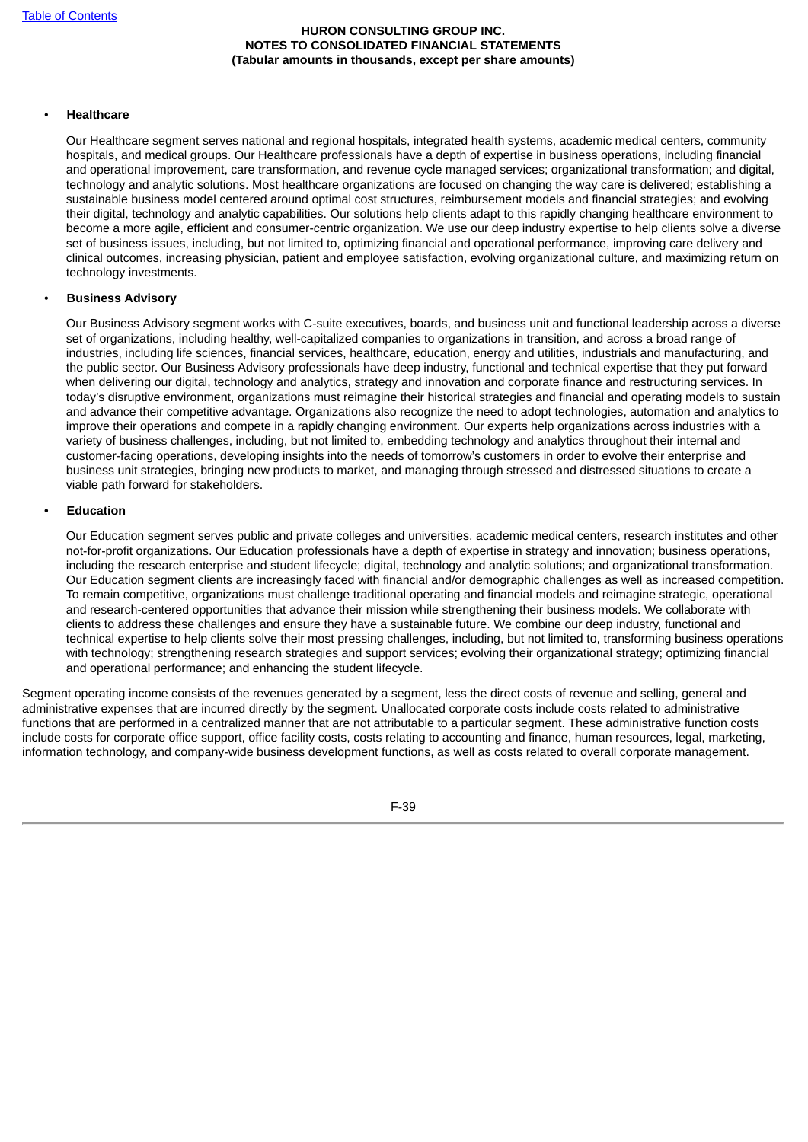## • **Healthcare**

Our Healthcare segment serves national and regional hospitals, integrated health systems, academic medical centers, community hospitals, and medical groups. Our Healthcare professionals have a depth of expertise in business operations, including financial and operational improvement, care transformation, and revenue cycle managed services; organizational transformation; and digital, technology and analytic solutions. Most healthcare organizations are focused on changing the way care is delivered; establishing a sustainable business model centered around optimal cost structures, reimbursement models and financial strategies; and evolving their digital, technology and analytic capabilities. Our solutions help clients adapt to this rapidly changing healthcare environment to become a more agile, efficient and consumer-centric organization. We use our deep industry expertise to help clients solve a diverse set of business issues, including, but not limited to, optimizing financial and operational performance, improving care delivery and clinical outcomes, increasing physician, patient and employee satisfaction, evolving organizational culture, and maximizing return on technology investments.

## • **Business Advisory**

Our Business Advisory segment works with C-suite executives, boards, and business unit and functional leadership across a diverse set of organizations, including healthy, well-capitalized companies to organizations in transition, and across a broad range of industries, including life sciences, financial services, healthcare, education, energy and utilities, industrials and manufacturing, and the public sector. Our Business Advisory professionals have deep industry, functional and technical expertise that they put forward when delivering our digital, technology and analytics, strategy and innovation and corporate finance and restructuring services. In today's disruptive environment, organizations must reimagine their historical strategies and financial and operating models to sustain and advance their competitive advantage. Organizations also recognize the need to adopt technologies, automation and analytics to improve their operations and compete in a rapidly changing environment. Our experts help organizations across industries with a variety of business challenges, including, but not limited to, embedding technology and analytics throughout their internal and customer-facing operations, developing insights into the needs of tomorrow's customers in order to evolve their enterprise and business unit strategies, bringing new products to market, and managing through stressed and distressed situations to create a viable path forward for stakeholders.

## **• Education**

Our Education segment serves public and private colleges and universities, academic medical centers, research institutes and other not-for-profit organizations. Our Education professionals have a depth of expertise in strategy and innovation; business operations, including the research enterprise and student lifecycle; digital, technology and analytic solutions; and organizational transformation. Our Education segment clients are increasingly faced with financial and/or demographic challenges as well as increased competition. To remain competitive, organizations must challenge traditional operating and financial models and reimagine strategic, operational and research-centered opportunities that advance their mission while strengthening their business models. We collaborate with clients to address these challenges and ensure they have a sustainable future. We combine our deep industry, functional and technical expertise to help clients solve their most pressing challenges, including, but not limited to, transforming business operations with technology; strengthening research strategies and support services; evolving their organizational strategy; optimizing financial and operational performance; and enhancing the student lifecycle.

Segment operating income consists of the revenues generated by a segment, less the direct costs of revenue and selling, general and administrative expenses that are incurred directly by the segment. Unallocated corporate costs include costs related to administrative functions that are performed in a centralized manner that are not attributable to a particular segment. These administrative function costs include costs for corporate office support, office facility costs, costs relating to accounting and finance, human resources, legal, marketing, information technology, and company-wide business development functions, as well as costs related to overall corporate management.

F-39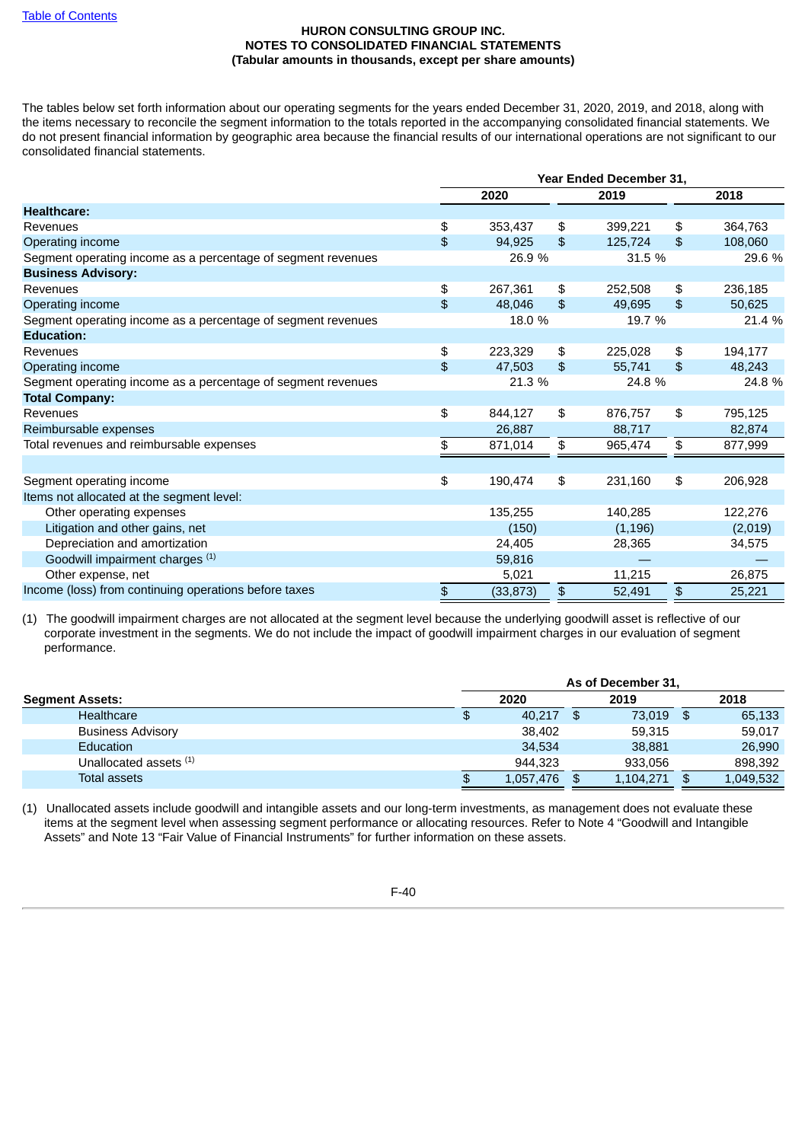The tables below set forth information about our operating segments for the years ended December 31, 2020, 2019, and 2018, along with the items necessary to reconcile the segment information to the totals reported in the accompanying consolidated financial statements. We do not present financial information by geographic area because the financial results of our international operations are not significant to our consolidated financial statements.

|                                                              | Year Ended December 31, |           |    |          |                |         |  |  |
|--------------------------------------------------------------|-------------------------|-----------|----|----------|----------------|---------|--|--|
|                                                              |                         | 2020      |    | 2019     |                | 2018    |  |  |
| <b>Healthcare:</b>                                           |                         |           |    |          |                |         |  |  |
| Revenues                                                     | \$                      | 353,437   | \$ | 399,221  | \$             | 364,763 |  |  |
| Operating income                                             | \$                      | 94.925    | \$ | 125,724  | $\frac{4}{5}$  | 108,060 |  |  |
| Segment operating income as a percentage of segment revenues |                         | 26.9 %    |    | 31.5 %   |                | 29.6 %  |  |  |
| <b>Business Advisory:</b>                                    |                         |           |    |          |                |         |  |  |
| Revenues                                                     | \$                      | 267,361   | \$ | 252,508  | \$             | 236,185 |  |  |
| Operating income                                             | \$                      | 48.046    | \$ | 49,695   | \$             | 50,625  |  |  |
| Segment operating income as a percentage of segment revenues |                         | 18.0 %    |    | 19.7 %   |                | 21.4 %  |  |  |
| <b>Education:</b>                                            |                         |           |    |          |                |         |  |  |
| Revenues                                                     | \$                      | 223,329   | \$ | 225,028  | \$             | 194,177 |  |  |
| Operating income                                             | \$                      | 47.503    | \$ | 55.741   | $\mathfrak{L}$ | 48,243  |  |  |
| Segment operating income as a percentage of segment revenues |                         | 21.3 %    |    | 24.8 %   |                | 24.8 %  |  |  |
| <b>Total Company:</b>                                        |                         |           |    |          |                |         |  |  |
| Revenues                                                     | \$                      | 844,127   | \$ | 876,757  | \$             | 795,125 |  |  |
| Reimbursable expenses                                        |                         | 26,887    |    | 88,717   |                | 82,874  |  |  |
| Total revenues and reimbursable expenses                     | \$                      | 871,014   | \$ | 965,474  | \$             | 877,999 |  |  |
|                                                              |                         |           |    |          |                |         |  |  |
| Segment operating income                                     | \$                      | 190,474   | \$ | 231,160  | \$             | 206,928 |  |  |
| Items not allocated at the segment level:                    |                         |           |    |          |                |         |  |  |
| Other operating expenses                                     |                         | 135,255   |    | 140,285  |                | 122,276 |  |  |
| Litigation and other gains, net                              |                         | (150)     |    | (1, 196) |                | (2,019) |  |  |
| Depreciation and amortization                                |                         | 24,405    |    | 28,365   |                | 34,575  |  |  |
| Goodwill impairment charges <sup>(1)</sup>                   |                         | 59,816    |    |          |                |         |  |  |
| Other expense, net                                           |                         | 5,021     |    | 11,215   |                | 26,875  |  |  |
| Income (loss) from continuing operations before taxes        | \$                      | (33, 873) | \$ | 52,491   | \$             | 25,221  |  |  |

(1) The goodwill impairment charges are not allocated at the segment level because the underlying goodwill asset is reflective of our corporate investment in the segments. We do not include the impact of goodwill impairment charges in our evaluation of segment performance.

|                          | As of December 31, |           |  |           |    |           |  |  |  |  |  |
|--------------------------|--------------------|-----------|--|-----------|----|-----------|--|--|--|--|--|
| <b>Segment Assets:</b>   |                    | 2020      |  | 2019      |    | 2018      |  |  |  |  |  |
| Healthcare               | \$                 | 40,217    |  | 73,019    | \$ | 65,133    |  |  |  |  |  |
| <b>Business Advisory</b> |                    | 38,402    |  | 59,315    |    | 59.017    |  |  |  |  |  |
| Education                |                    | 34.534    |  | 38,881    |    | 26,990    |  |  |  |  |  |
| Unallocated assets (1)   |                    | 944.323   |  | 933.056   |    | 898.392   |  |  |  |  |  |
| Total assets             |                    | 1,057,476 |  | 1,104,271 |    | 1,049,532 |  |  |  |  |  |

(1) Unallocated assets include goodwill and intangible assets and our long-term investments, as management does not evaluate these items at the segment level when assessing segment performance or allocating resources. Refer to Note 4 "Goodwill and Intangible Assets" and Note 13 "Fair Value of Financial Instruments" for further information on these assets.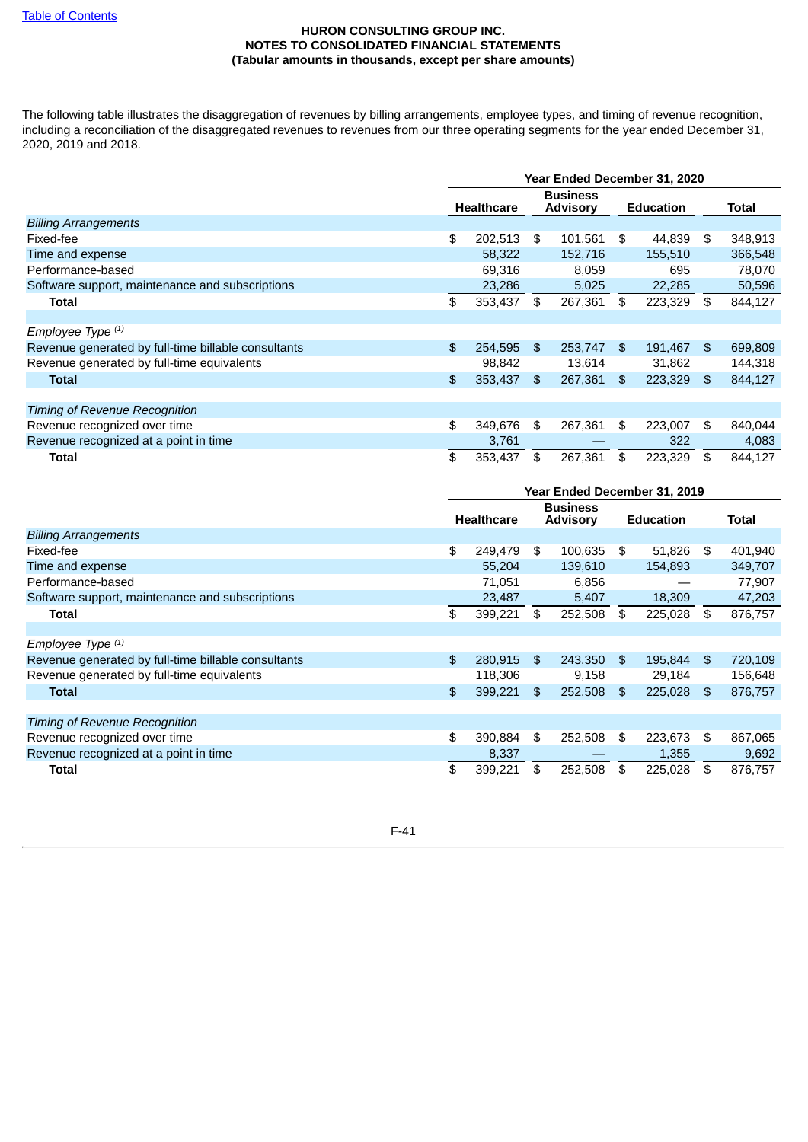The following table illustrates the disaggregation of revenues by billing arrangements, employee types, and timing of revenue recognition, including a reconciliation of the disaggregated revenues to revenues from our three operating segments for the year ended December 31, 2020, 2019 and 2018.

|                                                     | Year Ended December 31, 2020                            |         |    |         |     |                  |                |         |
|-----------------------------------------------------|---------------------------------------------------------|---------|----|---------|-----|------------------|----------------|---------|
|                                                     | <b>Business</b><br><b>Healthcare</b><br><b>Advisory</b> |         |    |         |     | <b>Education</b> |                | Total   |
| <b>Billing Arrangements</b>                         |                                                         |         |    |         |     |                  |                |         |
| Fixed-fee                                           | \$                                                      | 202,513 | \$ | 101,561 | \$  | 44,839           | \$             | 348,913 |
| Time and expense                                    |                                                         | 58,322  |    | 152,716 |     | 155,510          |                | 366,548 |
| Performance-based                                   |                                                         | 69,316  |    | 8,059   |     | 695              |                | 78,070  |
| Software support, maintenance and subscriptions     |                                                         | 23,286  |    | 5,025   |     | 22,285           |                | 50,596  |
| Total                                               | \$                                                      | 353,437 | \$ | 267,361 | \$  | 223,329          | \$             | 844,127 |
|                                                     |                                                         |         |    |         |     |                  |                |         |
| Employee Type $(1)$                                 |                                                         |         |    |         |     |                  |                |         |
| Revenue generated by full-time billable consultants | \$                                                      | 254,595 | \$ | 253,747 | \$. | 191,467          | \$             | 699,809 |
| Revenue generated by full-time equivalents          |                                                         | 98,842  |    | 13,614  |     | 31,862           |                | 144,318 |
| Total                                               | \$                                                      | 353,437 | \$ | 267,361 | \$  | 223,329          | $\mathfrak{L}$ | 844,127 |
|                                                     |                                                         |         |    |         |     |                  |                |         |
| <b>Timing of Revenue Recognition</b>                |                                                         |         |    |         |     |                  |                |         |
| Revenue recognized over time                        | \$                                                      | 349.676 | \$ | 267,361 | \$  | 223.007          | \$             | 840,044 |
| Revenue recognized at a point in time               |                                                         | 3,761   |    |         |     | 322              |                | 4,083   |
| Total                                               | \$                                                      | 353,437 | \$ | 267,361 | \$  | 223,329          | \$             | 844,127 |

|                                                     | Year Ended December 31, 2019                            |         |     |                  |    |         |       |         |
|-----------------------------------------------------|---------------------------------------------------------|---------|-----|------------------|----|---------|-------|---------|
|                                                     | <b>Business</b><br><b>Healthcare</b><br><b>Advisory</b> |         |     | <b>Education</b> |    |         | Total |         |
| <b>Billing Arrangements</b>                         |                                                         |         |     |                  |    |         |       |         |
| Fixed-fee                                           | \$                                                      | 249,479 | \$  | 100,635          | \$ | 51,826  | \$    | 401,940 |
| Time and expense                                    |                                                         | 55,204  |     | 139,610          |    | 154,893 |       | 349,707 |
| Performance-based                                   |                                                         | 71,051  |     | 6,856            |    |         |       | 77,907  |
| Software support, maintenance and subscriptions     |                                                         | 23,487  |     | 5,407            |    | 18,309  |       | 47,203  |
| <b>Total</b>                                        | \$                                                      | 399,221 | \$  | 252,508          | \$ | 225,028 | \$    | 876,757 |
|                                                     |                                                         |         |     |                  |    |         |       |         |
| Employee Type $(1)$                                 |                                                         |         |     |                  |    |         |       |         |
| Revenue generated by full-time billable consultants | \$                                                      | 280,915 | -\$ | 243,350          | \$ | 195,844 | -\$   | 720,109 |
| Revenue generated by full-time equivalents          |                                                         | 118,306 |     | 9,158            |    | 29,184  |       | 156,648 |
| <b>Total</b>                                        | \$                                                      | 399,221 | \$  | 252,508          | \$ | 225,028 | \$    | 876,757 |
|                                                     |                                                         |         |     |                  |    |         |       |         |
| <b>Timing of Revenue Recognition</b>                |                                                         |         |     |                  |    |         |       |         |
| Revenue recognized over time                        | \$                                                      | 390,884 | \$  | 252,508          | \$ | 223,673 | \$    | 867,065 |
| Revenue recognized at a point in time               |                                                         | 8,337   |     |                  |    | 1,355   |       | 9,692   |
| <b>Total</b>                                        | \$                                                      | 399.221 | \$  | 252,508          | \$ | 225.028 | \$    | 876.757 |

F-41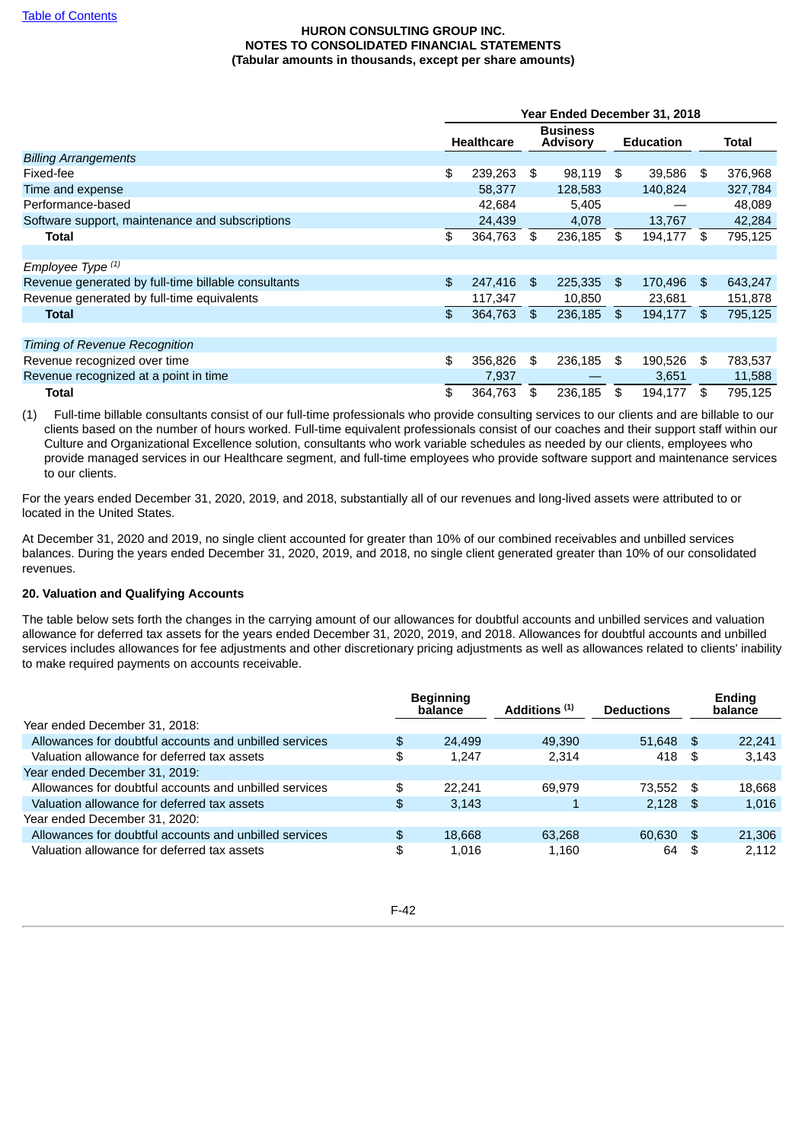|                                                     | Year Ended December 31, 2018 |                   |    |                                    |                  |         |    |              |
|-----------------------------------------------------|------------------------------|-------------------|----|------------------------------------|------------------|---------|----|--------------|
|                                                     |                              | <b>Healthcare</b> |    | <b>Business</b><br><b>Advisory</b> | <b>Education</b> |         |    | <b>Total</b> |
| <b>Billing Arrangements</b>                         |                              |                   |    |                                    |                  |         |    |              |
| Fixed-fee                                           | \$                           | 239,263           | \$ | 98,119                             | \$               | 39,586  | \$ | 376,968      |
| Time and expense                                    |                              | 58,377            |    | 128,583                            |                  | 140.824 |    | 327,784      |
| Performance-based                                   |                              | 42,684            |    | 5,405                              |                  |         |    | 48,089       |
| Software support, maintenance and subscriptions     |                              | 24,439            |    | 4,078                              |                  | 13,767  |    | 42,284       |
| Total                                               | \$                           | 364,763           | \$ | 236,185                            | \$               | 194,177 | \$ | 795,125      |
|                                                     |                              |                   |    |                                    |                  |         |    |              |
| Employee Type (1)                                   |                              |                   |    |                                    |                  |         |    |              |
| Revenue generated by full-time billable consultants | \$                           | 247,416           | \$ | 225,335                            | \$               | 170,496 | \$ | 643,247      |
| Revenue generated by full-time equivalents          |                              | 117,347           |    | 10,850                             |                  | 23,681  |    | 151,878      |
| Total                                               | \$                           | 364,763           | \$ | 236,185                            | $\mathfrak{L}$   | 194,177 | \$ | 795,125      |
|                                                     |                              |                   |    |                                    |                  |         |    |              |
| <b>Timing of Revenue Recognition</b>                |                              |                   |    |                                    |                  |         |    |              |
| Revenue recognized over time                        | \$                           | 356,826           | \$ | 236,185                            | \$               | 190,526 | \$ | 783,537      |
| Revenue recognized at a point in time               |                              | 7,937             |    |                                    |                  | 3,651   |    | 11,588       |
| Total                                               | \$                           | 364,763           | \$ | 236,185                            | \$               | 194,177 | \$ | 795,125      |

(1) Full-time billable consultants consist of our full-time professionals who provide consulting services to our clients and are billable to our clients based on the number of hours worked. Full-time equivalent professionals consist of our coaches and their support staff within our Culture and Organizational Excellence solution, consultants who work variable schedules as needed by our clients, employees who provide managed services in our Healthcare segment, and full-time employees who provide software support and maintenance services to our clients.

For the years ended December 31, 2020, 2019, and 2018, substantially all of our revenues and long-lived assets were attributed to or located in the United States.

At December 31, 2020 and 2019, no single client accounted for greater than 10% of our combined receivables and unbilled services balances. During the years ended December 31, 2020, 2019, and 2018, no single client generated greater than 10% of our consolidated revenues.

# **20. Valuation and Qualifying Accounts**

The table below sets forth the changes in the carrying amount of our allowances for doubtful accounts and unbilled services and valuation allowance for deferred tax assets for the years ended December 31, 2020, 2019, and 2018. Allowances for doubtful accounts and unbilled services includes allowances for fee adjustments and other discretionary pricing adjustments as well as allowances related to clients' inability to make required payments on accounts receivable.

|                                                        | <b>Beginning</b><br>balance | Additions <sup>(1)</sup> | <b>Deductions</b> |      | <b>Ending</b><br>balance |
|--------------------------------------------------------|-----------------------------|--------------------------|-------------------|------|--------------------------|
| Year ended December 31, 2018:                          |                             |                          |                   |      |                          |
| Allowances for doubtful accounts and unbilled services | \$<br>24.499                | 49,390                   | $51,648$ \$       |      | 22.241                   |
| Valuation allowance for deferred tax assets            | \$<br>1.247                 | 2.314                    | 418               | - \$ | 3.143                    |
| Year ended December 31, 2019:                          |                             |                          |                   |      |                          |
| Allowances for doubtful accounts and unbilled services | \$<br>22.241                | 69.979                   | 73.552 \$         |      | 18.668                   |
| Valuation allowance for deferred tax assets            | \$<br>3.143                 |                          | 2,128             | -\$  | 1,016                    |
| Year ended December 31, 2020:                          |                             |                          |                   |      |                          |
| Allowances for doubtful accounts and unbilled services | \$<br>18.668                | 63.268                   | 60.630            | \$   | 21,306                   |
| Valuation allowance for deferred tax assets            | \$<br>1.016                 | 1.160                    | 64                | \$   | 2.112                    |

F-42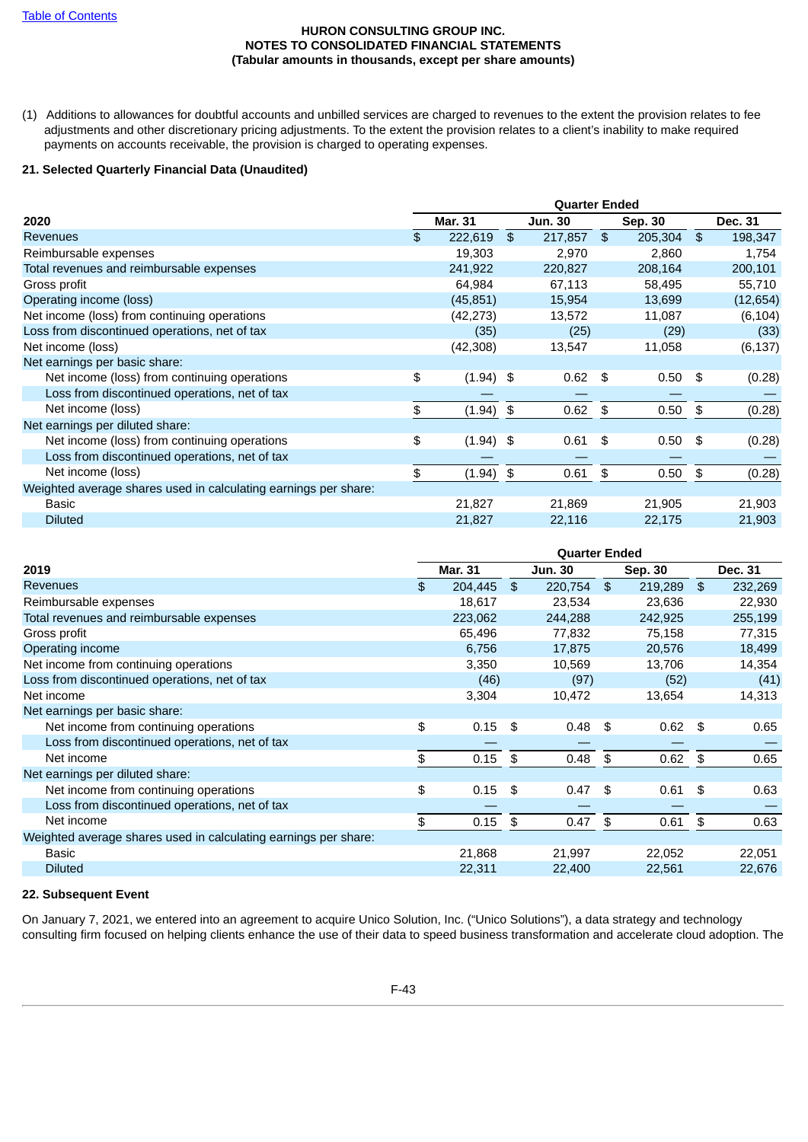(1) Additions to allowances for doubtful accounts and unbilled services are charged to revenues to the extent the provision relates to fee adjustments and other discretionary pricing adjustments. To the extent the provision relates to a client's inability to make required payments on accounts receivable, the provision is charged to operating expenses.

# **21. Selected Quarterly Financial Data (Unaudited)**

|                                                                 | <b>Ouarter Ended</b> |    |                |             |         |               |
|-----------------------------------------------------------------|----------------------|----|----------------|-------------|---------|---------------|
| 2020                                                            | <b>Mar. 31</b>       |    | <b>Jun. 30</b> |             | Sep. 30 | Dec. 31       |
| Revenues                                                        | \$<br>222,619        | \$ | 217,857        | $$^{\circ}$ | 205,304 | \$<br>198,347 |
| Reimbursable expenses                                           | 19,303               |    | 2,970          |             | 2,860   | 1,754         |
| Total revenues and reimbursable expenses                        | 241,922              |    | 220,827        |             | 208,164 | 200,101       |
| Gross profit                                                    | 64,984               |    | 67,113         |             | 58,495  | 55,710        |
| Operating income (loss)                                         | (45, 851)            |    | 15,954         |             | 13,699  | (12, 654)     |
| Net income (loss) from continuing operations                    | (42, 273)            |    | 13,572         |             | 11,087  | (6, 104)      |
| Loss from discontinued operations, net of tax                   | (35)                 |    | (25)           |             | (29)    | (33)          |
| Net income (loss)                                               | (42, 308)            |    | 13,547         |             | 11,058  | (6, 137)      |
| Net earnings per basic share:                                   |                      |    |                |             |         |               |
| Net income (loss) from continuing operations                    | \$<br>$(1.94)$ \$    |    | 0.62           | \$          | 0.50    | \$<br>(0.28)  |
| Loss from discontinued operations, net of tax                   |                      |    |                |             |         |               |
| Net income (loss)                                               | \$<br>(1.94)         | \$ | 0.62           | \$          | 0.50    | \$<br>(0.28)  |
| Net earnings per diluted share:                                 |                      |    |                |             |         |               |
| Net income (loss) from continuing operations                    | \$<br>$(1.94)$ \$    |    | 0.61           | \$          | 0.50    | \$<br>(0.28)  |
| Loss from discontinued operations, net of tax                   |                      |    |                |             |         |               |
| Net income (loss)                                               | \$<br>(1.94)         | \$ | 0.61           | \$          | 0.50    | \$<br>(0.28)  |
| Weighted average shares used in calculating earnings per share: |                      |    |                |             |         |               |
| Basic                                                           | 21,827               |    | 21,869         |             | 21,905  | 21,903        |
| <b>Diluted</b>                                                  | 21,827               |    | 22,116         |             | 22,175  | 21,903        |

|                                                                 | <b>Ouarter Ended</b> |         |    |                |               |               |
|-----------------------------------------------------------------|----------------------|---------|----|----------------|---------------|---------------|
| 2019                                                            |                      | Mar. 31 |    | <b>Jun. 30</b> | Sep. 30       | Dec. 31       |
| <b>Revenues</b>                                                 | \$                   | 204,445 | \$ | 220,754        | \$<br>219,289 | \$<br>232,269 |
| Reimbursable expenses                                           |                      | 18,617  |    | 23,534         | 23,636        | 22,930        |
| Total revenues and reimbursable expenses                        |                      | 223,062 |    | 244,288        | 242,925       | 255,199       |
| Gross profit                                                    |                      | 65,496  |    | 77,832         | 75,158        | 77,315        |
| Operating income                                                |                      | 6,756   |    | 17,875         | 20,576        | 18,499        |
| Net income from continuing operations                           |                      | 3,350   |    | 10,569         | 13,706        | 14,354        |
| Loss from discontinued operations, net of tax                   |                      | (46)    |    | (97)           | (52)          | (41)          |
| Net income                                                      |                      | 3,304   |    | 10,472         | 13,654        | 14,313        |
| Net earnings per basic share:                                   |                      |         |    |                |               |               |
| Net income from continuing operations                           | \$                   | 0.15    | \$ | 0.48           | \$<br>0.62    | \$<br>0.65    |
| Loss from discontinued operations, net of tax                   |                      |         |    |                |               |               |
| Net income                                                      | \$                   | 0.15    | \$ | 0.48           | \$<br>0.62    | \$<br>0.65    |
| Net earnings per diluted share:                                 |                      |         |    |                |               |               |
| Net income from continuing operations                           | \$                   | 0.15    | \$ | 0.47           | \$<br>0.61    | \$<br>0.63    |
| Loss from discontinued operations, net of tax                   |                      |         |    |                |               |               |
| Net income                                                      | \$                   | 0.15    | \$ | 0.47           | \$<br>0.61    | \$<br>0.63    |
| Weighted average shares used in calculating earnings per share: |                      |         |    |                |               |               |
| Basic                                                           |                      | 21,868  |    | 21,997         | 22,052        | 22,051        |
| <b>Diluted</b>                                                  |                      | 22,311  |    | 22,400         | 22,561        | 22,676        |

#### **22. Subsequent Event**

On January 7, 2021, we entered into an agreement to acquire Unico Solution, Inc. ("Unico Solutions"), a data strategy and technology consulting firm focused on helping clients enhance the use of their data to speed business transformation and accelerate cloud adoption. The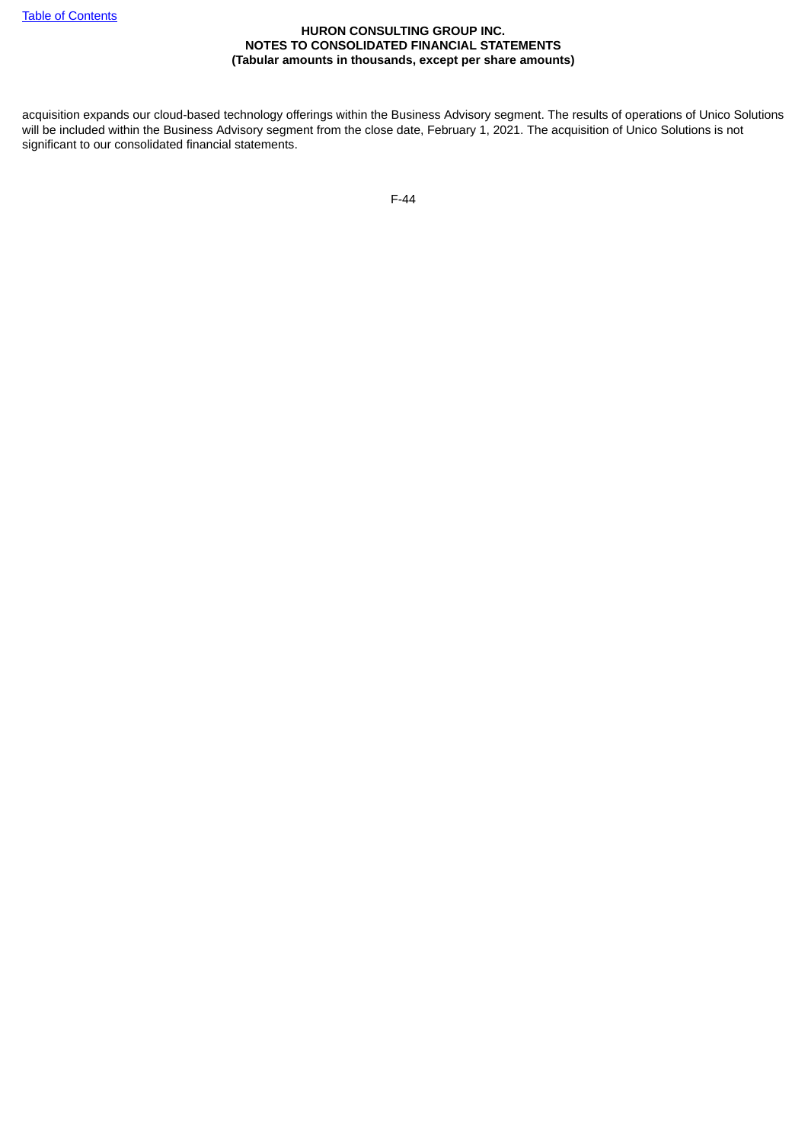acquisition expands our cloud-based technology offerings within the Business Advisory segment. The results of operations of Unico Solutions will be included within the Business Advisory segment from the close date, February 1, 2021. The acquisition of Unico Solutions is not significant to our consolidated financial statements.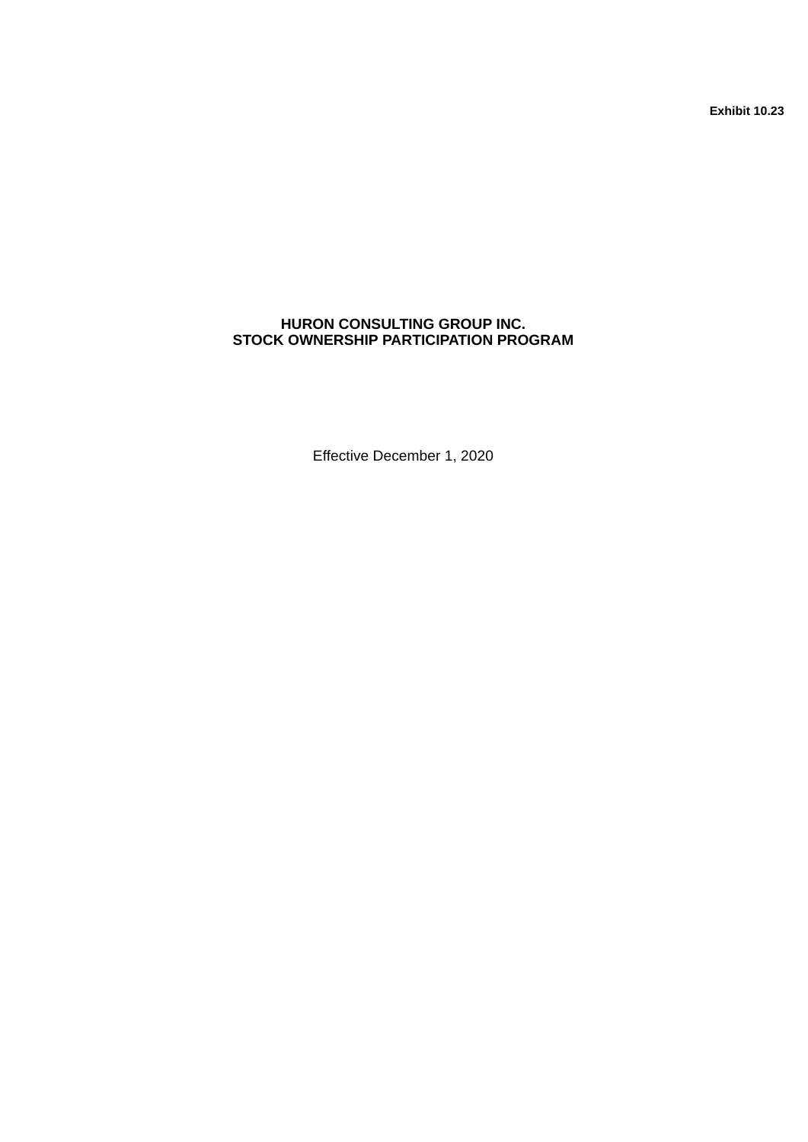**Exhibit 10.23**

# **HURON CONSULTING GROUP INC. STOCK OWNERSHIP PARTICIPATION PROGRAM**

Effective December 1, 2020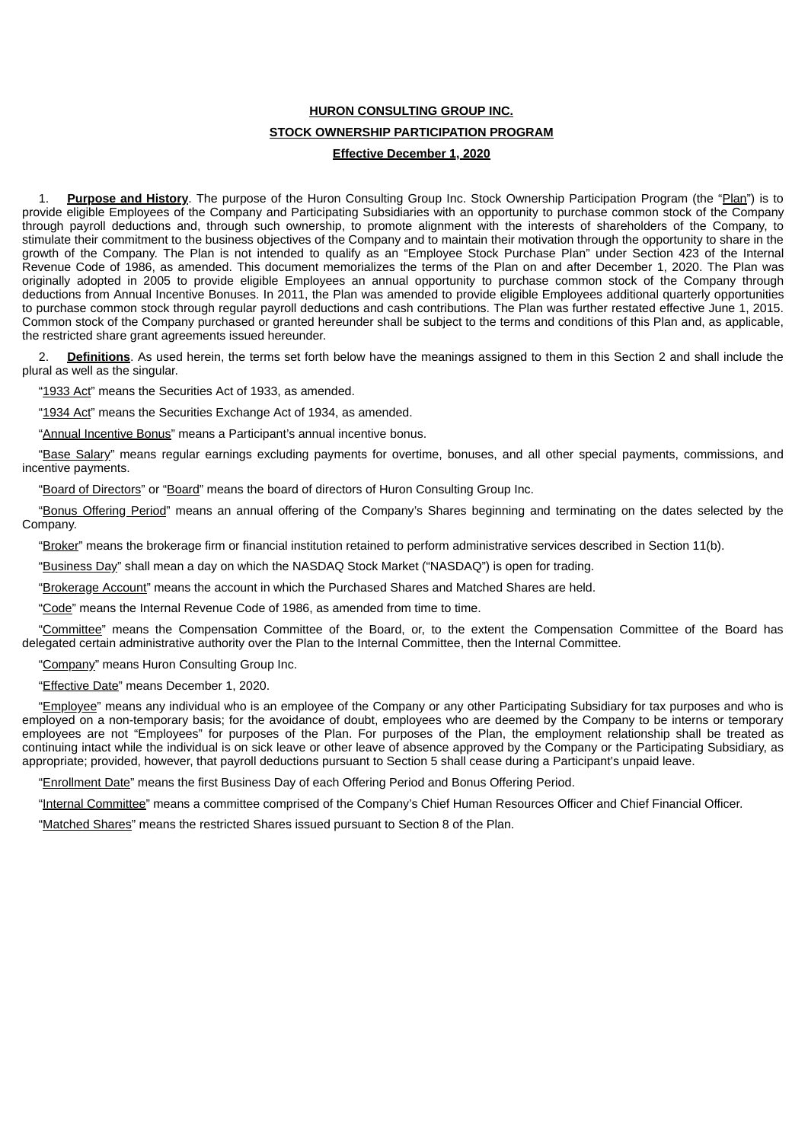# **HURON CONSULTING GROUP INC. STOCK OWNERSHIP PARTICIPATION PROGRAM**

## **Effective December 1, 2020**

1. **Purpose and History**. The purpose of the Huron Consulting Group Inc. Stock Ownership Participation Program (the "Plan") is to provide eligible Employees of the Company and Participating Subsidiaries with an opportunity to purchase common stock of the Company through payroll deductions and, through such ownership, to promote alignment with the interests of shareholders of the Company, to stimulate their commitment to the business objectives of the Company and to maintain their motivation through the opportunity to share in the growth of the Company. The Plan is not intended to qualify as an "Employee Stock Purchase Plan" under Section 423 of the Internal Revenue Code of 1986, as amended. This document memorializes the terms of the Plan on and after December 1, 2020. The Plan was originally adopted in 2005 to provide eligible Employees an annual opportunity to purchase common stock of the Company through deductions from Annual Incentive Bonuses. In 2011, the Plan was amended to provide eligible Employees additional quarterly opportunities to purchase common stock through regular payroll deductions and cash contributions. The Plan was further restated effective June 1, 2015. Common stock of the Company purchased or granted hereunder shall be subject to the terms and conditions of this Plan and, as applicable, the restricted share grant agreements issued hereunder.

2. **Definitions**. As used herein, the terms set forth below have the meanings assigned to them in this Section 2 and shall include the plural as well as the singular.

"1933 Act" means the Securities Act of 1933, as amended.

"1934 Act" means the Securities Exchange Act of 1934, as amended.

"Annual Incentive Bonus" means a Participant's annual incentive bonus.

"Base Salary" means regular earnings excluding payments for overtime, bonuses, and all other special payments, commissions, and incentive payments.

"Board of Directors" or "Board" means the board of directors of Huron Consulting Group Inc.

"Bonus Offering Period" means an annual offering of the Company's Shares beginning and terminating on the dates selected by the Company.

"Broker" means the brokerage firm or financial institution retained to perform administrative services described in Section 11(b).

"Business Day" shall mean a day on which the NASDAQ Stock Market ("NASDAQ") is open for trading.

"Brokerage Account" means the account in which the Purchased Shares and Matched Shares are held.

"Code" means the Internal Revenue Code of 1986, as amended from time to time.

"Committee" means the Compensation Committee of the Board, or, to the extent the Compensation Committee of the Board has delegated certain administrative authority over the Plan to the Internal Committee, then the Internal Committee.

"Company" means Huron Consulting Group Inc.

"Effective Date" means December 1, 2020.

"Employee" means any individual who is an employee of the Company or any other Participating Subsidiary for tax purposes and who is employed on a non-temporary basis; for the avoidance of doubt, employees who are deemed by the Company to be interns or temporary employees are not "Employees" for purposes of the Plan. For purposes of the Plan, the employment relationship shall be treated as continuing intact while the individual is on sick leave or other leave of absence approved by the Company or the Participating Subsidiary, as appropriate; provided, however, that payroll deductions pursuant to Section 5 shall cease during a Participant's unpaid leave.

"Enrollment Date" means the first Business Day of each Offering Period and Bonus Offering Period.

"Internal Committee" means a committee comprised of the Company's Chief Human Resources Officer and Chief Financial Officer.

"Matched Shares" means the restricted Shares issued pursuant to Section 8 of the Plan.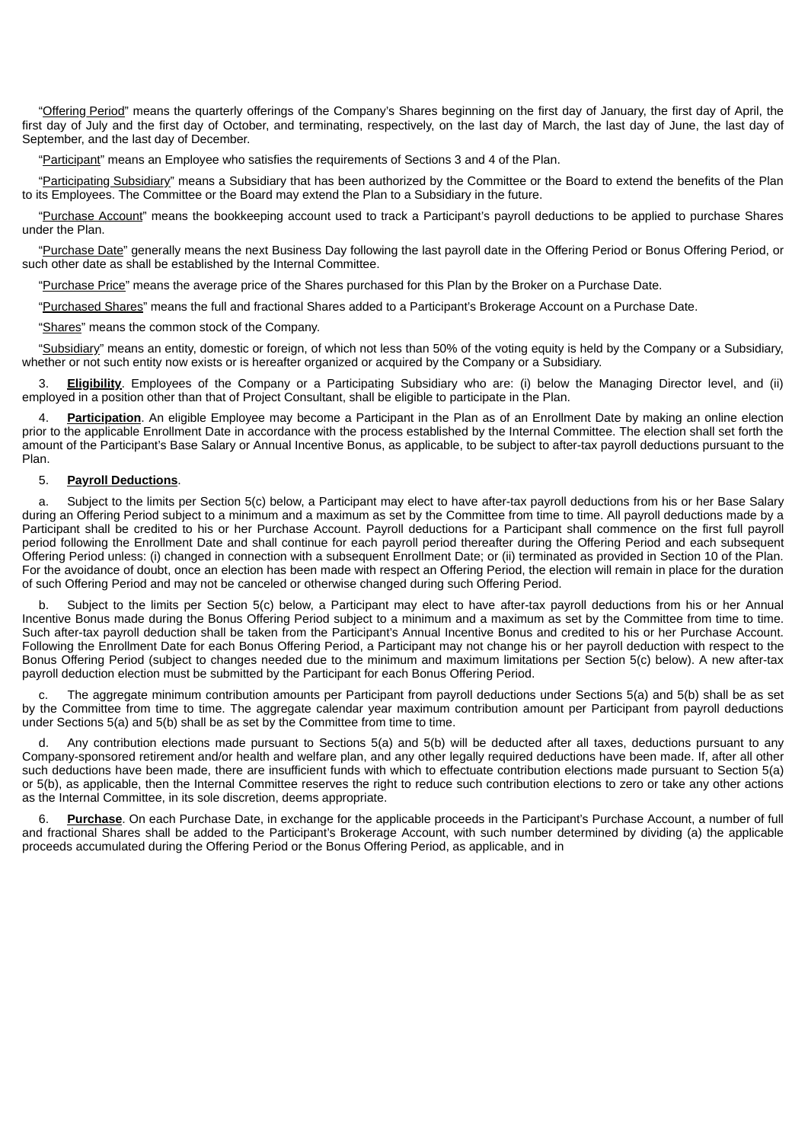"Offering Period" means the quarterly offerings of the Company's Shares beginning on the first day of January, the first day of April, the first day of July and the first day of October, and terminating, respectively, on the last day of March, the last day of June, the last day of September, and the last day of December.

"Participant" means an Employee who satisfies the requirements of Sections 3 and 4 of the Plan.

"Participating Subsidiary" means a Subsidiary that has been authorized by the Committee or the Board to extend the benefits of the Plan to its Employees. The Committee or the Board may extend the Plan to a Subsidiary in the future.

"Purchase Account" means the bookkeeping account used to track a Participant's payroll deductions to be applied to purchase Shares under the Plan.

"Purchase Date" generally means the next Business Day following the last payroll date in the Offering Period or Bonus Offering Period, or such other date as shall be established by the Internal Committee.

"Purchase Price" means the average price of the Shares purchased for this Plan by the Broker on a Purchase Date.

"Purchased Shares" means the full and fractional Shares added to a Participant's Brokerage Account on a Purchase Date.

"Shares" means the common stock of the Company.

"Subsidiary" means an entity, domestic or foreign, of which not less than 50% of the voting equity is held by the Company or a Subsidiary, whether or not such entity now exists or is hereafter organized or acquired by the Company or a Subsidiary.

3. **Eligibility**. Employees of the Company or a Participating Subsidiary who are: (i) below the Managing Director level, and (ii) employed in a position other than that of Project Consultant, shall be eligible to participate in the Plan.

4. **Participation**. An eligible Employee may become a Participant in the Plan as of an Enrollment Date by making an online election prior to the applicable Enrollment Date in accordance with the process established by the Internal Committee. The election shall set forth the amount of the Participant's Base Salary or Annual Incentive Bonus, as applicable, to be subject to after-tax payroll deductions pursuant to the Plan.

#### 5. **Payroll Deductions**.

a. Subject to the limits per Section 5(c) below, a Participant may elect to have after-tax payroll deductions from his or her Base Salary during an Offering Period subject to a minimum and a maximum as set by the Committee from time to time. All payroll deductions made by a Participant shall be credited to his or her Purchase Account. Payroll deductions for a Participant shall commence on the first full payroll period following the Enrollment Date and shall continue for each payroll period thereafter during the Offering Period and each subsequent Offering Period unless: (i) changed in connection with a subsequent Enrollment Date; or (ii) terminated as provided in Section 10 of the Plan. For the avoidance of doubt, once an election has been made with respect an Offering Period, the election will remain in place for the duration of such Offering Period and may not be canceled or otherwise changed during such Offering Period.

Subject to the limits per Section 5(c) below, a Participant may elect to have after-tax payroll deductions from his or her Annual Incentive Bonus made during the Bonus Offering Period subject to a minimum and a maximum as set by the Committee from time to time. Such after-tax payroll deduction shall be taken from the Participant's Annual Incentive Bonus and credited to his or her Purchase Account. Following the Enrollment Date for each Bonus Offering Period, a Participant may not change his or her payroll deduction with respect to the Bonus Offering Period (subject to changes needed due to the minimum and maximum limitations per Section 5(c) below). A new after-tax payroll deduction election must be submitted by the Participant for each Bonus Offering Period.

c. The aggregate minimum contribution amounts per Participant from payroll deductions under Sections 5(a) and 5(b) shall be as set by the Committee from time to time. The aggregate calendar year maximum contribution amount per Participant from payroll deductions under Sections 5(a) and 5(b) shall be as set by the Committee from time to time.

d. Any contribution elections made pursuant to Sections 5(a) and 5(b) will be deducted after all taxes, deductions pursuant to any Company-sponsored retirement and/or health and welfare plan, and any other legally required deductions have been made. If, after all other such deductions have been made, there are insufficient funds with which to effectuate contribution elections made pursuant to Section 5(a) or 5(b), as applicable, then the Internal Committee reserves the right to reduce such contribution elections to zero or take any other actions as the Internal Committee, in its sole discretion, deems appropriate.

6. **Purchase**. On each Purchase Date, in exchange for the applicable proceeds in the Participant's Purchase Account, a number of full and fractional Shares shall be added to the Participant's Brokerage Account, with such number determined by dividing (a) the applicable proceeds accumulated during the Offering Period or the Bonus Offering Period, as applicable, and in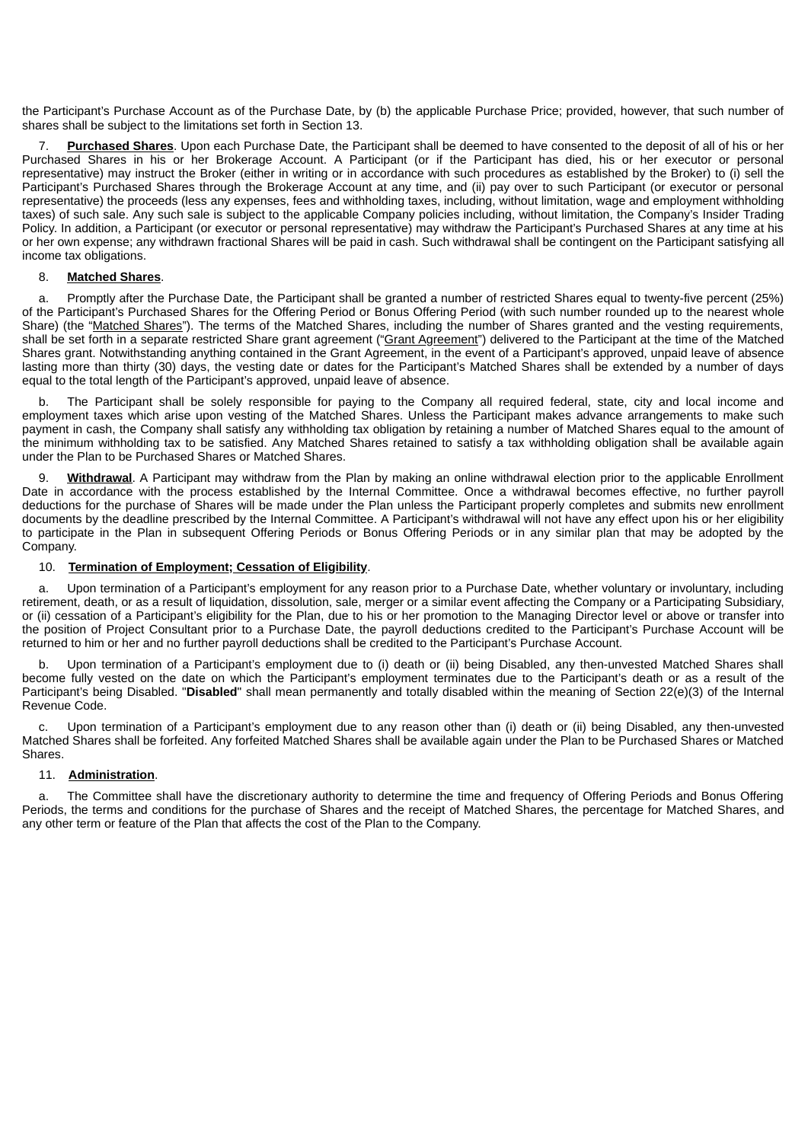the Participant's Purchase Account as of the Purchase Date, by (b) the applicable Purchase Price; provided, however, that such number of shares shall be subject to the limitations set forth in Section 13.

7. **Purchased Shares**. Upon each Purchase Date, the Participant shall be deemed to have consented to the deposit of all of his or her Purchased Shares in his or her Brokerage Account. A Participant (or if the Participant has died, his or her executor or personal representative) may instruct the Broker (either in writing or in accordance with such procedures as established by the Broker) to (i) sell the Participant's Purchased Shares through the Brokerage Account at any time, and (ii) pay over to such Participant (or executor or personal representative) the proceeds (less any expenses, fees and withholding taxes, including, without limitation, wage and employment withholding taxes) of such sale. Any such sale is subject to the applicable Company policies including, without limitation, the Company's Insider Trading Policy. In addition, a Participant (or executor or personal representative) may withdraw the Participant's Purchased Shares at any time at his or her own expense; any withdrawn fractional Shares will be paid in cash. Such withdrawal shall be contingent on the Participant satisfying all income tax obligations.

## 8. **Matched Shares**.

a. Promptly after the Purchase Date, the Participant shall be granted a number of restricted Shares equal to twenty-five percent (25%) of the Participant's Purchased Shares for the Offering Period or Bonus Offering Period (with such number rounded up to the nearest whole Share) (the "Matched Shares"). The terms of the Matched Shares, including the number of Shares granted and the vesting requirements, shall be set forth in a separate restricted Share grant agreement ("Grant Agreement") delivered to the Participant at the time of the Matched Shares grant. Notwithstanding anything contained in the Grant Agreement, in the event of a Participant's approved, unpaid leave of absence lasting more than thirty (30) days, the vesting date or dates for the Participant's Matched Shares shall be extended by a number of days equal to the total length of the Participant's approved, unpaid leave of absence.

b. The Participant shall be solely responsible for paying to the Company all required federal, state, city and local income and employment taxes which arise upon vesting of the Matched Shares. Unless the Participant makes advance arrangements to make such payment in cash, the Company shall satisfy any withholding tax obligation by retaining a number of Matched Shares equal to the amount of the minimum withholding tax to be satisfied. Any Matched Shares retained to satisfy a tax withholding obligation shall be available again under the Plan to be Purchased Shares or Matched Shares.

9. **Withdrawal**. A Participant may withdraw from the Plan by making an online withdrawal election prior to the applicable Enrollment Date in accordance with the process established by the Internal Committee. Once a withdrawal becomes effective, no further payroll deductions for the purchase of Shares will be made under the Plan unless the Participant properly completes and submits new enrollment documents by the deadline prescribed by the Internal Committee. A Participant's withdrawal will not have any effect upon his or her eligibility to participate in the Plan in subsequent Offering Periods or Bonus Offering Periods or in any similar plan that may be adopted by the Company.

#### 10. **Termination of Employment; Cessation of Eligibility**.

a. Upon termination of a Participant's employment for any reason prior to a Purchase Date, whether voluntary or involuntary, including retirement, death, or as a result of liquidation, dissolution, sale, merger or a similar event affecting the Company or a Participating Subsidiary, or (ii) cessation of a Participant's eligibility for the Plan, due to his or her promotion to the Managing Director level or above or transfer into the position of Project Consultant prior to a Purchase Date, the payroll deductions credited to the Participant's Purchase Account will be returned to him or her and no further payroll deductions shall be credited to the Participant's Purchase Account.

b. Upon termination of a Participant's employment due to (i) death or (ii) being Disabled, any then-unvested Matched Shares shall become fully vested on the date on which the Participant's employment terminates due to the Participant's death or as a result of the Participant's being Disabled. "**Disabled**" shall mean permanently and totally disabled within the meaning of Section 22(e)(3) of the Internal Revenue Code.

c. Upon termination of a Participant's employment due to any reason other than (i) death or (ii) being Disabled, any then-unvested Matched Shares shall be forfeited. Any forfeited Matched Shares shall be available again under the Plan to be Purchased Shares or Matched Shares.

#### 11. **Administration**.

a. The Committee shall have the discretionary authority to determine the time and frequency of Offering Periods and Bonus Offering Periods, the terms and conditions for the purchase of Shares and the receipt of Matched Shares, the percentage for Matched Shares, and any other term or feature of the Plan that affects the cost of the Plan to the Company.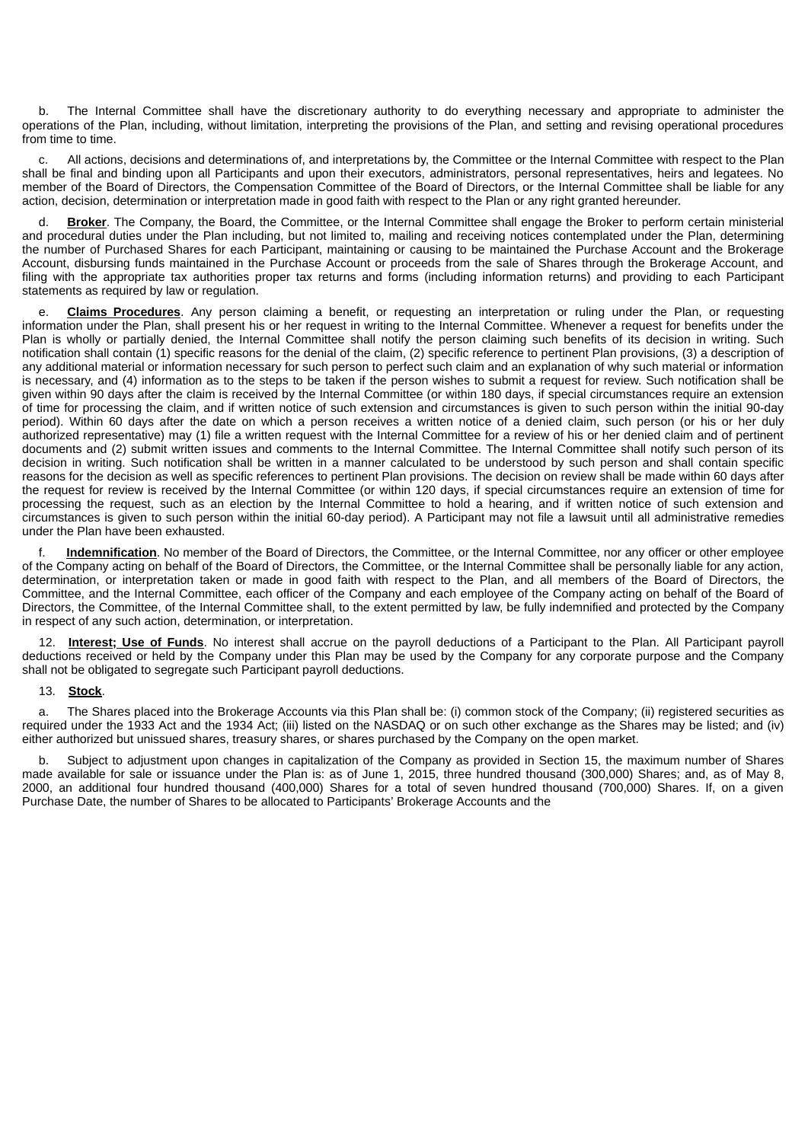b. The Internal Committee shall have the discretionary authority to do everything necessary and appropriate to administer the operations of the Plan, including, without limitation, interpreting the provisions of the Plan, and setting and revising operational procedures from time to time.

c. All actions, decisions and determinations of, and interpretations by, the Committee or the Internal Committee with respect to the Plan shall be final and binding upon all Participants and upon their executors, administrators, personal representatives, heirs and legatees. No member of the Board of Directors, the Compensation Committee of the Board of Directors, or the Internal Committee shall be liable for any action, decision, determination or interpretation made in good faith with respect to the Plan or any right granted hereunder.

d. **Broker**. The Company, the Board, the Committee, or the Internal Committee shall engage the Broker to perform certain ministerial and procedural duties under the Plan including, but not limited to, mailing and receiving notices contemplated under the Plan, determining the number of Purchased Shares for each Participant, maintaining or causing to be maintained the Purchase Account and the Brokerage Account, disbursing funds maintained in the Purchase Account or proceeds from the sale of Shares through the Brokerage Account, and filing with the appropriate tax authorities proper tax returns and forms (including information returns) and providing to each Participant statements as required by law or regulation.

e. **Claims Procedures**. Any person claiming a benefit, or requesting an interpretation or ruling under the Plan, or requesting information under the Plan, shall present his or her request in writing to the Internal Committee. Whenever a request for benefits under the Plan is wholly or partially denied, the Internal Committee shall notify the person claiming such benefits of its decision in writing. Such notification shall contain (1) specific reasons for the denial of the claim, (2) specific reference to pertinent Plan provisions, (3) a description of any additional material or information necessary for such person to perfect such claim and an explanation of why such material or information is necessary, and (4) information as to the steps to be taken if the person wishes to submit a request for review. Such notification shall be given within 90 days after the claim is received by the Internal Committee (or within 180 days, if special circumstances require an extension of time for processing the claim, and if written notice of such extension and circumstances is given to such person within the initial 90-day period). Within 60 days after the date on which a person receives a written notice of a denied claim, such person (or his or her duly authorized representative) may (1) file a written request with the Internal Committee for a review of his or her denied claim and of pertinent documents and (2) submit written issues and comments to the Internal Committee. The Internal Committee shall notify such person of its decision in writing. Such notification shall be written in a manner calculated to be understood by such person and shall contain specific reasons for the decision as well as specific references to pertinent Plan provisions. The decision on review shall be made within 60 days after the request for review is received by the Internal Committee (or within 120 days, if special circumstances require an extension of time for processing the request, such as an election by the Internal Committee to hold a hearing, and if written notice of such extension and circumstances is given to such person within the initial 60-day period). A Participant may not file a lawsuit until all administrative remedies under the Plan have been exhausted.

Indemnification. No member of the Board of Directors, the Committee, or the Internal Committee, nor any officer or other employee of the Company acting on behalf of the Board of Directors, the Committee, or the Internal Committee shall be personally liable for any action, determination, or interpretation taken or made in good faith with respect to the Plan, and all members of the Board of Directors, the Committee, and the Internal Committee, each officer of the Company and each employee of the Company acting on behalf of the Board of Directors, the Committee, of the Internal Committee shall, to the extent permitted by law, be fully indemnified and protected by the Company in respect of any such action, determination, or interpretation.

12. **Interest; Use of Funds**. No interest shall accrue on the payroll deductions of a Participant to the Plan. All Participant payroll deductions received or held by the Company under this Plan may be used by the Company for any corporate purpose and the Company shall not be obligated to segregate such Participant payroll deductions.

#### 13. **Stock**.

a. The Shares placed into the Brokerage Accounts via this Plan shall be: (i) common stock of the Company; (ii) registered securities as required under the 1933 Act and the 1934 Act; (iii) listed on the NASDAQ or on such other exchange as the Shares may be listed; and (iv) either authorized but unissued shares, treasury shares, or shares purchased by the Company on the open market.

Subject to adjustment upon changes in capitalization of the Company as provided in Section 15, the maximum number of Shares made available for sale or issuance under the Plan is: as of June 1, 2015, three hundred thousand (300,000) Shares; and, as of May 8, 2000, an additional four hundred thousand (400,000) Shares for a total of seven hundred thousand (700,000) Shares. If, on a given Purchase Date, the number of Shares to be allocated to Participants' Brokerage Accounts and the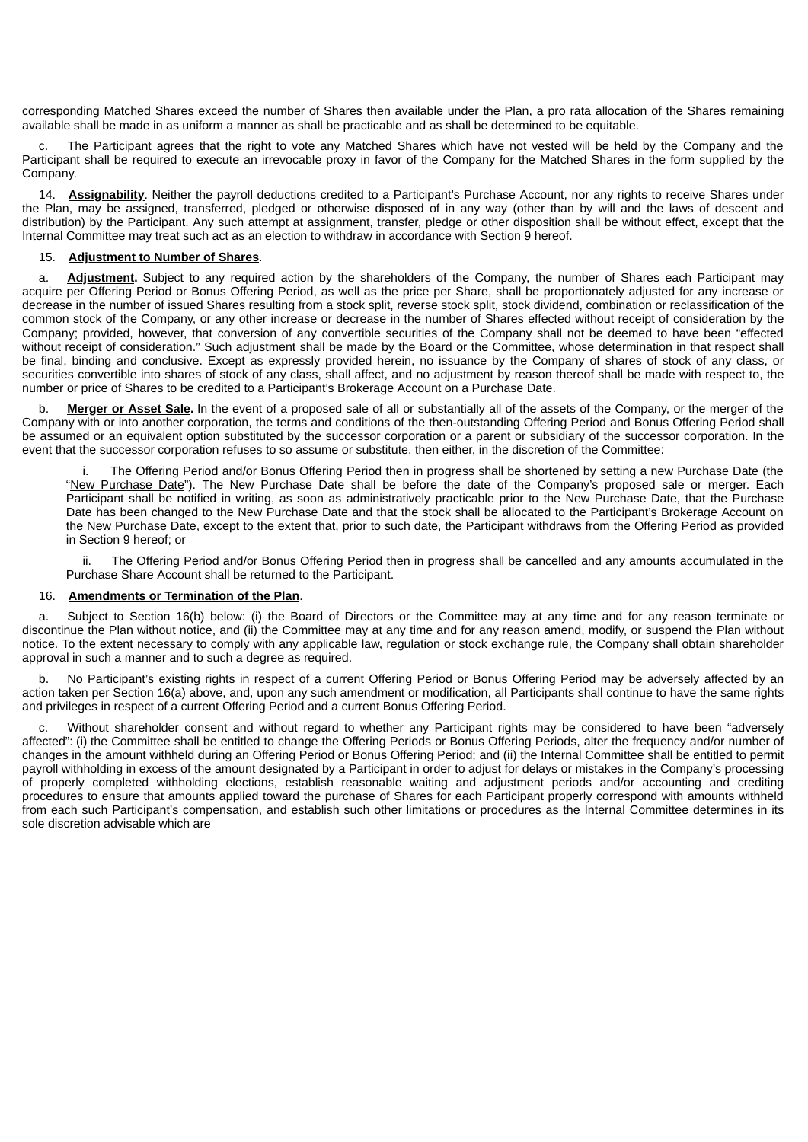corresponding Matched Shares exceed the number of Shares then available under the Plan, a pro rata allocation of the Shares remaining available shall be made in as uniform a manner as shall be practicable and as shall be determined to be equitable.

c. The Participant agrees that the right to vote any Matched Shares which have not vested will be held by the Company and the Participant shall be required to execute an irrevocable proxy in favor of the Company for the Matched Shares in the form supplied by the Company.

14. **Assignability**. Neither the payroll deductions credited to a Participant's Purchase Account, nor any rights to receive Shares under the Plan, may be assigned, transferred, pledged or otherwise disposed of in any way (other than by will and the laws of descent and distribution) by the Participant. Any such attempt at assignment, transfer, pledge or other disposition shall be without effect, except that the Internal Committee may treat such act as an election to withdraw in accordance with Section 9 hereof.

#### 15. **Adjustment to Number of Shares**.

a. **Adjustment.** Subject to any required action by the shareholders of the Company, the number of Shares each Participant may acquire per Offering Period or Bonus Offering Period, as well as the price per Share, shall be proportionately adjusted for any increase or decrease in the number of issued Shares resulting from a stock split, reverse stock split, stock dividend, combination or reclassification of the common stock of the Company, or any other increase or decrease in the number of Shares effected without receipt of consideration by the Company; provided, however, that conversion of any convertible securities of the Company shall not be deemed to have been "effected without receipt of consideration." Such adjustment shall be made by the Board or the Committee, whose determination in that respect shall be final, binding and conclusive. Except as expressly provided herein, no issuance by the Company of shares of stock of any class, or securities convertible into shares of stock of any class, shall affect, and no adjustment by reason thereof shall be made with respect to, the number or price of Shares to be credited to a Participant's Brokerage Account on a Purchase Date.

b. **Merger or Asset Sale.** In the event of a proposed sale of all or substantially all of the assets of the Company, or the merger of the Company with or into another corporation, the terms and conditions of the then-outstanding Offering Period and Bonus Offering Period shall be assumed or an equivalent option substituted by the successor corporation or a parent or subsidiary of the successor corporation. In the event that the successor corporation refuses to so assume or substitute, then either, in the discretion of the Committee:

The Offering Period and/or Bonus Offering Period then in progress shall be shortened by setting a new Purchase Date (the "New Purchase Date"). The New Purchase Date shall be before the date of the Company's proposed sale or merger. Each Participant shall be notified in writing, as soon as administratively practicable prior to the New Purchase Date, that the Purchase Date has been changed to the New Purchase Date and that the stock shall be allocated to the Participant's Brokerage Account on the New Purchase Date, except to the extent that, prior to such date, the Participant withdraws from the Offering Period as provided in Section 9 hereof; or

ii. The Offering Period and/or Bonus Offering Period then in progress shall be cancelled and any amounts accumulated in the Purchase Share Account shall be returned to the Participant.

#### 16. **Amendments or Termination of the Plan**.

a. Subject to Section 16(b) below: (i) the Board of Directors or the Committee may at any time and for any reason terminate or discontinue the Plan without notice, and (ii) the Committee may at any time and for any reason amend, modify, or suspend the Plan without notice. To the extent necessary to comply with any applicable law, regulation or stock exchange rule, the Company shall obtain shareholder approval in such a manner and to such a degree as required.

b. No Participant's existing rights in respect of a current Offering Period or Bonus Offering Period may be adversely affected by an action taken per Section 16(a) above, and, upon any such amendment or modification, all Participants shall continue to have the same rights and privileges in respect of a current Offering Period and a current Bonus Offering Period.

Without shareholder consent and without regard to whether any Participant rights may be considered to have been "adversely affected": (i) the Committee shall be entitled to change the Offering Periods or Bonus Offering Periods, alter the frequency and/or number of changes in the amount withheld during an Offering Period or Bonus Offering Period; and (ii) the Internal Committee shall be entitled to permit payroll withholding in excess of the amount designated by a Participant in order to adjust for delays or mistakes in the Company's processing of properly completed withholding elections, establish reasonable waiting and adjustment periods and/or accounting and crediting procedures to ensure that amounts applied toward the purchase of Shares for each Participant properly correspond with amounts withheld from each such Participant's compensation, and establish such other limitations or procedures as the Internal Committee determines in its sole discretion advisable which are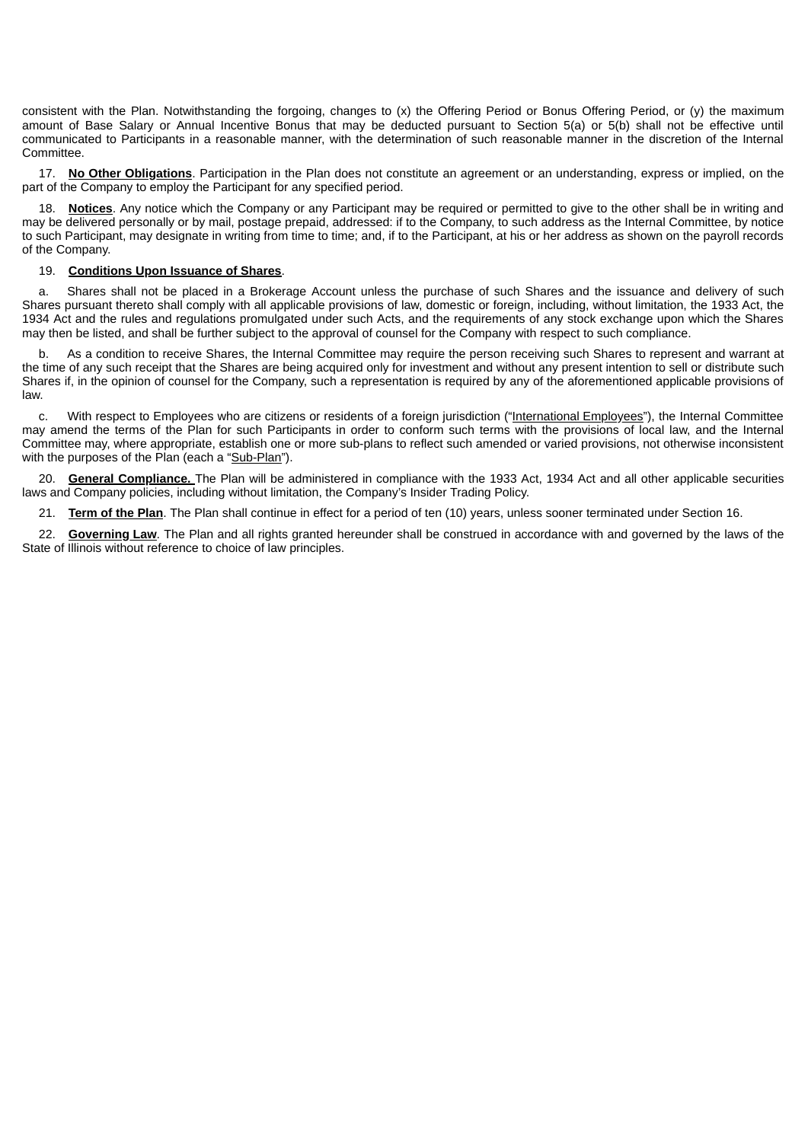consistent with the Plan. Notwithstanding the forgoing, changes to (x) the Offering Period or Bonus Offering Period, or (y) the maximum amount of Base Salary or Annual Incentive Bonus that may be deducted pursuant to Section 5(a) or 5(b) shall not be effective until communicated to Participants in a reasonable manner, with the determination of such reasonable manner in the discretion of the Internal Committee.

17. **No Other Obligations**. Participation in the Plan does not constitute an agreement or an understanding, express or implied, on the part of the Company to employ the Participant for any specified period.

18. **Notices**. Any notice which the Company or any Participant may be required or permitted to give to the other shall be in writing and may be delivered personally or by mail, postage prepaid, addressed: if to the Company, to such address as the Internal Committee, by notice to such Participant, may designate in writing from time to time; and, if to the Participant, at his or her address as shown on the payroll records of the Company.

#### 19. **Conditions Upon Issuance of Shares**.

a. Shares shall not be placed in a Brokerage Account unless the purchase of such Shares and the issuance and delivery of such Shares pursuant thereto shall comply with all applicable provisions of law, domestic or foreign, including, without limitation, the 1933 Act, the 1934 Act and the rules and regulations promulgated under such Acts, and the requirements of any stock exchange upon which the Shares may then be listed, and shall be further subject to the approval of counsel for the Company with respect to such compliance.

b. As a condition to receive Shares, the Internal Committee may require the person receiving such Shares to represent and warrant at the time of any such receipt that the Shares are being acquired only for investment and without any present intention to sell or distribute such Shares if, in the opinion of counsel for the Company, such a representation is required by any of the aforementioned applicable provisions of law.

c. With respect to Employees who are citizens or residents of a foreign jurisdiction ("International Employees"), the Internal Committee may amend the terms of the Plan for such Participants in order to conform such terms with the provisions of local law, and the Internal Committee may, where appropriate, establish one or more sub-plans to reflect such amended or varied provisions, not otherwise inconsistent with the purposes of the Plan (each a "Sub-Plan").

20. **General Compliance.** The Plan will be administered in compliance with the 1933 Act, 1934 Act and all other applicable securities laws and Company policies, including without limitation, the Company's Insider Trading Policy.

21. **Term of the Plan**. The Plan shall continue in effect for a period of ten (10) years, unless sooner terminated under Section 16.

22. **Governing Law**. The Plan and all rights granted hereunder shall be construed in accordance with and governed by the laws of the State of Illinois without reference to choice of law principles.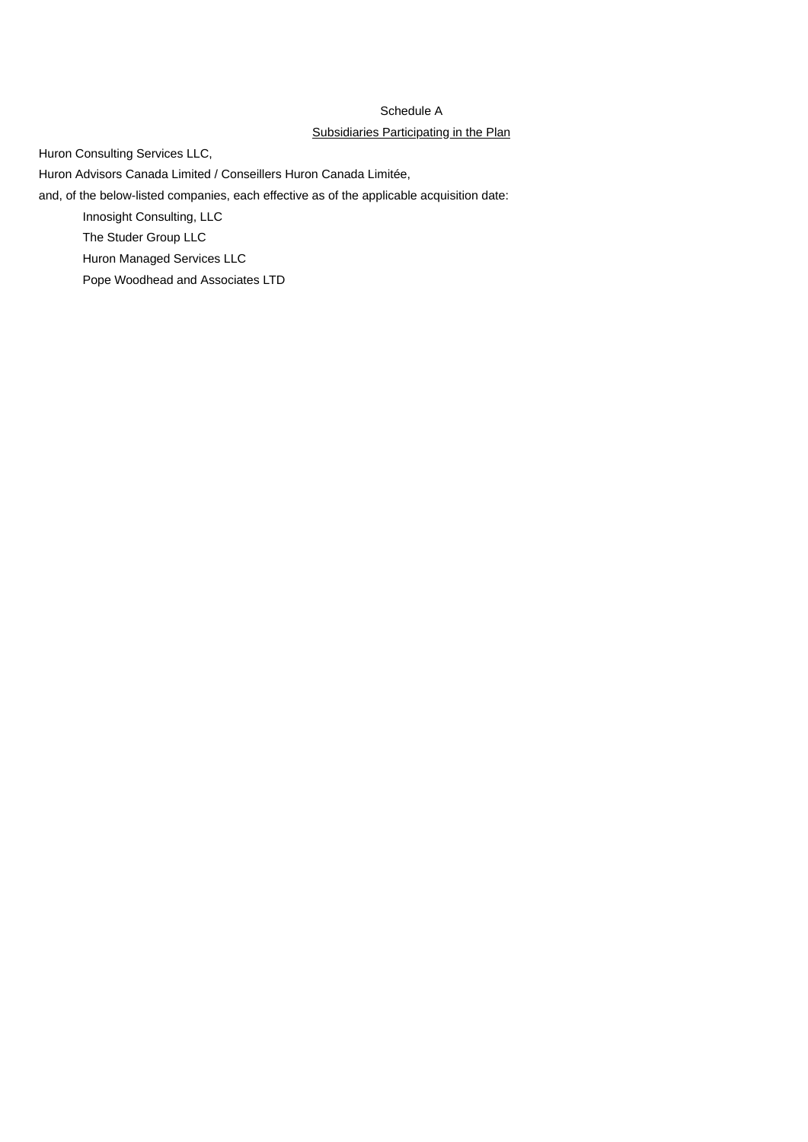# Schedule A Subsidiaries Participating in the Plan

Huron Consulting Services LLC,

Huron Advisors Canada Limited / Conseillers Huron Canada Limitée,

and, of the below-listed companies, each effective as of the applicable acquisition date:

Innosight Consulting, LLC

The Studer Group LLC

Huron Managed Services LLC

Pope Woodhead and Associates LTD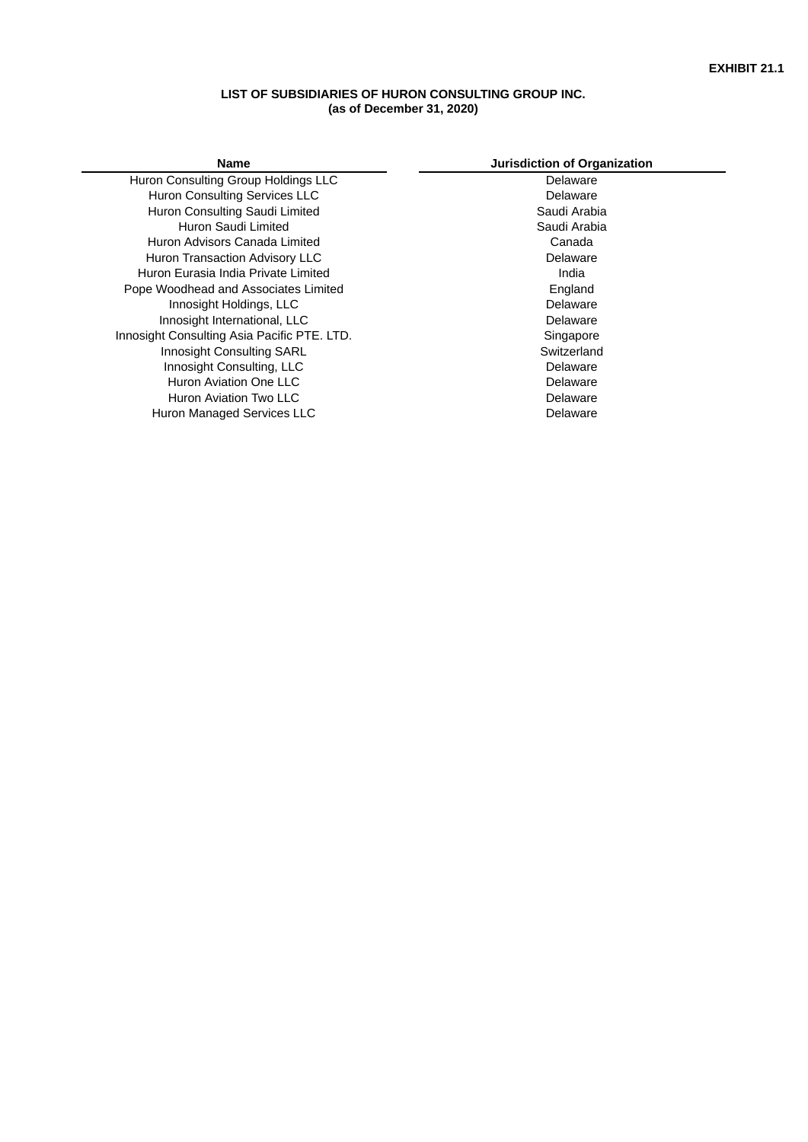## **LIST OF SUBSIDIARIES OF HURON CONSULTING GROUP INC. (as of December 31, 2020)**

| <b>Name</b>                                 | Jurisdiction of Organization |
|---------------------------------------------|------------------------------|
| Huron Consulting Group Holdings LLC         | Delaware                     |
| Huron Consulting Services LLC               | <b>Delaware</b>              |
| Huron Consulting Saudi Limited              | Saudi Arabia                 |
| Huron Saudi Limited                         | Saudi Arabia                 |
| Huron Advisors Canada Limited               | Canada                       |
| Huron Transaction Advisory LLC              | Delaware                     |
| Huron Furasia India Private Limited         | India                        |
| Pope Woodhead and Associates Limited        | England                      |
| Innosight Holdings, LLC                     | Delaware                     |
| Innosight International, LLC                | Delaware                     |
| Innosight Consulting Asia Pacific PTE. LTD. | Singapore                    |
| Innosight Consulting SARL                   | Switzerland                  |
| Innosight Consulting, LLC                   | Delaware                     |
| Huron Aviation One LLC                      | Delaware                     |
| Huron Aviation Two LLC                      | Delaware                     |
| Huron Managed Services LLC                  | Delaware                     |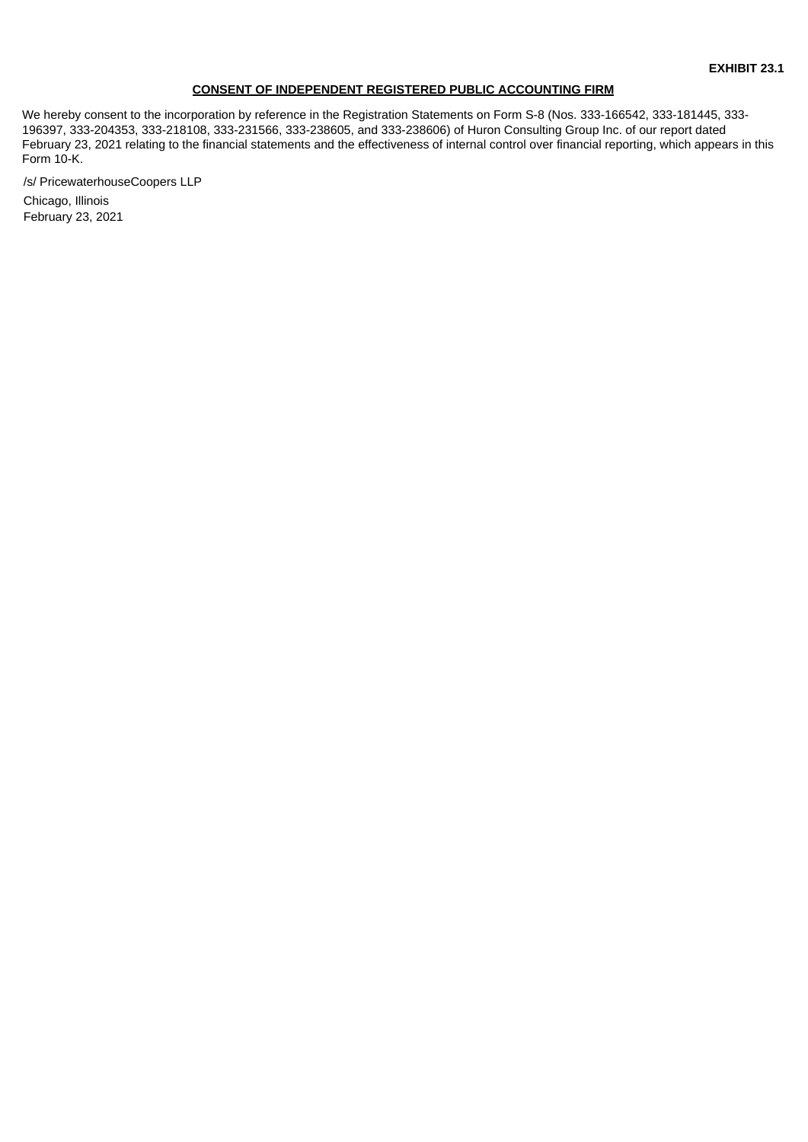## **CONSENT OF INDEPENDENT REGISTERED PUBLIC ACCOUNTING FIRM**

We hereby consent to the incorporation by reference in the Registration Statements on Form S-8 (Nos. 333-166542, 333-181445, 333- 196397, 333-204353, 333-218108, 333-231566, 333-238605, and 333-238606) of Huron Consulting Group Inc. of our report dated February 23, 2021 relating to the financial statements and the effectiveness of internal control over financial reporting, which appears in this Form 10-K.

/s/ PricewaterhouseCoopers LLP

Chicago, Illinois February 23, 2021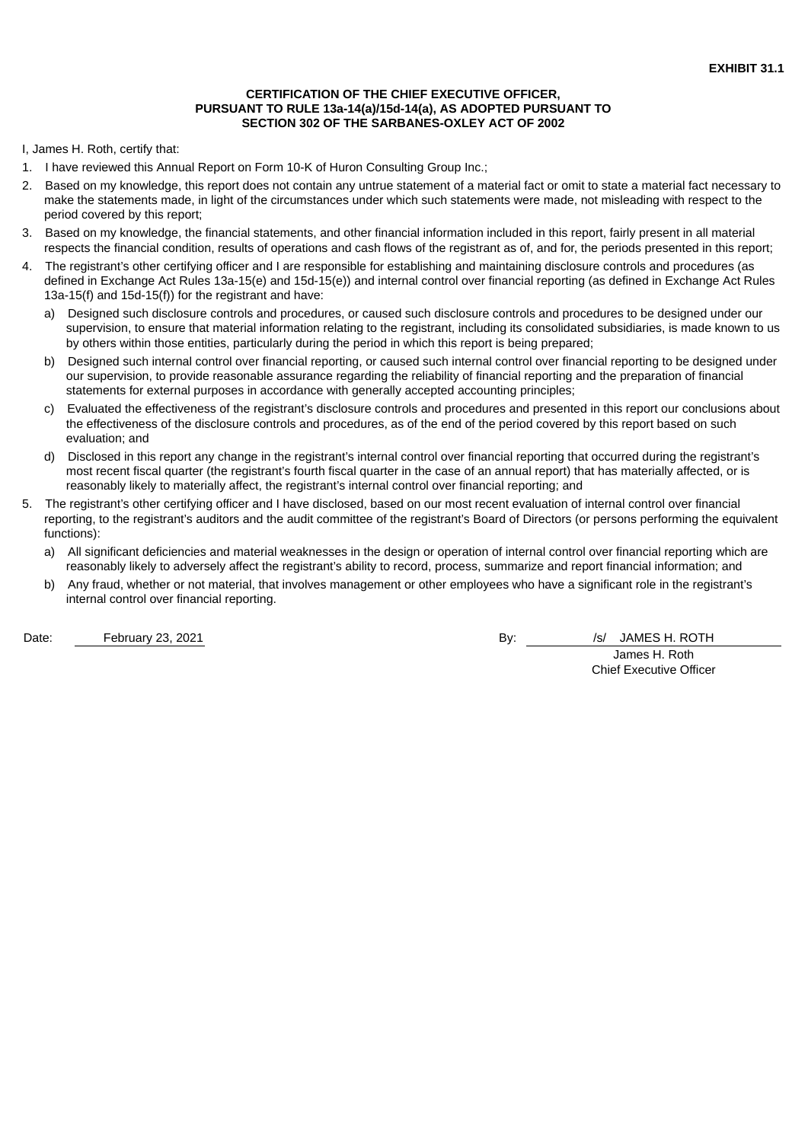#### **CERTIFICATION OF THE CHIEF EXECUTIVE OFFICER, PURSUANT TO RULE 13a-14(a)/15d-14(a), AS ADOPTED PURSUANT TO SECTION 302 OF THE SARBANES-OXLEY ACT OF 2002**

I, James H. Roth, certify that:

- 1. I have reviewed this Annual Report on Form 10-K of Huron Consulting Group Inc.;
- 2. Based on my knowledge, this report does not contain any untrue statement of a material fact or omit to state a material fact necessary to make the statements made, in light of the circumstances under which such statements were made, not misleading with respect to the period covered by this report;
- 3. Based on my knowledge, the financial statements, and other financial information included in this report, fairly present in all material respects the financial condition, results of operations and cash flows of the registrant as of, and for, the periods presented in this report;
- 4. The registrant's other certifying officer and I are responsible for establishing and maintaining disclosure controls and procedures (as defined in Exchange Act Rules 13a-15(e) and 15d-15(e)) and internal control over financial reporting (as defined in Exchange Act Rules 13a-15(f) and 15d-15(f)) for the registrant and have:
	- a) Designed such disclosure controls and procedures, or caused such disclosure controls and procedures to be designed under our supervision, to ensure that material information relating to the registrant, including its consolidated subsidiaries, is made known to us by others within those entities, particularly during the period in which this report is being prepared;
	- b) Designed such internal control over financial reporting, or caused such internal control over financial reporting to be designed under our supervision, to provide reasonable assurance regarding the reliability of financial reporting and the preparation of financial statements for external purposes in accordance with generally accepted accounting principles;
	- c) Evaluated the effectiveness of the registrant's disclosure controls and procedures and presented in this report our conclusions about the effectiveness of the disclosure controls and procedures, as of the end of the period covered by this report based on such evaluation; and
	- d) Disclosed in this report any change in the registrant's internal control over financial reporting that occurred during the registrant's most recent fiscal quarter (the registrant's fourth fiscal quarter in the case of an annual report) that has materially affected, or is reasonably likely to materially affect, the registrant's internal control over financial reporting; and
- 5. The registrant's other certifying officer and I have disclosed, based on our most recent evaluation of internal control over financial reporting, to the registrant's auditors and the audit committee of the registrant's Board of Directors (or persons performing the equivalent functions):
	- a) All significant deficiencies and material weaknesses in the design or operation of internal control over financial reporting which are reasonably likely to adversely affect the registrant's ability to record, process, summarize and report financial information; and
	- b) Any fraud, whether or not material, that involves management or other employees who have a significant role in the registrant's internal control over financial reporting.

Date: February 23, 2021 **By:** By: *Islamic September 15* By: *Islamic September 15* By: *Islamic September 15* By:

James H. Roth Chief Executive Officer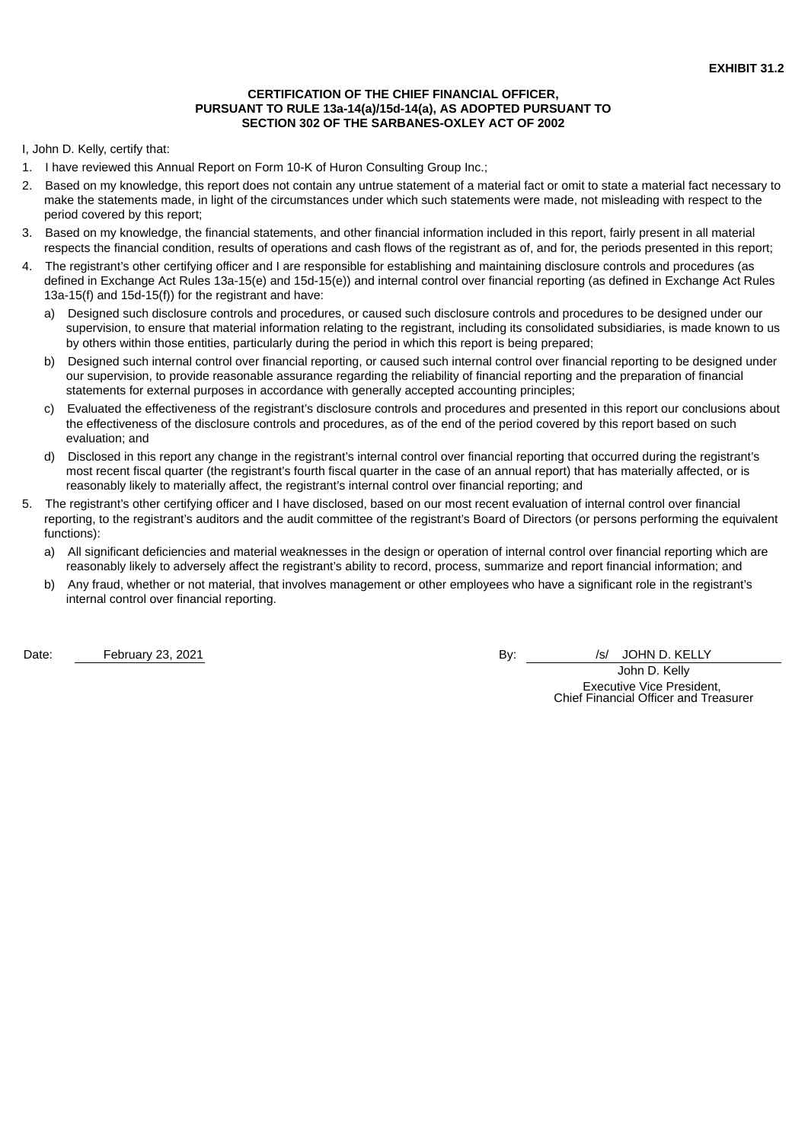#### **CERTIFICATION OF THE CHIEF FINANCIAL OFFICER, PURSUANT TO RULE 13a-14(a)/15d-14(a), AS ADOPTED PURSUANT TO SECTION 302 OF THE SARBANES-OXLEY ACT OF 2002**

I, John D. Kelly, certify that:

- 1. I have reviewed this Annual Report on Form 10-K of Huron Consulting Group Inc.;
- 2. Based on my knowledge, this report does not contain any untrue statement of a material fact or omit to state a material fact necessary to make the statements made, in light of the circumstances under which such statements were made, not misleading with respect to the period covered by this report;
- 3. Based on my knowledge, the financial statements, and other financial information included in this report, fairly present in all material respects the financial condition, results of operations and cash flows of the registrant as of, and for, the periods presented in this report;
- 4. The registrant's other certifying officer and I are responsible for establishing and maintaining disclosure controls and procedures (as defined in Exchange Act Rules 13a-15(e) and 15d-15(e)) and internal control over financial reporting (as defined in Exchange Act Rules 13a-15(f) and 15d-15(f)) for the registrant and have:
	- a) Designed such disclosure controls and procedures, or caused such disclosure controls and procedures to be designed under our supervision, to ensure that material information relating to the registrant, including its consolidated subsidiaries, is made known to us by others within those entities, particularly during the period in which this report is being prepared;
	- b) Designed such internal control over financial reporting, or caused such internal control over financial reporting to be designed under our supervision, to provide reasonable assurance regarding the reliability of financial reporting and the preparation of financial statements for external purposes in accordance with generally accepted accounting principles;
	- c) Evaluated the effectiveness of the registrant's disclosure controls and procedures and presented in this report our conclusions about the effectiveness of the disclosure controls and procedures, as of the end of the period covered by this report based on such evaluation; and
	- d) Disclosed in this report any change in the registrant's internal control over financial reporting that occurred during the registrant's most recent fiscal quarter (the registrant's fourth fiscal quarter in the case of an annual report) that has materially affected, or is reasonably likely to materially affect, the registrant's internal control over financial reporting; and
- 5. The registrant's other certifying officer and I have disclosed, based on our most recent evaluation of internal control over financial reporting, to the registrant's auditors and the audit committee of the registrant's Board of Directors (or persons performing the equivalent functions):
	- a) All significant deficiencies and material weaknesses in the design or operation of internal control over financial reporting which are reasonably likely to adversely affect the registrant's ability to record, process, summarize and report financial information; and
	- b) Any fraud, whether or not material, that involves management or other employees who have a significant role in the registrant's internal control over financial reporting.

Date: February 23, 2021 **By:** By: *ISI* JOHN D. KELLY

John D. Kelly Executive Vice President, Chief Financial Officer and Treasurer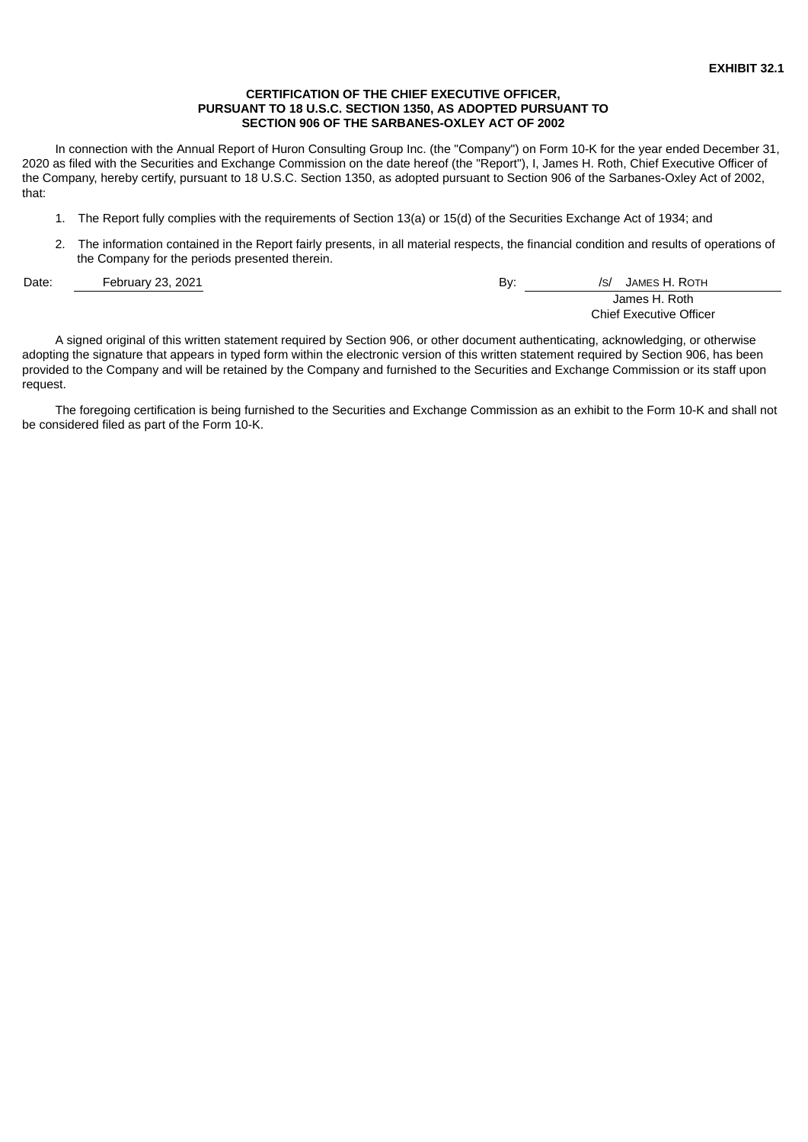#### **CERTIFICATION OF THE CHIEF EXECUTIVE OFFICER, PURSUANT TO 18 U.S.C. SECTION 1350, AS ADOPTED PURSUANT TO SECTION 906 OF THE SARBANES-OXLEY ACT OF 2002**

In connection with the Annual Report of Huron Consulting Group Inc. (the "Company") on Form 10-K for the year ended December 31, 2020 as filed with the Securities and Exchange Commission on the date hereof (the "Report"), I, James H. Roth, Chief Executive Officer of the Company, hereby certify, pursuant to 18 U.S.C. Section 1350, as adopted pursuant to Section 906 of the Sarbanes-Oxley Act of 2002, that:

- 1. The Report fully complies with the requirements of Section 13(a) or 15(d) of the Securities Exchange Act of 1934; and
- 2. The information contained in the Report fairly presents, in all material respects, the financial condition and results of operations of the Company for the periods presented therein.

Date: February 23, 2021 **By:** By: By: *ISI* JAMES H. ROTH James H. Roth Chief Executive Officer

A signed original of this written statement required by Section 906, or other document authenticating, acknowledging, or otherwise adopting the signature that appears in typed form within the electronic version of this written statement required by Section 906, has been provided to the Company and will be retained by the Company and furnished to the Securities and Exchange Commission or its staff upon request.

The foregoing certification is being furnished to the Securities and Exchange Commission as an exhibit to the Form 10-K and shall not be considered filed as part of the Form 10-K.